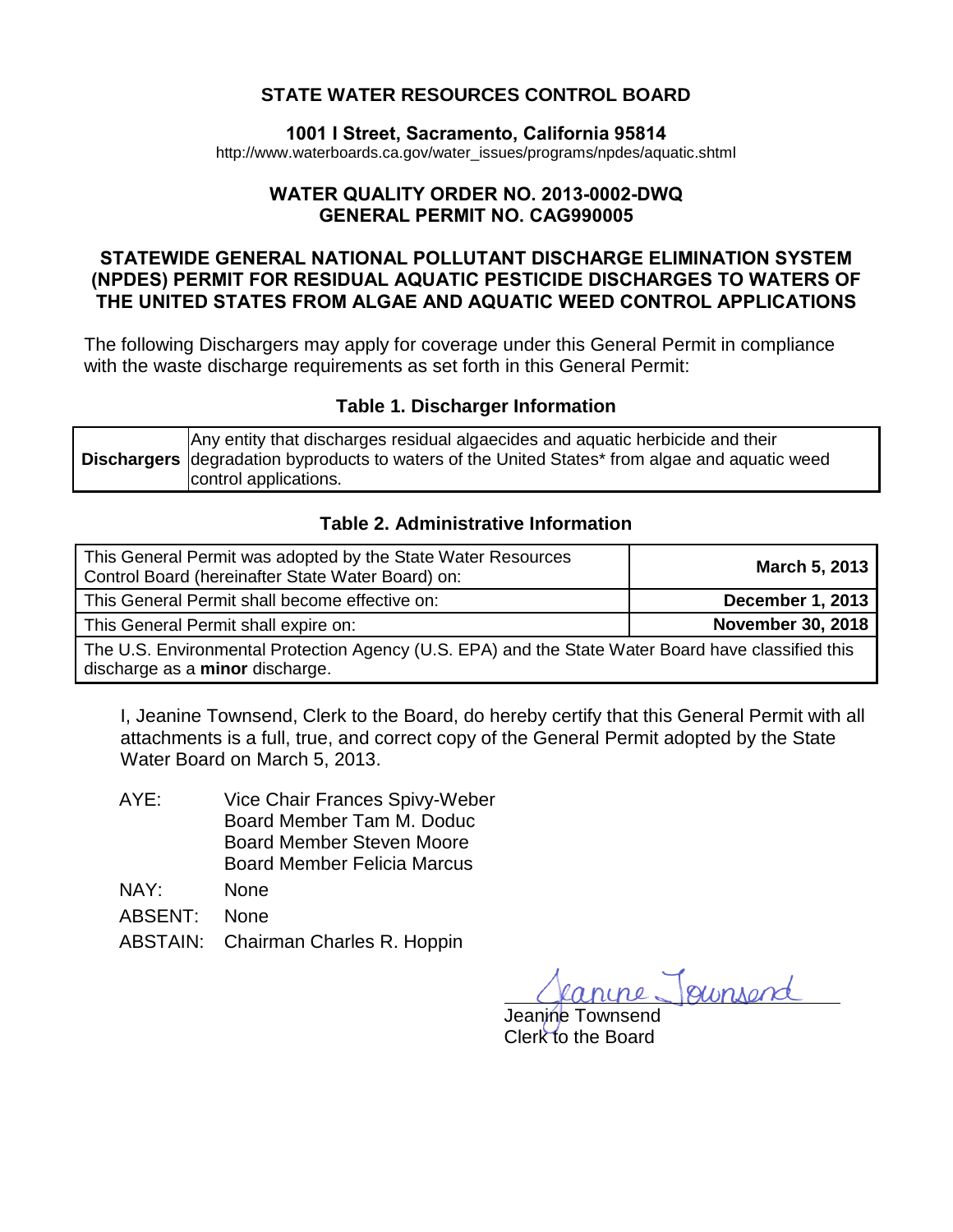## **STATE WATER RESOURCES CONTROL BOARD**

#### **1001 I Street, Sacramento, California 95814**

[http://www.waterboards.ca.gov/water\\_issues/programs/npdes/aquatic.shtml](http://www.waterboards.ca.gov/water_issues/programs/npdes/aquatic.shtml)

#### **WATER QUALITY ORDER NO. 2013-0002-DWQ GENERAL PERMIT NO. CAG990005**

## **STATEWIDE GENERAL NATIONAL POLLUTANT DISCHARGE ELIMINATION SYSTEM (NPDES) PERMIT FOR RESIDUAL AQUATIC PESTICIDE DISCHARGES TO WATERS OF THE UNITED STATES FROM ALGAE AND AQUATIC WEED CONTROL APPLICATIONS**

The following Dischargers may apply for coverage under this General Permit in compliance with the waste discharge requirements as set forth in this General Permit:

#### **Table 1. Discharger Information**

<span id="page-0-0"></span>

|  | Any entity that discharges residual algaecides and aquatic herbicide and their<br><b>Dischargers</b> degradation byproducts to waters of the United States* from algae and aquatic weed<br>control applications. |
|--|------------------------------------------------------------------------------------------------------------------------------------------------------------------------------------------------------------------|
|--|------------------------------------------------------------------------------------------------------------------------------------------------------------------------------------------------------------------|

#### **Table 2. Administrative Information**

<span id="page-0-1"></span>

| This General Permit was adopted by the State Water Resources<br>Control Board (hereinafter State Water Board) on:                     | March 5, 2013            |
|---------------------------------------------------------------------------------------------------------------------------------------|--------------------------|
| This General Permit shall become effective on:                                                                                        | <b>December 1, 2013</b>  |
| This General Permit shall expire on:                                                                                                  | <b>November 30, 2018</b> |
| The U.S. Environmental Protection Agency (U.S. EPA) and the State Water Board have classified this<br>discharge as a minor discharge. |                          |

I, Jeanine Townsend, Clerk to the Board, do hereby certify that this General Permit with all attachments is a full, true, and correct copy of the General Permit adopted by the State Water Board on March 5, 2013.

| AYE: | Vice Chair Frances Spivy-Weber     |
|------|------------------------------------|
|      | Board Member Tam M. Doduc          |
|      | <b>Board Member Steven Moore</b>   |
|      | <b>Board Member Felicia Marcus</b> |

- NAY: None
- ABSENT: None
- ABSTAIN: Chairman Charles R. Hoppin

gunsen

Jeanine Townsend Clerk to the Board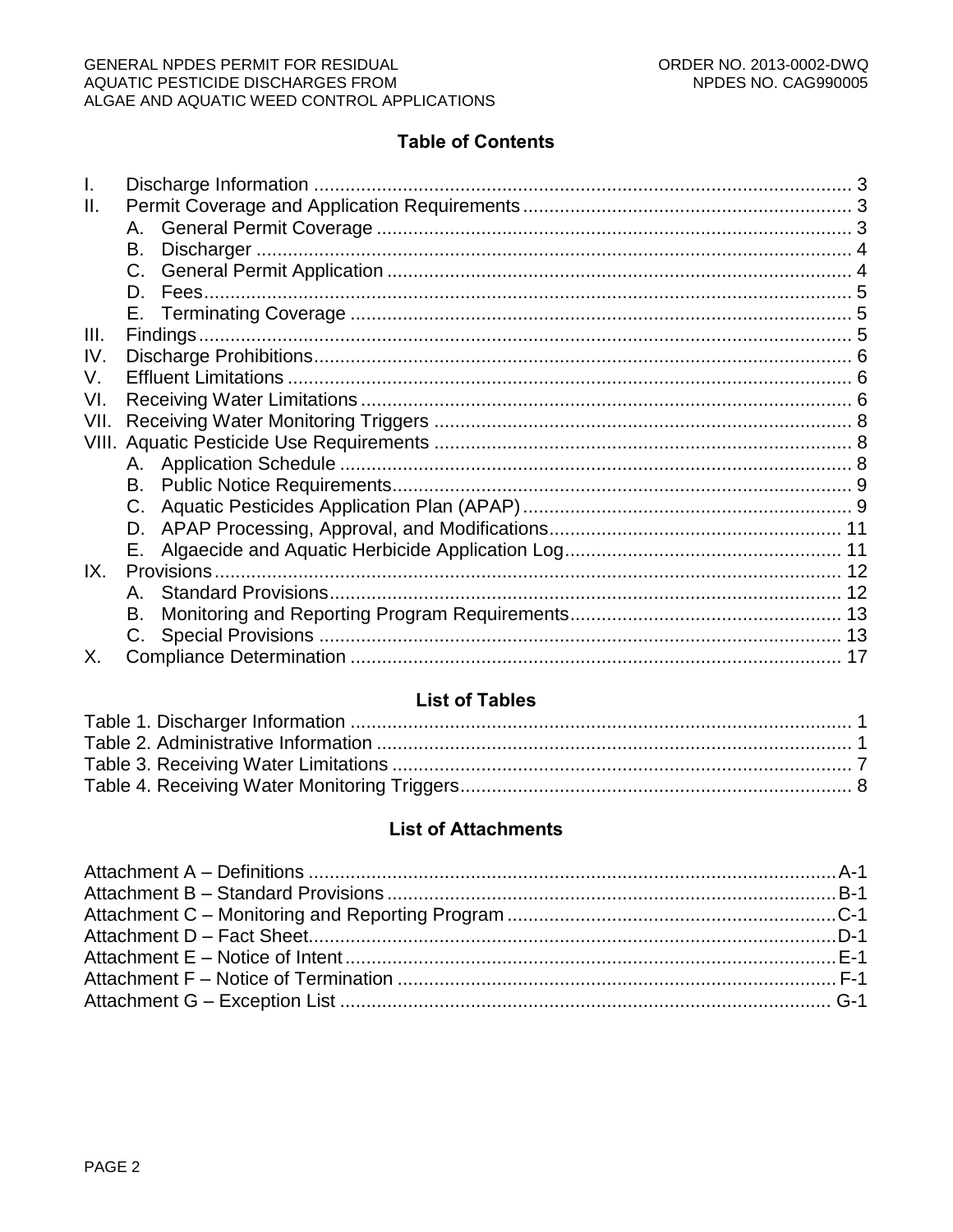## **Table of Contents**

| Ш.    |    |  |
|-------|----|--|
|       |    |  |
|       | B. |  |
|       |    |  |
|       | D. |  |
|       |    |  |
| III.  |    |  |
| IV.   |    |  |
| V.    |    |  |
| VI.   |    |  |
| VII.  |    |  |
| VIII. |    |  |
|       |    |  |
|       | B. |  |
|       | C. |  |
|       | D. |  |
|       | Е. |  |
| IX.   |    |  |
|       | Α. |  |
|       | В. |  |
|       |    |  |
| Х.    |    |  |

## **List of Tables**

## **List of Attachments**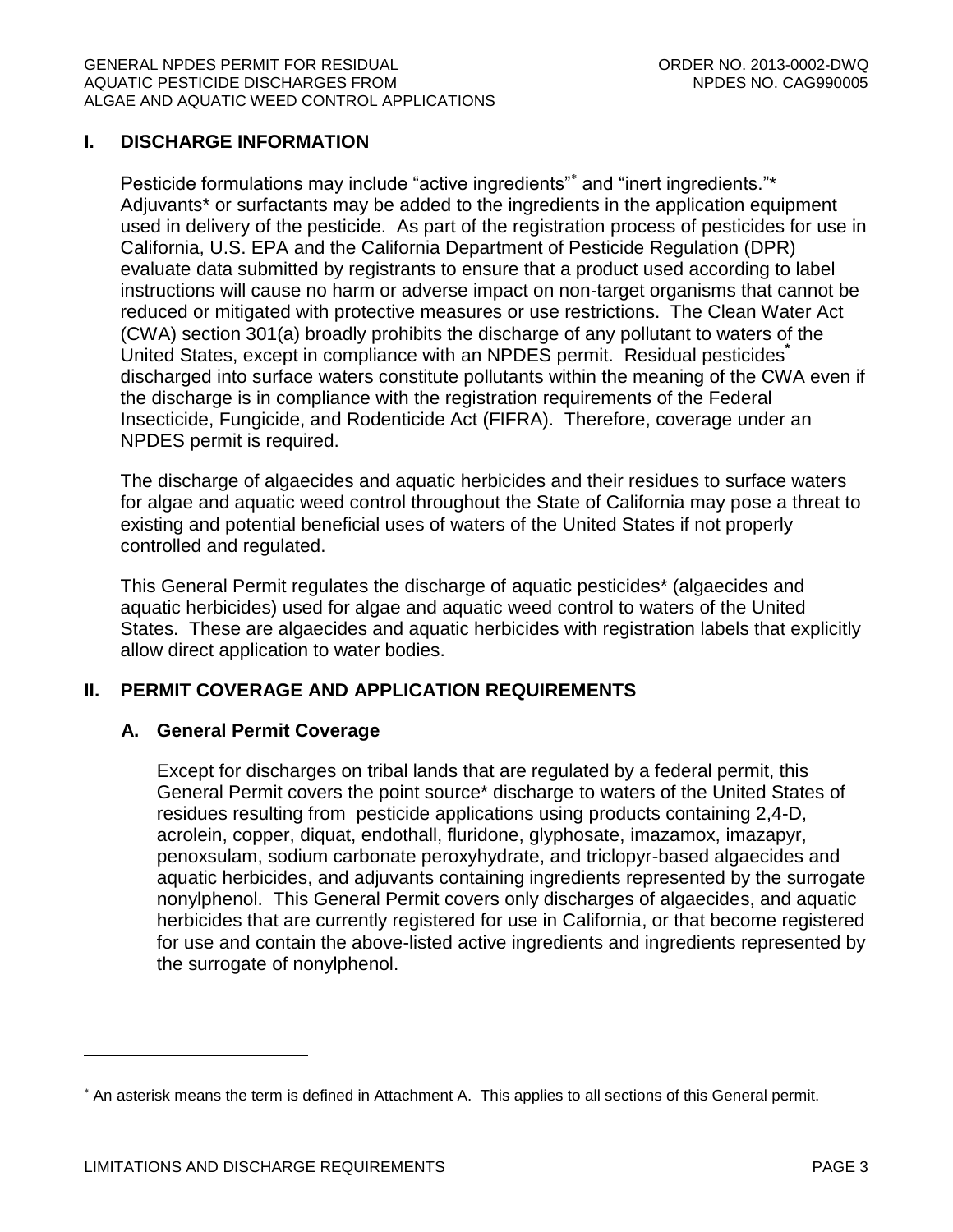## <span id="page-2-0"></span>**I. DISCHARGE INFORMATION**

Pesticide formulations may include "active ingredients"\* and "inert ingredients."\* Adjuvants\* or surfactants may be added to the ingredients in the application equipment used in delivery of the pesticide. As part of the registration process of pesticides for use in California, U.S. EPA and the California Department of Pesticide Regulation (DPR) evaluate data submitted by registrants to ensure that a product used according to label instructions will cause no harm or adverse impact on non-target organisms that cannot be reduced or mitigated with protective measures or use restrictions. The Clean Water Act (CWA) section 301(a) broadly prohibits the discharge of any pollutant to waters of the United States, except in compliance with an NPDES permit. Residual pesticides**\*** discharged into surface waters constitute pollutants within the meaning of the CWA even if the discharge is in compliance with the registration requirements of the Federal Insecticide, Fungicide, and Rodenticide Act (FIFRA). Therefore, coverage under an NPDES permit is required.

The discharge of algaecides and aquatic herbicides and their residues to surface waters for algae and aquatic weed control throughout the State of California may pose a threat to existing and potential beneficial uses of waters of the United States if not properly controlled and regulated.

This General Permit regulates the discharge of aquatic pesticides\* (algaecides and aquatic herbicides) used for algae and aquatic weed control to waters of the United States. These are algaecides and aquatic herbicides with registration labels that explicitly allow direct application to water bodies.

## <span id="page-2-2"></span><span id="page-2-1"></span>**II. PERMIT COVERAGE AND APPLICATION REQUIREMENTS**

## **A. General Permit Coverage**

Except for discharges on tribal lands that are regulated by a federal permit, this General Permit covers the point source\* discharge to waters of the United States of residues resulting from pesticide applications using products containing 2,4-D, acrolein, copper, diquat, endothall, fluridone, glyphosate, imazamox, imazapyr, penoxsulam, sodium carbonate peroxyhydrate, and triclopyr-based algaecides and aquatic herbicides, and adjuvants containing ingredients represented by the surrogate nonylphenol. This General Permit covers only discharges of algaecides, and aquatic herbicides that are currently registered for use in California, or that become registered for use and contain the above-listed active ingredients and ingredients represented by the surrogate of nonylphenol.

 $\overline{a}$ 

<sup>\*</sup> An asterisk means the term is defined in Attachment A. This applies to all sections of this General permit.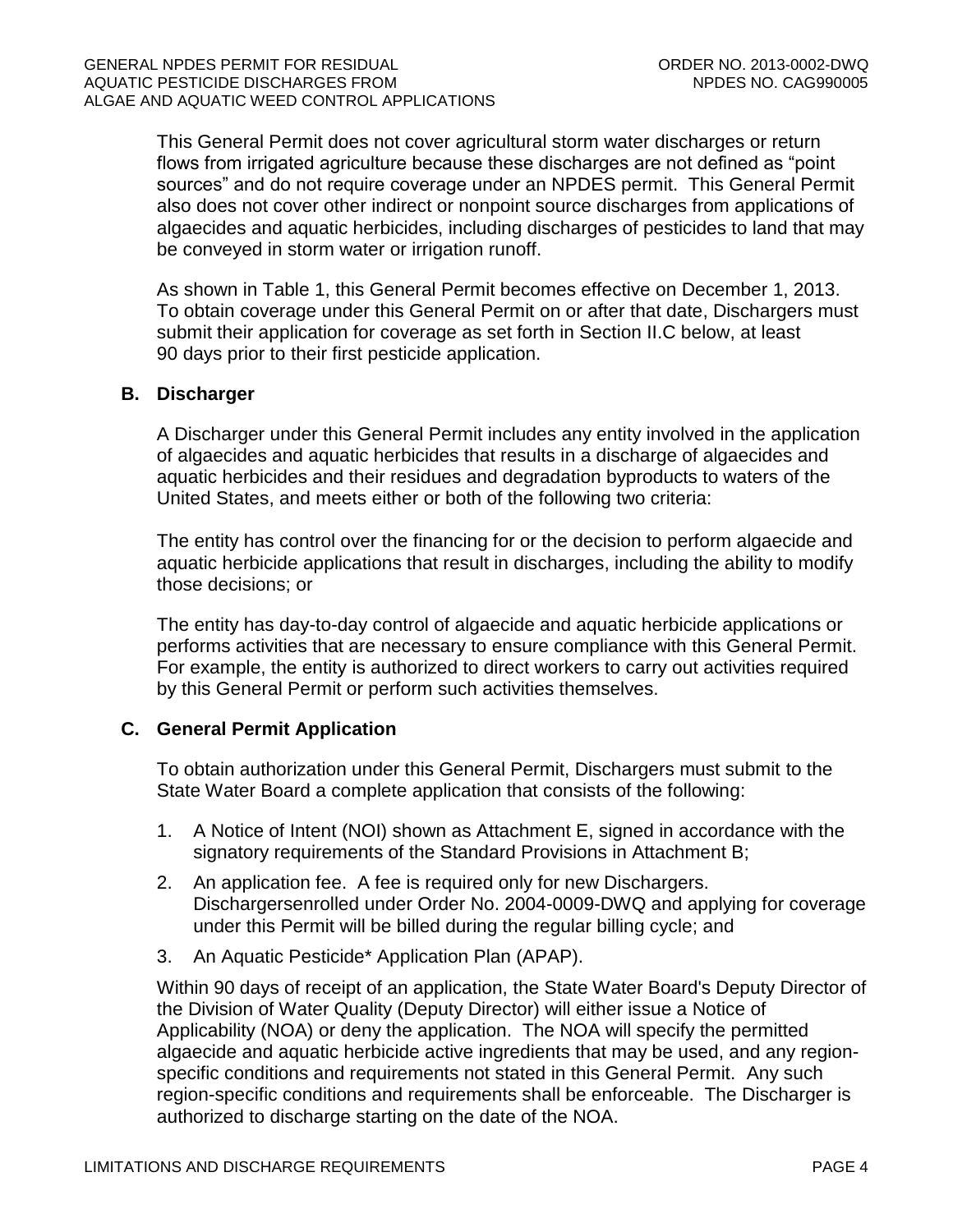This General Permit does not cover agricultural storm water discharges or return flows from irrigated agriculture because these discharges are not defined as "point sources" and do not require coverage under an NPDES permit. This General Permit also does not cover other indirect or nonpoint source discharges from applications of algaecides and aquatic herbicides, including discharges of pesticides to land that may be conveyed in storm water or irrigation runoff.

As shown in Table 1, this General Permit becomes effective on December 1, 2013. To obtain coverage under this General Permit on or after that date, Dischargers must submit their application for coverage as set forth in Section II.C below, at least 90 days prior to their first pesticide application.

### <span id="page-3-0"></span>**B. Discharger**

A Discharger under this General Permit includes any entity involved in the application of algaecides and aquatic herbicides that results in a discharge of algaecides and aquatic herbicides and their residues and degradation byproducts to waters of the United States, and meets either or both of the following two criteria:

The entity has control over the financing for or the decision to perform algaecide and aquatic herbicide applications that result in discharges, including the ability to modify those decisions; or

The entity has day-to-day control of algaecide and aquatic herbicide applications or performs activities that are necessary to ensure compliance with this General Permit. For example, the entity is authorized to direct workers to carry out activities required by this General Permit or perform such activities themselves.

## <span id="page-3-1"></span>**C. General Permit Application**

To obtain authorization under this General Permit, Dischargers must submit to the State Water Board a complete application that consists of the following:

- 1. A Notice of Intent (NOI) shown as Attachment E, signed in accordance with the signatory requirements of the Standard Provisions in Attachment B;
- 2. An application fee. A fee is required only for new Dischargers. Dischargersenrolled under Order No. 2004-0009-DWQ and applying for coverage under this Permit will be billed during the regular billing cycle; and
- 3. An Aquatic Pesticide\* Application Plan (APAP).

Within 90 days of receipt of an application, the State Water Board's Deputy Director of the Division of Water Quality (Deputy Director) will either issue a Notice of Applicability (NOA) or deny the application. The NOA will specify the permitted algaecide and aquatic herbicide active ingredients that may be used, and any regionspecific conditions and requirements not stated in this General Permit. Any such region-specific conditions and requirements shall be enforceable. The Discharger is authorized to discharge starting on the date of the NOA.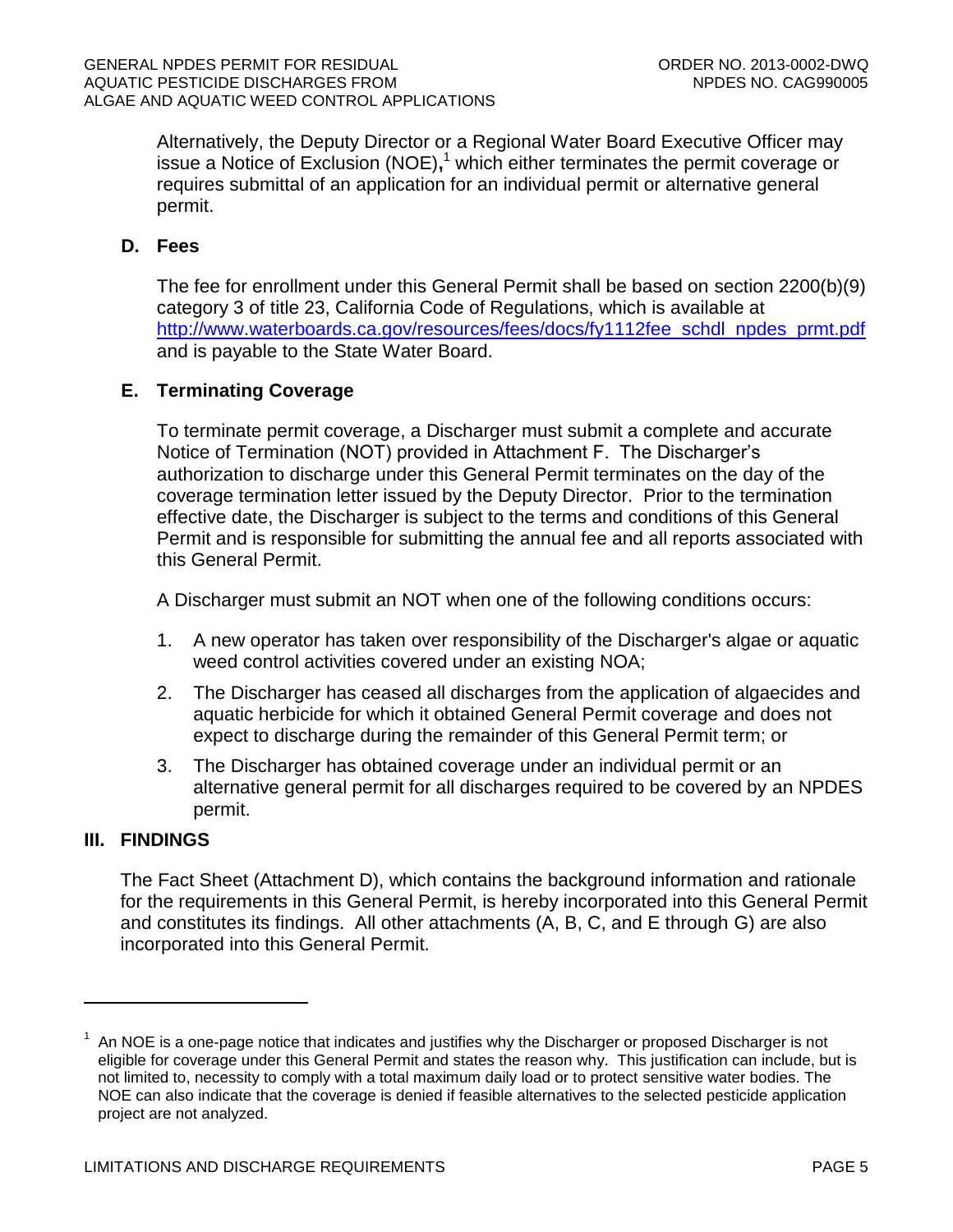Alternatively, the Deputy Director or a Regional Water Board Executive Officer may issue a Notice of Exclusion (NOE)**,** <sup>1</sup> which either terminates the permit coverage or requires submittal of an application for an individual permit or alternative general permit.

## <span id="page-4-0"></span>**D. Fees**

The fee for enrollment under this General Permit shall be based on section 2200(b)(9) category 3 of title 23, California Code of Regulations, which is available at http://www.waterboards.ca.gov/resources/fees/docs/fy1112fee\_schdl\_npdes\_prmt.pdf and is payable to the State Water Board.

### <span id="page-4-1"></span>**E. Terminating Coverage**

To terminate permit coverage, a Discharger must submit a complete and accurate Notice of Termination (NOT) provided in Attachment F. The Discharger's authorization to discharge under this General Permit terminates on the day of the coverage termination letter issued by the Deputy Director. Prior to the termination effective date, the Discharger is subject to the terms and conditions of this General Permit and is responsible for submitting the annual fee and all reports associated with this General Permit.

A Discharger must submit an NOT when one of the following conditions occurs:

- 1. A new operator has taken over responsibility of the Discharger's algae or aquatic weed control activities covered under an existing NOA;
- 2. The Discharger has ceased all discharges from the application of algaecides and aquatic herbicide for which it obtained General Permit coverage and does not expect to discharge during the remainder of this General Permit term; or
- 3. The Discharger has obtained coverage under an individual permit or an alternative general permit for all discharges required to be covered by an NPDES permit.

## <span id="page-4-2"></span>**III. FINDINGS**

 $\overline{a}$ 

The Fact Sheet (Attachment D), which contains the background information and rationale for the requirements in this General Permit, is hereby incorporated into this General Permit and constitutes its findings. All other attachments (A, B, C, and E through G) are also incorporated into this General Permit.

<sup>1</sup> An NOE is a one-page notice that indicates and justifies why the Discharger or proposed Discharger is not eligible for coverage under this General Permit and states the reason why. This justification can include, but is not limited to, necessity to comply with a total maximum daily load or to protect sensitive water bodies. The NOE can also indicate that the coverage is denied if feasible alternatives to the selected pesticide application project are not analyzed.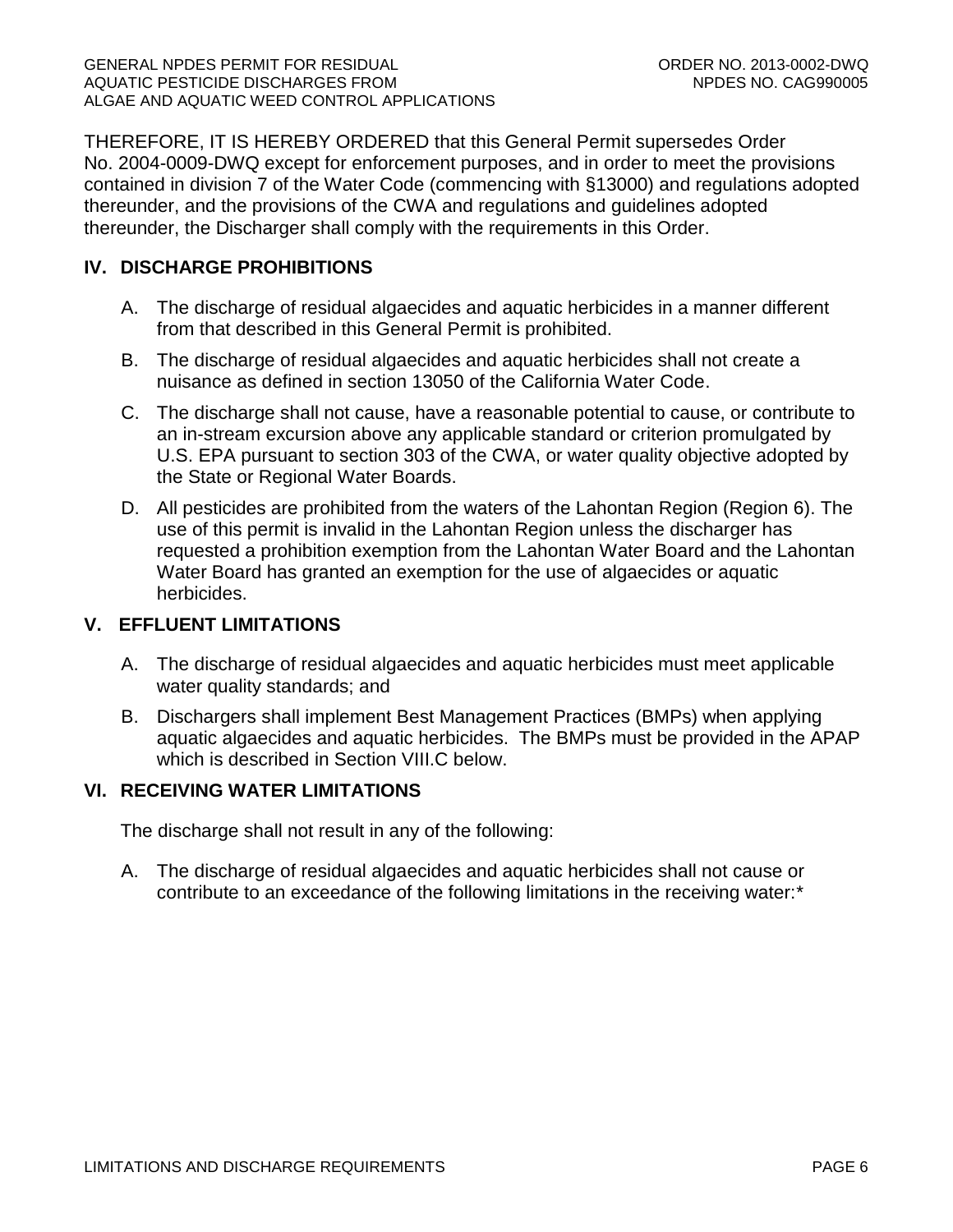THEREFORE, IT IS HEREBY ORDERED that this General Permit supersedes Order No. 2004-0009-DWQ except for enforcement purposes, and in order to meet the provisions contained in division 7 of the Water Code (commencing with §13000) and regulations adopted thereunder, and the provisions of the CWA and regulations and guidelines adopted thereunder, the Discharger shall comply with the requirements in this Order.

## <span id="page-5-0"></span>**IV. DISCHARGE PROHIBITIONS**

- A. The discharge of residual algaecides and aquatic herbicides in a manner different from that described in this General Permit is prohibited.
- B. The discharge of residual algaecides and aquatic herbicides shall not create a nuisance as defined in section 13050 of the California Water Code.
- C. The discharge shall not cause, have a reasonable potential to cause, or contribute to an in-stream excursion above any applicable standard or criterion promulgated by U.S. EPA pursuant to section 303 of the CWA, or water quality objective adopted by the State or Regional Water Boards.
- D. All pesticides are prohibited from the waters of the Lahontan Region (Region 6). The use of this permit is invalid in the Lahontan Region unless the discharger has requested a prohibition exemption from the Lahontan Water Board and the Lahontan Water Board has granted an exemption for the use of algaecides or aquatic herbicides.

## <span id="page-5-1"></span>**V. EFFLUENT LIMITATIONS**

- A. The discharge of residual algaecides and aquatic herbicides must meet applicable water quality standards; and
- B. Dischargers shall implement Best Management Practices (BMPs) when applying aquatic algaecides and aquatic herbicides. The BMPs must be provided in the APAP which is described in Section VIII.C below.

## <span id="page-5-2"></span>**VI. RECEIVING WATER LIMITATIONS**

The discharge shall not result in any of the following:

A. The discharge of residual algaecides and aquatic herbicides shall not cause or contribute to an exceedance of the following limitations in the receiving water:\*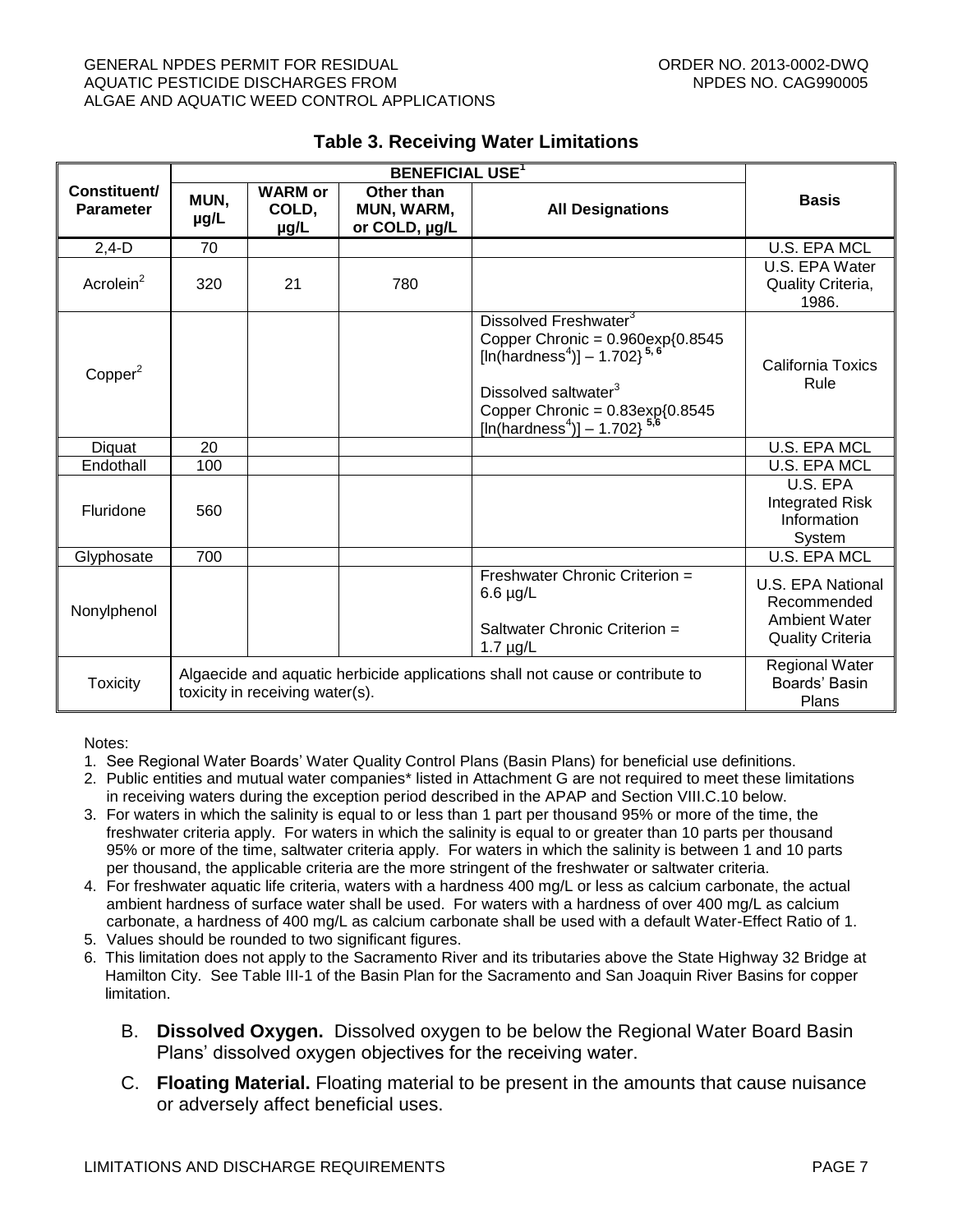#### GENERAL NPDES PERMIT FOR RESIDUAL CHARGE ORDER NO. 2013-0002-DWQ AQUATIC PESTICIDE DISCHARGES FROM NEW ROOM NEEDS NO. CAG990005 ALGAE AND AQUATIC WEED CONTROL APPLICATIONS

<span id="page-6-0"></span>

| Constituent/<br><b>Parameter</b> | MUN,<br>µg/L                                                                                                     | <b>WARM or</b><br>COLD,<br>µg/L | Other than<br>MUN, WARM,<br>or COLD, µg/L | <b>All Designations</b>                                                                                                                                                                                                                                                | <b>Basis</b>                                                                 |
|----------------------------------|------------------------------------------------------------------------------------------------------------------|---------------------------------|-------------------------------------------|------------------------------------------------------------------------------------------------------------------------------------------------------------------------------------------------------------------------------------------------------------------------|------------------------------------------------------------------------------|
| $2,4-D$                          | 70                                                                                                               |                                 |                                           |                                                                                                                                                                                                                                                                        | <b>U.S. EPA MCL</b>                                                          |
| Acrolein <sup>2</sup>            | 320                                                                                                              | 21                              | 780                                       |                                                                                                                                                                                                                                                                        | U.S. EPA Water<br>Quality Criteria,<br>1986.                                 |
| Copper <sup>2</sup>              |                                                                                                                  |                                 |                                           | Dissolved Freshwater <sup>3</sup><br>Copper Chronic = $0.960 \exp\{0.8545$<br>[In(hardness <sup>4</sup> )] - 1.702} <sup>5,6</sup><br>Dissolved saltwater <sup>3</sup><br>Copper Chronic = $0.83 \exp\{0.8545$<br>[ln(hardness <sup>4</sup> )] - 1.702} <sup>5,6</sup> | California Toxics<br>Rule                                                    |
| Diquat                           | 20                                                                                                               |                                 |                                           |                                                                                                                                                                                                                                                                        | <b>U.S. EPA MCL</b>                                                          |
| Endothall                        | 100                                                                                                              |                                 |                                           |                                                                                                                                                                                                                                                                        | U.S. EPA MCL                                                                 |
| Fluridone                        | 560                                                                                                              |                                 |                                           |                                                                                                                                                                                                                                                                        | U.S. EPA<br><b>Integrated Risk</b><br>Information<br>System                  |
| Glyphosate                       | 700                                                                                                              |                                 |                                           |                                                                                                                                                                                                                                                                        | <b>U.S. EPA MCL</b>                                                          |
| Nonylphenol                      |                                                                                                                  |                                 |                                           | Freshwater Chronic Criterion =<br>$6.6 \mu g/L$<br>Saltwater Chronic Criterion =<br>$1.7 \mu g/L$                                                                                                                                                                      | U.S. EPA National<br>Recommended<br>Ambient Water<br><b>Quality Criteria</b> |
| <b>Toxicity</b>                  | Algaecide and aquatic herbicide applications shall not cause or contribute to<br>toxicity in receiving water(s). |                                 |                                           | <b>Regional Water</b><br>Boards' Basin<br>Plans                                                                                                                                                                                                                        |                                                                              |

#### **Table 3. Receiving Water Limitations**

Notes:

- 1. See Regional Water Boards' Water Quality Control Plans (Basin Plans) for beneficial use definitions.
- 2. Public entities and mutual water companies\* listed in Attachment G are not required to meet these limitations in receiving waters during the exception period described in the APAP and Section VIII.C.10 below.
- 3. For waters in which the salinity is equal to or less than 1 part per thousand 95% or more of the time, the freshwater criteria apply. For waters in which the salinity is equal to or greater than 10 parts per thousand 95% or more of the time, saltwater criteria apply. For waters in which the salinity is between 1 and 10 parts per thousand, the applicable criteria are the more stringent of the freshwater or saltwater criteria.
- 4. For freshwater aquatic life criteria, waters with a hardness 400 mg/L or less as calcium carbonate, the actual ambient hardness of surface water shall be used. For waters with a hardness of over 400 mg/L as calcium carbonate, a hardness of 400 mg/L as calcium carbonate shall be used with a default Water-Effect Ratio of 1.
- 5. Values should be rounded to two significant figures.
- 6. This limitation does not apply to the Sacramento River and its tributaries above the State Highway 32 Bridge at Hamilton City. See Table III-1 of the Basin Plan for the Sacramento and San Joaquin River Basins for copper limitation.
	- B. **Dissolved Oxygen.** Dissolved oxygen to be below the Regional Water Board Basin Plans' dissolved oxygen objectives for the receiving water.
	- C. **Floating Material.** Floating material to be present in the amounts that cause nuisance or adversely affect beneficial uses.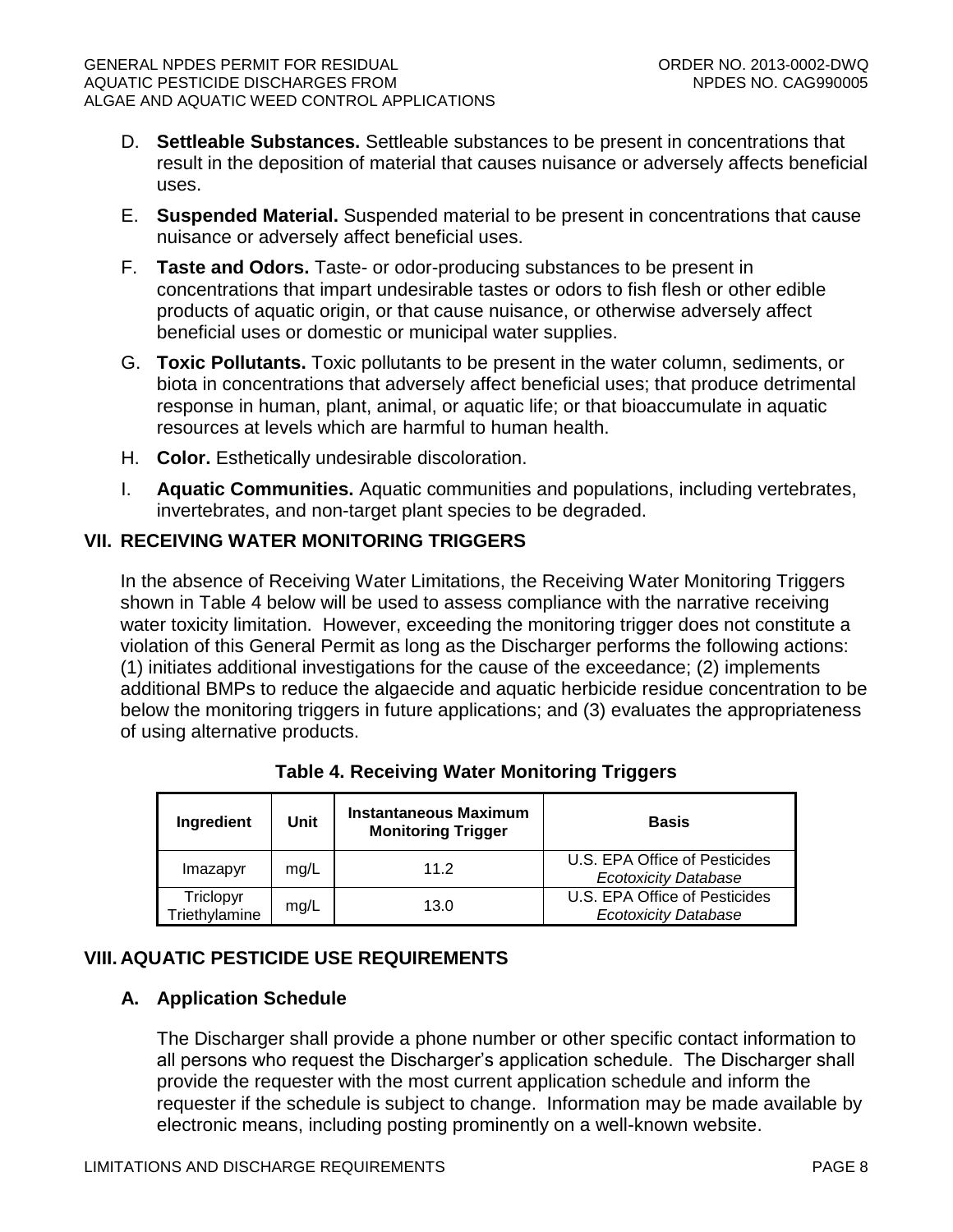- D. **Settleable Substances.** Settleable substances to be present in concentrations that result in the deposition of material that causes nuisance or adversely affects beneficial uses.
- E. **Suspended Material.** Suspended material to be present in concentrations that cause nuisance or adversely affect beneficial uses.
- F. **Taste and Odors.** Taste- or odor-producing substances to be present in concentrations that impart undesirable tastes or odors to fish flesh or other edible products of aquatic origin, or that cause nuisance, or otherwise adversely affect beneficial uses or domestic or municipal water supplies.
- G. **Toxic Pollutants.** Toxic pollutants to be present in the water column, sediments, or biota in concentrations that adversely affect beneficial uses; that produce detrimental response in human, plant, animal, or aquatic life; or that bioaccumulate in aquatic resources at levels which are harmful to human health.
- H. **Color.** Esthetically undesirable discoloration.
- I. **Aquatic Communities.** Aquatic communities and populations, including vertebrates, invertebrates, and non-target plant species to be degraded.

## <span id="page-7-0"></span>**VII. RECEIVING WATER MONITORING TRIGGERS**

In the absence of Receiving Water Limitations, the Receiving Water Monitoring Triggers shown in Table 4 below will be used to assess compliance with the narrative receiving water toxicity limitation. However, exceeding the monitoring trigger does not constitute a violation of this General Permit as long as the Discharger performs the following actions: (1) initiates additional investigations for the cause of the exceedance; (2) implements additional BMPs to reduce the algaecide and aquatic herbicide residue concentration to be below the monitoring triggers in future applications; and (3) evaluates the appropriateness of using alternative products.

<span id="page-7-3"></span>

| Ingredient                 | Unit | <b>Instantaneous Maximum</b><br><b>Monitoring Trigger</b> | <b>Basis</b>                                                 |
|----------------------------|------|-----------------------------------------------------------|--------------------------------------------------------------|
| Imazapyr                   | mg/L | 11.2                                                      | U.S. EPA Office of Pesticides<br><b>Ecotoxicity Database</b> |
| Triclopyr<br>Triethylamine | mg/L | 13.0                                                      | U.S. EPA Office of Pesticides<br><b>Ecotoxicity Database</b> |

## **Table 4. Receiving Water Monitoring Triggers**

## <span id="page-7-2"></span><span id="page-7-1"></span>**VIII. AQUATIC PESTICIDE USE REQUIREMENTS**

## **A. Application Schedule**

The Discharger shall provide a phone number or other specific contact information to all persons who request the Discharger's application schedule. The Discharger shall provide the requester with the most current application schedule and inform the requester if the schedule is subject to change. Information may be made available by electronic means, including posting prominently on a well-known website.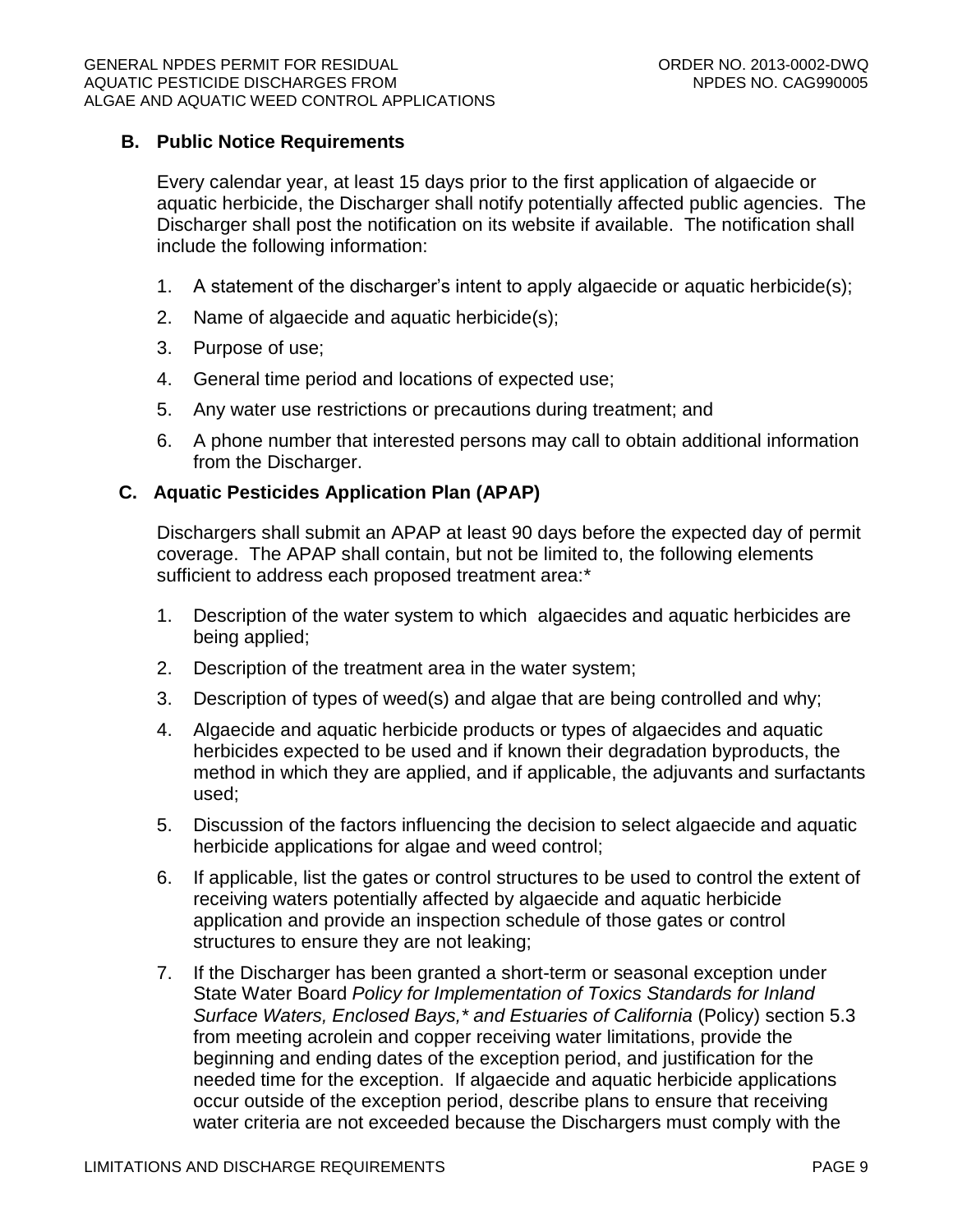## <span id="page-8-0"></span>**B. Public Notice Requirements**

Every calendar year, at least 15 days prior to the first application of algaecide or aquatic herbicide, the Discharger shall notify potentially affected public agencies. The Discharger shall post the notification on its website if available. The notification shall include the following information:

- 1. A statement of the discharger's intent to apply algaecide or aquatic herbicide(s);
- 2. Name of algaecide and aquatic herbicide(s);
- 3. Purpose of use;
- 4. General time period and locations of expected use;
- 5. Any water use restrictions or precautions during treatment; and
- 6. A phone number that interested persons may call to obtain additional information from the Discharger.

### <span id="page-8-1"></span>**C. Aquatic Pesticides Application Plan (APAP)**

Dischargers shall submit an APAP at least 90 days before the expected day of permit coverage. The APAP shall contain, but not be limited to, the following elements sufficient to address each proposed treatment area:\*

- 1. Description of the water system to which algaecides and aquatic herbicides are being applied;
- 2. Description of the treatment area in the water system;
- 3. Description of types of weed(s) and algae that are being controlled and why;
- 4. Algaecide and aquatic herbicide products or types of algaecides and aquatic herbicides expected to be used and if known their degradation byproducts, the method in which they are applied, and if applicable, the adjuvants and surfactants used;
- 5. Discussion of the factors influencing the decision to select algaecide and aquatic herbicide applications for algae and weed control;
- 6. If applicable, list the gates or control structures to be used to control the extent of receiving waters potentially affected by algaecide and aquatic herbicide application and provide an inspection schedule of those gates or control structures to ensure they are not leaking;
- 7. If the Discharger has been granted a short-term or seasonal exception under State Water Board *Policy for Implementation of Toxics Standards for Inland Surface Waters, Enclosed Bays,\* and Estuaries of California* (Policy) section 5.3 from meeting acrolein and copper receiving water limitations, provide the beginning and ending dates of the exception period, and justification for the needed time for the exception. If algaecide and aquatic herbicide applications occur outside of the exception period, describe plans to ensure that receiving water criteria are not exceeded because the Dischargers must comply with the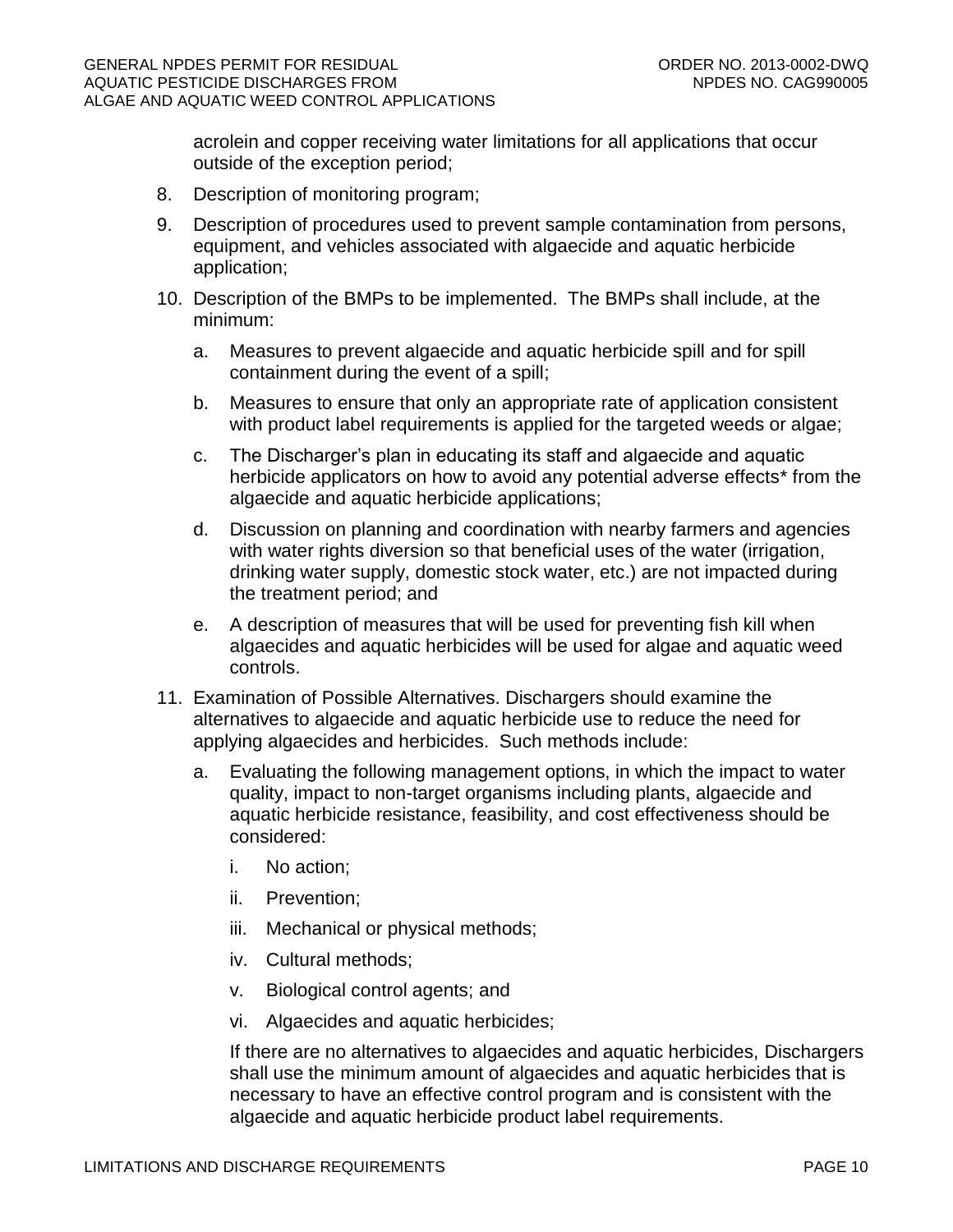acrolein and copper receiving water limitations for all applications that occur outside of the exception period;

- 8. Description of monitoring program;
- 9. Description of procedures used to prevent sample contamination from persons, equipment, and vehicles associated with algaecide and aquatic herbicide application;
- 10. Description of the BMPs to be implemented. The BMPs shall include, at the minimum:
	- a. Measures to prevent algaecide and aquatic herbicide spill and for spill containment during the event of a spill;
	- b. Measures to ensure that only an appropriate rate of application consistent with product label requirements is applied for the targeted weeds or algae;
	- c. The Discharger's plan in educating its staff and algaecide and aquatic herbicide applicators on how to avoid any potential adverse effects<sup>\*</sup> from the algaecide and aquatic herbicide applications;
	- d. Discussion on planning and coordination with nearby farmers and agencies with water rights diversion so that beneficial uses of the water (irrigation, drinking water supply, domestic stock water, etc.) are not impacted during the treatment period; and
	- e. A description of measures that will be used for preventing fish kill when algaecides and aquatic herbicides will be used for algae and aquatic weed controls.
- 11. Examination of Possible Alternatives. Dischargers should examine the alternatives to algaecide and aquatic herbicide use to reduce the need for applying algaecides and herbicides. Such methods include:
	- a. Evaluating the following management options, in which the impact to water quality, impact to non-target organisms including plants, algaecide and aquatic herbicide resistance, feasibility, and cost effectiveness should be considered:
		- i. No action;
		- ii. Prevention;
		- iii. Mechanical or physical methods;
		- iv. Cultural methods;
		- v. Biological control agents; and
		- vi. Algaecides and aquatic herbicides;

If there are no alternatives to algaecides and aquatic herbicides, Dischargers shall use the minimum amount of algaecides and aquatic herbicides that is necessary to have an effective control program and is consistent with the algaecide and aquatic herbicide product label requirements.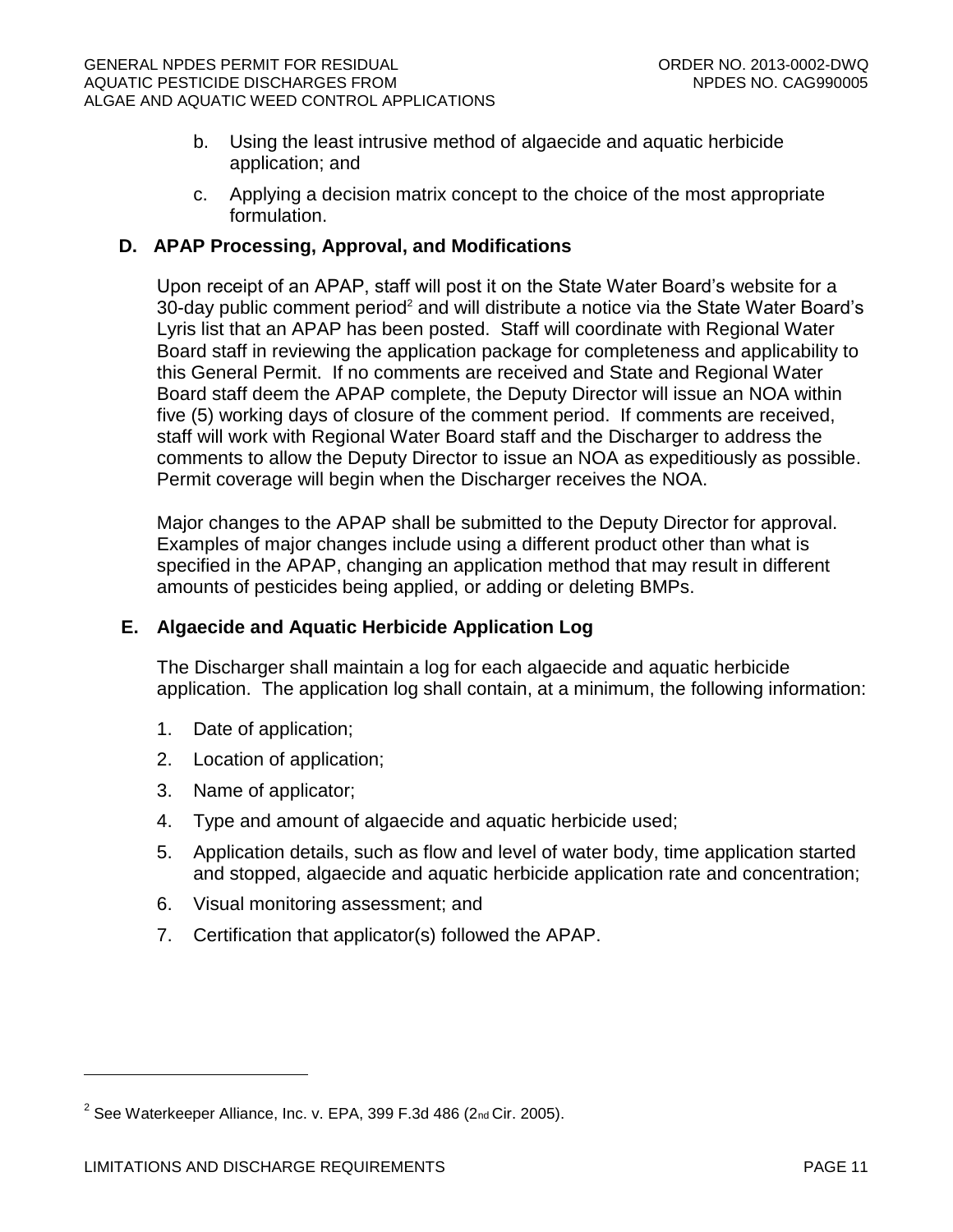- b. Using the least intrusive method of algaecide and aquatic herbicide application; and
- c. Applying a decision matrix concept to the choice of the most appropriate formulation.

## <span id="page-10-0"></span>**D. APAP Processing, Approval, and Modifications**

Upon receipt of an APAP, staff will post it on the State Water Board's website for a 30-day public comment period<sup>2</sup> and will distribute a notice via the State Water Board's Lyris list that an APAP has been posted. Staff will coordinate with Regional Water Board staff in reviewing the application package for completeness and applicability to this General Permit. If no comments are received and State and Regional Water Board staff deem the APAP complete, the Deputy Director will issue an NOA within five (5) working days of closure of the comment period. If comments are received, staff will work with Regional Water Board staff and the Discharger to address the comments to allow the Deputy Director to issue an NOA as expeditiously as possible. Permit coverage will begin when the Discharger receives the NOA.

Major changes to the APAP shall be submitted to the Deputy Director for approval. Examples of major changes include using a different product other than what is specified in the APAP, changing an application method that may result in different amounts of pesticides being applied, or adding or deleting BMPs.

## <span id="page-10-1"></span>**E. Algaecide and Aquatic Herbicide Application Log**

The Discharger shall maintain a log for each algaecide and aquatic herbicide application. The application log shall contain, at a minimum, the following information:

- 1. Date of application;
- 2. Location of application;
- 3. Name of applicator;
- 4. Type and amount of algaecide and aquatic herbicide used;
- 5. Application details, such as flow and level of water body, time application started and stopped, algaecide and aquatic herbicide application rate and concentration;
- 6. Visual monitoring assessment; and
- 7. Certification that applicator(s) followed the APAP.

 $\overline{a}$ 

 $^2$  See Waterkeeper Alliance, Inc. v. EPA, 399 F.3d 486 (2nd Cir. 2005).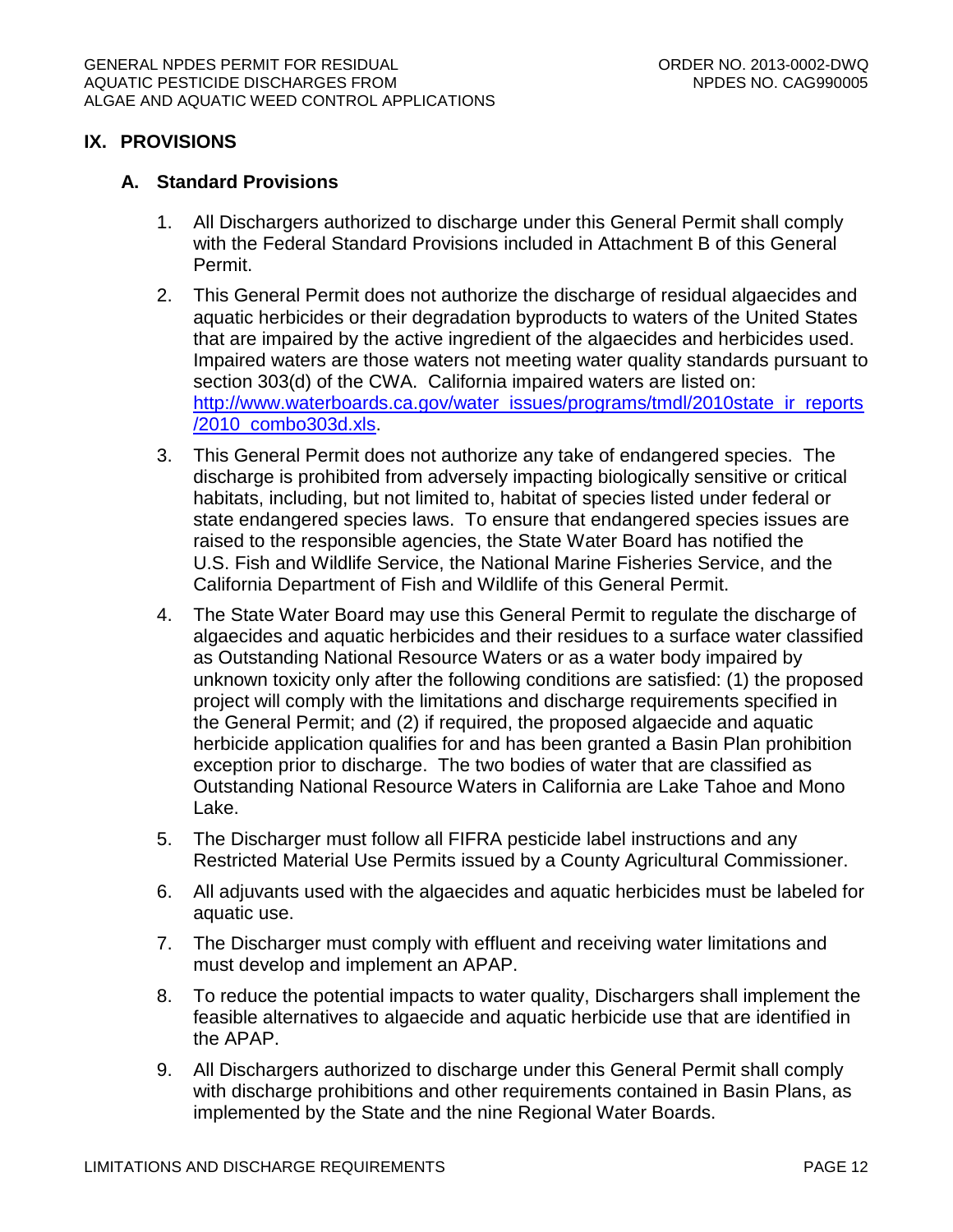## <span id="page-11-0"></span>**IX. PROVISIONS**

#### <span id="page-11-1"></span>**A. Standard Provisions**

- 1. All Dischargers authorized to discharge under this General Permit shall comply with the Federal Standard Provisions included in Attachment B of this General Permit.
- 2. This General Permit does not authorize the discharge of residual algaecides and aquatic herbicides or their degradation byproducts to waters of the United States that are impaired by the active ingredient of the algaecides and herbicides used. Impaired waters are those waters not meeting water quality standards pursuant to section 303(d) of the CWA. California impaired waters are listed on: [http://www.waterboards.ca.gov/water\\_issues/programs/tmdl/2010state\\_ir\\_reports](http://www.waterboards.ca.gov/water_issues/programs/tmdl/2010state_ir_reports/2010_combo303d.xls) [/2010\\_combo303d.xls.](http://www.waterboards.ca.gov/water_issues/programs/tmdl/2010state_ir_reports/2010_combo303d.xls)
- 3. This General Permit does not authorize any take of endangered species. The discharge is prohibited from adversely impacting biologically sensitive or critical habitats, including, but not limited to, habitat of species listed under federal or state endangered species laws. To ensure that endangered species issues are raised to the responsible agencies, the State Water Board has notified the U.S. Fish and Wildlife Service, the National Marine Fisheries Service, and the California Department of Fish and Wildlife of this General Permit.
- 4. The State Water Board may use this General Permit to regulate the discharge of algaecides and aquatic herbicides and their residues to a surface water classified as Outstanding National Resource Waters or as a water body impaired by unknown toxicity only after the following conditions are satisfied: (1) the proposed project will comply with the limitations and discharge requirements specified in the General Permit; and (2) if required, the proposed algaecide and aquatic herbicide application qualifies for and has been granted a Basin Plan prohibition exception prior to discharge. The two bodies of water that are classified as Outstanding National Resource Waters in California are Lake Tahoe and Mono Lake.
- 5. The Discharger must follow all FIFRA pesticide label instructions and any Restricted Material Use Permits issued by a County Agricultural Commissioner.
- 6. All adjuvants used with the algaecides and aquatic herbicides must be labeled for aquatic use.
- 7. The Discharger must comply with effluent and receiving water limitations and must develop and implement an APAP.
- 8. To reduce the potential impacts to water quality, Dischargers shall implement the feasible alternatives to algaecide and aquatic herbicide use that are identified in the APAP.
- 9. All Dischargers authorized to discharge under this General Permit shall comply with discharge prohibitions and other requirements contained in Basin Plans, as implemented by the State and the nine Regional Water Boards.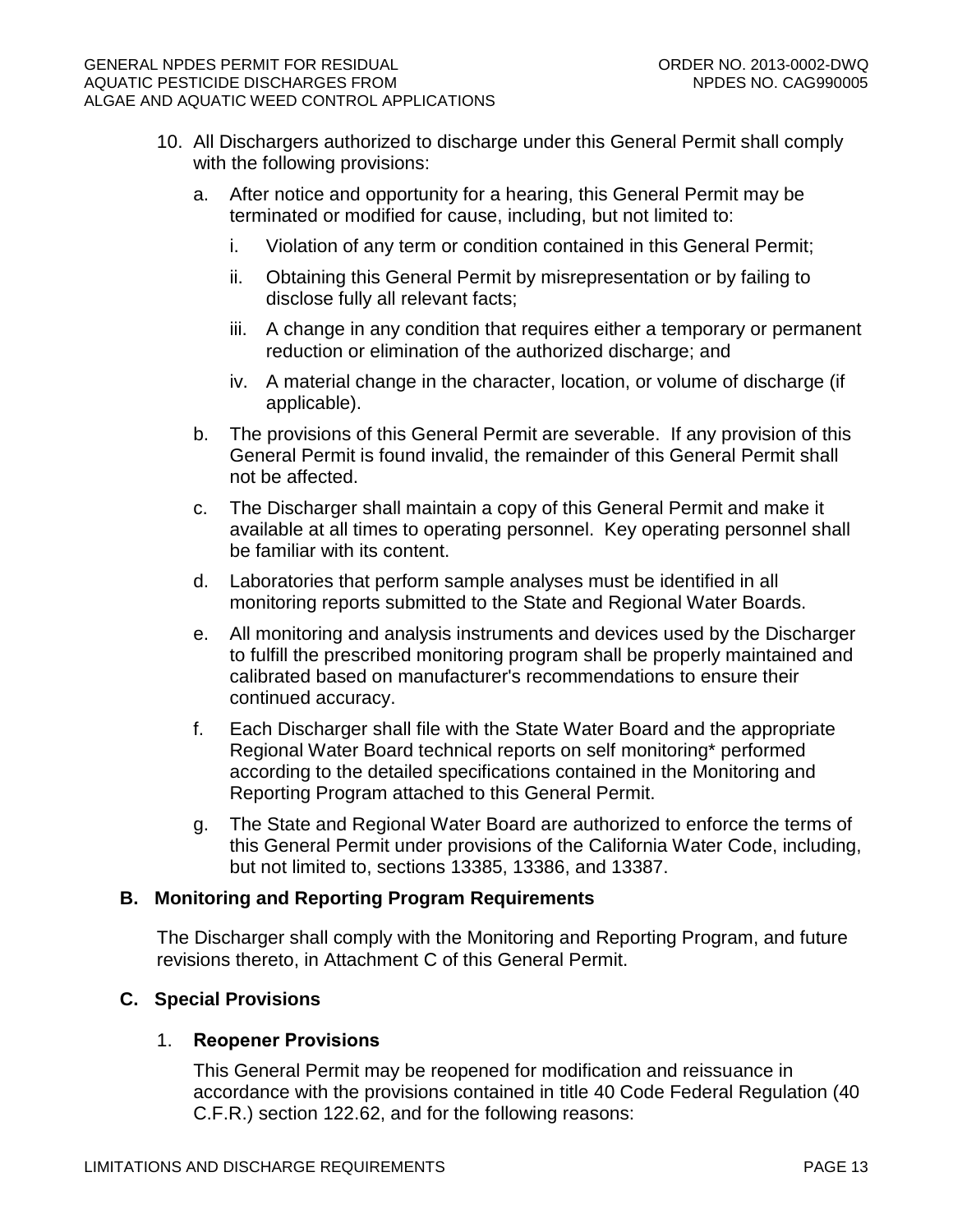- 10. All Dischargers authorized to discharge under this General Permit shall comply with the following provisions:
	- a. After notice and opportunity for a hearing, this General Permit may be terminated or modified for cause, including, but not limited to:
		- i. Violation of any term or condition contained in this General Permit;
		- ii. Obtaining this General Permit by misrepresentation or by failing to disclose fully all relevant facts;
		- iii. A change in any condition that requires either a temporary or permanent reduction or elimination of the authorized discharge; and
		- iv. A material change in the character, location, or volume of discharge (if applicable).
	- b. The provisions of this General Permit are severable. If any provision of this General Permit is found invalid, the remainder of this General Permit shall not be affected.
	- c. The Discharger shall maintain a copy of this General Permit and make it available at all times to operating personnel. Key operating personnel shall be familiar with its content.
	- d. Laboratories that perform sample analyses must be identified in all monitoring reports submitted to the State and Regional Water Boards.
	- e. All monitoring and analysis instruments and devices used by the Discharger to fulfill the prescribed monitoring program shall be properly maintained and calibrated based on manufacturer's recommendations to ensure their continued accuracy.
	- f. Each Discharger shall file with the State Water Board and the appropriate Regional Water Board technical reports on self monitoring\* performed according to the detailed specifications contained in the Monitoring and Reporting Program attached to this General Permit.
	- g. The State and Regional Water Board are authorized to enforce the terms of this General Permit under provisions of the California Water Code, including, but not limited to, sections 13385, 13386, and 13387.

## <span id="page-12-0"></span>**B. Monitoring and Reporting Program Requirements**

The Discharger shall comply with the Monitoring and Reporting Program, and future revisions thereto, in Attachment C of this General Permit.

## <span id="page-12-1"></span>**C. Special Provisions**

## 1. **Reopener Provisions**

This General Permit may be reopened for modification and reissuance in accordance with the provisions contained in title 40 Code Federal Regulation (40 C.F.R.) section 122.62, and for the following reasons: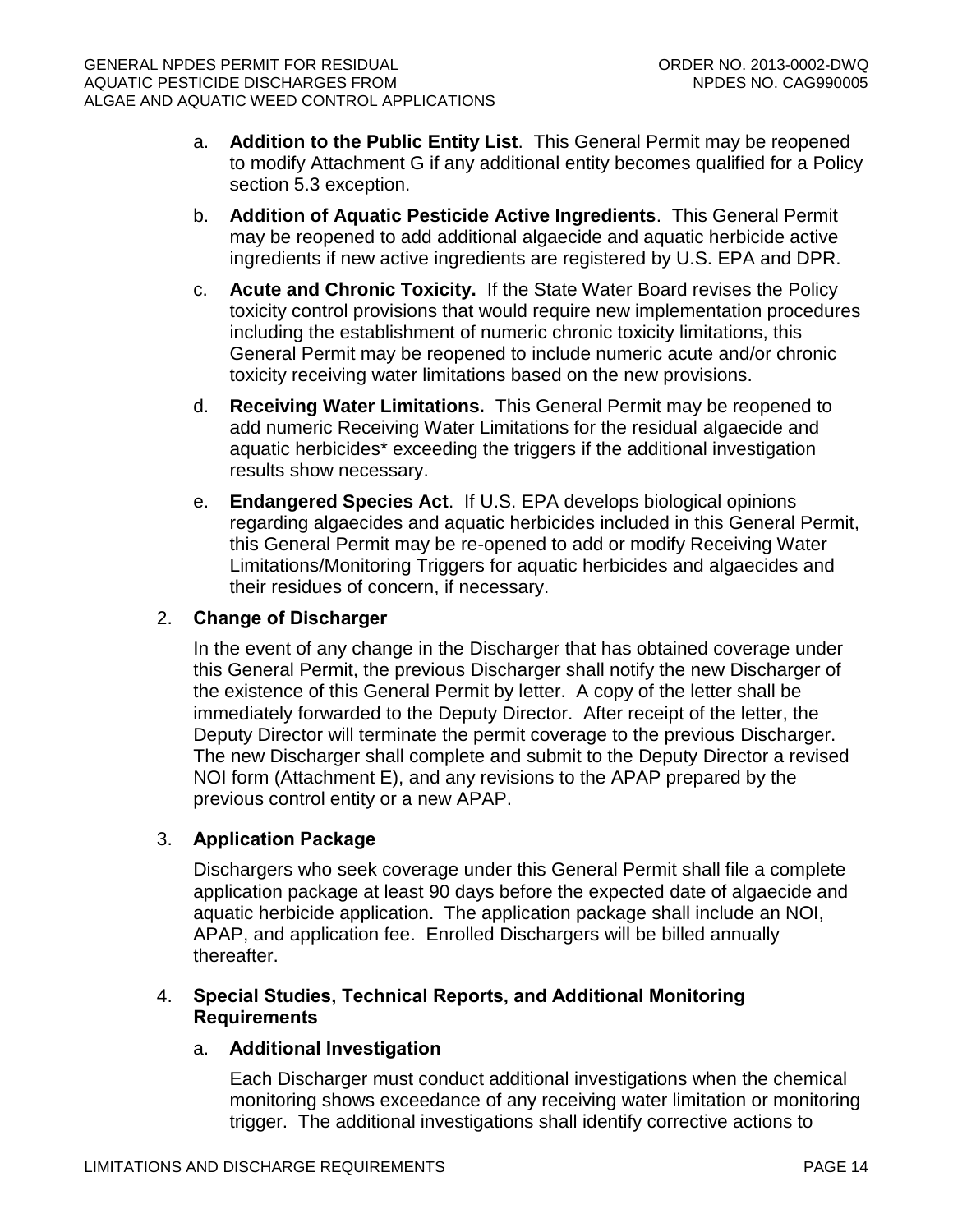- a. **Addition to the Public Entity List**. This General Permit may be reopened to modify Attachment G if any additional entity becomes qualified for a Policy section 5.3 exception.
- b. **Addition of Aquatic Pesticide Active Ingredients**. This General Permit may be reopened to add additional algaecide and aquatic herbicide active ingredients if new active ingredients are registered by U.S. EPA and DPR.
- c. **Acute and Chronic Toxicity.** If the State Water Board revises the Policy toxicity control provisions that would require new implementation procedures including the establishment of numeric chronic toxicity limitations, this General Permit may be reopened to include numeric acute and/or chronic toxicity receiving water limitations based on the new provisions.
- d. **Receiving Water Limitations.** This General Permit may be reopened to add numeric Receiving Water Limitations for the residual algaecide and aquatic herbicides\* exceeding the triggers if the additional investigation results show necessary.
- e. **Endangered Species Act**. If U.S. EPA develops biological opinions regarding algaecides and aquatic herbicides included in this General Permit, this General Permit may be re-opened to add or modify Receiving Water Limitations/Monitoring Triggers for aquatic herbicides and algaecides and their residues of concern, if necessary.

## 2. **Change of Discharger**

In the event of any change in the Discharger that has obtained coverage under this General Permit, the previous Discharger shall notify the new Discharger of the existence of this General Permit by letter. A copy of the letter shall be immediately forwarded to the Deputy Director. After receipt of the letter, the Deputy Director will terminate the permit coverage to the previous Discharger. The new Discharger shall complete and submit to the Deputy Director a revised NOI form (Attachment E), and any revisions to the APAP prepared by the previous control entity or a new APAP.

## 3. **Application Package**

Dischargers who seek coverage under this General Permit shall file a complete application package at least 90 days before the expected date of algaecide and aquatic herbicide application. The application package shall include an NOI, APAP, and application fee. Enrolled Dischargers will be billed annually thereafter.

## 4. **Special Studies, Technical Reports, and Additional Monitoring Requirements**

## a. **Additional Investigation**

Each Discharger must conduct additional investigations when the chemical monitoring shows exceedance of any receiving water limitation or monitoring trigger. The additional investigations shall identify corrective actions to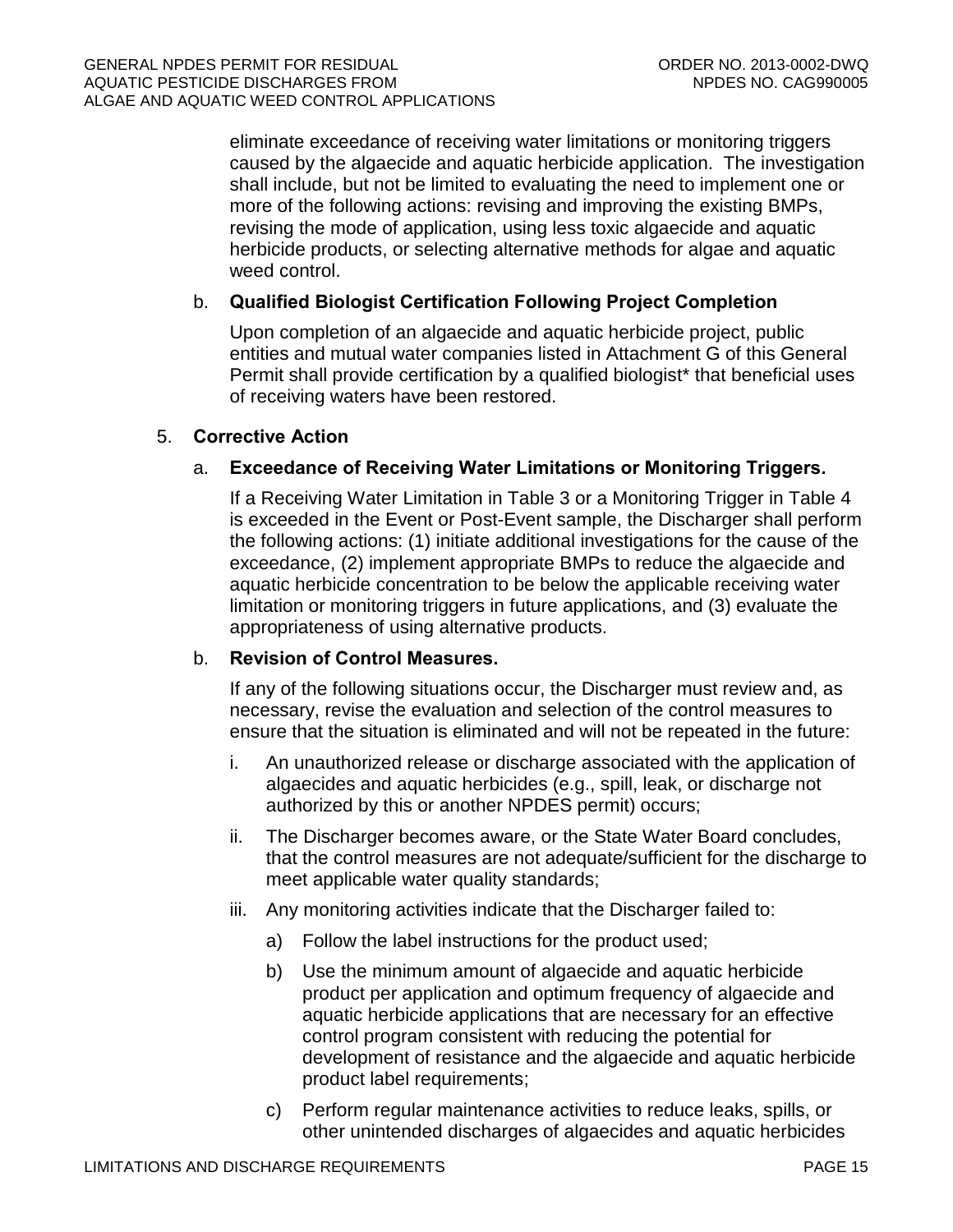eliminate exceedance of receiving water limitations or monitoring triggers caused by the algaecide and aquatic herbicide application. The investigation shall include, but not be limited to evaluating the need to implement one or more of the following actions: revising and improving the existing BMPs, revising the mode of application, using less toxic algaecide and aquatic herbicide products, or selecting alternative methods for algae and aquatic weed control.

## b. **Qualified Biologist Certification Following Project Completion**

Upon completion of an algaecide and aquatic herbicide project, public entities and mutual water companies listed in Attachment G of this General Permit shall provide certification by a qualified biologist\* that beneficial uses of receiving waters have been restored.

### 5. **Corrective Action**

## a. **Exceedance of Receiving Water Limitations or Monitoring Triggers.**

If a Receiving Water Limitation in Table 3 or a Monitoring Trigger in Table 4 is exceeded in the Event or Post-Event sample, the Discharger shall perform the following actions: (1) initiate additional investigations for the cause of the exceedance, (2) implement appropriate BMPs to reduce the algaecide and aquatic herbicide concentration to be below the applicable receiving water limitation or monitoring triggers in future applications, and (3) evaluate the appropriateness of using alternative products.

## b. **Revision of Control Measures.**

If any of the following situations occur, the Discharger must review and, as necessary, revise the evaluation and selection of the control measures to ensure that the situation is eliminated and will not be repeated in the future:

- i. An unauthorized release or discharge associated with the application of algaecides and aquatic herbicides (e.g., spill, leak, or discharge not authorized by this or another NPDES permit) occurs;
- ii. The Discharger becomes aware, or the State Water Board concludes, that the control measures are not adequate/sufficient for the discharge to meet applicable water quality standards;
- iii. Any monitoring activities indicate that the Discharger failed to:
	- a) Follow the label instructions for the product used;
	- b) Use the minimum amount of algaecide and aquatic herbicide product per application and optimum frequency of algaecide and aquatic herbicide applications that are necessary for an effective control program consistent with reducing the potential for development of resistance and the algaecide and aquatic herbicide product label requirements;
	- c) Perform regular maintenance activities to reduce leaks, spills, or other unintended discharges of algaecides and aquatic herbicides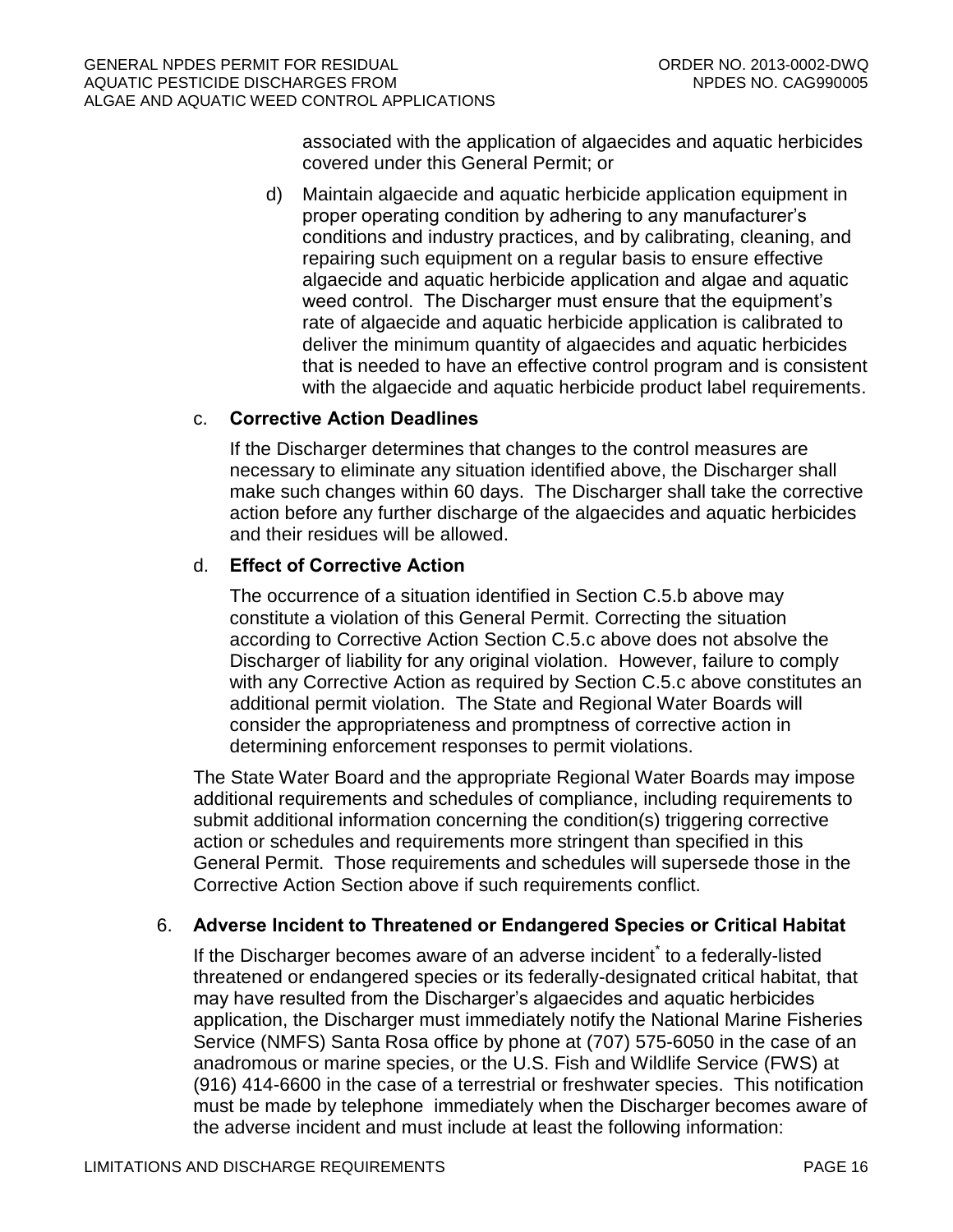associated with the application of algaecides and aquatic herbicides covered under this General Permit; or

d) Maintain algaecide and aquatic herbicide application equipment in proper operating condition by adhering to any manufacturer's conditions and industry practices, and by calibrating, cleaning, and repairing such equipment on a regular basis to ensure effective algaecide and aquatic herbicide application and algae and aquatic weed control. The Discharger must ensure that the equipment's rate of algaecide and aquatic herbicide application is calibrated to deliver the minimum quantity of algaecides and aquatic herbicides that is needed to have an effective control program and is consistent with the algaecide and aquatic herbicide product label requirements.

## c. **Corrective Action Deadlines**

If the Discharger determines that changes to the control measures are necessary to eliminate any situation identified above, the Discharger shall make such changes within 60 days. The Discharger shall take the corrective action before any further discharge of the algaecides and aquatic herbicides and their residues will be allowed.

## d. **Effect of Corrective Action**

The occurrence of a situation identified in Section C.5.b above may constitute a violation of this General Permit. Correcting the situation according to Corrective Action Section C.5.c above does not absolve the Discharger of liability for any original violation. However, failure to comply with any Corrective Action as required by Section C.5.c above constitutes an additional permit violation. The State and Regional Water Boards will consider the appropriateness and promptness of corrective action in determining enforcement responses to permit violations.

The State Water Board and the appropriate Regional Water Boards may impose additional requirements and schedules of compliance, including requirements to submit additional information concerning the condition(s) triggering corrective action or schedules and requirements more stringent than specified in this General Permit. Those requirements and schedules will supersede those in the Corrective Action Section above if such requirements conflict.

# 6. **Adverse Incident to Threatened or Endangered Species or Critical Habitat**

If the Discharger becomes aware of an adverse incident<sup>\*</sup> to a federally-listed threatened or endangered species or its federally-designated critical habitat, that may have resulted from the Discharger's algaecides and aquatic herbicides application, the Discharger must immediately notify the National Marine Fisheries Service (NMFS) Santa Rosa office by phone at (707) 575-6050 in the case of an anadromous or marine species, or the U.S. Fish and Wildlife Service (FWS) at (916) 414-6600 in the case of a terrestrial or freshwater species. This notification must be made by telephone immediately when the Discharger becomes aware of the adverse incident and must include at least the following information: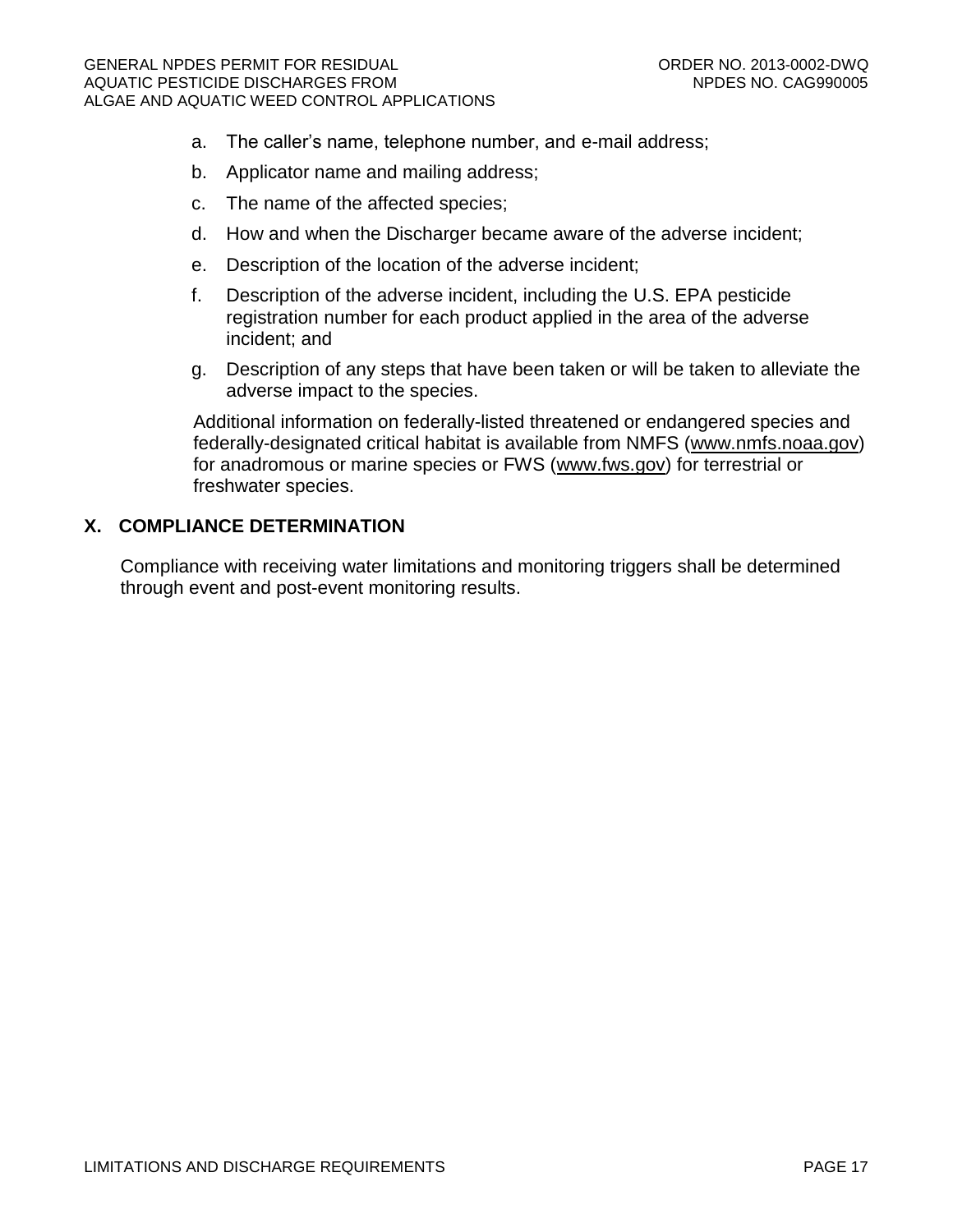- a. The caller's name, telephone number, and e-mail address;
- b. Applicator name and mailing address;
- c. The name of the affected species;
- d. How and when the Discharger became aware of the adverse incident;
- e. Description of the location of the adverse incident;
- f. Description of the adverse incident, including the U.S. EPA pesticide registration number for each product applied in the area of the adverse incident; and
- g. Description of any steps that have been taken or will be taken to alleviate the adverse impact to the species.

Additional information on federally-listed threatened or endangered species and federally-designated critical habitat is available from NMFS [\(www.nmfs.noaa.gov\)](http://www.nmfs.noaa.gov/) for anadromous or marine species or FWS [\(www.fws.gov\)](http://www.fws.gov/) for terrestrial or freshwater species.

### <span id="page-16-0"></span>**X. COMPLIANCE DETERMINATION**

Compliance with receiving water limitations and monitoring triggers shall be determined through event and post-event monitoring results.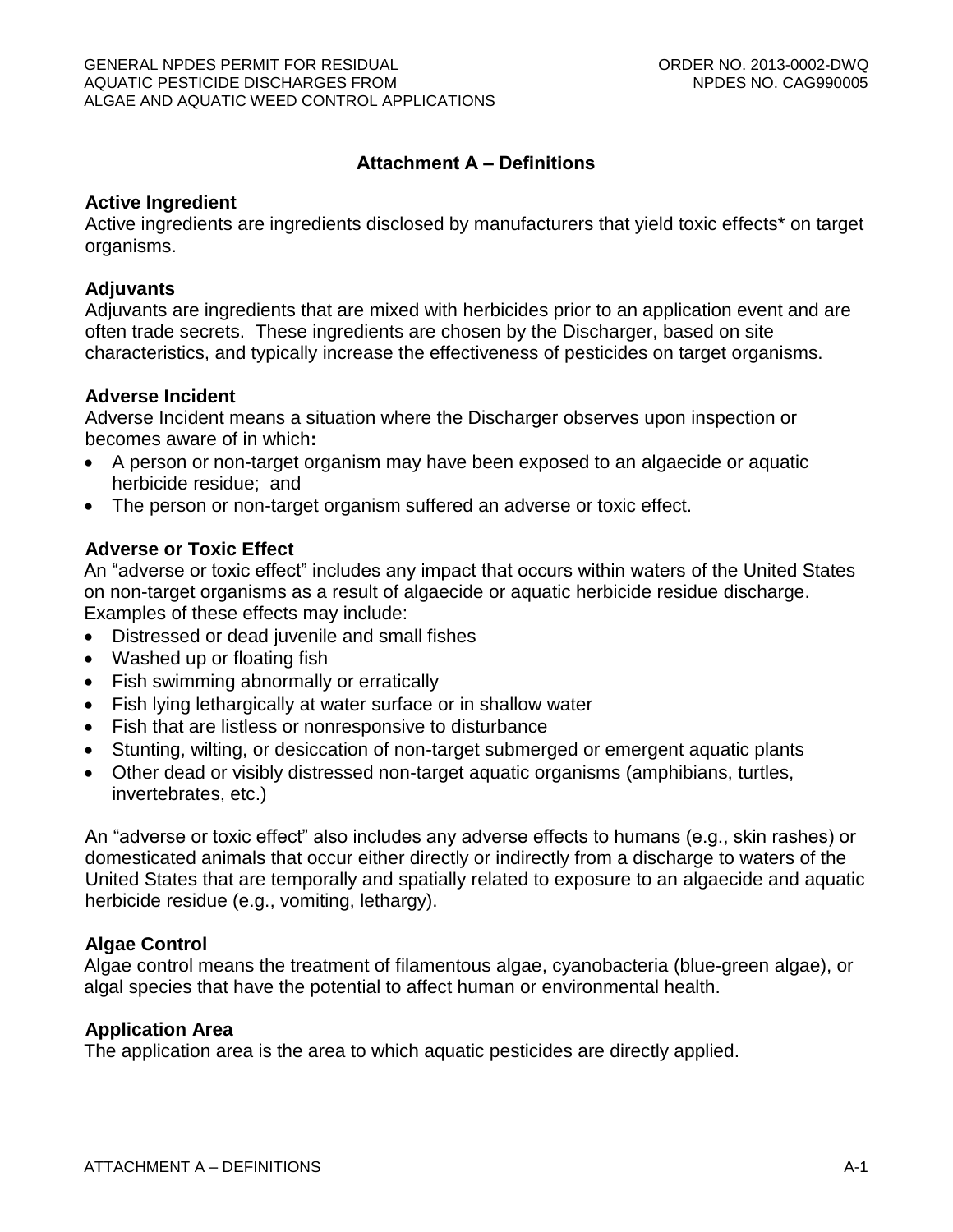## **Attachment A – Definitions**

#### **Active Ingredient**

Active ingredients are ingredients disclosed by manufacturers that yield toxic effects\* on target organisms.

#### **Adjuvants**

Adjuvants are ingredients that are mixed with herbicides prior to an application event and are often trade secrets. These ingredients are chosen by the Discharger, based on site characteristics, and typically increase the effectiveness of pesticides on target organisms.

#### **Adverse Incident**

Adverse Incident means a situation where the Discharger observes upon inspection or becomes aware of in which**:**

- A person or non-target organism may have been exposed to an algaecide or aquatic herbicide residue; and
- The person or non-target organism suffered an adverse or toxic effect.

#### **Adverse or Toxic Effect**

An "adverse or toxic effect" includes any impact that occurs within waters of the United States on non-target organisms as a result of algaecide or aquatic herbicide residue discharge. Examples of these effects may include:

- Distressed or dead juvenile and small fishes
- Washed up or floating fish
- Fish swimming abnormally or erratically
- Fish lying lethargically at water surface or in shallow water
- Fish that are listless or nonresponsive to disturbance
- Stunting, wilting, or desiccation of non-target submerged or emergent aquatic plants
- Other dead or visibly distressed non-target aquatic organisms (amphibians, turtles, invertebrates, etc.)

An "adverse or toxic effect" also includes any adverse effects to humans (e.g., skin rashes) or domesticated animals that occur either directly or indirectly from a discharge to waters of the United States that are temporally and spatially related to exposure to an algaecide and aquatic herbicide residue (e.g., vomiting, lethargy).

#### **Algae Control**

Algae control means the treatment of filamentous algae, cyanobacteria (blue-green algae), or algal species that have the potential to affect human or environmental health.

#### **Application Area**

The application area is the area to which aquatic pesticides are directly applied.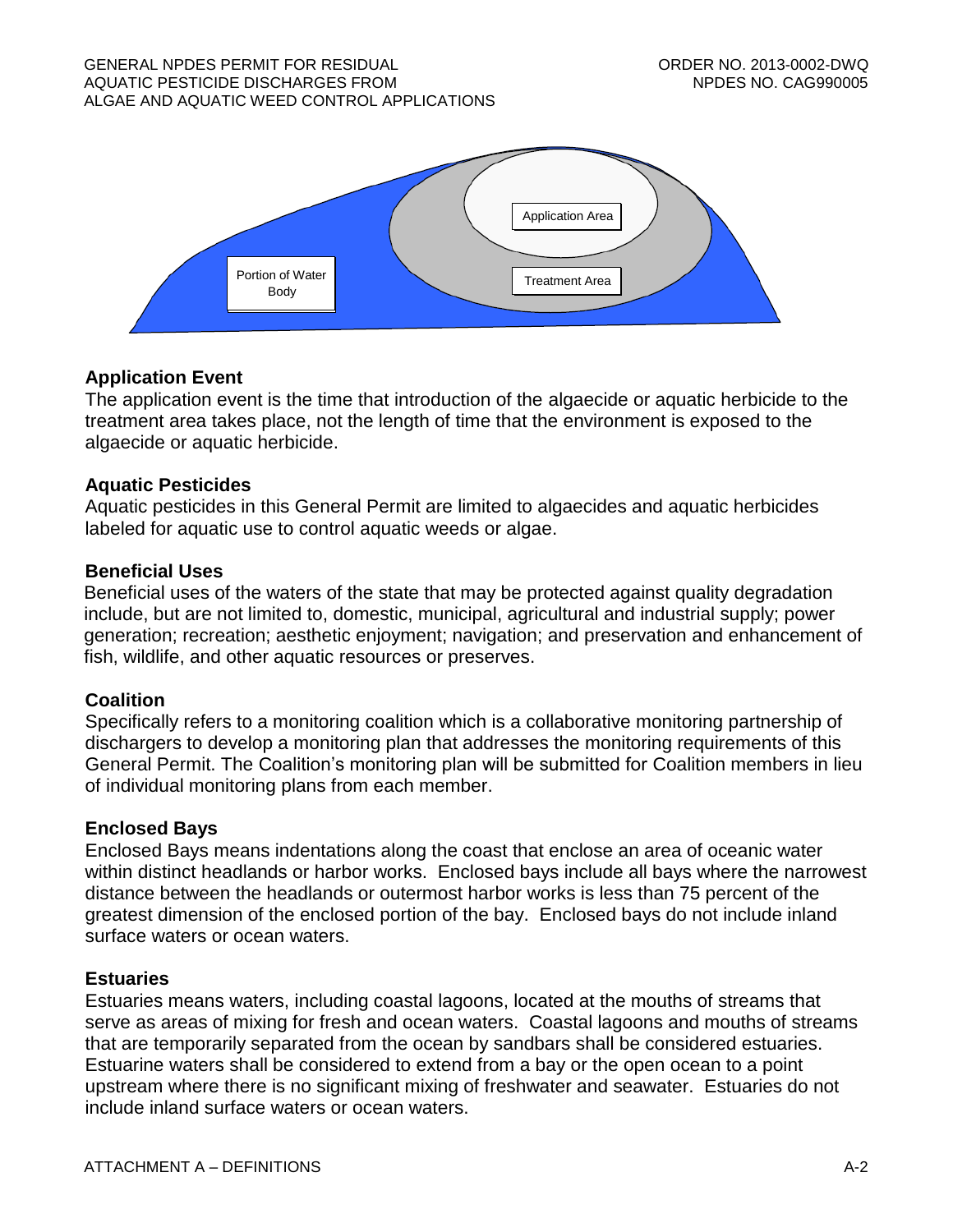

# **Application Event**

The application event is the time that introduction of the algaecide or aquatic herbicide to the treatment area takes place, not the length of time that the environment is exposed to the algaecide or aquatic herbicide.

### **Aquatic Pesticides**

Aquatic pesticides in this General Permit are limited to algaecides and aquatic herbicides labeled for aquatic use to control aquatic weeds or algae.

### **Beneficial Uses**

Beneficial uses of the waters of the state that may be protected against quality degradation include, but are not limited to, domestic, municipal, agricultural and industrial supply; power generation; recreation; aesthetic enjoyment; navigation; and preservation and enhancement of fish, wildlife, and other aquatic resources or preserves.

## **Coalition**

Specifically refers to a monitoring coalition which is a collaborative monitoring partnership of dischargers to develop a monitoring plan that addresses the monitoring requirements of this General Permit. The Coalition's monitoring plan will be submitted for Coalition members in lieu of individual monitoring plans from each member.

#### **Enclosed Bays**

Enclosed Bays means indentations along the coast that enclose an area of oceanic water within distinct headlands or harbor works. Enclosed bays include all bays where the narrowest distance between the headlands or outermost harbor works is less than 75 percent of the greatest dimension of the enclosed portion of the bay. Enclosed bays do not include inland surface waters or ocean waters.

#### **Estuaries**

Estuaries means waters, including coastal lagoons, located at the mouths of streams that serve as areas of mixing for fresh and ocean waters. Coastal lagoons and mouths of streams that are temporarily separated from the ocean by sandbars shall be considered estuaries. Estuarine waters shall be considered to extend from a bay or the open ocean to a point upstream where there is no significant mixing of freshwater and seawater. Estuaries do not include inland surface waters or ocean waters.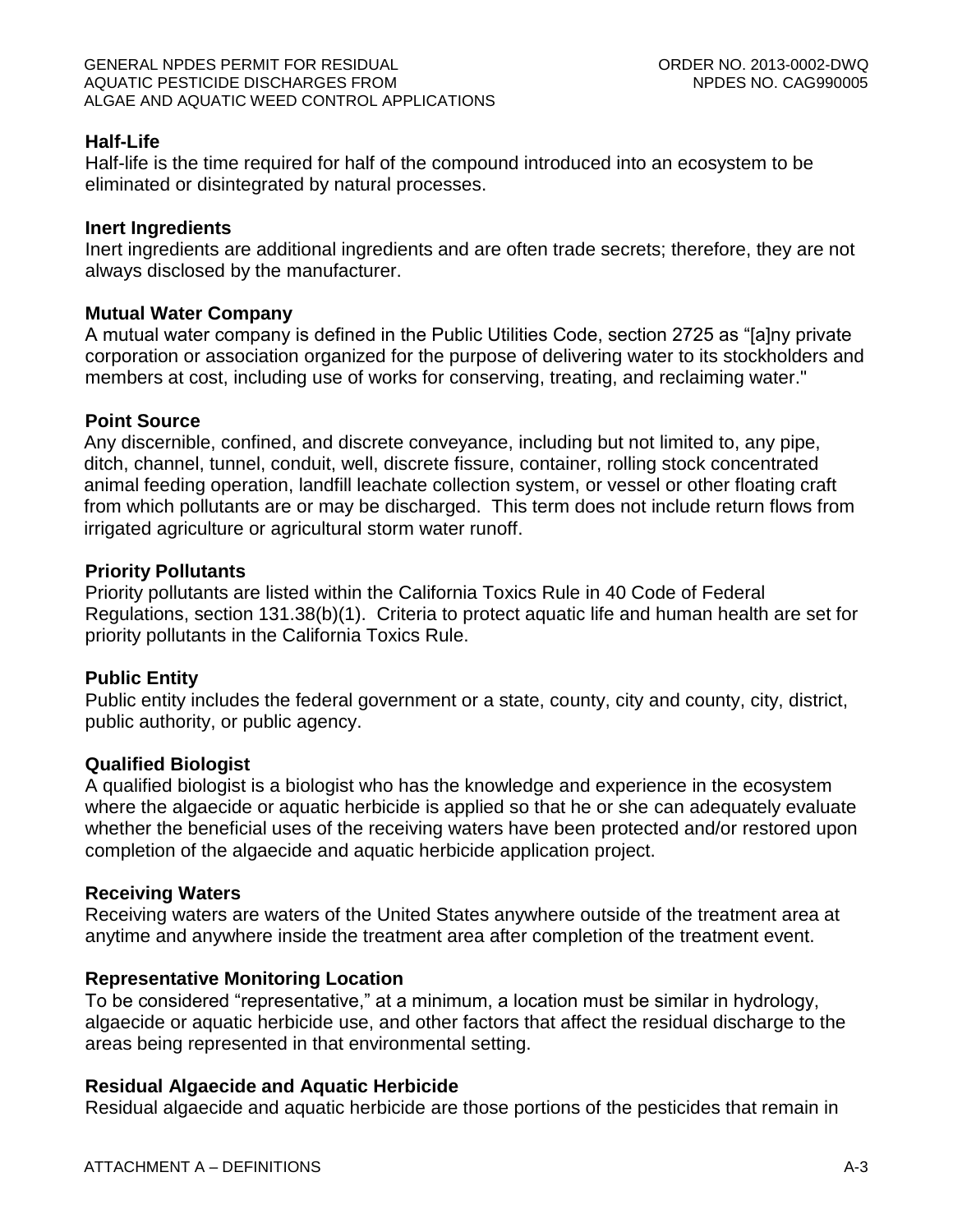## **Half-Life**

Half-life is the time required for half of the compound introduced into an ecosystem to be eliminated or disintegrated by natural processes.

### **Inert Ingredients**

Inert ingredients are additional ingredients and are often trade secrets; therefore, they are not always disclosed by the manufacturer.

### **Mutual Water Company**

A mutual water company is defined in the Public Utilities Code, section 2725 as "[a]ny private corporation or association organized for the purpose of delivering water to its stockholders and members at cost, including use of works for conserving, treating, and reclaiming water."

### **Point Source**

Any discernible, confined, and discrete conveyance, including but not limited to, any pipe, ditch, channel, tunnel, conduit, well, discrete fissure, container, rolling stock concentrated animal feeding operation, landfill leachate collection system, or vessel or other floating craft from which pollutants are or may be discharged. This term does not include return flows from irrigated agriculture or agricultural storm water runoff.

### **Priority Pollutants**

Priority pollutants are listed within the California Toxics Rule in 40 Code of Federal Regulations, section 131.38(b)(1). Criteria to protect aquatic life and human health are set for priority pollutants in the California Toxics Rule.

## **Public Entity**

Public entity includes the federal government or a state, county, city and county, city, district, public authority, or public agency.

#### **Qualified Biologist**

A qualified biologist is a biologist who has the knowledge and experience in the ecosystem where the algaecide or aquatic herbicide is applied so that he or she can adequately evaluate whether the beneficial uses of the receiving waters have been protected and/or restored upon completion of the algaecide and aquatic herbicide application project.

## **Receiving Waters**

Receiving waters are waters of the United States anywhere outside of the treatment area at anytime and anywhere inside the treatment area after completion of the treatment event.

## **Representative Monitoring Location**

To be considered "representative," at a minimum, a location must be similar in hydrology, algaecide or aquatic herbicide use, and other factors that affect the residual discharge to the areas being represented in that environmental setting.

## **Residual Algaecide and Aquatic Herbicide**

Residual algaecide and aquatic herbicide are those portions of the pesticides that remain in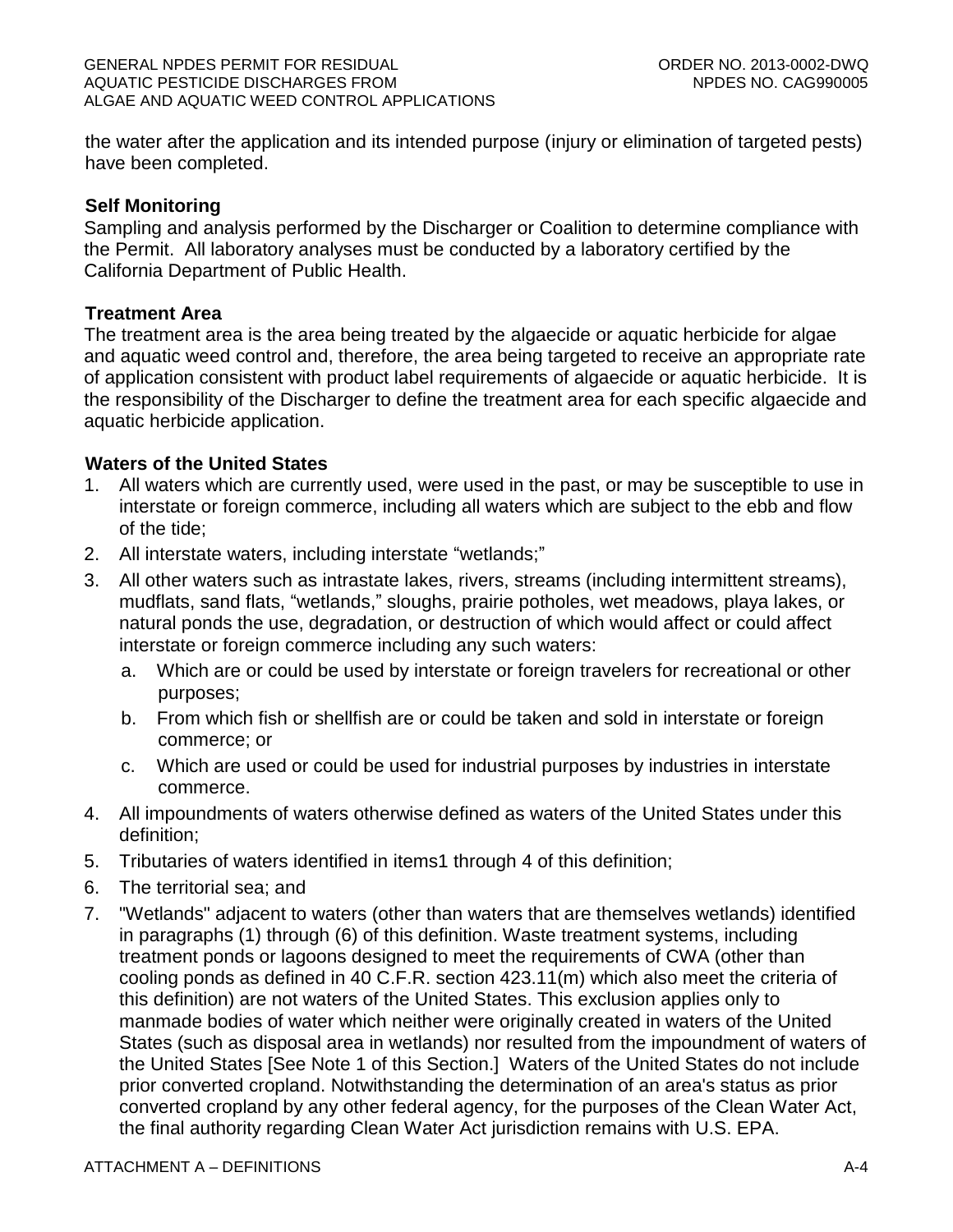the water after the application and its intended purpose (injury or elimination of targeted pests) have been completed.

## **Self Monitoring**

Sampling and analysis performed by the Discharger or Coalition to determine compliance with the Permit. All laboratory analyses must be conducted by a laboratory certified by the California Department of Public Health.

### **Treatment Area**

The treatment area is the area being treated by the algaecide or aquatic herbicide for algae and aquatic weed control and, therefore, the area being targeted to receive an appropriate rate of application consistent with product label requirements of algaecide or aquatic herbicide. It is the responsibility of the Discharger to define the treatment area for each specific algaecide and aquatic herbicide application.

### **Waters of the United States**

- 1. All waters which are currently used, were used in the past, or may be susceptible to use in interstate or foreign commerce, including all waters which are subject to the ebb and flow of the tide;
- 2. All interstate waters, including interstate "wetlands;"
- 3. All other waters such as intrastate lakes, rivers, streams (including intermittent streams), mudflats, sand flats, "wetlands," sloughs, prairie potholes, wet meadows, playa lakes, or natural ponds the use, degradation, or destruction of which would affect or could affect interstate or foreign commerce including any such waters:
	- a. Which are or could be used by interstate or foreign travelers for recreational or other purposes;
	- b. From which fish or shellfish are or could be taken and sold in interstate or foreign commerce; or
	- c. Which are used or could be used for industrial purposes by industries in interstate commerce.
- 4. All impoundments of waters otherwise defined as waters of the United States under this definition;
- 5. Tributaries of waters identified in items1 through 4 of this definition;
- 6. The territorial sea; and
- 7. "Wetlands" adjacent to waters (other than waters that are themselves wetlands) identified in paragraphs (1) through (6) of this definition. Waste treatment systems, including treatment ponds or lagoons designed to meet the requirements of CWA (other than cooling ponds as defined in 40 C.F.R. section 423.11(m) which also meet the criteria of this definition) are not waters of the United States. This exclusion applies only to manmade bodies of water which neither were originally created in waters of the United States (such as disposal area in wetlands) nor resulted from the impoundment of waters of the United States [See Note 1 of this Section.] Waters of the United States do not include prior converted cropland. Notwithstanding the determination of an area's status as prior converted cropland by any other federal agency, for the purposes of the Clean Water Act, the final authority regarding Clean Water Act jurisdiction remains with U.S. EPA.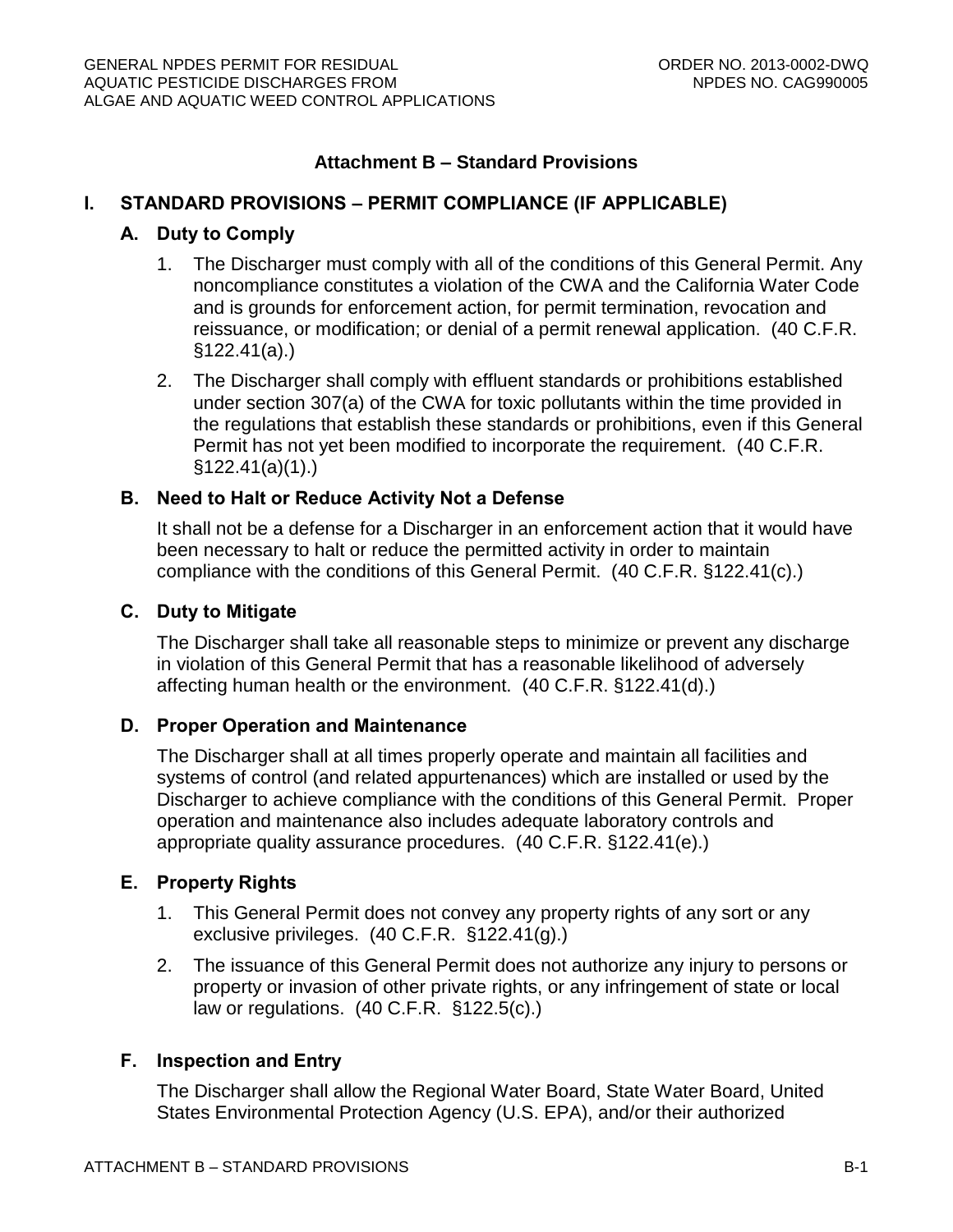## **Attachment B – Standard Provisions**

## **I. STANDARD PROVISIONS – PERMIT COMPLIANCE (IF APPLICABLE)**

### **A. Duty to Comply**

- 1. The Discharger must comply with all of the conditions of this General Permit. Any noncompliance constitutes a violation of the CWA and the California Water Code and is grounds for enforcement action, for permit termination, revocation and reissuance, or modification; or denial of a permit renewal application. (40 C.F.R. §122.41(a).)
- 2. The Discharger shall comply with effluent standards or prohibitions established under section 307(a) of the CWA for toxic pollutants within the time provided in the regulations that establish these standards or prohibitions, even if this General Permit has not yet been modified to incorporate the requirement. (40 C.F.R. §122.41(a)(1).)

### **B. Need to Halt or Reduce Activity Not a Defense**

It shall not be a defense for a Discharger in an enforcement action that it would have been necessary to halt or reduce the permitted activity in order to maintain compliance with the conditions of this General Permit. (40 C.F.R. §122.41(c).)

#### **C. Duty to Mitigate**

The Discharger shall take all reasonable steps to minimize or prevent any discharge in violation of this General Permit that has a reasonable likelihood of adversely affecting human health or the environment. (40 C.F.R. §122.41(d).)

#### **D. Proper Operation and Maintenance**

The Discharger shall at all times properly operate and maintain all facilities and systems of control (and related appurtenances) which are installed or used by the Discharger to achieve compliance with the conditions of this General Permit. Proper operation and maintenance also includes adequate laboratory controls and appropriate quality assurance procedures. (40 C.F.R. §122.41(e).)

#### **E. Property Rights**

- 1. This General Permit does not convey any property rights of any sort or any exclusive privileges. (40 C.F.R. §122.41(g).)
- 2. The issuance of this General Permit does not authorize any injury to persons or property or invasion of other private rights, or any infringement of state or local law or regulations. (40 C.F.R. §122.5(c).)

#### **F. Inspection and Entry**

The Discharger shall allow the Regional Water Board, State Water Board, United States Environmental Protection Agency (U.S. EPA), and/or their authorized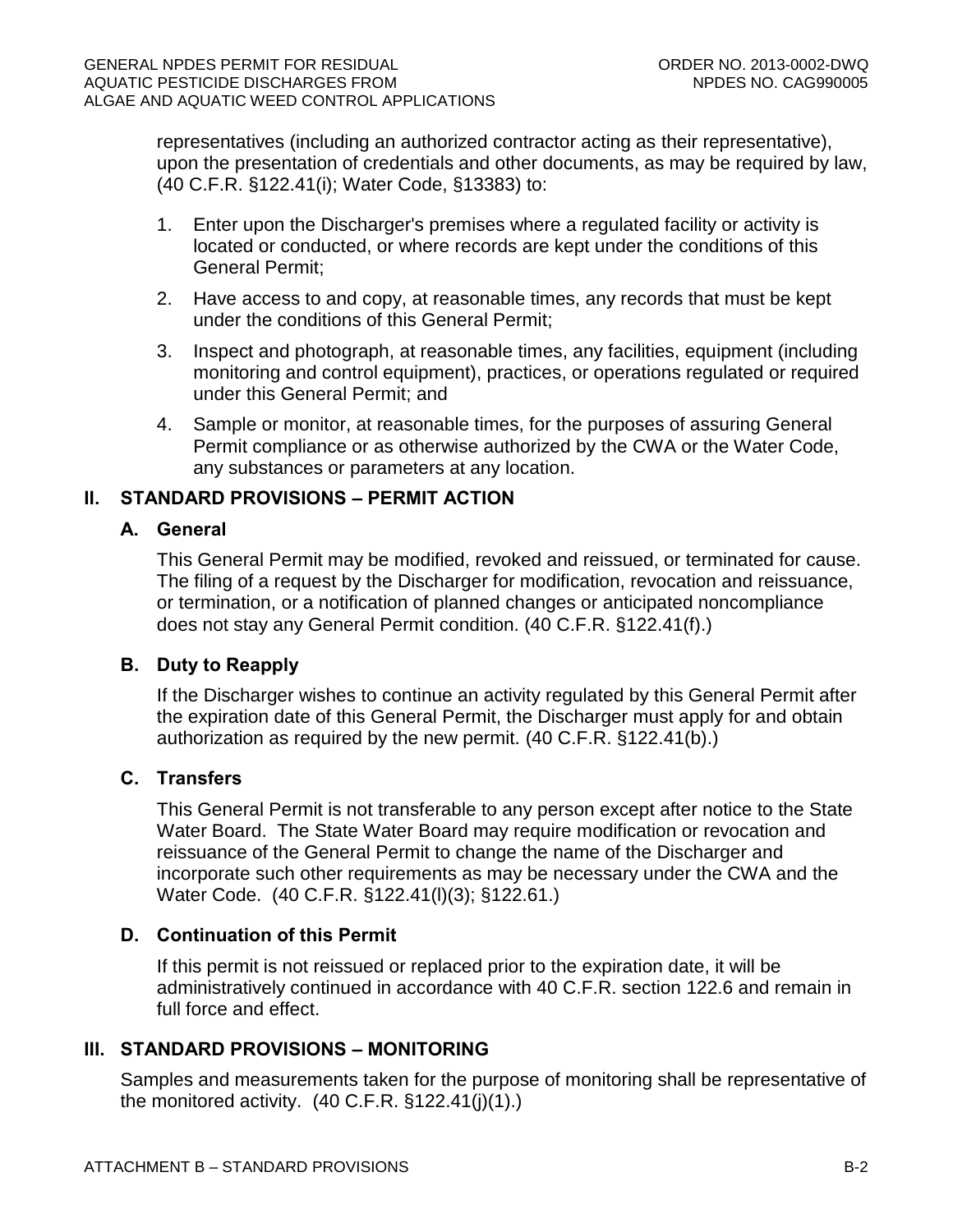representatives (including an authorized contractor acting as their representative), upon the presentation of credentials and other documents, as may be required by law, (40 C.F.R. §122.41(i); Water Code, §13383) to:

- 1. Enter upon the Discharger's premises where a regulated facility or activity is located or conducted, or where records are kept under the conditions of this General Permit;
- 2. Have access to and copy, at reasonable times, any records that must be kept under the conditions of this General Permit;
- 3. Inspect and photograph, at reasonable times, any facilities, equipment (including monitoring and control equipment), practices, or operations regulated or required under this General Permit; and
- 4. Sample or monitor, at reasonable times, for the purposes of assuring General Permit compliance or as otherwise authorized by the CWA or the Water Code, any substances or parameters at any location.

## **II. STANDARD PROVISIONS – PERMIT ACTION**

## **A. General**

This General Permit may be modified, revoked and reissued, or terminated for cause. The filing of a request by the Discharger for modification, revocation and reissuance, or termination, or a notification of planned changes or anticipated noncompliance does not stay any General Permit condition. (40 C.F.R. §122.41(f).)

## **B. Duty to Reapply**

If the Discharger wishes to continue an activity regulated by this General Permit after the expiration date of this General Permit, the Discharger must apply for and obtain authorization as required by the new permit. (40 C.F.R. §122.41(b).)

## **C. Transfers**

This General Permit is not transferable to any person except after notice to the State Water Board. The State Water Board may require modification or revocation and reissuance of the General Permit to change the name of the Discharger and incorporate such other requirements as may be necessary under the CWA and the Water Code. (40 C.F.R. §122.41(l)(3); §122.61.)

# **D. Continuation of this Permit**

If this permit is not reissued or replaced prior to the expiration date, it will be administratively continued in accordance with 40 C.F.R. section 122.6 and remain in full force and effect.

# **III. STANDARD PROVISIONS – MONITORING**

Samples and measurements taken for the purpose of monitoring shall be representative of the monitored activity.  $(40 \text{ C.F.R. } §122.41(j)(1))$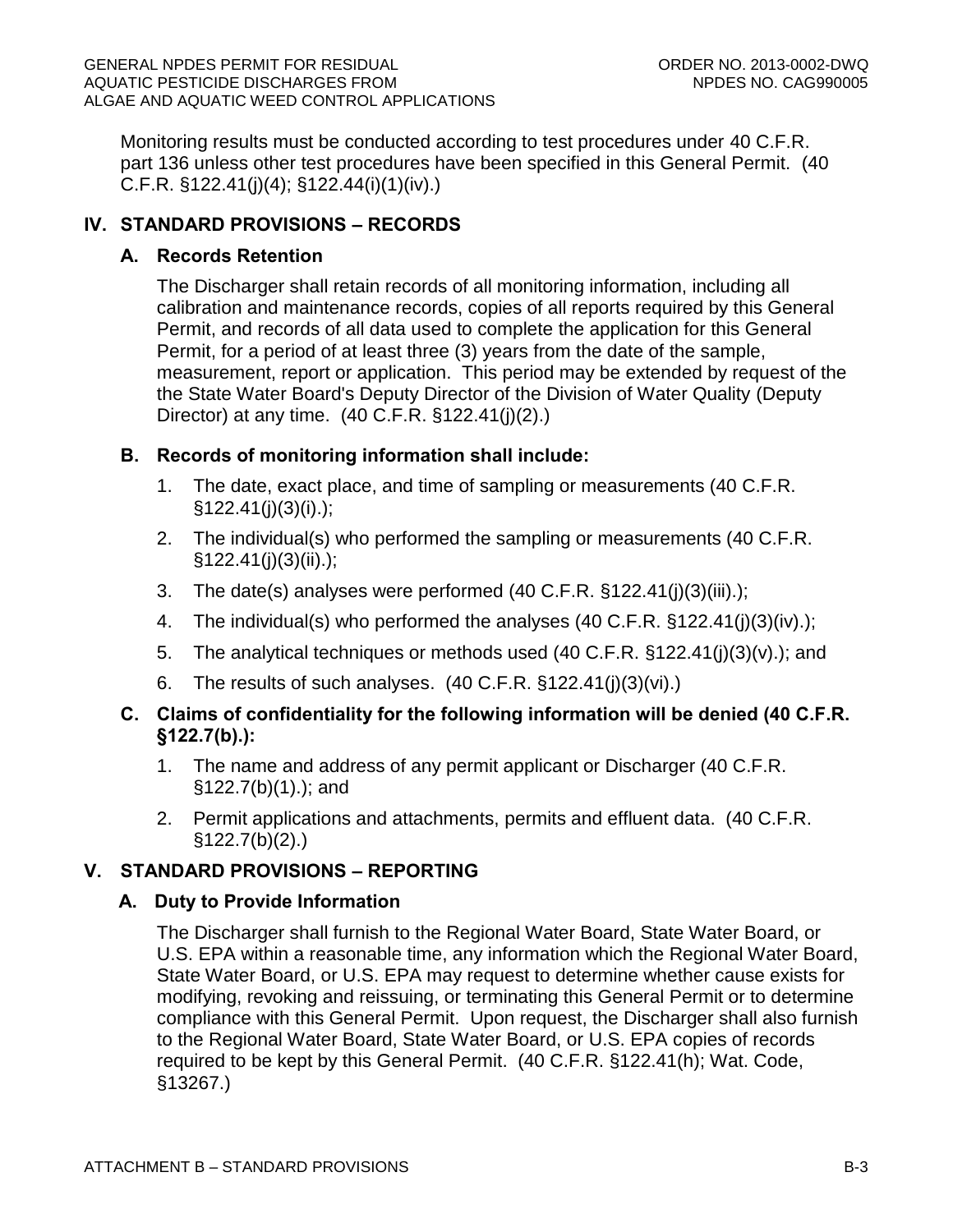Monitoring results must be conducted according to test procedures under 40 C.F.R. part 136 unless other test procedures have been specified in this General Permit. (40 C.F.R. §122.41(j)(4); §122.44(i)(1)(iv).)

# **IV. STANDARD PROVISIONS – RECORDS**

## **A. Records Retention**

The Discharger shall retain records of all monitoring information, including all calibration and maintenance records, copies of all reports required by this General Permit, and records of all data used to complete the application for this General Permit, for a period of at least three (3) years from the date of the sample, measurement, report or application. This period may be extended by request of the the State Water Board's Deputy Director of the Division of Water Quality (Deputy Director) at any time. (40 C.F.R. §122.41(j)(2).)

## **B. Records of monitoring information shall include:**

- 1. The date, exact place, and time of sampling or measurements (40 C.F.R.  $§122.41(j)(3)(i).);$
- 2. The individual(s) who performed the sampling or measurements (40 C.F.R.  $§122.41(j)(3)(ii).);$
- 3. The date(s) analyses were performed (40 C.F.R. §122.41(j)(3)(iii).);
- 4. The individual(s) who performed the analyses (40 C.F.R. §122.41(j)(3)(iv).);
- 5. The analytical techniques or methods used (40 C.F.R. §122.41(j)(3)(v).); and
- 6. The results of such analyses. (40 C.F.R. §122.41(j)(3)(vi).)

## **C. Claims of confidentiality for the following information will be denied (40 C.F.R. §122.7(b).):**

- 1. The name and address of any permit applicant or Discharger (40 C.F.R. §122.7(b)(1).); and
- 2. Permit applications and attachments, permits and effluent data. (40 C.F.R.  $§122.7(b)(2).$

# **V. STANDARD PROVISIONS – REPORTING**

## **A. Duty to Provide Information**

The Discharger shall furnish to the Regional Water Board, State Water Board, or U.S. EPA within a reasonable time, any information which the Regional Water Board, State Water Board, or U.S. EPA may request to determine whether cause exists for modifying, revoking and reissuing, or terminating this General Permit or to determine compliance with this General Permit. Upon request, the Discharger shall also furnish to the Regional Water Board, State Water Board, or U.S. EPA copies of records required to be kept by this General Permit. (40 C.F.R. §122.41(h); Wat. Code, §13267.)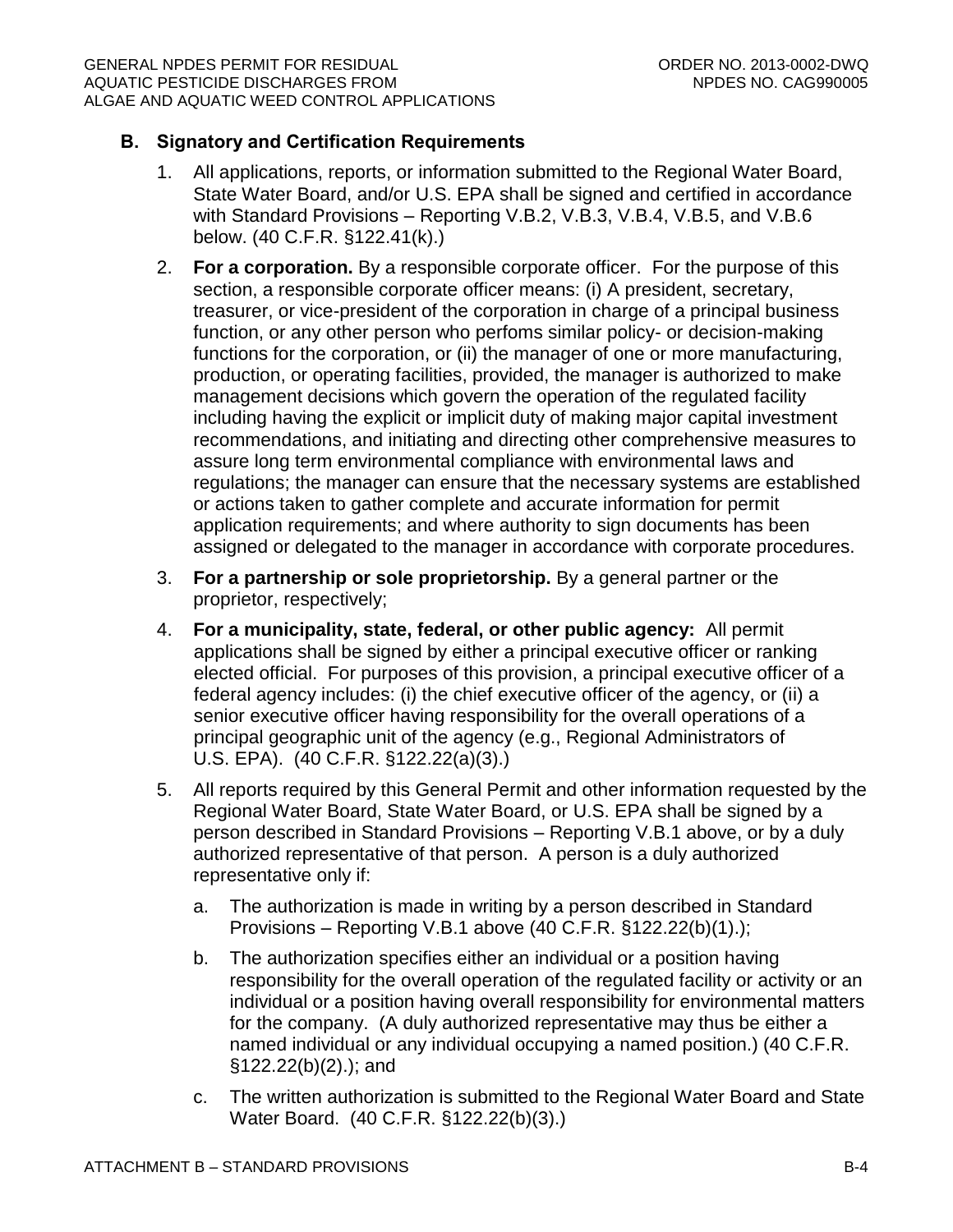## **B. Signatory and Certification Requirements**

- 1. All applications, reports, or information submitted to the Regional Water Board, State Water Board, and/or U.S. EPA shall be signed and certified in accordance with Standard Provisions – Reporting V.B.2, V.B.3, V.B.4, V.B.5, and V.B.6 below. (40 C.F.R. §122.41(k).)
- 2. **For a corporation.** By a responsible corporate officer. For the purpose of this section, a responsible corporate officer means: (i) A president, secretary, treasurer, or vice-president of the corporation in charge of a principal business function, or any other person who perfoms similar policy- or decision-making functions for the corporation, or (ii) the manager of one or more manufacturing, production, or operating facilities, provided, the manager is authorized to make management decisions which govern the operation of the regulated facility including having the explicit or implicit duty of making major capital investment recommendations, and initiating and directing other comprehensive measures to assure long term environmental compliance with environmental laws and regulations; the manager can ensure that the necessary systems are established or actions taken to gather complete and accurate information for permit application requirements; and where authority to sign documents has been assigned or delegated to the manager in accordance with corporate procedures.
- 3. **For a partnership or sole proprietorship.** By a general partner or the proprietor, respectively;
- 4. **For a municipality, state, federal, or other public agency:** All permit applications shall be signed by either a principal executive officer or ranking elected official. For purposes of this provision, a principal executive officer of a federal agency includes: (i) the chief executive officer of the agency, or (ii) a senior executive officer having responsibility for the overall operations of a principal geographic unit of the agency (e.g., Regional Administrators of U.S. EPA). (40 C.F.R. §122.22(a)(3).)
- 5. All reports required by this General Permit and other information requested by the Regional Water Board, State Water Board, or U.S. EPA shall be signed by a person described in Standard Provisions – Reporting V.B.1 above, or by a duly authorized representative of that person. A person is a duly authorized representative only if:
	- a. The authorization is made in writing by a person described in Standard Provisions – Reporting V.B.1 above (40 C.F.R. §122.22(b)(1).);
	- b. The authorization specifies either an individual or a position having responsibility for the overall operation of the regulated facility or activity or an individual or a position having overall responsibility for environmental matters for the company. (A duly authorized representative may thus be either a named individual or any individual occupying a named position.) (40 C.F.R. §122.22(b)(2).); and
	- c. The written authorization is submitted to the Regional Water Board and State Water Board. (40 C.F.R. §122.22(b)(3).)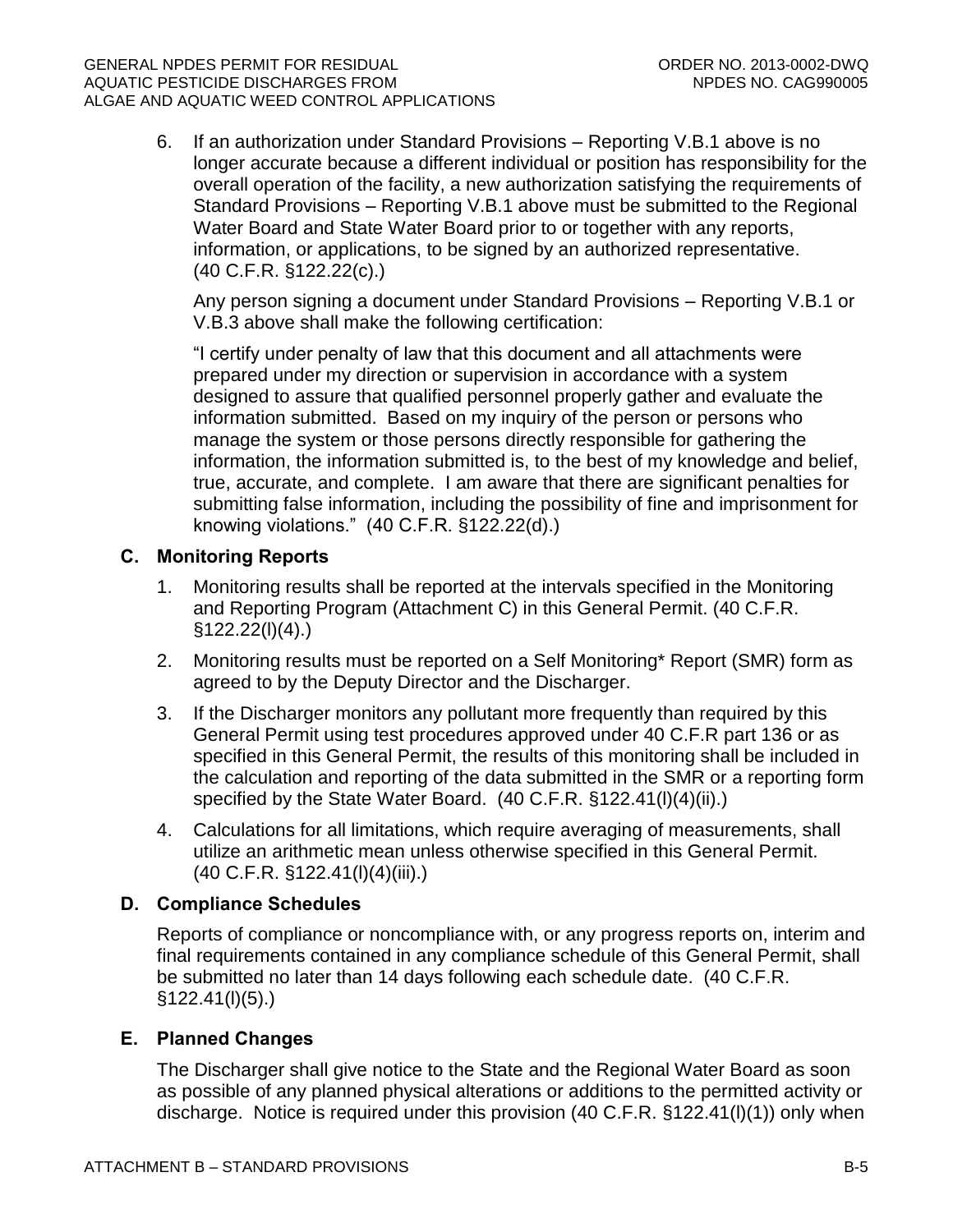6. If an authorization under Standard Provisions – Reporting V.B.1 above is no longer accurate because a different individual or position has responsibility for the overall operation of the facility, a new authorization satisfying the requirements of Standard Provisions – Reporting V.B.1 above must be submitted to the Regional Water Board and State Water Board prior to or together with any reports, information, or applications, to be signed by an authorized representative. (40 C.F.R. §122.22(c).)

Any person signing a document under Standard Provisions – Reporting V.B.1 or V.B.3 above shall make the following certification:

"I certify under penalty of law that this document and all attachments were prepared under my direction or supervision in accordance with a system designed to assure that qualified personnel properly gather and evaluate the information submitted. Based on my inquiry of the person or persons who manage the system or those persons directly responsible for gathering the information, the information submitted is, to the best of my knowledge and belief, true, accurate, and complete. I am aware that there are significant penalties for submitting false information, including the possibility of fine and imprisonment for knowing violations." (40 C.F.R. §122.22(d).)

## **C. Monitoring Reports**

- 1. Monitoring results shall be reported at the intervals specified in the Monitoring and Reporting Program (Attachment C) in this General Permit. (40 C.F.R.  $§122.22(I)(4).$
- 2. Monitoring results must be reported on a Self Monitoring\* Report (SMR) form as agreed to by the Deputy Director and the Discharger.
- 3. If the Discharger monitors any pollutant more frequently than required by this General Permit using test procedures approved under 40 C.F.R part 136 or as specified in this General Permit, the results of this monitoring shall be included in the calculation and reporting of the data submitted in the SMR or a reporting form specified by the State Water Board. (40 C.F.R. §122.41(l)(4)(ii).)
- 4. Calculations for all limitations, which require averaging of measurements, shall utilize an arithmetic mean unless otherwise specified in this General Permit. (40 C.F.R. §122.41(l)(4)(iii).)

## **D. Compliance Schedules**

Reports of compliance or noncompliance with, or any progress reports on, interim and final requirements contained in any compliance schedule of this General Permit, shall be submitted no later than 14 days following each schedule date. (40 C.F.R. §122.41(l)(5).)

## **E. Planned Changes**

The Discharger shall give notice to the State and the Regional Water Board as soon as possible of any planned physical alterations or additions to the permitted activity or discharge. Notice is required under this provision (40 C.F.R. §122.41(l)(1)) only when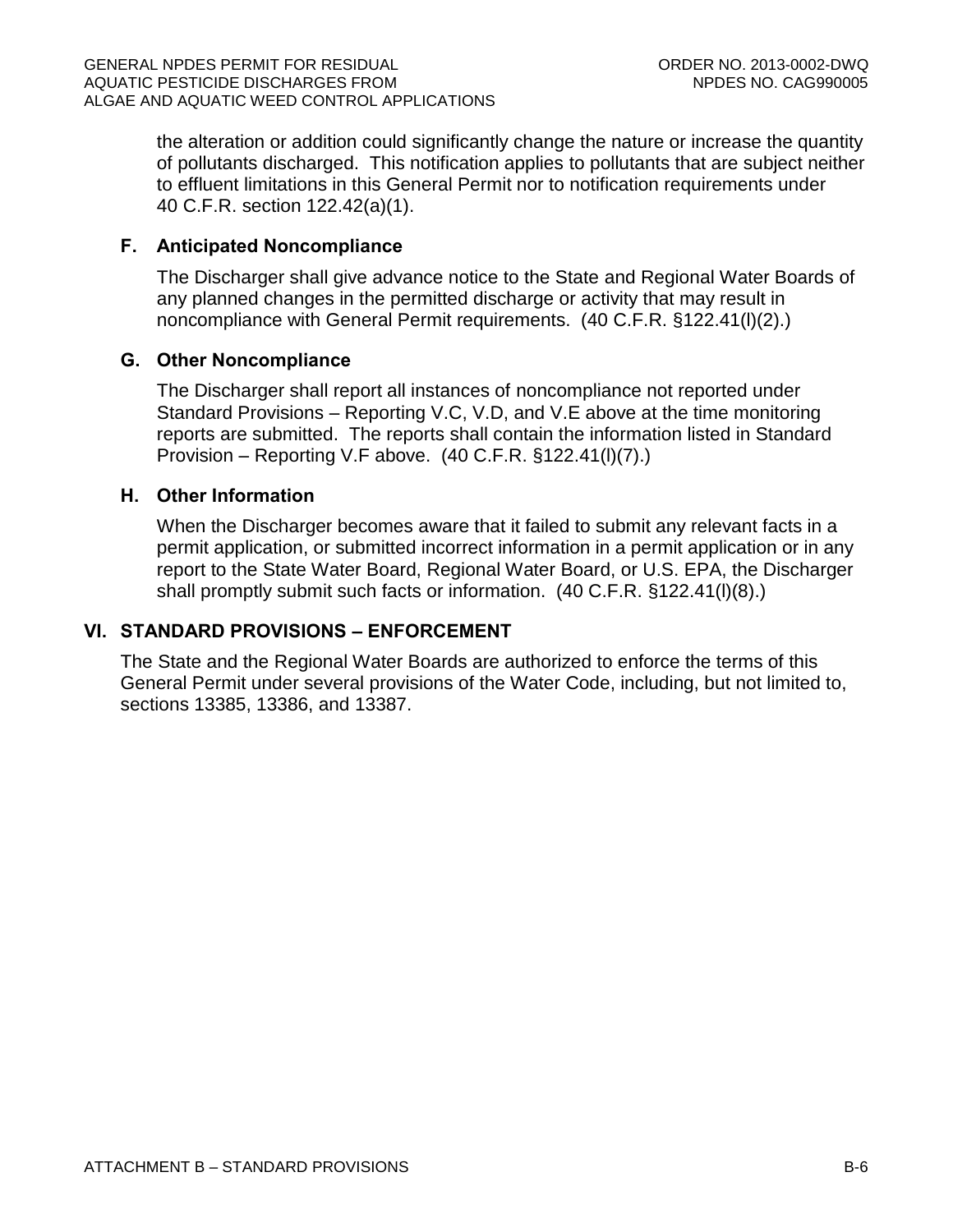the alteration or addition could significantly change the nature or increase the quantity of pollutants discharged. This notification applies to pollutants that are subject neither to effluent limitations in this General Permit nor to notification requirements under 40 C.F.R. section 122.42(a)(1).

## **F. Anticipated Noncompliance**

The Discharger shall give advance notice to the State and Regional Water Boards of any planned changes in the permitted discharge or activity that may result in noncompliance with General Permit requirements. (40 C.F.R. §122.41(l)(2).)

### **G. Other Noncompliance**

The Discharger shall report all instances of noncompliance not reported under Standard Provisions – Reporting V.C, V.D, and V.E above at the time monitoring reports are submitted. The reports shall contain the information listed in Standard Provision – Reporting V.F above. (40 C.F.R. §122.41(l)(7).)

## **H. Other Information**

When the Discharger becomes aware that it failed to submit any relevant facts in a permit application, or submitted incorrect information in a permit application or in any report to the State Water Board, Regional Water Board, or U.S. EPA, the Discharger shall promptly submit such facts or information. (40 C.F.R. §122.41(l)(8).)

#### **VI. STANDARD PROVISIONS – ENFORCEMENT**

The State and the Regional Water Boards are authorized to enforce the terms of this General Permit under several provisions of the Water Code, including, but not limited to, sections 13385, 13386, and 13387.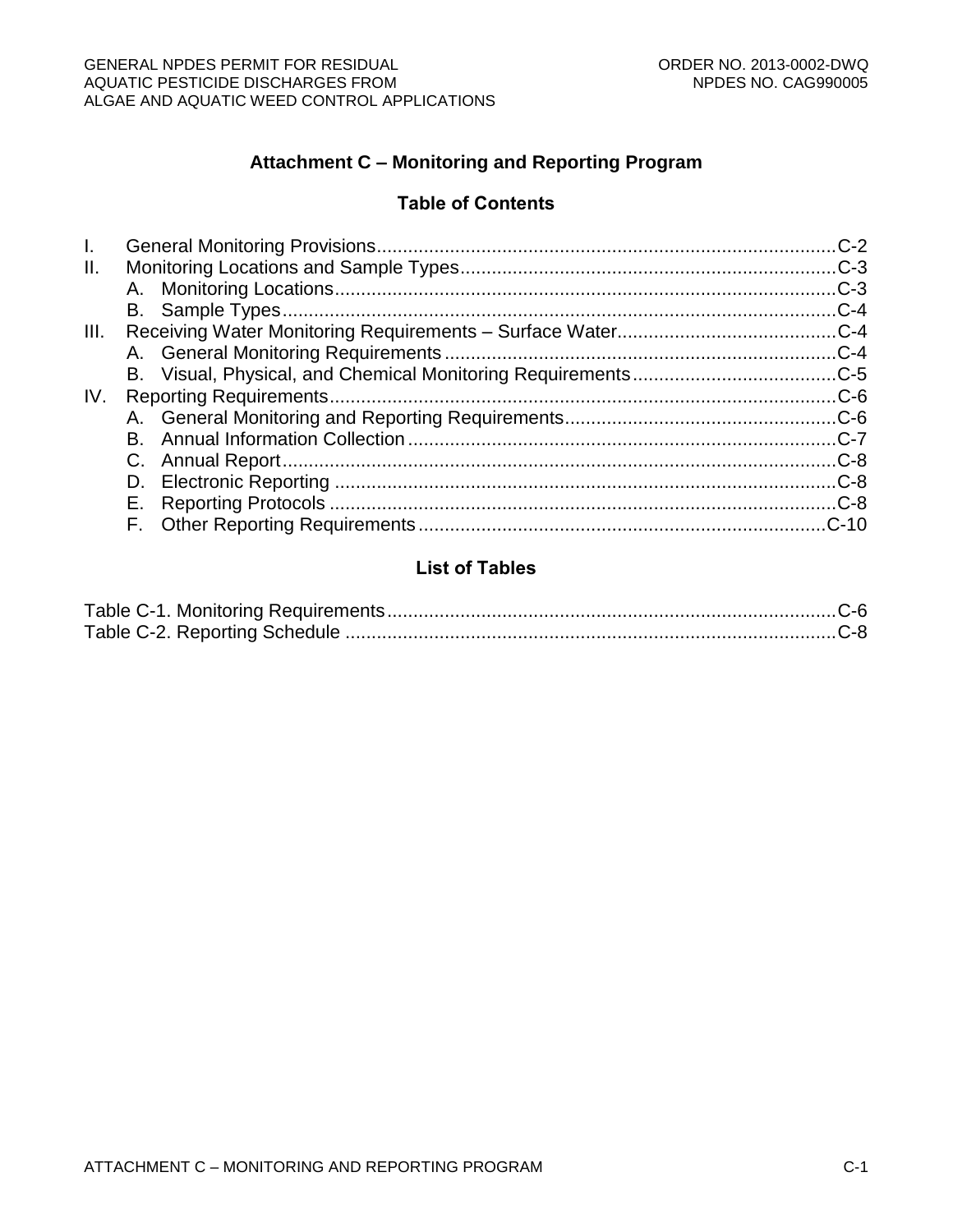# **Attachment C – Monitoring and Reporting Program**

## **Table of Contents**

# **List of Tables**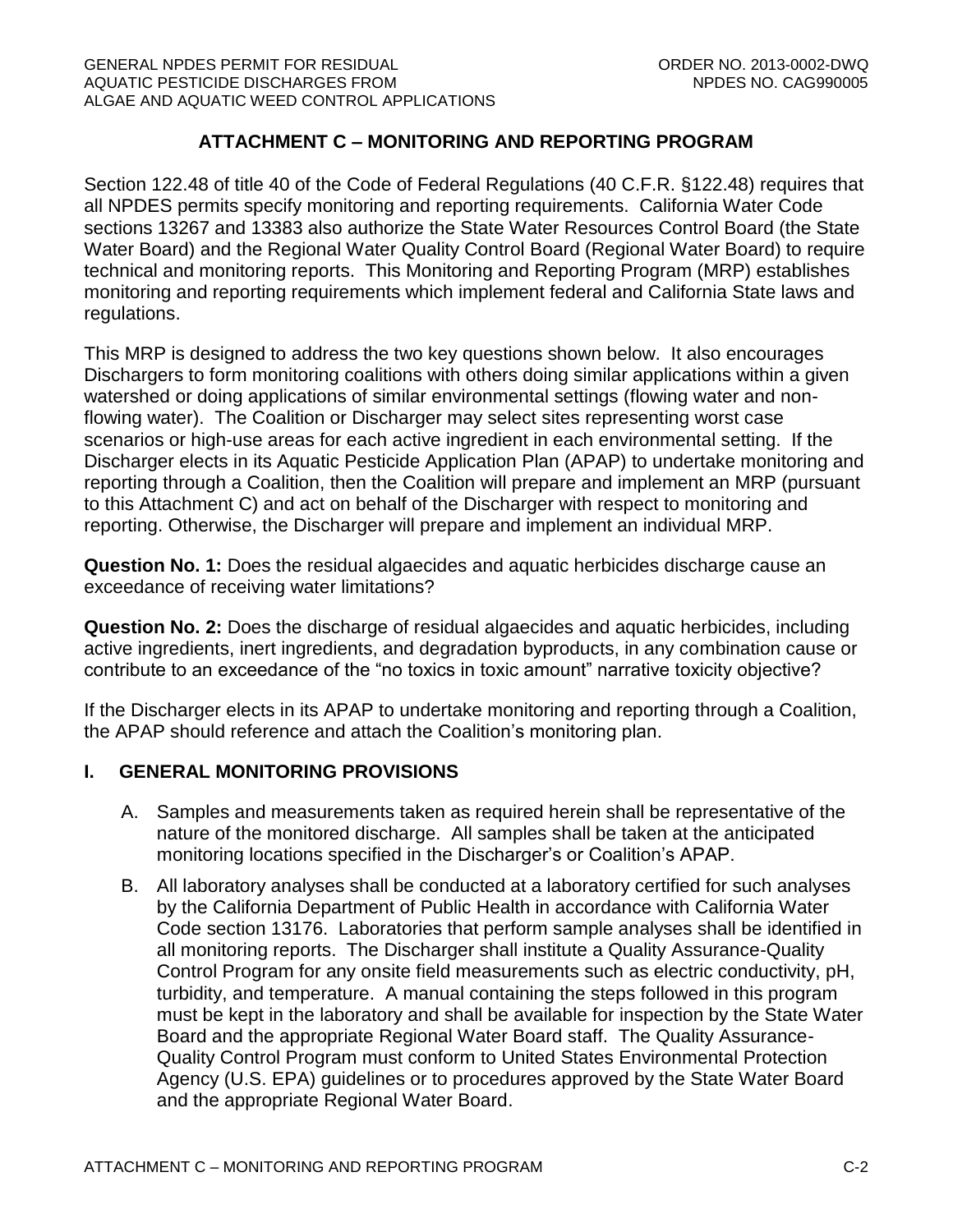## **ATTACHMENT C – MONITORING AND REPORTING PROGRAM**

Section 122.48 of title 40 of the Code of Federal Regulations (40 C.F.R. §122.48) requires that all NPDES permits specify monitoring and reporting requirements. California Water Code sections 13267 and 13383 also authorize the State Water Resources Control Board (the State Water Board) and the Regional Water Quality Control Board (Regional Water Board) to require technical and monitoring reports. This Monitoring and Reporting Program (MRP) establishes monitoring and reporting requirements which implement federal and California State laws and regulations.

This MRP is designed to address the two key questions shown below. It also encourages Dischargers to form monitoring coalitions with others doing similar applications within a given watershed or doing applications of similar environmental settings (flowing water and nonflowing water). The Coalition or Discharger may select sites representing worst case scenarios or high-use areas for each active ingredient in each environmental setting. If the Discharger elects in its Aquatic Pesticide Application Plan (APAP) to undertake monitoring and reporting through a Coalition, then the Coalition will prepare and implement an MRP (pursuant to this Attachment C) and act on behalf of the Discharger with respect to monitoring and reporting. Otherwise, the Discharger will prepare and implement an individual MRP.

**Question No. 1:** Does the residual algaecides and aquatic herbicides discharge cause an exceedance of receiving water limitations?

**Question No. 2:** Does the discharge of residual algaecides and aquatic herbicides, including active ingredients, inert ingredients, and degradation byproducts, in any combination cause or contribute to an exceedance of the "no toxics in toxic amount" narrative toxicity objective?

If the Discharger elects in its APAP to undertake monitoring and reporting through a Coalition, the APAP should reference and attach the Coalition's monitoring plan.

## <span id="page-28-0"></span>**I. GENERAL MONITORING PROVISIONS**

- A. Samples and measurements taken as required herein shall be representative of the nature of the monitored discharge. All samples shall be taken at the anticipated monitoring locations specified in the Discharger's or Coalition's APAP.
- B. All laboratory analyses shall be conducted at a laboratory certified for such analyses by the California Department of Public Health in accordance with California Water Code section 13176. Laboratories that perform sample analyses shall be identified in all monitoring reports. The Discharger shall institute a Quality Assurance-Quality Control Program for any onsite field measurements such as electric conductivity, pH, turbidity, and temperature. A manual containing the steps followed in this program must be kept in the laboratory and shall be available for inspection by the State Water Board and the appropriate Regional Water Board staff. The Quality Assurance-Quality Control Program must conform to United States Environmental Protection Agency (U.S. EPA) guidelines or to procedures approved by the State Water Board and the appropriate Regional Water Board.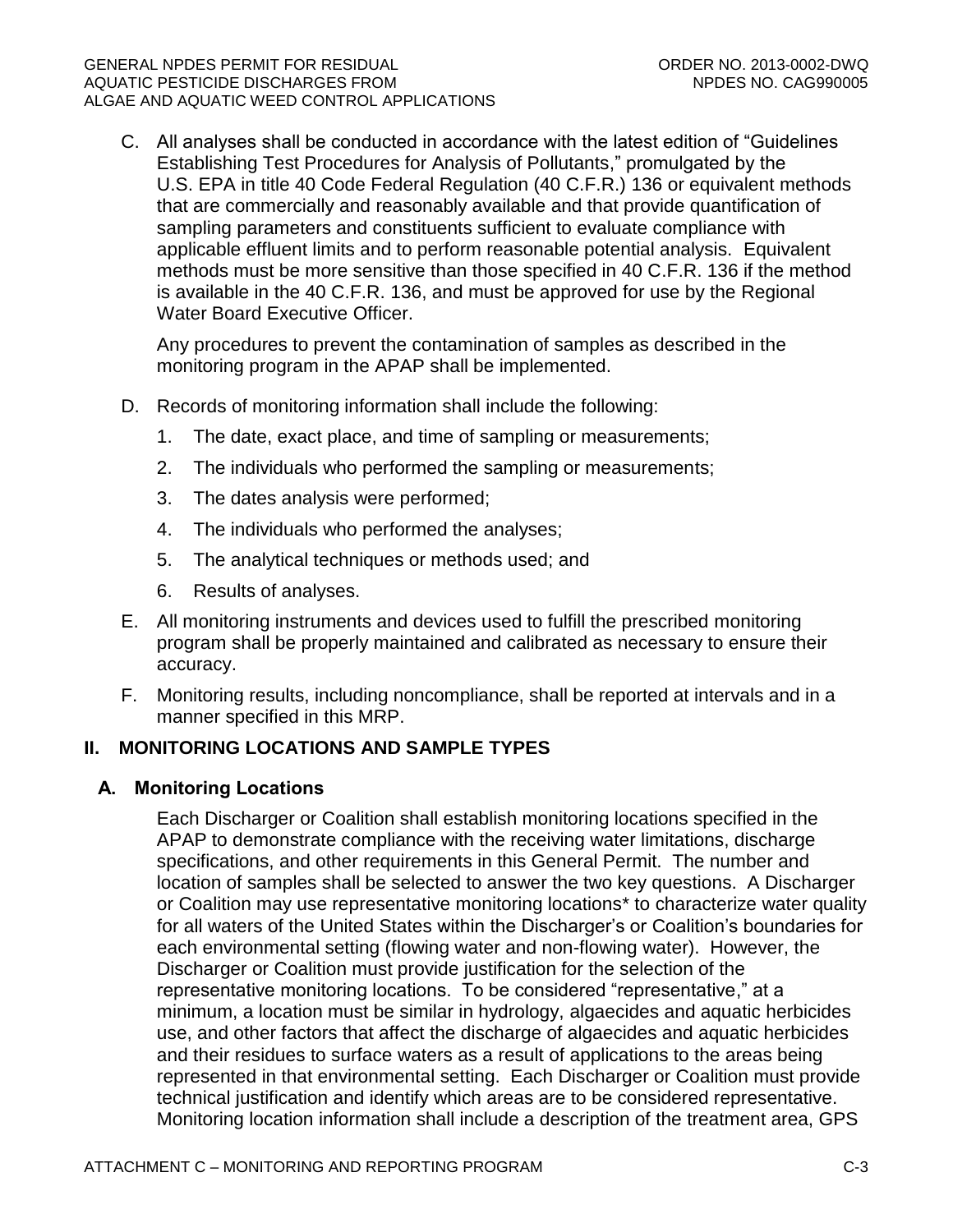C. All analyses shall be conducted in accordance with the latest edition of "Guidelines Establishing Test Procedures for Analysis of Pollutants," promulgated by the U.S. EPA in title 40 Code Federal Regulation (40 C.F.R.) 136 or equivalent methods that are commercially and reasonably available and that provide quantification of sampling parameters and constituents sufficient to evaluate compliance with applicable effluent limits and to perform reasonable potential analysis. Equivalent methods must be more sensitive than those specified in 40 C.F.R. 136 if the method is available in the 40 C.F.R. 136, and must be approved for use by the Regional Water Board Executive Officer.

Any procedures to prevent the contamination of samples as described in the monitoring program in the APAP shall be implemented.

- D. Records of monitoring information shall include the following:
	- 1. The date, exact place, and time of sampling or measurements;
	- 2. The individuals who performed the sampling or measurements;
	- 3. The dates analysis were performed;
	- 4. The individuals who performed the analyses;
	- 5. The analytical techniques or methods used; and
	- 6. Results of analyses.
- E. All monitoring instruments and devices used to fulfill the prescribed monitoring program shall be properly maintained and calibrated as necessary to ensure their accuracy.
- F. Monitoring results, including noncompliance, shall be reported at intervals and in a manner specified in this MRP.

## <span id="page-29-0"></span>**II. MONITORING LOCATIONS AND SAMPLE TYPES**

#### <span id="page-29-1"></span>**A. Monitoring Locations**

Each Discharger or Coalition shall establish monitoring locations specified in the APAP to demonstrate compliance with the receiving water limitations, discharge specifications, and other requirements in this General Permit. The number and location of samples shall be selected to answer the two key questions. A Discharger or Coalition may use representative monitoring locations\* to characterize water quality for all waters of the United States within the Discharger's or Coalition's boundaries for each environmental setting (flowing water and non-flowing water). However, the Discharger or Coalition must provide justification for the selection of the representative monitoring locations. To be considered "representative," at a minimum, a location must be similar in hydrology, algaecides and aquatic herbicides use, and other factors that affect the discharge of algaecides and aquatic herbicides and their residues to surface waters as a result of applications to the areas being represented in that environmental setting. Each Discharger or Coalition must provide technical justification and identify which areas are to be considered representative. Monitoring location information shall include a description of the treatment area, GPS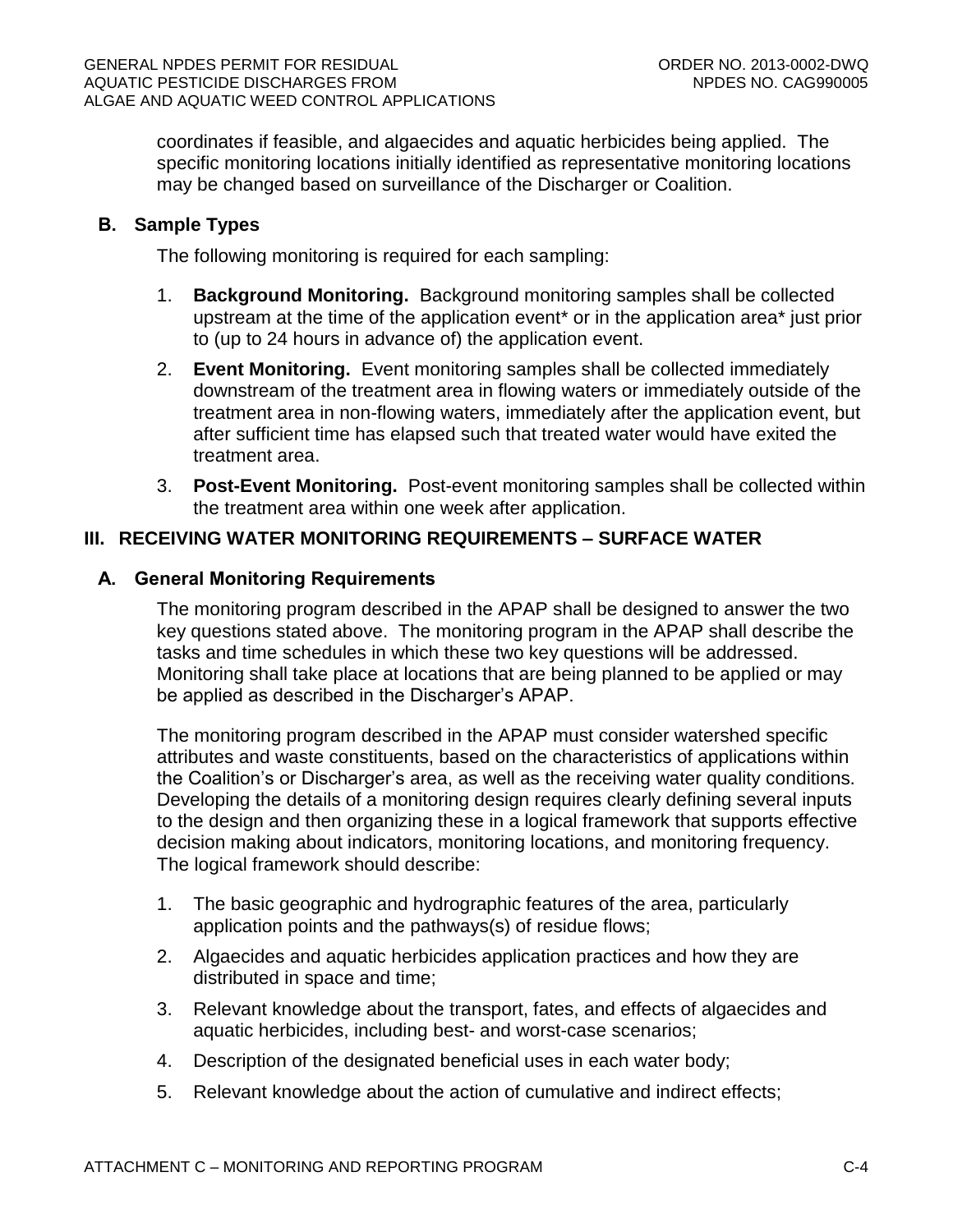coordinates if feasible, and algaecides and aquatic herbicides being applied. The specific monitoring locations initially identified as representative monitoring locations may be changed based on surveillance of the Discharger or Coalition.

## <span id="page-30-0"></span>**B. Sample Types**

The following monitoring is required for each sampling:

- 1. **Background Monitoring.** Background monitoring samples shall be collected upstream at the time of the application event\* or in the application area\* just prior to (up to 24 hours in advance of) the application event.
- 2. **Event Monitoring.** Event monitoring samples shall be collected immediately downstream of the treatment area in flowing waters or immediately outside of the treatment area in non-flowing waters, immediately after the application event, but after sufficient time has elapsed such that treated water would have exited the treatment area.
- 3. **Post-Event Monitoring.** Post-event monitoring samples shall be collected within the treatment area within one week after application.

## <span id="page-30-1"></span>**III. RECEIVING WATER MONITORING REQUIREMENTS – SURFACE WATER**

## <span id="page-30-2"></span>**A. General Monitoring Requirements**

The monitoring program described in the APAP shall be designed to answer the two key questions stated above. The monitoring program in the APAP shall describe the tasks and time schedules in which these two key questions will be addressed. Monitoring shall take place at locations that are being planned to be applied or may be applied as described in the Discharger's APAP.

The monitoring program described in the APAP must consider watershed specific attributes and waste constituents, based on the characteristics of applications within the Coalition's or Discharger's area, as well as the receiving water quality conditions. Developing the details of a monitoring design requires clearly defining several inputs to the design and then organizing these in a logical framework that supports effective decision making about indicators, monitoring locations, and monitoring frequency. The logical framework should describe:

- 1. The basic geographic and hydrographic features of the area, particularly application points and the pathways(s) of residue flows;
- 2. Algaecides and aquatic herbicides application practices and how they are distributed in space and time;
- 3. Relevant knowledge about the transport, fates, and effects of algaecides and aquatic herbicides, including best- and worst-case scenarios;
- 4. Description of the designated beneficial uses in each water body;
- 5. Relevant knowledge about the action of cumulative and indirect effects;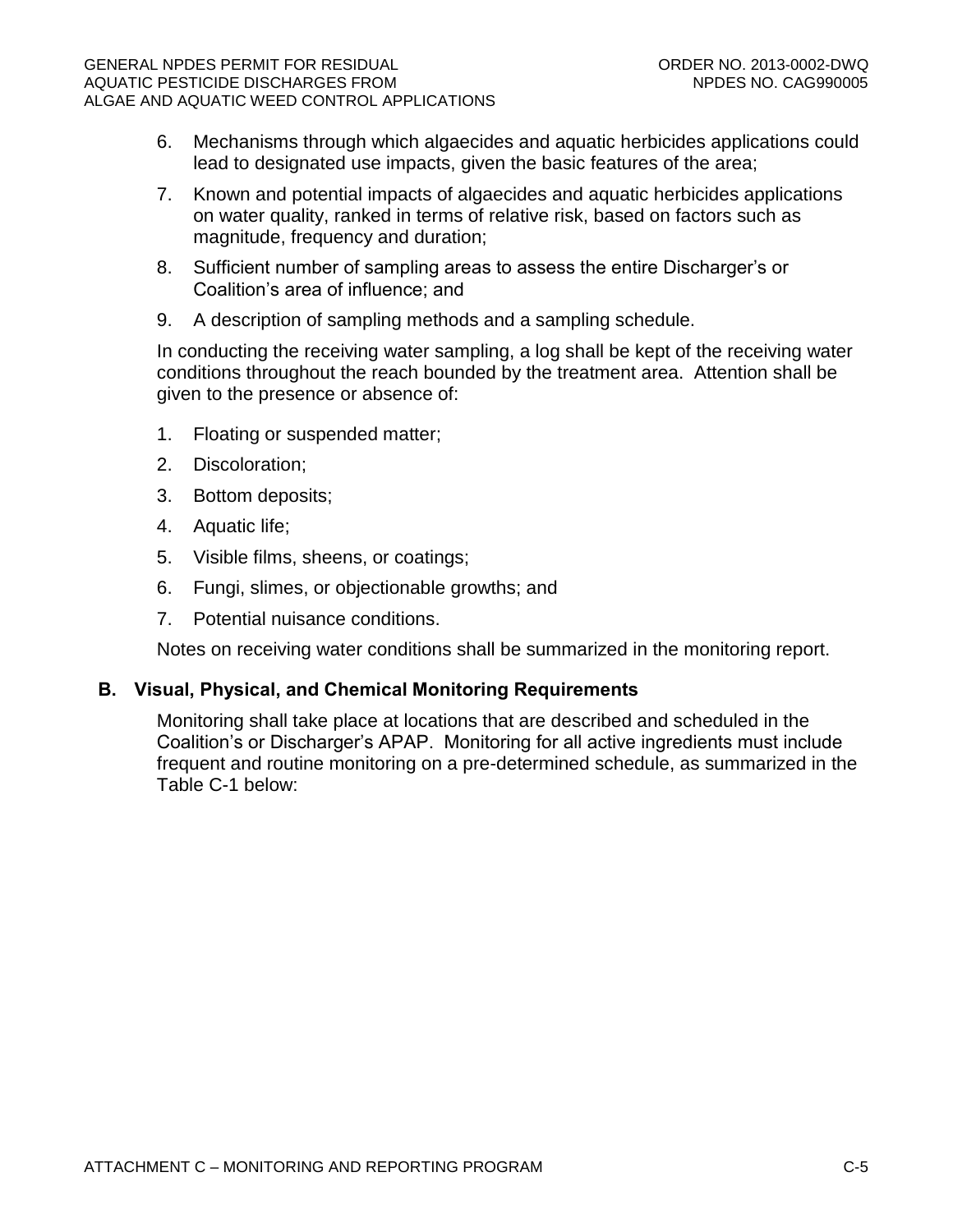- 6. Mechanisms through which algaecides and aquatic herbicides applications could lead to designated use impacts, given the basic features of the area;
- 7. Known and potential impacts of algaecides and aquatic herbicides applications on water quality, ranked in terms of relative risk, based on factors such as magnitude, frequency and duration;
- 8. Sufficient number of sampling areas to assess the entire Discharger's or Coalition's area of influence; and
- 9. A description of sampling methods and a sampling schedule.

In conducting the receiving water sampling, a log shall be kept of the receiving water conditions throughout the reach bounded by the treatment area. Attention shall be given to the presence or absence of:

- 1. Floating or suspended matter;
- 2. Discoloration;
- 3. Bottom deposits;
- 4. Aquatic life;
- 5. Visible films, sheens, or coatings;
- 6. Fungi, slimes, or objectionable growths; and
- 7. Potential nuisance conditions.

Notes on receiving water conditions shall be summarized in the monitoring report.

## <span id="page-31-0"></span>**B. Visual, Physical, and Chemical Monitoring Requirements**

Monitoring shall take place at locations that are described and scheduled in the Coalition's or Discharger's APAP. Monitoring for all active ingredients must include frequent and routine monitoring on a pre-determined schedule, as summarized in the Table C-1 below: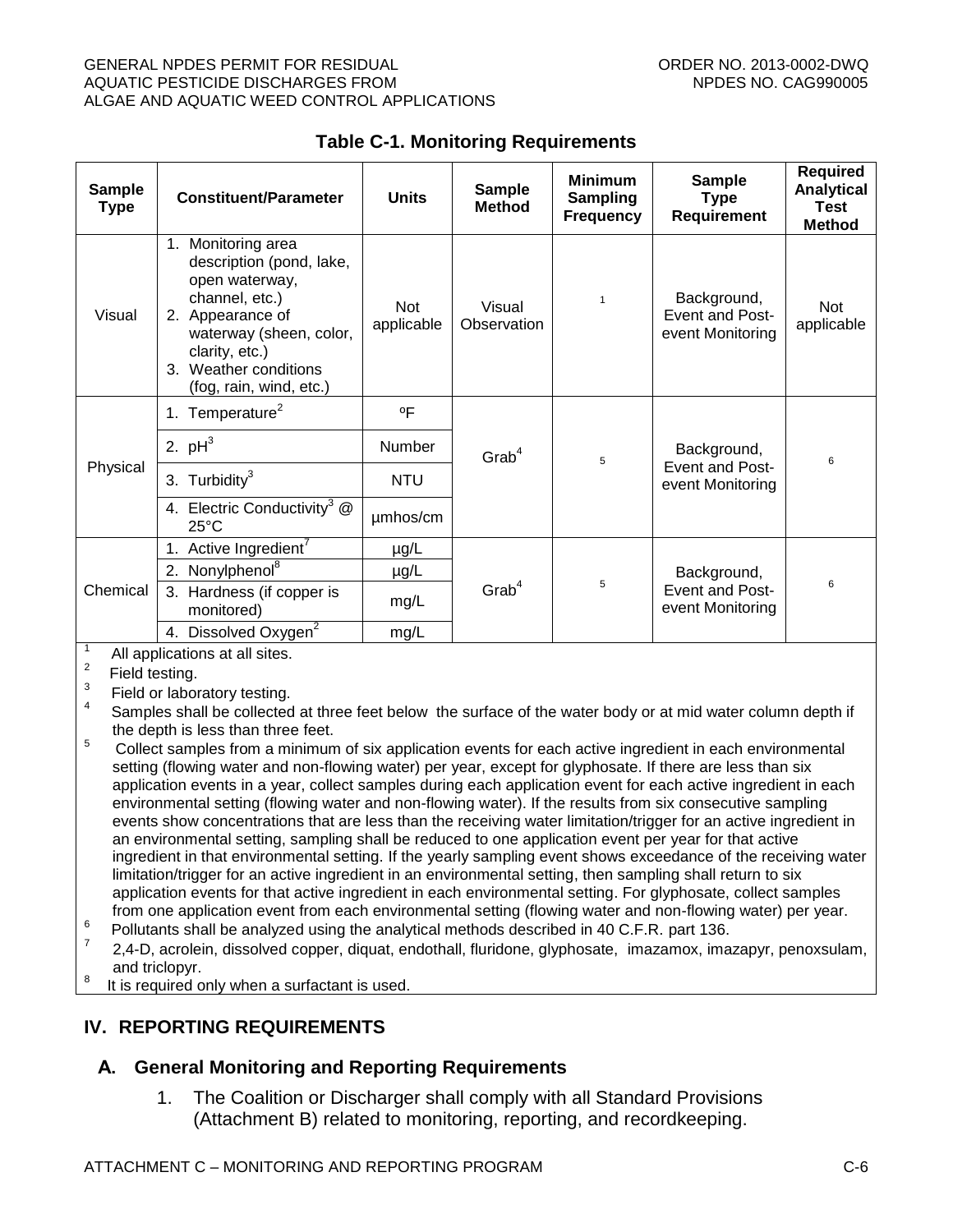#### GENERAL NPDES PERMIT FOR RESIDUAL CHARGE ORDER NO. 2013-0002-DWQ AQUATIC PESTICIDE DISCHARGES FROM NEW ROOM NEEDS NO. CAG990005 ALGAE AND AQUATIC WEED CONTROL APPLICATIONS

<span id="page-32-2"></span>

| <b>Sample</b><br><b>Type</b> | <b>Constituent/Parameter</b>                                                                                                                                                                                  | <b>Units</b>                                 | <b>Sample</b><br><b>Method</b> | <b>Minimum</b><br><b>Sampling</b><br><b>Frequency</b> | <b>Sample</b><br><b>Type</b><br>Requirement        | <b>Required</b><br><b>Analytical</b><br><b>Test</b><br><b>Method</b> |
|------------------------------|---------------------------------------------------------------------------------------------------------------------------------------------------------------------------------------------------------------|----------------------------------------------|--------------------------------|-------------------------------------------------------|----------------------------------------------------|----------------------------------------------------------------------|
| Visual                       | 1.<br>Monitoring area<br>description (pond, lake,<br>open waterway,<br>channel, etc.)<br>2. Appearance of<br>waterway (sheen, color,<br>clarity, etc.)<br>Weather conditions<br>3.<br>(fog, rain, wind, etc.) | <b>Not</b><br>applicable                     | Visual<br>Observation          | 1                                                     | Background,<br>Event and Post-<br>event Monitoring | <b>Not</b><br>applicable                                             |
| Physical                     | Temperature <sup>2</sup><br>1.                                                                                                                                                                                | $^{\circ}$ F                                 |                                |                                                       |                                                    |                                                                      |
|                              | 2. $pH^3$                                                                                                                                                                                                     | Number<br>$G$ rab <sup>4</sup><br><b>NTU</b> |                                | 5                                                     | Background,<br>Event and Post-<br>event Monitoring | 6                                                                    |
|                              | Turbidity <sup>3</sup><br>3.                                                                                                                                                                                  |                                              |                                |                                                       |                                                    |                                                                      |
|                              | 4. Electric Conductivity <sup>3</sup> @<br>$25^{\circ}$ C                                                                                                                                                     | umhos/cm                                     |                                |                                                       |                                                    |                                                                      |
| Chemical                     | Active Ingredient'                                                                                                                                                                                            | $\mu$ g/L                                    |                                |                                                       |                                                    |                                                                      |
|                              | Nonylphenol <sup>8</sup><br>2.<br>µg/L                                                                                                                                                                        |                                              |                                |                                                       | Background,<br>Event and Post-<br>event Monitoring | 6                                                                    |
|                              | Hardness (if copper is<br>3.<br>monitored)                                                                                                                                                                    | $G$ rab $4$<br>mg/L                          |                                | 5                                                     |                                                    |                                                                      |
|                              | Dissolved Oxygen <sup>2</sup><br>4.                                                                                                                                                                           | mg/L                                         |                                |                                                       |                                                    |                                                                      |

## **Table C-1. Monitoring Requirements**

1 All applications at all sites.

 $2$  Field testing.

3 Field or laboratory testing.

4 Samples shall be collected at three feet below the surface of the water body or at mid water column depth if the depth is less than three feet.

- <sup>5</sup> Collect samples from a minimum of six application events for each active ingredient in each environmental setting (flowing water and non-flowing water) per year, except for glyphosate. If there are less than six application events in a year, collect samples during each application event for each active ingredient in each environmental setting (flowing water and non-flowing water). If the results from six consecutive sampling events show concentrations that are less than the receiving water limitation/trigger for an active ingredient in an environmental setting, sampling shall be reduced to one application event per year for that active ingredient in that environmental setting. If the yearly sampling event shows exceedance of the receiving water limitation/trigger for an active ingredient in an environmental setting, then sampling shall return to six application events for that active ingredient in each environmental setting. For glyphosate, collect samples from one application event from each environmental setting (flowing water and non-flowing water) per year.
- 6 Pollutants shall be analyzed using the analytical methods described in 40 C.F.R. part 136.
- 7 2,4-D, acrolein, dissolved copper, diquat, endothall, fluridone, glyphosate, imazamox, imazapyr, penoxsulam, and triclopyr.
- 8 It is required only when a surfactant is used.

# <span id="page-32-0"></span>**IV. REPORTING REQUIREMENTS**

# <span id="page-32-1"></span>**A. General Monitoring and Reporting Requirements**

1. The Coalition or Discharger shall comply with all Standard Provisions (Attachment B) related to monitoring, reporting, and recordkeeping.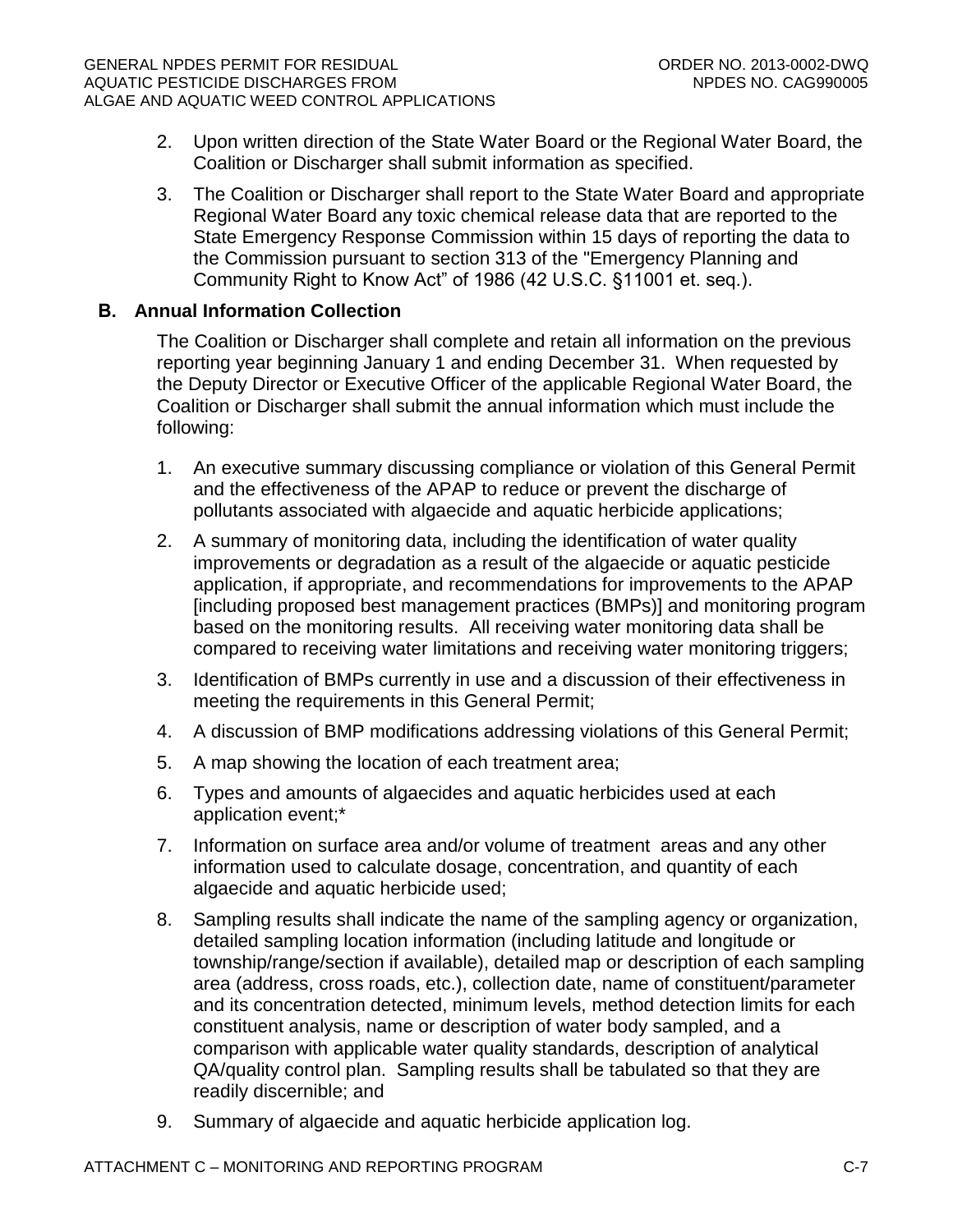- 2. Upon written direction of the State Water Board or the Regional Water Board, the Coalition or Discharger shall submit information as specified.
- 3. The Coalition or Discharger shall report to the State Water Board and appropriate Regional Water Board any toxic chemical release data that are reported to the State Emergency Response Commission within 15 days of reporting the data to the Commission pursuant to section 313 of the "Emergency Planning and Community Right to Know Act" of 1986 (42 U.S.C. §11001 et. seq.).

## <span id="page-33-0"></span>**B. Annual Information Collection**

The Coalition or Discharger shall complete and retain all information on the previous reporting year beginning January 1 and ending December 31. When requested by the Deputy Director or Executive Officer of the applicable Regional Water Board, the Coalition or Discharger shall submit the annual information which must include the following:

- 1. An executive summary discussing compliance or violation of this General Permit and the effectiveness of the APAP to reduce or prevent the discharge of pollutants associated with algaecide and aquatic herbicide applications;
- 2. A summary of monitoring data, including the identification of water quality improvements or degradation as a result of the algaecide or aquatic pesticide application, if appropriate, and recommendations for improvements to the APAP [including proposed best management practices (BMPs)] and monitoring program based on the monitoring results. All receiving water monitoring data shall be compared to receiving water limitations and receiving water monitoring triggers;
- 3. Identification of BMPs currently in use and a discussion of their effectiveness in meeting the requirements in this General Permit;
- 4. A discussion of BMP modifications addressing violations of this General Permit;
- 5. A map showing the location of each treatment area;
- 6. Types and amounts of algaecides and aquatic herbicides used at each application event;\*
- 7. Information on surface area and/or volume of treatment areas and any other information used to calculate dosage, concentration, and quantity of each algaecide and aquatic herbicide used;
- 8. Sampling results shall indicate the name of the sampling agency or organization, detailed sampling location information (including latitude and longitude or township/range/section if available), detailed map or description of each sampling area (address, cross roads, etc.), collection date, name of constituent/parameter and its concentration detected, minimum levels, method detection limits for each constituent analysis, name or description of water body sampled, and a comparison with applicable water quality standards, description of analytical QA/quality control plan. Sampling results shall be tabulated so that they are readily discernible; and
- 9. Summary of algaecide and aquatic herbicide application log.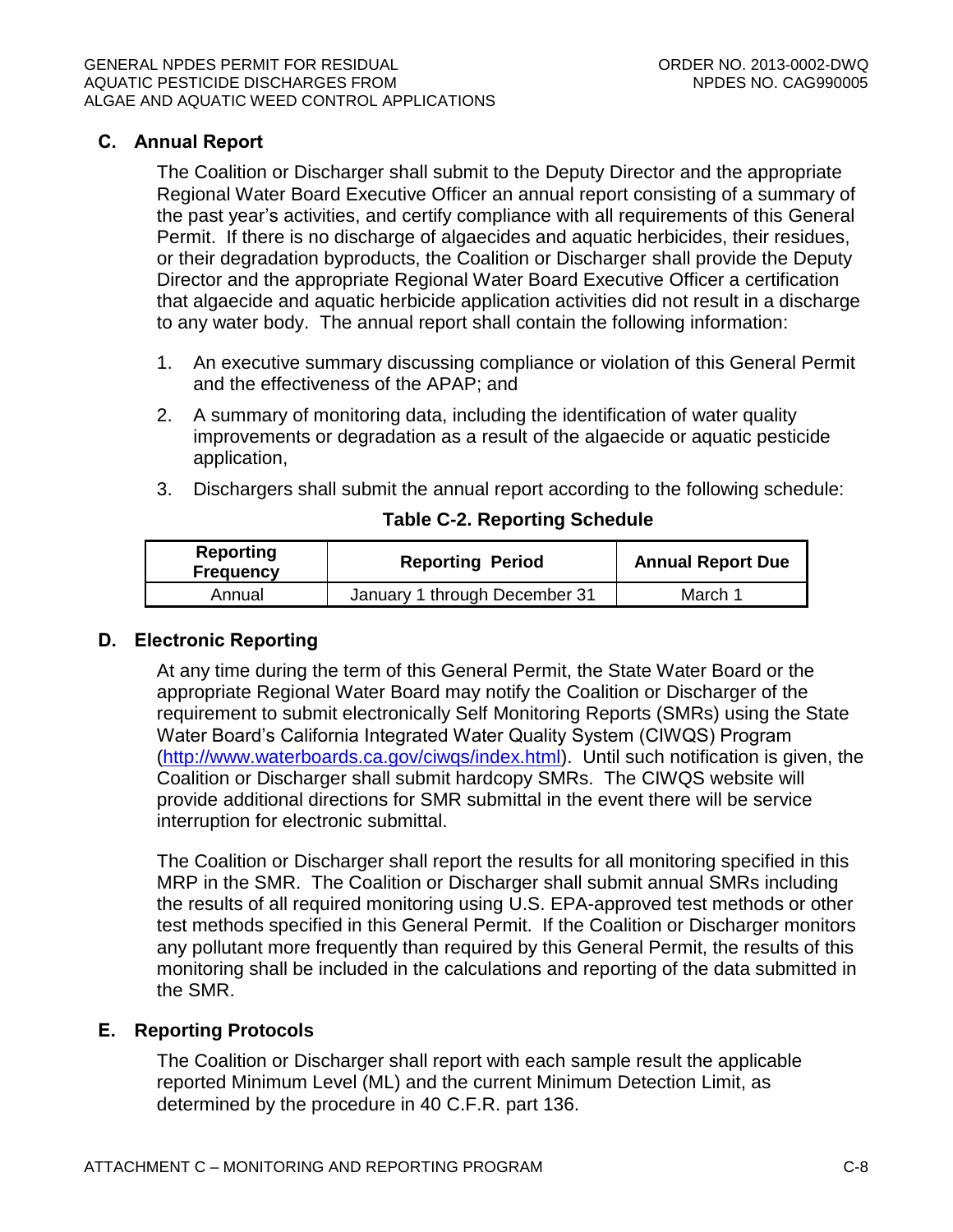## <span id="page-34-0"></span>**C. Annual Report**

The Coalition or Discharger shall submit to the Deputy Director and the appropriate Regional Water Board Executive Officer an annual report consisting of a summary of the past year's activities, and certify compliance with all requirements of this General Permit. If there is no discharge of algaecides and aquatic herbicides, their residues, or their degradation byproducts, the Coalition or Discharger shall provide the Deputy Director and the appropriate Regional Water Board Executive Officer a certification that algaecide and aquatic herbicide application activities did not result in a discharge to any water body. The annual report shall contain the following information:

- 1. An executive summary discussing compliance or violation of this General Permit and the effectiveness of the APAP; and
- 2. A summary of monitoring data, including the identification of water quality improvements or degradation as a result of the algaecide or aquatic pesticide application,
- 3. Dischargers shall submit the annual report according to the following schedule:

### **Table C-2. Reporting Schedule**

<span id="page-34-3"></span>

| <b>Reporting</b><br><b>Frequency</b> | <b>Reporting Period</b>       | <b>Annual Report Due</b> |  |
|--------------------------------------|-------------------------------|--------------------------|--|
| Annual                               | January 1 through December 31 | March 1                  |  |

## <span id="page-34-1"></span>**D. Electronic Reporting**

At any time during the term of this General Permit, the State Water Board or the appropriate Regional Water Board may notify the Coalition or Discharger of the requirement to submit electronically Self Monitoring Reports (SMRs) using the State Water Board's California Integrated Water Quality System (CIWQS) Program [\(http://www.waterboards.ca.gov/ciwqs/index.html\)](http://www.waterboards.ca.gov/ciwqs/index.html). Until such notification is given, the Coalition or Discharger shall submit hardcopy SMRs. The CIWQS website will provide additional directions for SMR submittal in the event there will be service interruption for electronic submittal.

The Coalition or Discharger shall report the results for all monitoring specified in this MRP in the SMR. The Coalition or Discharger shall submit annual SMRs including the results of all required monitoring using U.S. EPA-approved test methods or other test methods specified in this General Permit. If the Coalition or Discharger monitors any pollutant more frequently than required by this General Permit, the results of this monitoring shall be included in the calculations and reporting of the data submitted in the SMR.

# <span id="page-34-2"></span>**E. Reporting Protocols**

The Coalition or Discharger shall report with each sample result the applicable reported Minimum Level (ML) and the current Minimum Detection Limit, as determined by the procedure in 40 C.F.R. part 136.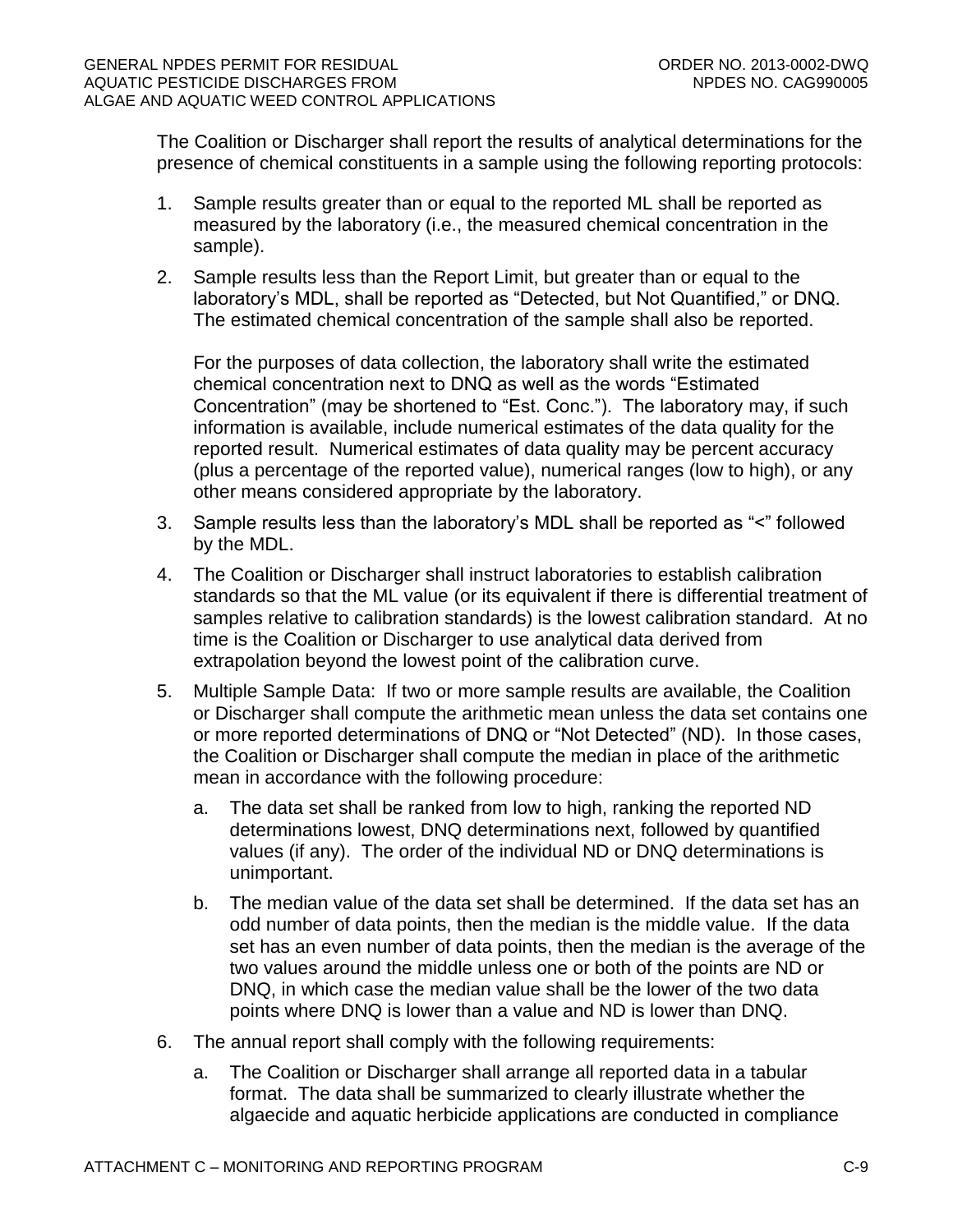The Coalition or Discharger shall report the results of analytical determinations for the presence of chemical constituents in a sample using the following reporting protocols:

- 1. Sample results greater than or equal to the reported ML shall be reported as measured by the laboratory (i.e., the measured chemical concentration in the sample).
- 2. Sample results less than the Report Limit, but greater than or equal to the laboratory's MDL, shall be reported as "Detected, but Not Quantified," or DNQ. The estimated chemical concentration of the sample shall also be reported.

For the purposes of data collection, the laboratory shall write the estimated chemical concentration next to DNQ as well as the words "Estimated Concentration" (may be shortened to "Est. Conc."). The laboratory may, if such information is available, include numerical estimates of the data quality for the reported result. Numerical estimates of data quality may be percent accuracy (plus a percentage of the reported value), numerical ranges (low to high), or any other means considered appropriate by the laboratory.

- 3. Sample results less than the laboratory's MDL shall be reported as "<" followed by the MDL.
- 4. The Coalition or Discharger shall instruct laboratories to establish calibration standards so that the ML value (or its equivalent if there is differential treatment of samples relative to calibration standards) is the lowest calibration standard. At no time is the Coalition or Discharger to use analytical data derived from extrapolation beyond the lowest point of the calibration curve.
- 5. Multiple Sample Data: If two or more sample results are available, the Coalition or Discharger shall compute the arithmetic mean unless the data set contains one or more reported determinations of DNQ or "Not Detected" (ND). In those cases, the Coalition or Discharger shall compute the median in place of the arithmetic mean in accordance with the following procedure:
	- a. The data set shall be ranked from low to high, ranking the reported ND determinations lowest, DNQ determinations next, followed by quantified values (if any). The order of the individual ND or DNQ determinations is unimportant.
	- b. The median value of the data set shall be determined. If the data set has an odd number of data points, then the median is the middle value. If the data set has an even number of data points, then the median is the average of the two values around the middle unless one or both of the points are ND or DNQ, in which case the median value shall be the lower of the two data points where DNQ is lower than a value and ND is lower than DNQ.
- 6. The annual report shall comply with the following requirements:
	- a. The Coalition or Discharger shall arrange all reported data in a tabular format. The data shall be summarized to clearly illustrate whether the algaecide and aquatic herbicide applications are conducted in compliance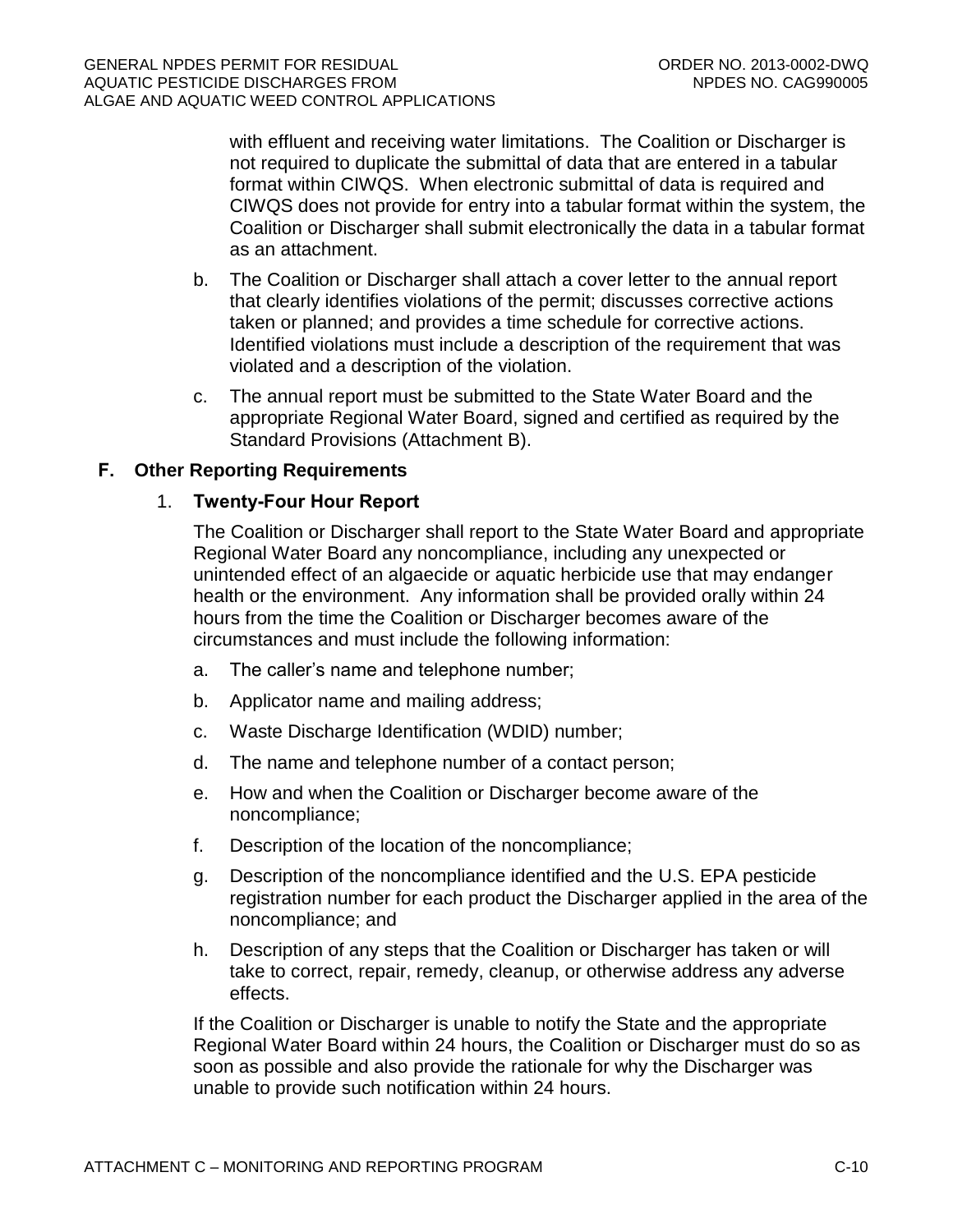with effluent and receiving water limitations. The Coalition or Discharger is not required to duplicate the submittal of data that are entered in a tabular format within CIWQS. When electronic submittal of data is required and CIWQS does not provide for entry into a tabular format within the system, the Coalition or Discharger shall submit electronically the data in a tabular format as an attachment.

- b. The Coalition or Discharger shall attach a cover letter to the annual report that clearly identifies violations of the permit; discusses corrective actions taken or planned; and provides a time schedule for corrective actions. Identified violations must include a description of the requirement that was violated and a description of the violation.
- c. The annual report must be submitted to the State Water Board and the appropriate Regional Water Board, signed and certified as required by the Standard Provisions (Attachment B).

# **F. Other Reporting Requirements**

#### 1. **Twenty-Four Hour Report**

The Coalition or Discharger shall report to the State Water Board and appropriate Regional Water Board any noncompliance, including any unexpected or unintended effect of an algaecide or aquatic herbicide use that may endanger health or the environment. Any information shall be provided orally within 24 hours from the time the Coalition or Discharger becomes aware of the circumstances and must include the following information:

- a. The caller's name and telephone number;
- b. Applicator name and mailing address;
- c. Waste Discharge Identification (WDID) number;
- d. The name and telephone number of a contact person;
- e. How and when the Coalition or Discharger become aware of the noncompliance;
- f. Description of the location of the noncompliance;
- g. Description of the noncompliance identified and the U.S. EPA pesticide registration number for each product the Discharger applied in the area of the noncompliance; and
- h. Description of any steps that the Coalition or Discharger has taken or will take to correct, repair, remedy, cleanup, or otherwise address any adverse effects.

If the Coalition or Discharger is unable to notify the State and the appropriate Regional Water Board within 24 hours, the Coalition or Discharger must do so as soon as possible and also provide the rationale for why the Discharger was unable to provide such notification within 24 hours.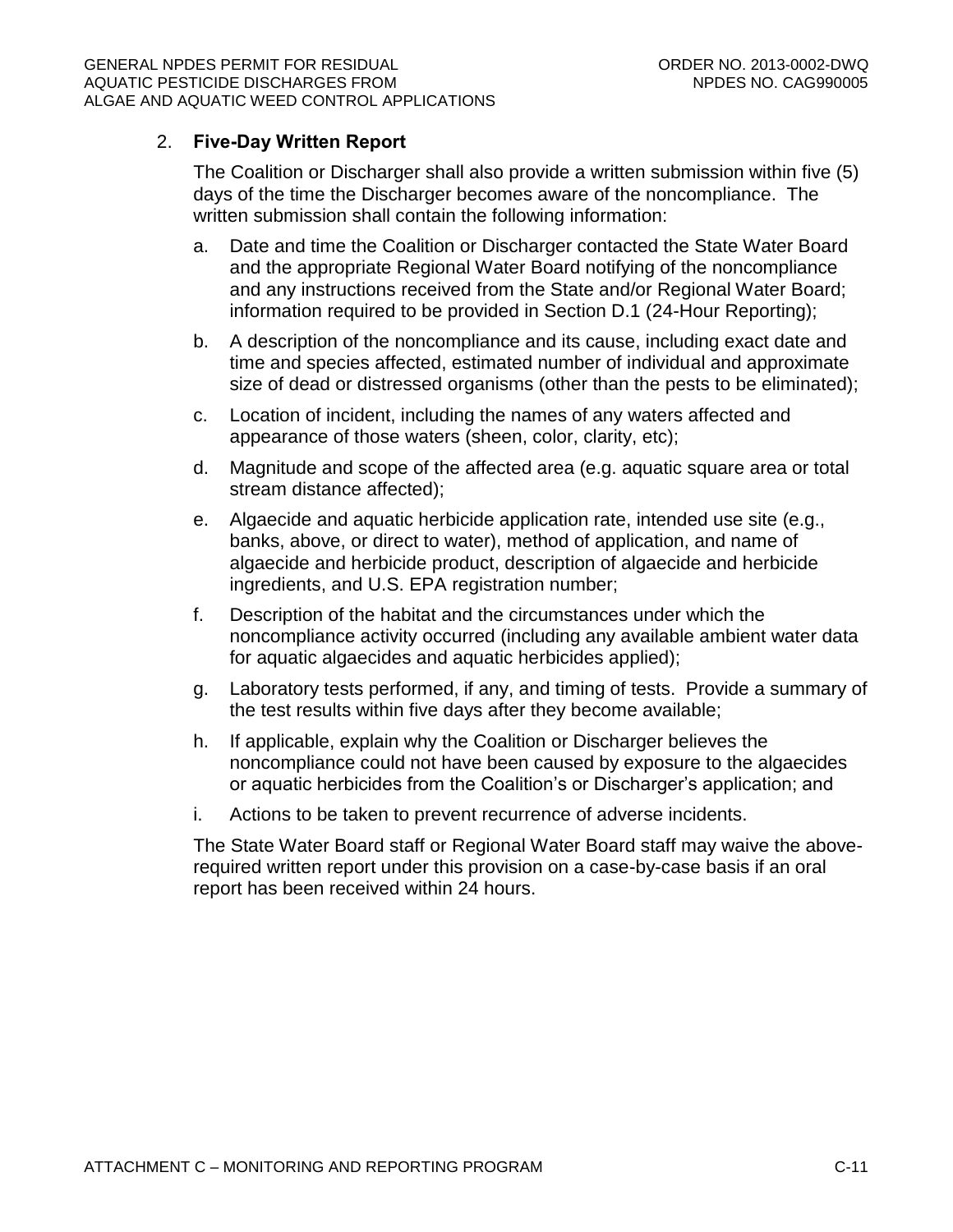# 2. **Five-Day Written Report**

The Coalition or Discharger shall also provide a written submission within five (5) days of the time the Discharger becomes aware of the noncompliance. The written submission shall contain the following information:

- a. Date and time the Coalition or Discharger contacted the State Water Board and the appropriate Regional Water Board notifying of the noncompliance and any instructions received from the State and/or Regional Water Board; information required to be provided in Section D.1 (24-Hour Reporting);
- b. A description of the noncompliance and its cause, including exact date and time and species affected, estimated number of individual and approximate size of dead or distressed organisms (other than the pests to be eliminated);
- c. Location of incident, including the names of any waters affected and appearance of those waters (sheen, color, clarity, etc);
- d. Magnitude and scope of the affected area (e.g. aquatic square area or total stream distance affected);
- e. Algaecide and aquatic herbicide application rate, intended use site (e.g., banks, above, or direct to water), method of application, and name of algaecide and herbicide product, description of algaecide and herbicide ingredients, and U.S. EPA registration number;
- f. Description of the habitat and the circumstances under which the noncompliance activity occurred (including any available ambient water data for aquatic algaecides and aquatic herbicides applied);
- g. Laboratory tests performed, if any, and timing of tests. Provide a summary of the test results within five days after they become available;
- h. If applicable, explain why the Coalition or Discharger believes the noncompliance could not have been caused by exposure to the algaecides or aquatic herbicides from the Coalition's or Discharger's application; and
- i. Actions to be taken to prevent recurrence of adverse incidents.

The State Water Board staff or Regional Water Board staff may waive the aboverequired written report under this provision on a case-by-case basis if an oral report has been received within 24 hours.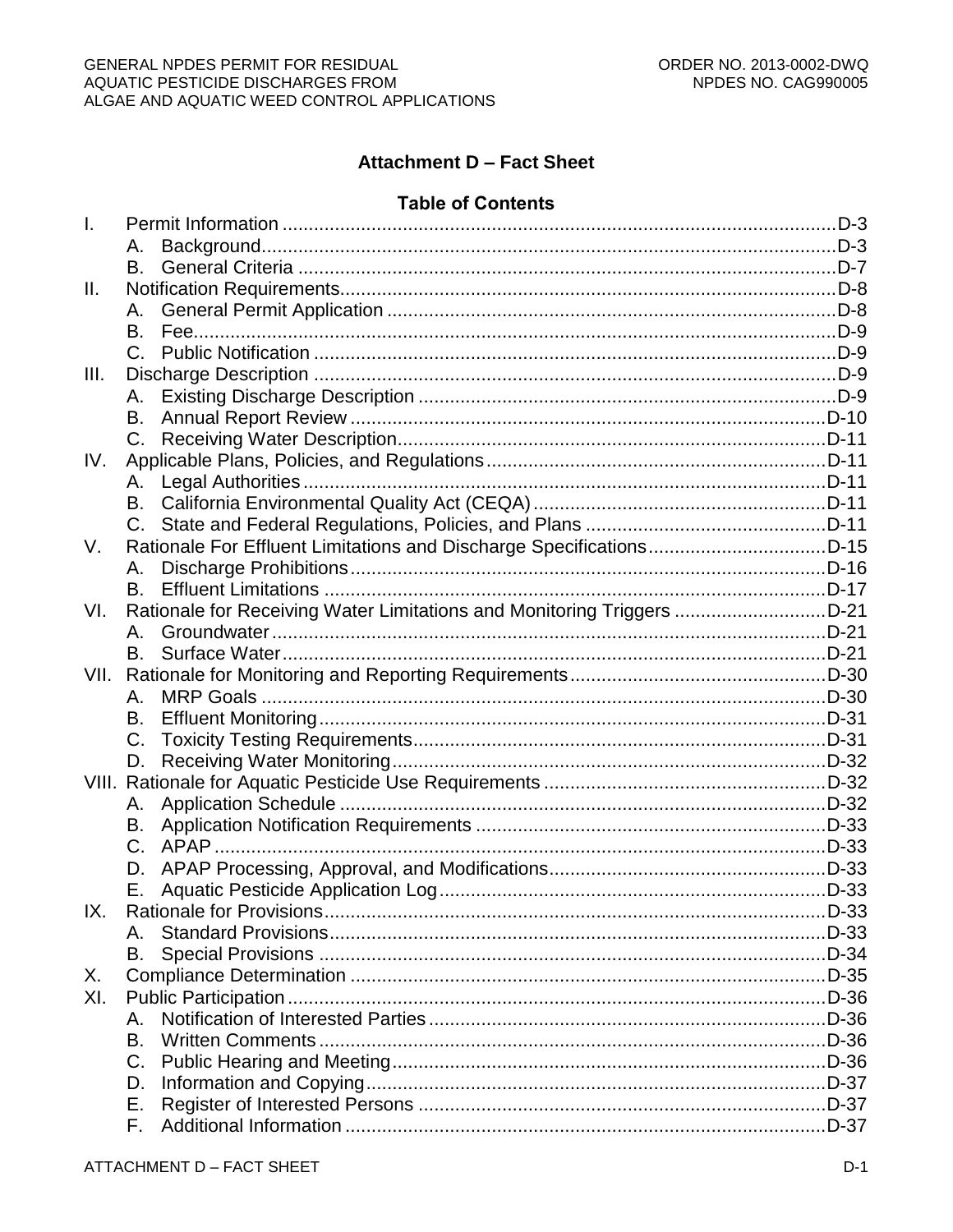# **Attachment D - Fact Sheet**

#### **Table of Contents**

| $\mathbf{I}$ . |             |                                                                        |  |
|----------------|-------------|------------------------------------------------------------------------|--|
|                | Α.          |                                                                        |  |
|                | В.          |                                                                        |  |
| Ш.             |             |                                                                        |  |
|                | Α.          |                                                                        |  |
|                | В.          |                                                                        |  |
|                | C.          |                                                                        |  |
| III.           |             |                                                                        |  |
|                | А.          |                                                                        |  |
|                | В.          |                                                                        |  |
|                | $C_{\cdot}$ |                                                                        |  |
| IV.            |             |                                                                        |  |
|                | А.          |                                                                        |  |
|                | В.          |                                                                        |  |
|                | C.          |                                                                        |  |
| V.             |             | Rationale For Effluent Limitations and Discharge SpecificationsD-15    |  |
|                | А.          |                                                                        |  |
|                | В.          |                                                                        |  |
| VI.            |             | Rationale for Receiving Water Limitations and Monitoring Triggers D-21 |  |
|                | Α.          |                                                                        |  |
|                | В.          |                                                                        |  |
| VII.           |             |                                                                        |  |
|                | Α.          |                                                                        |  |
|                | В.          |                                                                        |  |
|                | C.          |                                                                        |  |
|                | D.          |                                                                        |  |
|                |             |                                                                        |  |
|                | Α.          |                                                                        |  |
|                | В.          |                                                                        |  |
|                | $C_{\cdot}$ |                                                                        |  |
|                | D.          |                                                                        |  |
|                | Е.          |                                                                        |  |
| IX.            |             | Rationale for Provisions                                               |  |
|                |             |                                                                        |  |
|                | В.          |                                                                        |  |
| Х.             |             |                                                                        |  |
| XI.            |             |                                                                        |  |
|                | Α.          |                                                                        |  |
|                | В.          |                                                                        |  |
|                | C.          |                                                                        |  |
|                | D.          |                                                                        |  |
|                | Е.          |                                                                        |  |
|                | F.          |                                                                        |  |
|                |             |                                                                        |  |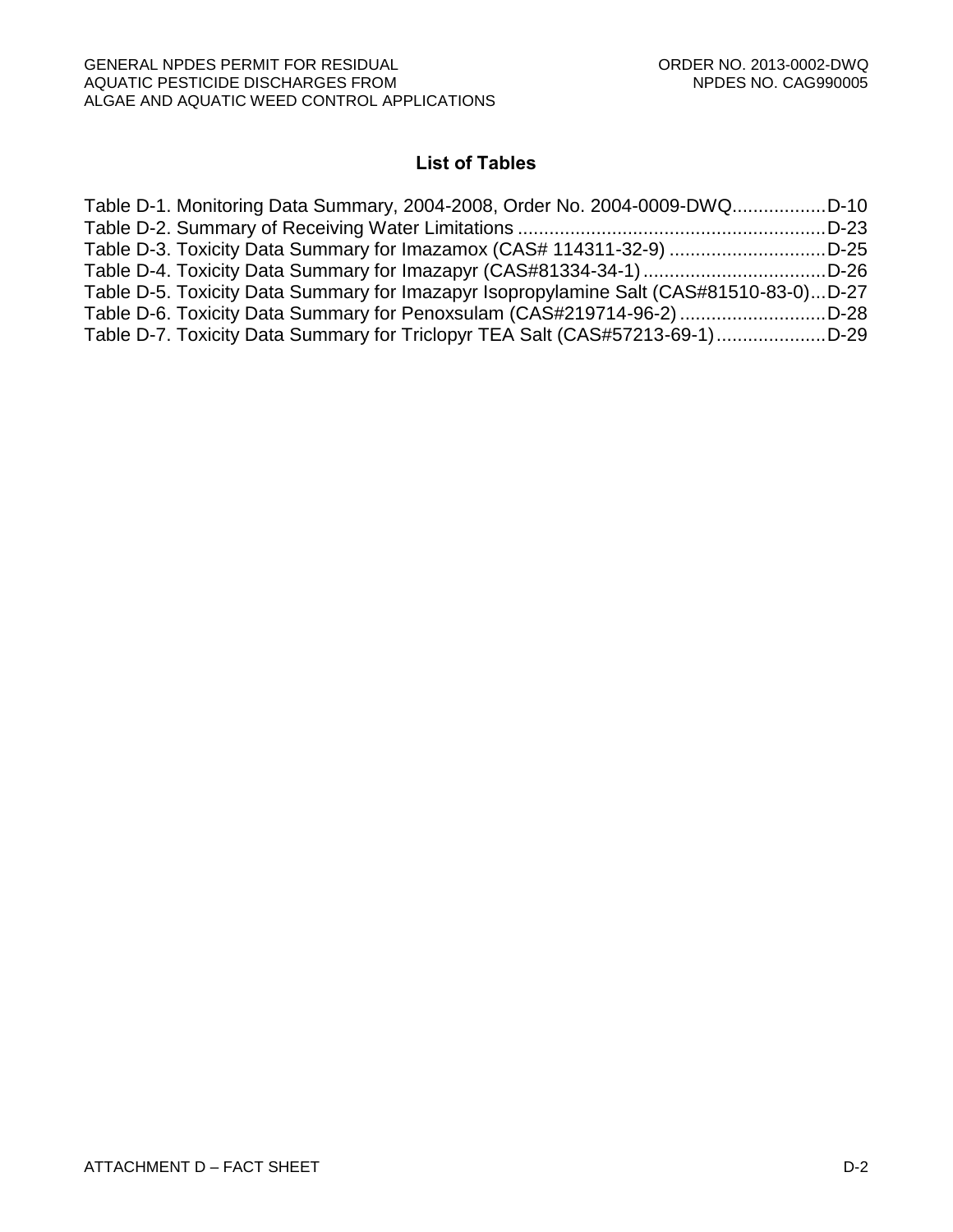# **List of Tables**

| Table D-1. Monitoring Data Summary, 2004-2008, Order No. 2004-0009-DWQD-10             |  |
|----------------------------------------------------------------------------------------|--|
|                                                                                        |  |
| Table D-3. Toxicity Data Summary for Imazamox (CAS# 114311-32-9) D-25                  |  |
| Table D-4. Toxicity Data Summary for Imazapyr (CAS#81334-34-1)D-26                     |  |
| Table D-5. Toxicity Data Summary for Imazapyr Isopropylamine Salt (CAS#81510-83-0)D-27 |  |
| Table D-6. Toxicity Data Summary for Penoxsulam (CAS#219714-96-2) D-28                 |  |
| Table D-7. Toxicity Data Summary for Triclopyr TEA Salt (CAS#57213-69-1)D-29           |  |
|                                                                                        |  |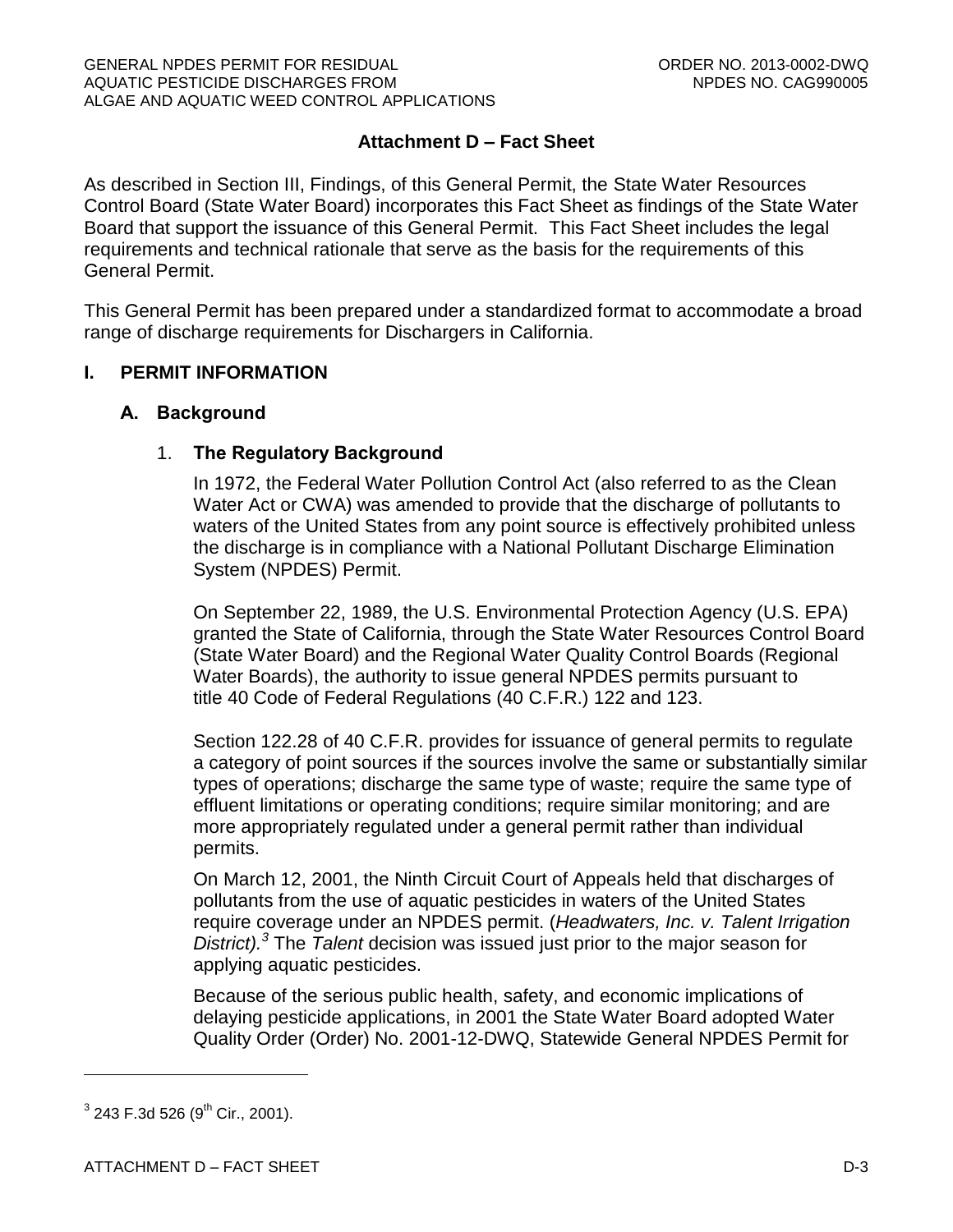# **Attachment D – Fact Sheet**

As described in Section III, Findings, of this General Permit, the State Water Resources Control Board (State Water Board) incorporates this Fact Sheet as findings of the State Water Board that support the issuance of this General Permit. This Fact Sheet includes the legal requirements and technical rationale that serve as the basis for the requirements of this General Permit.

This General Permit has been prepared under a standardized format to accommodate a broad range of discharge requirements for Dischargers in California.

#### <span id="page-40-1"></span><span id="page-40-0"></span>**I. PERMIT INFORMATION**

#### **A. Background**

#### 1. **The Regulatory Background**

In 1972, the Federal Water Pollution Control Act (also referred to as the Clean Water Act or CWA) was amended to provide that the discharge of pollutants to waters of the United States from any point source is effectively prohibited unless the discharge is in compliance with a National Pollutant Discharge Elimination System (NPDES) Permit.

On September 22, 1989, the U.S. Environmental Protection Agency (U.S. EPA) granted the State of California, through the State Water Resources Control Board (State Water Board) and the Regional Water Quality Control Boards (Regional Water Boards), the authority to issue general NPDES permits pursuant to title 40 Code of Federal Regulations (40 C.F.R.) 122 and 123.

Section 122.28 of 40 C.F.R. provides for issuance of general permits to regulate a category of point sources if the sources involve the same or substantially similar types of operations; discharge the same type of waste; require the same type of effluent limitations or operating conditions; require similar monitoring; and are more appropriately regulated under a general permit rather than individual permits.

On March 12, 2001, the Ninth Circuit Court of Appeals held that discharges of pollutants from the use of aquatic pesticides in waters of the United States require coverage under an NPDES permit. (*Headwaters, Inc. v. Talent Irrigation District).<sup>3</sup>* The *Talent* decision was issued just prior to the major season for applying aquatic pesticides.

Because of the serious public health, safety, and economic implications of delaying pesticide applications, in 2001 the State Water Board adopted Water Quality Order (Order) No. 2001-12-DWQ, Statewide General NPDES Permit for

 $^3$  243 F.3d 526 (9<sup>th</sup> Cir., 2001).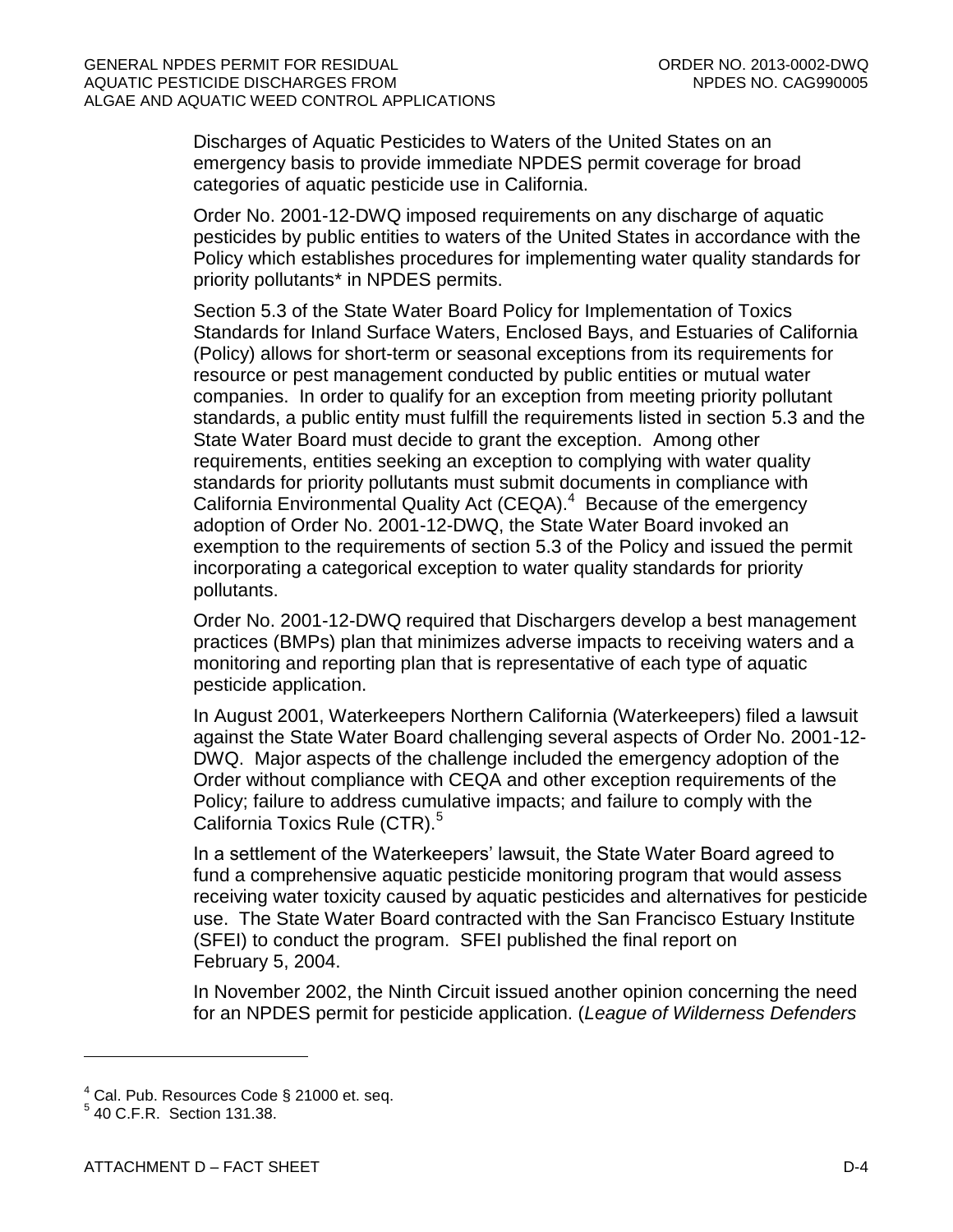Discharges of Aquatic Pesticides to Waters of the United States on an emergency basis to provide immediate NPDES permit coverage for broad categories of aquatic pesticide use in California.

Order No. 2001-12-DWQ imposed requirements on any discharge of aquatic pesticides by public entities to waters of the United States in accordance with the Policy which establishes procedures for implementing water quality standards for priority pollutants\* in NPDES permits.

Section 5.3 of the State Water Board Policy for Implementation of Toxics Standards for Inland Surface Waters, Enclosed Bays, and Estuaries of California (Policy) allows for short-term or seasonal exceptions from its requirements for resource or pest management conducted by public entities or mutual water companies. In order to qualify for an exception from meeting priority pollutant standards, a public entity must fulfill the requirements listed in section 5.3 and the State Water Board must decide to grant the exception. Among other requirements, entities seeking an exception to complying with water quality standards for priority pollutants must submit documents in compliance with California Environmental Quality Act (CEQA).<sup>4</sup> Because of the emergency adoption of Order No. 2001-12-DWQ, the State Water Board invoked an exemption to the requirements of section 5.3 of the Policy and issued the permit incorporating a categorical exception to water quality standards for priority pollutants.

Order No. 2001-12-DWQ required that Dischargers develop a best management practices (BMPs) plan that minimizes adverse impacts to receiving waters and a monitoring and reporting plan that is representative of each type of aquatic pesticide application.

In August 2001, Waterkeepers Northern California (Waterkeepers) filed a lawsuit against the State Water Board challenging several aspects of Order No. 2001-12- DWQ. Major aspects of the challenge included the emergency adoption of the Order without compliance with CEQA and other exception requirements of the Policy; failure to address cumulative impacts; and failure to comply with the California Toxics Rule (CTR).<sup>5</sup>

In a settlement of the Waterkeepers' lawsuit, the State Water Board agreed to fund a comprehensive aquatic pesticide monitoring program that would assess receiving water toxicity caused by aquatic pesticides and alternatives for pesticide use. The State Water Board contracted with the San Francisco Estuary Institute (SFEI) to conduct the program. SFEI published the final report on February 5, 2004.

In November 2002, the Ninth Circuit issued another opinion concerning the need for an NPDES permit for pesticide application. (*League of Wilderness Defenders* 

 $4$  Cal. Pub. Resources Code § 21000 et. seq.

<sup>5</sup> 40 C.F.R. Section 131.38.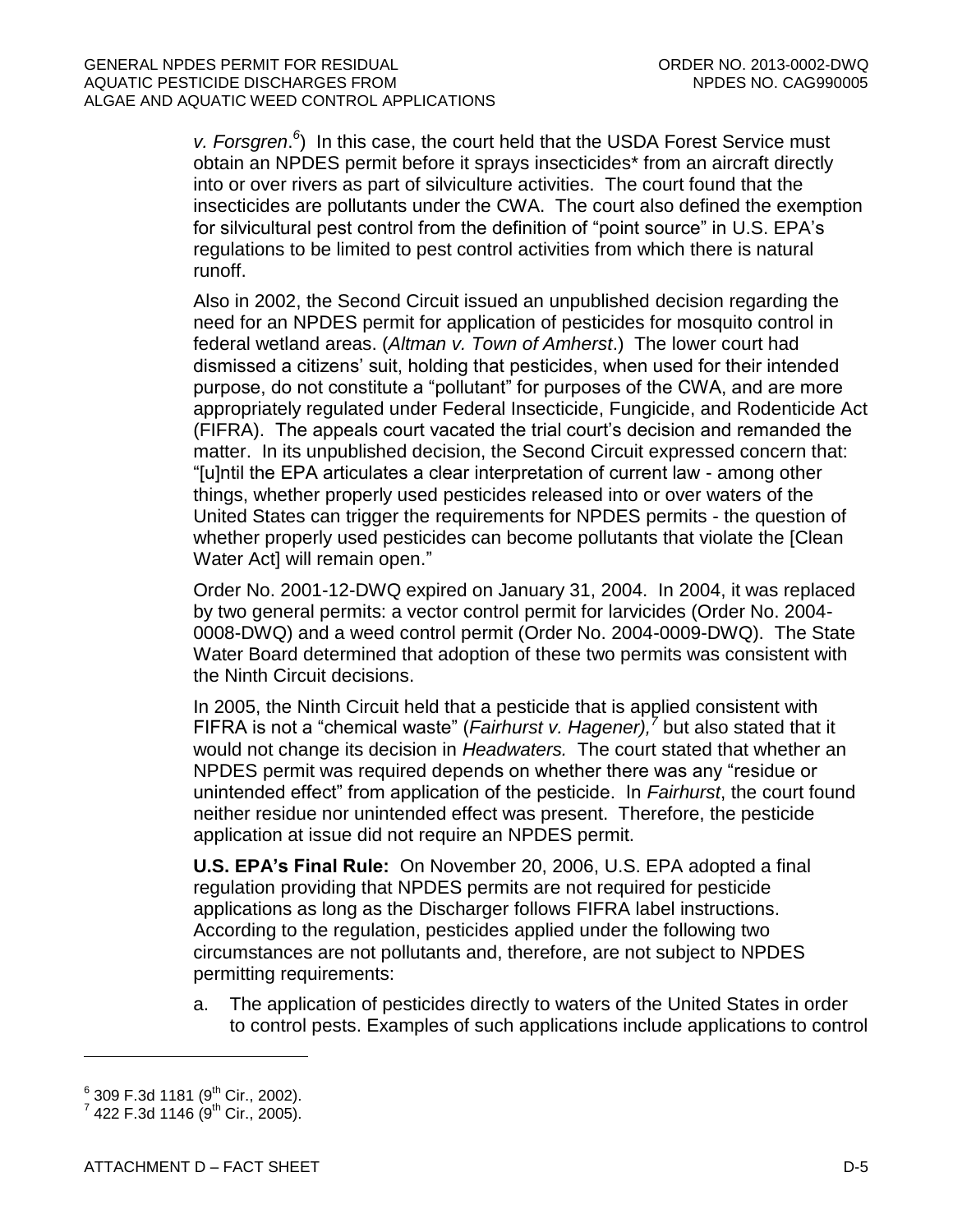v. Forsgren.<sup>6</sup>) In this case, the court held that the USDA Forest Service must obtain an NPDES permit before it sprays insecticides\* from an aircraft directly into or over rivers as part of silviculture activities. The court found that the insecticides are pollutants under the CWA. The court also defined the exemption for silvicultural pest control from the definition of "point source" in U.S. EPA's regulations to be limited to pest control activities from which there is natural runoff.

Also in 2002, the Second Circuit issued an unpublished decision regarding the need for an NPDES permit for application of pesticides for mosquito control in federal wetland areas. (*Altman v. Town of Amherst*.) The lower court had dismissed a citizens' suit, holding that pesticides, when used for their intended purpose, do not constitute a "pollutant" for purposes of the CWA, and are more appropriately regulated under Federal Insecticide, Fungicide, and Rodenticide Act (FIFRA). The appeals court vacated the trial court's decision and remanded the matter. In its unpublished decision, the Second Circuit expressed concern that: "[u]ntil the EPA articulates a clear interpretation of current law - among other things, whether properly used pesticides released into or over waters of the United States can trigger the requirements for NPDES permits - the question of whether properly used pesticides can become pollutants that violate the [Clean Water Act] will remain open."

Order No. 2001-12-DWQ expired on January 31, 2004. In 2004, it was replaced by two general permits: a vector control permit for larvicides (Order No. 2004- 0008-DWQ) and a weed control permit (Order No. 2004-0009-DWQ). The State Water Board determined that adoption of these two permits was consistent with the Ninth Circuit decisions.

In 2005, the Ninth Circuit held that a pesticide that is applied consistent with FIFRA is not a "chemical waste" (*Fairhurst v. Hagener),<sup>7</sup>* but also stated that it would not change its decision in *Headwaters.* The court stated that whether an NPDES permit was required depends on whether there was any "residue or unintended effect" from application of the pesticide. In *Fairhurst*, the court found neither residue nor unintended effect was present. Therefore, the pesticide application at issue did not require an NPDES permit.

**U.S. EPA's Final Rule:** On November 20, 2006, U.S. EPA adopted a final regulation providing that NPDES permits are not required for pesticide applications as long as the Discharger follows FIFRA label instructions. According to the regulation, pesticides applied under the following two circumstances are not pollutants and, therefore, are not subject to NPDES permitting requirements:

a. The application of pesticides directly to waters of the United States in order to control pests. Examples of such applications include applications to control

 $^6$  309 F.3d 1181 (9 $^{\rm th}$  Cir., 2002).

 $^7$  422 F.3d 1146 ( $9^{\text{th}}$  Cir., 2005).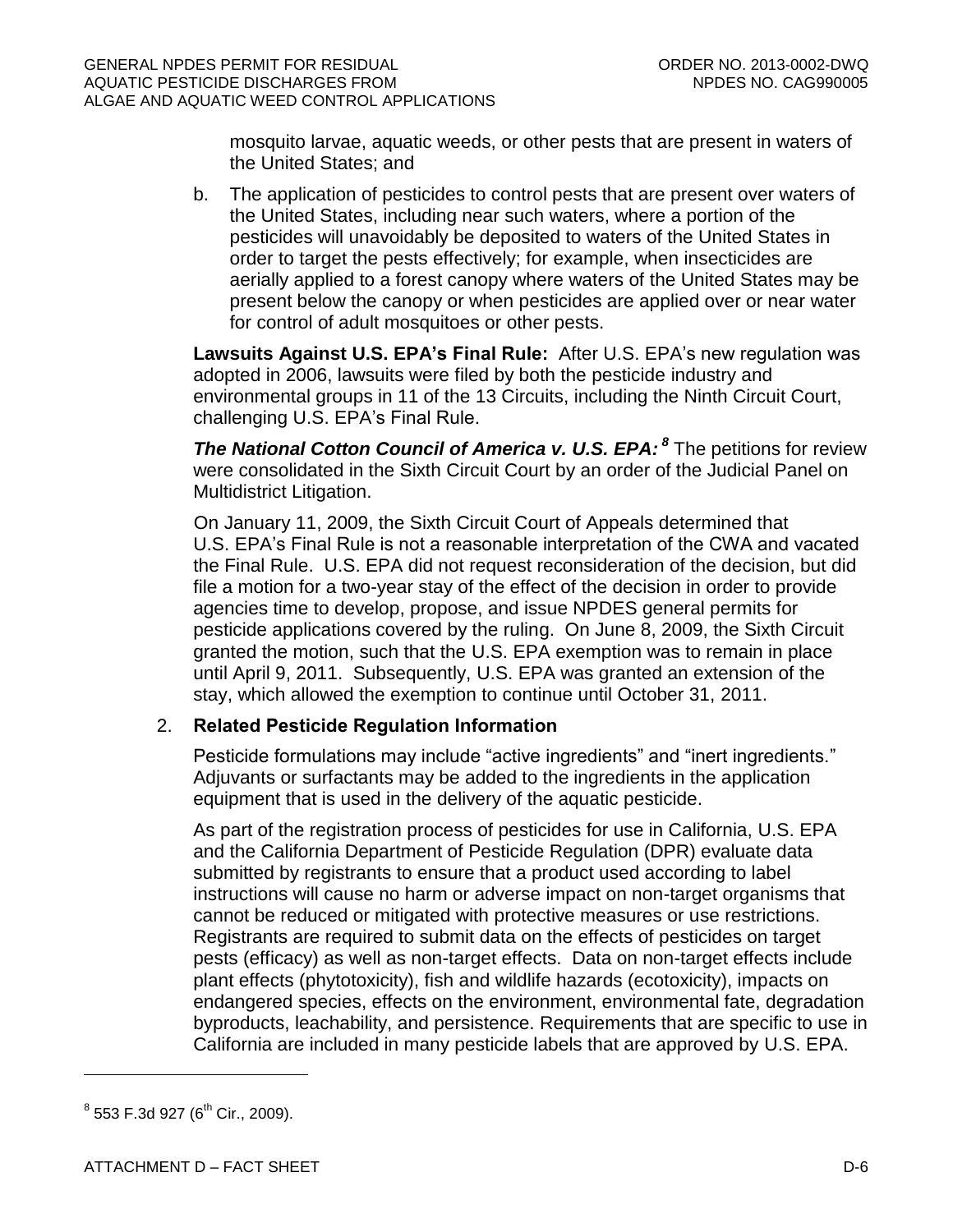mosquito larvae, aquatic weeds, or other pests that are present in waters of the United States; and

b. The application of pesticides to control pests that are present over waters of the United States, including near such waters, where a portion of the pesticides will unavoidably be deposited to waters of the United States in order to target the pests effectively; for example, when insecticides are aerially applied to a forest canopy where waters of the United States may be present below the canopy or when pesticides are applied over or near water for control of adult mosquitoes or other pests.

**Lawsuits Against U.S. EPA's Final Rule:** After U.S. EPA's new regulation was adopted in 2006, lawsuits were filed by both the pesticide industry and environmental groups in 11 of the 13 Circuits, including the Ninth Circuit Court, challenging U.S. EPA's Final Rule.

**The National Cotton Council of America v. U.S. EPA: <sup>8</sup> The petitions for review** were consolidated in the Sixth Circuit Court by an order of the Judicial Panel on Multidistrict Litigation.

On January 11, 2009, the Sixth Circuit Court of Appeals determined that U.S. EPA's Final Rule is not a reasonable interpretation of the CWA and vacated the Final Rule. U.S. EPA did not request reconsideration of the decision, but did file a motion for a two-year stay of the effect of the decision in order to provide agencies time to develop, propose, and issue NPDES general permits for pesticide applications covered by the ruling. On June 8, 2009, the Sixth Circuit granted the motion, such that the U.S. EPA exemption was to remain in place until April 9, 2011. Subsequently, U.S. EPA was granted an extension of the stay, which allowed the exemption to continue until October 31, 2011.

# 2. **Related Pesticide Regulation Information**

Pesticide formulations may include "active ingredients" and "inert ingredients." Adjuvants or surfactants may be added to the ingredients in the application equipment that is used in the delivery of the aquatic pesticide.

As part of the registration process of pesticides for use in California, U.S. EPA and the California Department of Pesticide Regulation (DPR) evaluate data submitted by registrants to ensure that a product used according to label instructions will cause no harm or adverse impact on non-target organisms that cannot be reduced or mitigated with protective measures or use restrictions. Registrants are required to submit data on the effects of pesticides on target pests (efficacy) as well as non-target effects. Data on non-target effects include plant effects (phytotoxicity), fish and wildlife hazards (ecotoxicity), impacts on endangered species, effects on the environment, environmental fate, degradation byproducts, leachability, and persistence. Requirements that are specific to use in California are included in many pesticide labels that are approved by U.S. EPA.

 $^8$  553 F.3d 927 (6<sup>th</sup> Cir., 2009).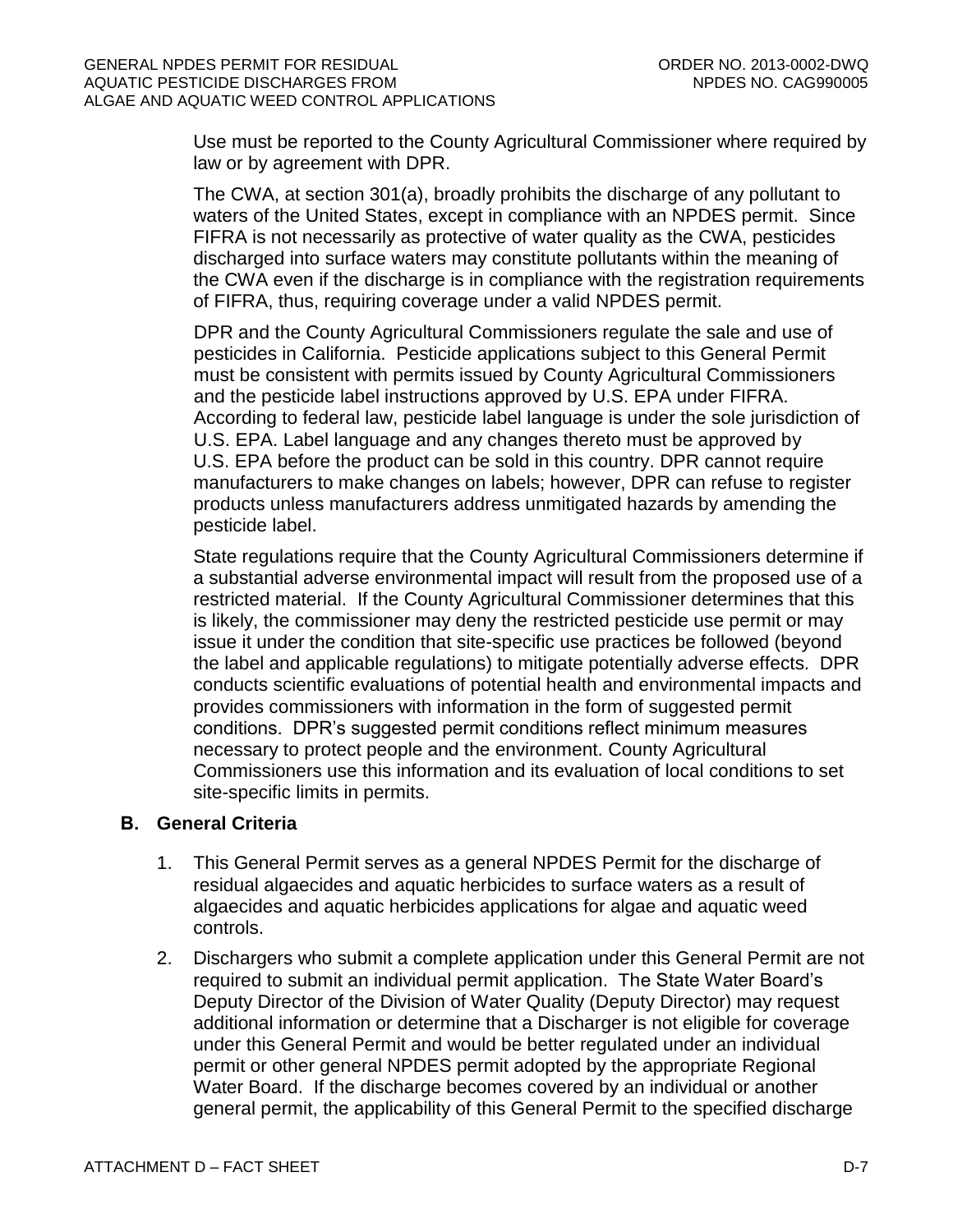Use must be reported to the County Agricultural Commissioner where required by law or by agreement with DPR.

The CWA, at section 301(a), broadly prohibits the discharge of any pollutant to waters of the United States, except in compliance with an NPDES permit. Since FIFRA is not necessarily as protective of water quality as the CWA, pesticides discharged into surface waters may constitute pollutants within the meaning of the CWA even if the discharge is in compliance with the registration requirements of FIFRA, thus, requiring coverage under a valid NPDES permit.

DPR and the County Agricultural Commissioners regulate the sale and use of pesticides in California. Pesticide applications subject to this General Permit must be consistent with permits issued by County Agricultural Commissioners and the pesticide label instructions approved by U.S. EPA under FIFRA. According to federal law, pesticide label language is under the sole jurisdiction of U.S. EPA. Label language and any changes thereto must be approved by U.S. EPA before the product can be sold in this country. DPR cannot require manufacturers to make changes on labels; however, DPR can refuse to register products unless manufacturers address unmitigated hazards by amending the pesticide label.

State regulations require that the County Agricultural Commissioners determine if a substantial adverse environmental impact will result from the proposed use of a restricted material. If the County Agricultural Commissioner determines that this is likely, the commissioner may deny the restricted pesticide use permit or may issue it under the condition that site-specific use practices be followed (beyond the label and applicable regulations) to mitigate potentially adverse effects. DPR conducts scientific evaluations of potential health and environmental impacts and provides commissioners with information in the form of suggested permit conditions. DPR's suggested permit conditions reflect minimum measures necessary to protect people and the environment. County Agricultural Commissioners use this information and its evaluation of local conditions to set site-specific limits in permits.

# <span id="page-44-0"></span>**B. General Criteria**

- 1. This General Permit serves as a general NPDES Permit for the discharge of residual algaecides and aquatic herbicides to surface waters as a result of algaecides and aquatic herbicides applications for algae and aquatic weed controls.
- 2. Dischargers who submit a complete application under this General Permit are not required to submit an individual permit application. The State Water Board's Deputy Director of the Division of Water Quality (Deputy Director) may request additional information or determine that a Discharger is not eligible for coverage under this General Permit and would be better regulated under an individual permit or other general NPDES permit adopted by the appropriate Regional Water Board. If the discharge becomes covered by an individual or another general permit, the applicability of this General Permit to the specified discharge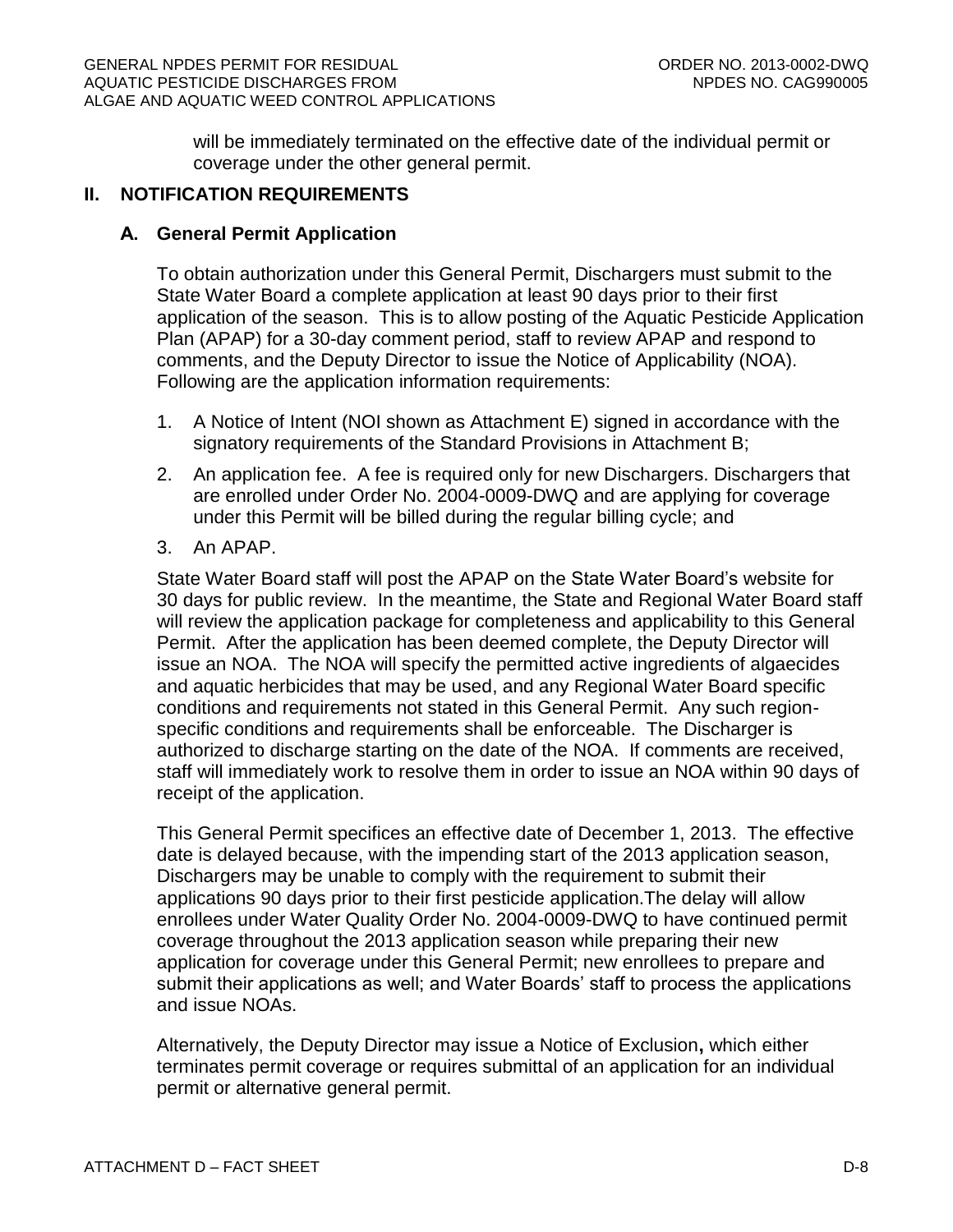will be immediately terminated on the effective date of the individual permit or coverage under the other general permit.

### <span id="page-45-1"></span><span id="page-45-0"></span>**II. NOTIFICATION REQUIREMENTS**

#### **A. General Permit Application**

To obtain authorization under this General Permit, Dischargers must submit to the State Water Board a complete application at least 90 days prior to their first application of the season. This is to allow posting of the Aquatic Pesticide Application Plan (APAP) for a 30-day comment period, staff to review APAP and respond to comments, and the Deputy Director to issue the Notice of Applicability (NOA). Following are the application information requirements:

- 1. A Notice of Intent (NOI shown as Attachment E) signed in accordance with the signatory requirements of the Standard Provisions in Attachment B;
- 2. An application fee. A fee is required only for new Dischargers. Dischargers that are enrolled under Order No. 2004-0009-DWQ and are applying for coverage under this Permit will be billed during the regular billing cycle; and
- 3. An APAP.

State Water Board staff will post the APAP on the State Water Board's website for 30 days for public review. In the meantime, the State and Regional Water Board staff will review the application package for completeness and applicability to this General Permit. After the application has been deemed complete, the Deputy Director will issue an NOA. The NOA will specify the permitted active ingredients of algaecides and aquatic herbicides that may be used, and any Regional Water Board specific conditions and requirements not stated in this General Permit. Any such regionspecific conditions and requirements shall be enforceable. The Discharger is authorized to discharge starting on the date of the NOA. If comments are received, staff will immediately work to resolve them in order to issue an NOA within 90 days of receipt of the application.

This General Permit specifices an effective date of December 1, 2013. The effective date is delayed because, with the impending start of the 2013 application season, Dischargers may be unable to comply with the requirement to submit their applications 90 days prior to their first pesticide application.The delay will allow enrollees under Water Quality Order No. 2004-0009-DWQ to have continued permit coverage throughout the 2013 application season while preparing their new application for coverage under this General Permit; new enrollees to prepare and submit their applications as well; and Water Boards' staff to process the applications and issue NOAs.

Alternatively, the Deputy Director may issue a Notice of Exclusion**,** which either terminates permit coverage or requires submittal of an application for an individual permit or alternative general permit.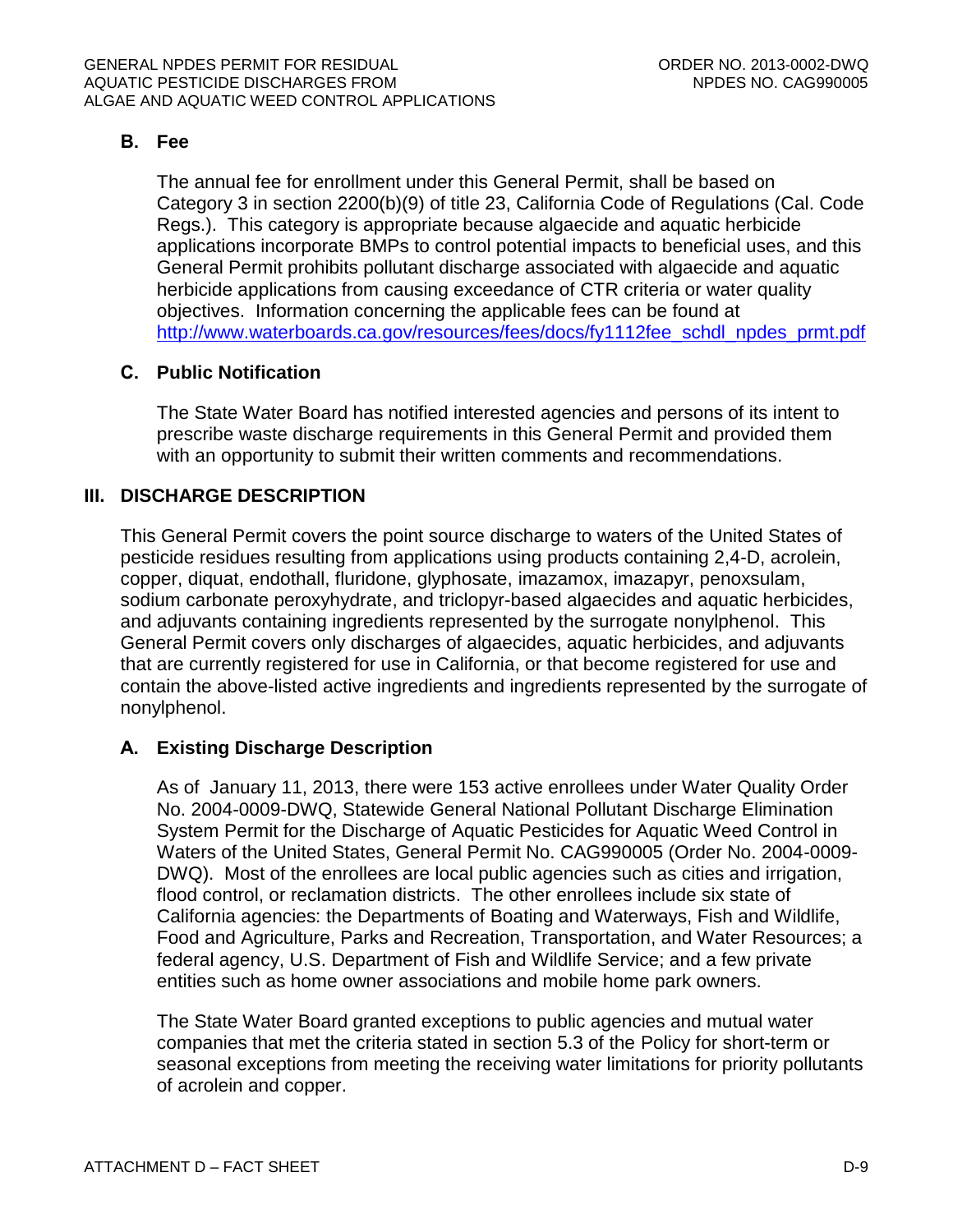# <span id="page-46-0"></span>**B. Fee**

The annual fee for enrollment under this General Permit, shall be based on Category 3 in section 2200(b)(9) of title 23, California Code of Regulations (Cal. Code Regs.). This category is appropriate because algaecide and aquatic herbicide applications incorporate BMPs to control potential impacts to beneficial uses, and this General Permit prohibits pollutant discharge associated with algaecide and aquatic herbicide applications from causing exceedance of CTR criteria or water quality objectives. Information concerning the applicable fees can be found at [http://www.waterboards.ca.gov/resources/fees/docs/fy1112fee\\_schdl\\_npdes\\_prmt.pdf](http://www.waterboards.ca.gov/resources/fees/docs/fy1112fee_schdl_npdes_prmt.pdf)

# <span id="page-46-1"></span>**C. Public Notification**

The State Water Board has notified interested agencies and persons of its intent to prescribe waste discharge requirements in this General Permit and provided them with an opportunity to submit their written comments and recommendations.

# <span id="page-46-2"></span>**III. DISCHARGE DESCRIPTION**

This General Permit covers the point source discharge to waters of the United States of pesticide residues resulting from applications using products containing 2,4-D, acrolein, copper, diquat, endothall, fluridone, glyphosate, imazamox, imazapyr, penoxsulam, sodium carbonate peroxyhydrate, and triclopyr-based algaecides and aquatic herbicides, and adjuvants containing ingredients represented by the surrogate nonylphenol. This General Permit covers only discharges of algaecides, aquatic herbicides, and adjuvants that are currently registered for use in California, or that become registered for use and contain the above-listed active ingredients and ingredients represented by the surrogate of nonylphenol.

# <span id="page-46-3"></span>**A. Existing Discharge Description**

As of January 11, 2013, there were 153 active enrollees under Water Quality Order No. 2004-0009-DWQ, Statewide General National Pollutant Discharge Elimination System Permit for the Discharge of Aquatic Pesticides for Aquatic Weed Control in Waters of the United States, General Permit No. CAG990005 (Order No. 2004-0009- DWQ). Most of the enrollees are local public agencies such as cities and irrigation, flood control, or reclamation districts. The other enrollees include six state of California agencies: the Departments of Boating and Waterways, Fish and Wildlife, Food and Agriculture, Parks and Recreation, Transportation, and Water Resources; a federal agency, U.S. Department of Fish and Wildlife Service; and a few private entities such as home owner associations and mobile home park owners.

The State Water Board granted exceptions to public agencies and mutual water companies that met the criteria stated in section 5.3 of the Policy for short-term or seasonal exceptions from meeting the receiving water limitations for priority pollutants of acrolein and copper.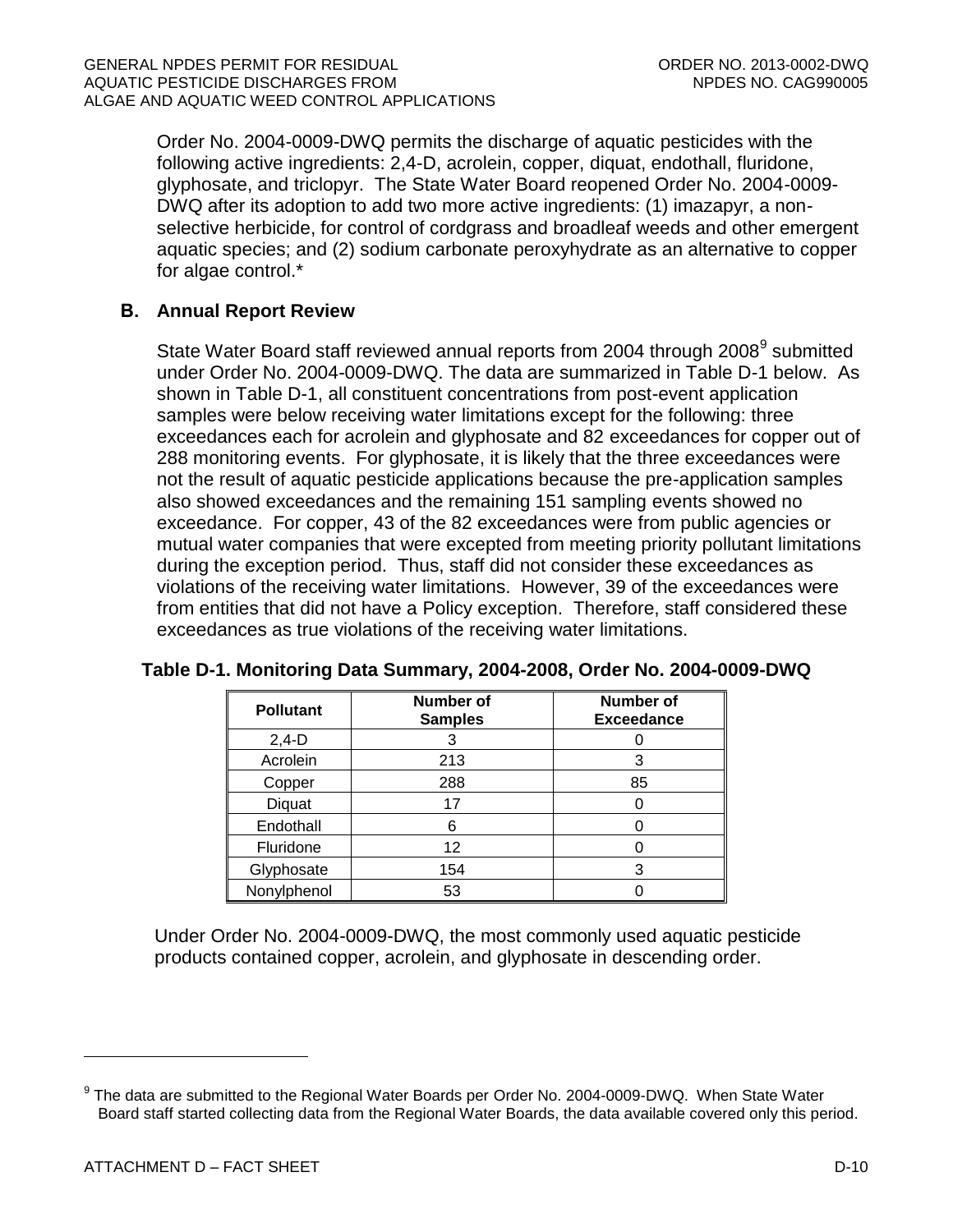Order No. 2004-0009-DWQ permits the discharge of aquatic pesticides with the following active ingredients: 2,4-D, acrolein, copper, diquat, endothall, fluridone, glyphosate, and triclopyr. The State Water Board reopened Order No. 2004-0009- DWQ after its adoption to add two more active ingredients: (1) imazapyr, a nonselective herbicide, for control of cordgrass and broadleaf weeds and other emergent aquatic species; and (2) sodium carbonate peroxyhydrate as an alternative to copper for algae control.\*

# <span id="page-47-0"></span>**B. Annual Report Review**

State Water Board staff reviewed annual reports from 2004 through 2008<sup>9</sup> submitted under Order No. 2004-0009-DWQ. The data are summarized in Table D-1 below. As shown in Table D-1, all constituent concentrations from post-event application samples were below receiving water limitations except for the following: three exceedances each for acrolein and glyphosate and 82 exceedances for copper out of 288 monitoring events. For glyphosate, it is likely that the three exceedances were not the result of aquatic pesticide applications because the pre-application samples also showed exceedances and the remaining 151 sampling events showed no exceedance. For copper, 43 of the 82 exceedances were from public agencies or mutual water companies that were excepted from meeting priority pollutant limitations during the exception period. Thus, staff did not consider these exceedances as violations of the receiving water limitations. However, 39 of the exceedances were from entities that did not have a Policy exception. Therefore, staff considered these exceedances as true violations of the receiving water limitations.

| <b>Pollutant</b> | Number of<br><b>Samples</b> | <b>Number of</b><br><b>Exceedance</b> |
|------------------|-----------------------------|---------------------------------------|
| $2,4-D$          | 3                           |                                       |
| Acrolein         | 213                         |                                       |
| Copper           | 288                         | 85                                    |
| Diquat           | 17                          |                                       |
| Endothall        | 6                           |                                       |
| Fluridone        | 12                          |                                       |
| Glyphosate       | 154                         |                                       |
| Nonylphenol      | 53                          |                                       |

# <span id="page-47-1"></span>**Table D-1. Monitoring Data Summary, 2004-2008, Order No. 2004-0009-DWQ**

Under Order No. 2004-0009-DWQ, the most commonly used aquatic pesticide products contained copper, acrolein, and glyphosate in descending order.

 $^9$  The data are submitted to the Regional Water Boards per Order No. 2004-0009-DWQ. When State Water Board staff started collecting data from the Regional Water Boards, the data available covered only this period.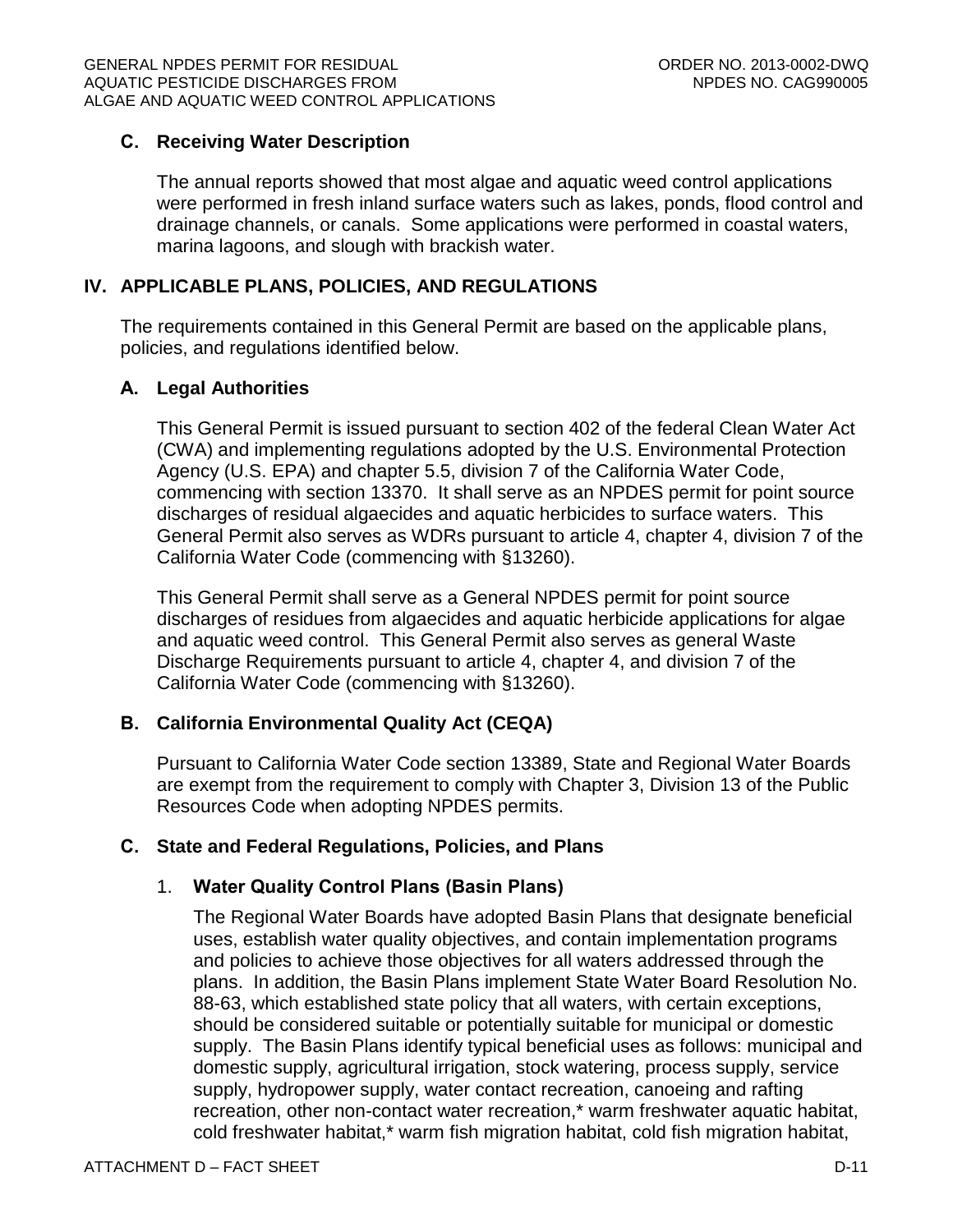### <span id="page-48-0"></span>**C. Receiving Water Description**

The annual reports showed that most algae and aquatic weed control applications were performed in fresh inland surface waters such as lakes, ponds, flood control and drainage channels, or canals. Some applications were performed in coastal waters, marina lagoons, and slough with brackish water.

# <span id="page-48-1"></span>**IV. APPLICABLE PLANS, POLICIES, AND REGULATIONS**

The requirements contained in this General Permit are based on the applicable plans, policies, and regulations identified below.

#### <span id="page-48-2"></span>**A. Legal Authorities**

This General Permit is issued pursuant to section 402 of the federal Clean Water Act (CWA) and implementing regulations adopted by the U.S. Environmental Protection Agency (U.S. EPA) and chapter 5.5, division 7 of the California Water Code, commencing with section 13370. It shall serve as an NPDES permit for point source discharges of residual algaecides and aquatic herbicides to surface waters. This General Permit also serves as WDRs pursuant to article 4, chapter 4, division 7 of the California Water Code (commencing with §13260).

This General Permit shall serve as a General NPDES permit for point source discharges of residues from algaecides and aquatic herbicide applications for algae and aquatic weed control. This General Permit also serves as general Waste Discharge Requirements pursuant to article 4, chapter 4, and division 7 of the California Water Code (commencing with §13260).

# <span id="page-48-3"></span>**B. California Environmental Quality Act (CEQA)**

Pursuant to California Water Code section 13389, State and Regional Water Boards are exempt from the requirement to comply with Chapter 3, Division 13 of the Public Resources Code when adopting NPDES permits.

# <span id="page-48-4"></span>**C. State and Federal Regulations, Policies, and Plans**

#### 1. **Water Quality Control Plans (Basin Plans)**

The Regional Water Boards have adopted Basin Plans that designate beneficial uses, establish water quality objectives, and contain implementation programs and policies to achieve those objectives for all waters addressed through the plans. In addition, the Basin Plans implement State Water Board Resolution No. 88-63, which established state policy that all waters, with certain exceptions, should be considered suitable or potentially suitable for municipal or domestic supply. The Basin Plans identify typical beneficial uses as follows: municipal and domestic supply, agricultural irrigation, stock watering, process supply, service supply, hydropower supply, water contact recreation, canoeing and rafting recreation, other non-contact water recreation,\* warm freshwater aquatic habitat, cold freshwater habitat,\* warm fish migration habitat, cold fish migration habitat,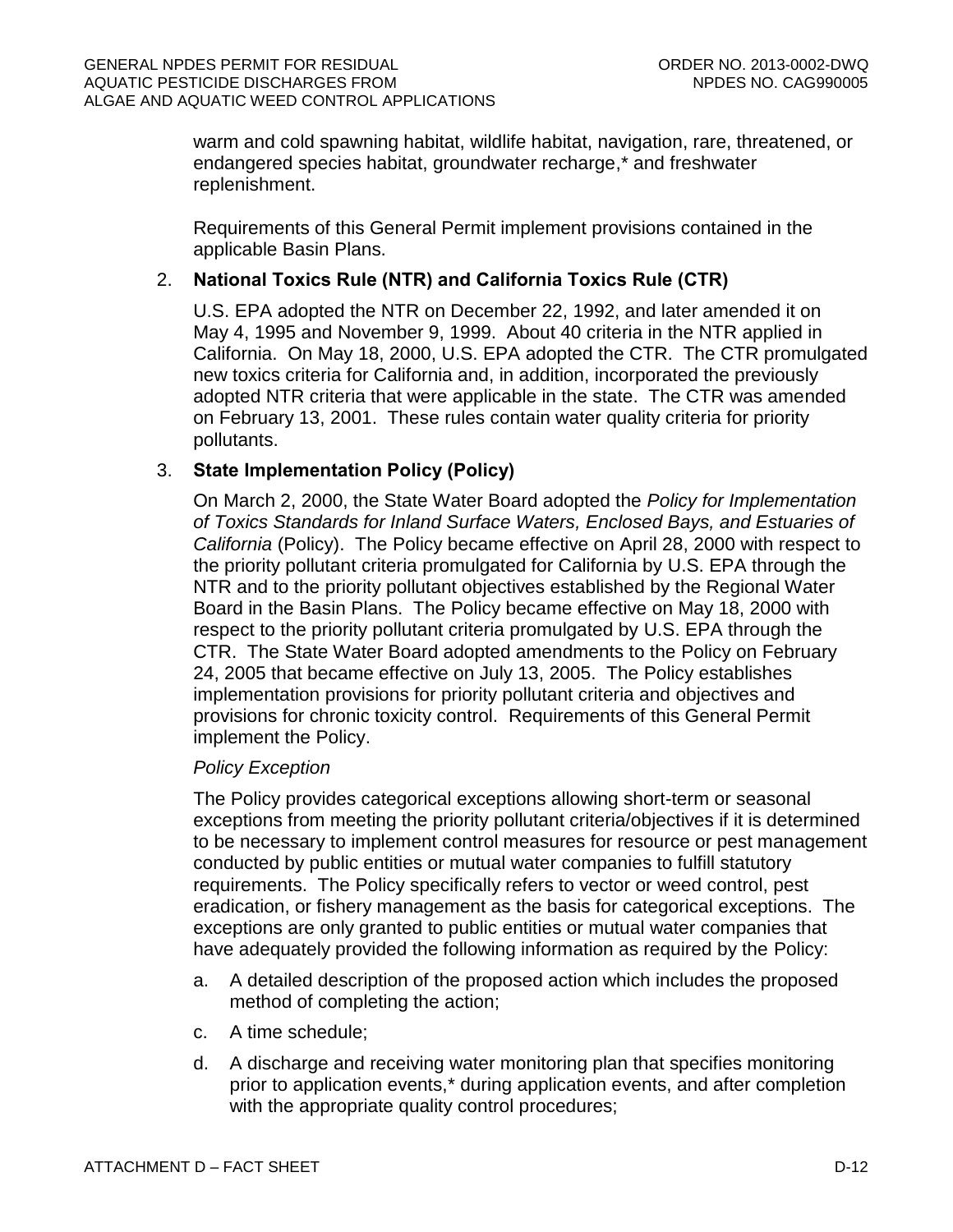warm and cold spawning habitat, wildlife habitat, navigation, rare, threatened, or endangered species habitat, groundwater recharge,\* and freshwater replenishment.

Requirements of this General Permit implement provisions contained in the applicable Basin Plans.

# 2. **National Toxics Rule (NTR) and California Toxics Rule (CTR)**

U.S. EPA adopted the NTR on December 22, 1992, and later amended it on May 4, 1995 and November 9, 1999. About 40 criteria in the NTR applied in California. On May 18, 2000, U.S. EPA adopted the CTR. The CTR promulgated new toxics criteria for California and, in addition, incorporated the previously adopted NTR criteria that were applicable in the state. The CTR was amended on February 13, 2001. These rules contain water quality criteria for priority pollutants.

# 3. **State Implementation Policy (Policy)**

On March 2, 2000, the State Water Board adopted the *Policy for Implementation of Toxics Standards for Inland Surface Waters, Enclosed Bays, and Estuaries of California* (Policy). The Policy became effective on April 28, 2000 with respect to the priority pollutant criteria promulgated for California by U.S. EPA through the NTR and to the priority pollutant objectives established by the Regional Water Board in the Basin Plans. The Policy became effective on May 18, 2000 with respect to the priority pollutant criteria promulgated by U.S. EPA through the CTR. The State Water Board adopted amendments to the Policy on February 24, 2005 that became effective on July 13, 2005. The Policy establishes implementation provisions for priority pollutant criteria and objectives and provisions for chronic toxicity control. Requirements of this General Permit implement the Policy.

# *Policy Exception*

The Policy provides categorical exceptions allowing short-term or seasonal exceptions from meeting the priority pollutant criteria/objectives if it is determined to be necessary to implement control measures for resource or pest management conducted by public entities or mutual water companies to fulfill statutory requirements. The Policy specifically refers to vector or weed control, pest eradication, or fishery management as the basis for categorical exceptions. The exceptions are only granted to public entities or mutual water companies that have adequately provided the following information as required by the Policy:

- a. A detailed description of the proposed action which includes the proposed method of completing the action;
- c. A time schedule;
- d. A discharge and receiving water monitoring plan that specifies monitoring prior to application events,\* during application events, and after completion with the appropriate quality control procedures;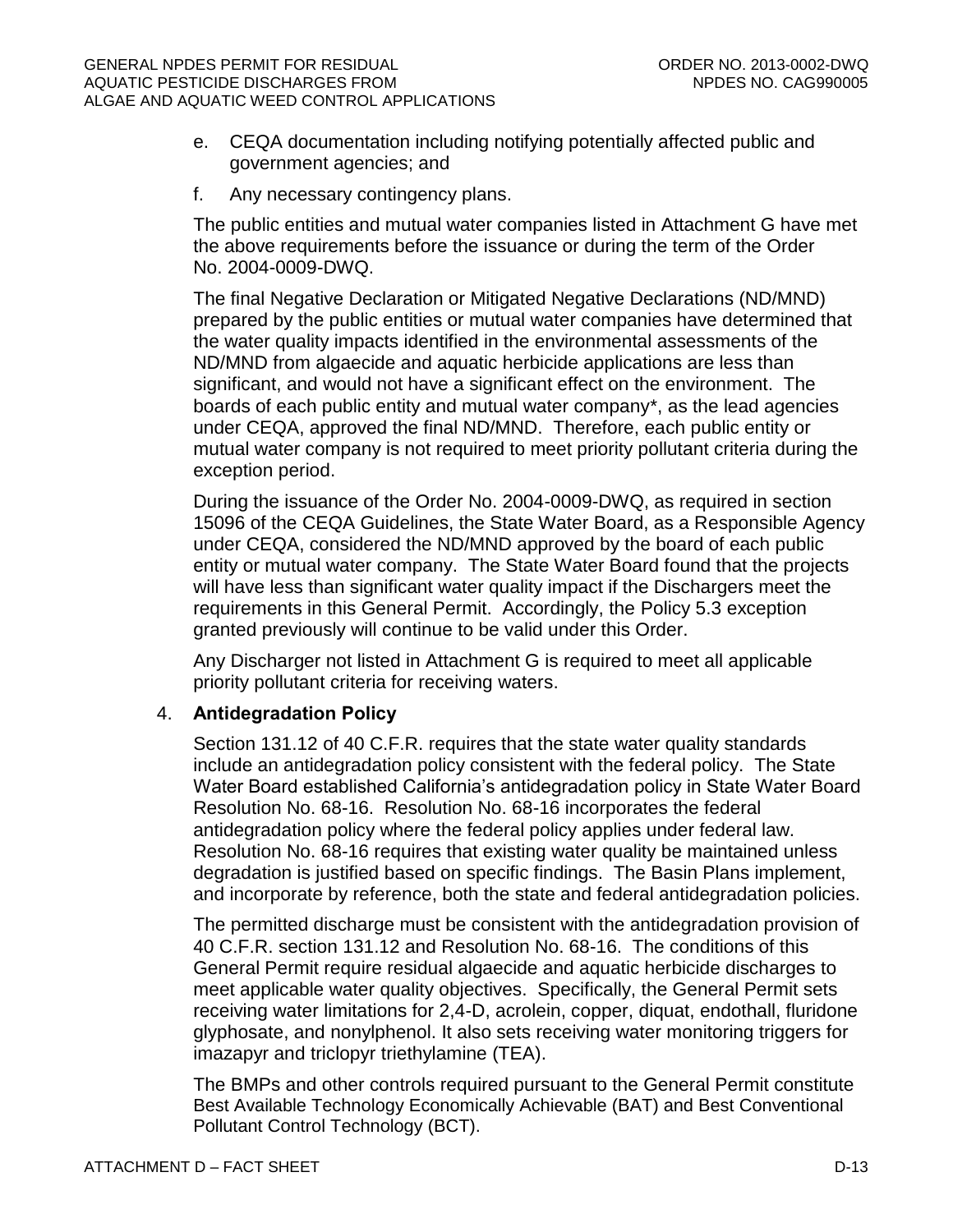- e. CEQA documentation including notifying potentially affected public and government agencies; and
- f. Any necessary contingency plans.

The public entities and mutual water companies listed in Attachment G have met the above requirements before the issuance or during the term of the Order No. 2004-0009-DWQ.

The final Negative Declaration or Mitigated Negative Declarations (ND/MND) prepared by the public entities or mutual water companies have determined that the water quality impacts identified in the environmental assessments of the ND/MND from algaecide and aquatic herbicide applications are less than significant, and would not have a significant effect on the environment. The boards of each public entity and mutual water company\*, as the lead agencies under CEQA, approved the final ND/MND. Therefore, each public entity or mutual water company is not required to meet priority pollutant criteria during the exception period.

During the issuance of the Order No. 2004-0009-DWQ, as required in section 15096 of the CEQA Guidelines, the State Water Board, as a Responsible Agency under CEQA, considered the ND/MND approved by the board of each public entity or mutual water company. The State Water Board found that the projects will have less than significant water quality impact if the Dischargers meet the requirements in this General Permit. Accordingly, the Policy 5.3 exception granted previously will continue to be valid under this Order.

Any Discharger not listed in Attachment G is required to meet all applicable priority pollutant criteria for receiving waters.

# 4. **Antidegradation Policy**

Section 131.12 of 40 C.F.R. requires that the state water quality standards include an antidegradation policy consistent with the federal policy. The State Water Board established California's antidegradation policy in State Water Board Resolution No. 68-16. Resolution No. 68-16 incorporates the federal antidegradation policy where the federal policy applies under federal law. Resolution No. 68-16 requires that existing water quality be maintained unless degradation is justified based on specific findings. The Basin Plans implement, and incorporate by reference, both the state and federal antidegradation policies.

The permitted discharge must be consistent with the antidegradation provision of 40 C.F.R. section 131.12 and Resolution No. 68-16. The conditions of this General Permit require residual algaecide and aquatic herbicide discharges to meet applicable water quality objectives. Specifically, the General Permit sets receiving water limitations for 2,4-D, acrolein, copper, diquat, endothall, fluridone glyphosate, and nonylphenol. It also sets receiving water monitoring triggers for imazapyr and triclopyr triethylamine (TEA).

The BMPs and other controls required pursuant to the General Permit constitute Best Available Technology Economically Achievable (BAT) and Best Conventional Pollutant Control Technology (BCT).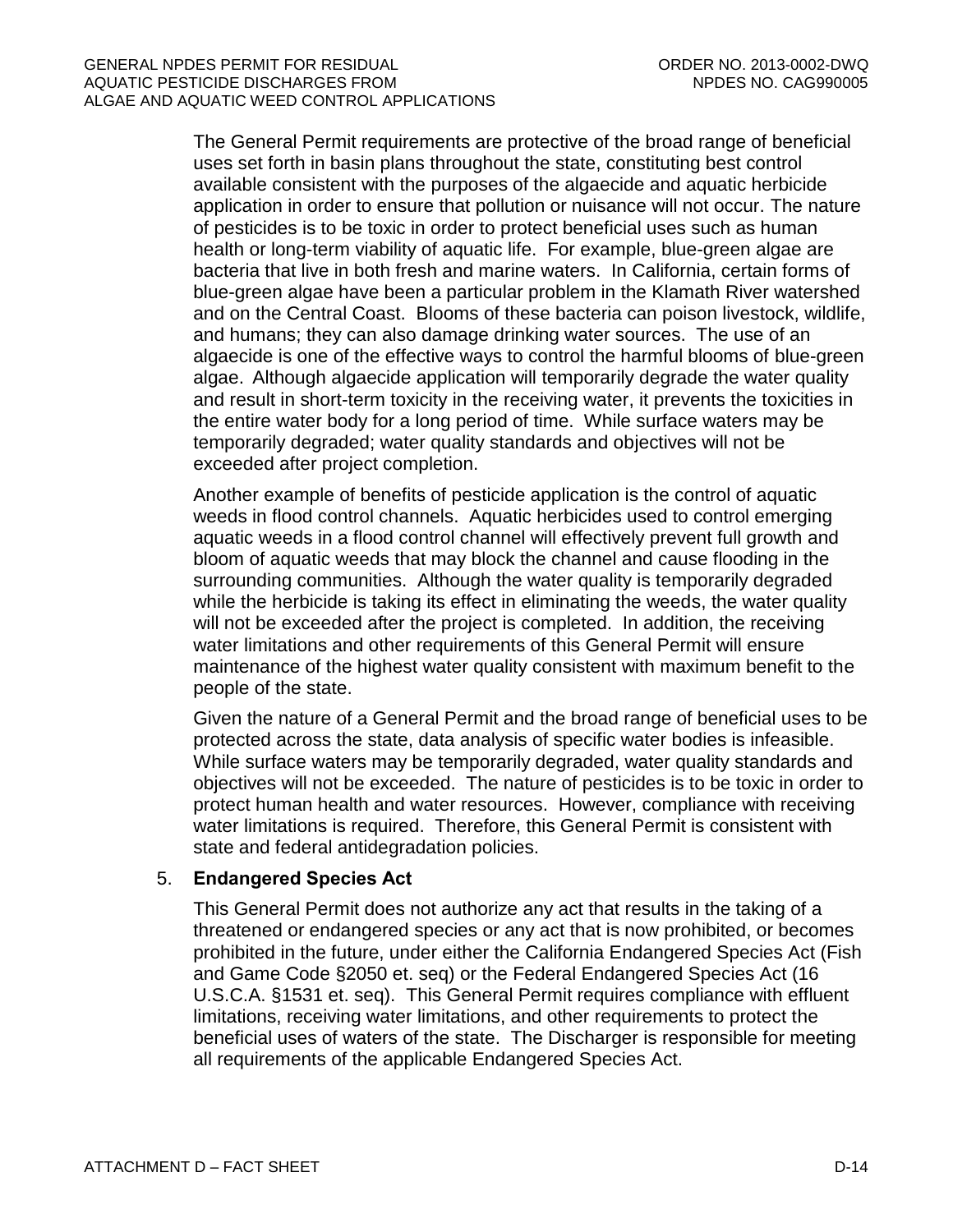The General Permit requirements are protective of the broad range of beneficial uses set forth in basin plans throughout the state, constituting best control available consistent with the purposes of the algaecide and aquatic herbicide application in order to ensure that pollution or nuisance will not occur. The nature of pesticides is to be toxic in order to protect beneficial uses such as human health or long-term viability of aquatic life. For example, blue-green algae are bacteria that live in both fresh and marine waters. In California, certain forms of blue-green algae have been a particular problem in the Klamath River watershed and on the Central Coast. Blooms of these bacteria can poison livestock, wildlife, and humans; they can also damage drinking water sources. The use of an algaecide is one of the effective ways to control the harmful blooms of blue-green algae. Although algaecide application will temporarily degrade the water quality and result in short-term toxicity in the receiving water, it prevents the toxicities in the entire water body for a long period of time. While surface waters may be temporarily degraded; water quality standards and objectives will not be exceeded after project completion.

Another example of benefits of pesticide application is the control of aquatic weeds in flood control channels. Aquatic herbicides used to control emerging aquatic weeds in a flood control channel will effectively prevent full growth and bloom of aquatic weeds that may block the channel and cause flooding in the surrounding communities. Although the water quality is temporarily degraded while the herbicide is taking its effect in eliminating the weeds, the water quality will not be exceeded after the project is completed. In addition, the receiving water limitations and other requirements of this General Permit will ensure maintenance of the highest water quality consistent with maximum benefit to the people of the state.

Given the nature of a General Permit and the broad range of beneficial uses to be protected across the state, data analysis of specific water bodies is infeasible. While surface waters may be temporarily degraded, water quality standards and objectives will not be exceeded. The nature of pesticides is to be toxic in order to protect human health and water resources. However, compliance with receiving water limitations is required. Therefore, this General Permit is consistent with state and federal antidegradation policies.

# 5. **Endangered Species Act**

This General Permit does not authorize any act that results in the taking of a threatened or endangered species or any act that is now prohibited, or becomes prohibited in the future, under either the California Endangered Species Act (Fish and Game Code §2050 et. seq) or the Federal Endangered Species Act (16 U.S.C.A. §1531 et. seq). This General Permit requires compliance with effluent limitations, receiving water limitations, and other requirements to protect the beneficial uses of waters of the state. The Discharger is responsible for meeting all requirements of the applicable Endangered Species Act.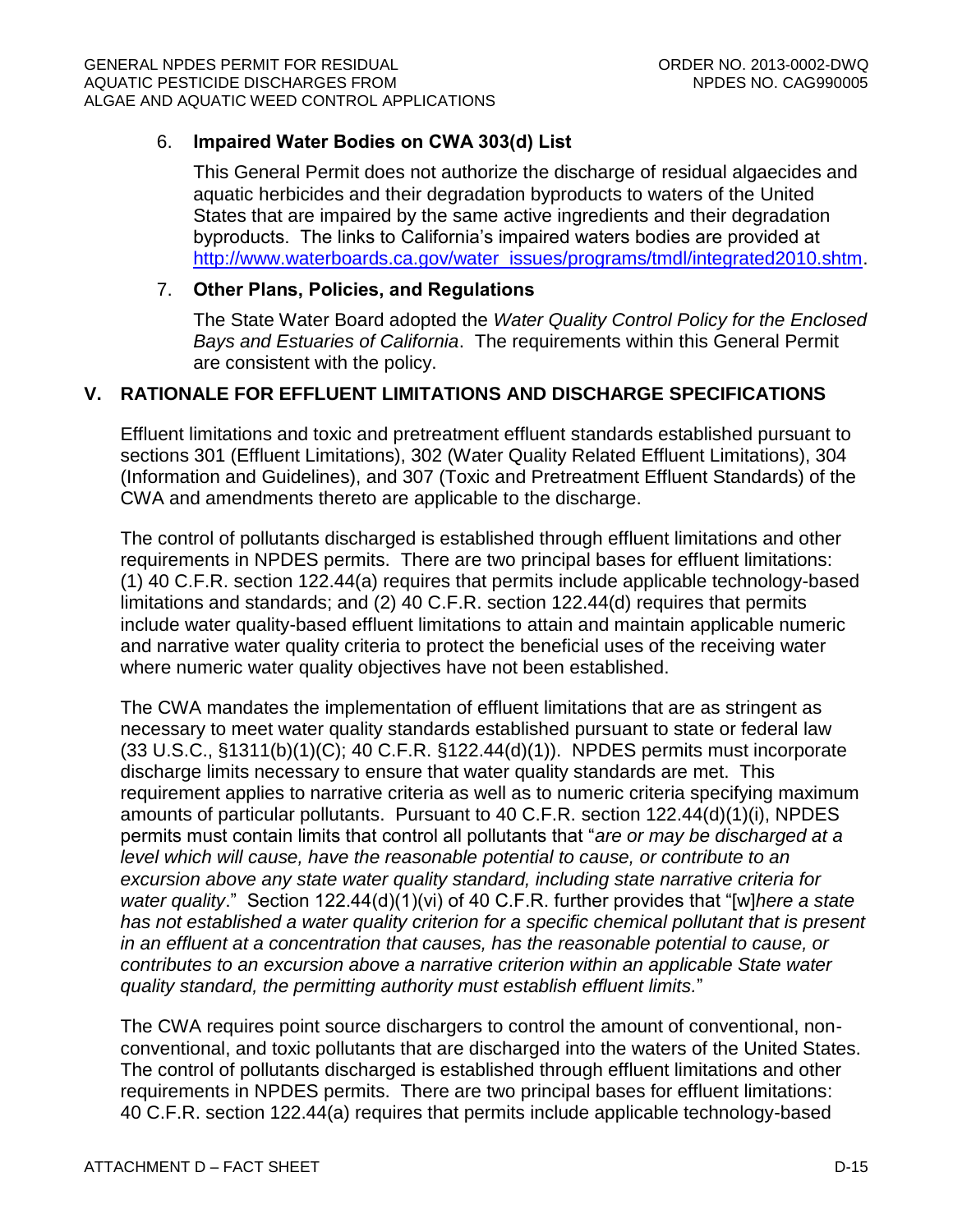# 6. **Impaired Water Bodies on CWA 303(d) List**

This General Permit does not authorize the discharge of residual algaecides and aquatic herbicides and their degradation byproducts to waters of the United States that are impaired by the same active ingredients and their degradation byproducts. The links to California's impaired waters bodies are provided at [http://www.waterboards.ca.gov/water\\_issues/programs/tmdl/integrated2010.shtm.](http://www.waterboards.ca.gov/water_issues/programs/tmdl/integrated2010.shtml)

# 7. **Other Plans, Policies, and Regulations**

The State Water Board adopted the *Water Quality Control Policy for the Enclosed Bays and Estuaries of California*. The requirements within this General Permit are consistent with the policy.

# <span id="page-52-0"></span>**V. RATIONALE FOR EFFLUENT LIMITATIONS AND DISCHARGE SPECIFICATIONS**

Effluent limitations and toxic and pretreatment effluent standards established pursuant to sections 301 (Effluent Limitations), 302 (Water Quality Related Effluent Limitations), 304 (Information and Guidelines), and 307 (Toxic and Pretreatment Effluent Standards) of the CWA and amendments thereto are applicable to the discharge.

The control of pollutants discharged is established through effluent limitations and other requirements in NPDES permits. There are two principal bases for effluent limitations: (1) 40 C.F.R. section 122.44(a) requires that permits include applicable technology-based limitations and standards; and (2) 40 C.F.R. section 122.44(d) requires that permits include water quality-based effluent limitations to attain and maintain applicable numeric and narrative water quality criteria to protect the beneficial uses of the receiving water where numeric water quality objectives have not been established.

The CWA mandates the implementation of effluent limitations that are as stringent as necessary to meet water quality standards established pursuant to state or federal law (33 U.S.C., §1311(b)(1)(C); 40 C.F.R. §122.44(d)(1)). NPDES permits must incorporate discharge limits necessary to ensure that water quality standards are met. This requirement applies to narrative criteria as well as to numeric criteria specifying maximum amounts of particular pollutants. Pursuant to 40 C.F.R. section 122.44(d)(1)(i), NPDES permits must contain limits that control all pollutants that "*are or may be discharged at a level which will cause, have the reasonable potential to cause, or contribute to an excursion above any state water quality standard, including state narrative criteria for water quality*." Section 122.44(d)(1)(vi) of 40 C.F.R. further provides that "[w]*here a state has not established a water quality criterion for a specific chemical pollutant that is present in an effluent at a concentration that causes, has the reasonable potential to cause, or contributes to an excursion above a narrative criterion within an applicable State water quality standard, the permitting authority must establish effluent limits.*"

The CWA requires point source dischargers to control the amount of conventional, nonconventional, and toxic pollutants that are discharged into the waters of the United States. The control of pollutants discharged is established through effluent limitations and other requirements in NPDES permits. There are two principal bases for effluent limitations: 40 C.F.R. section 122.44(a) requires that permits include applicable technology-based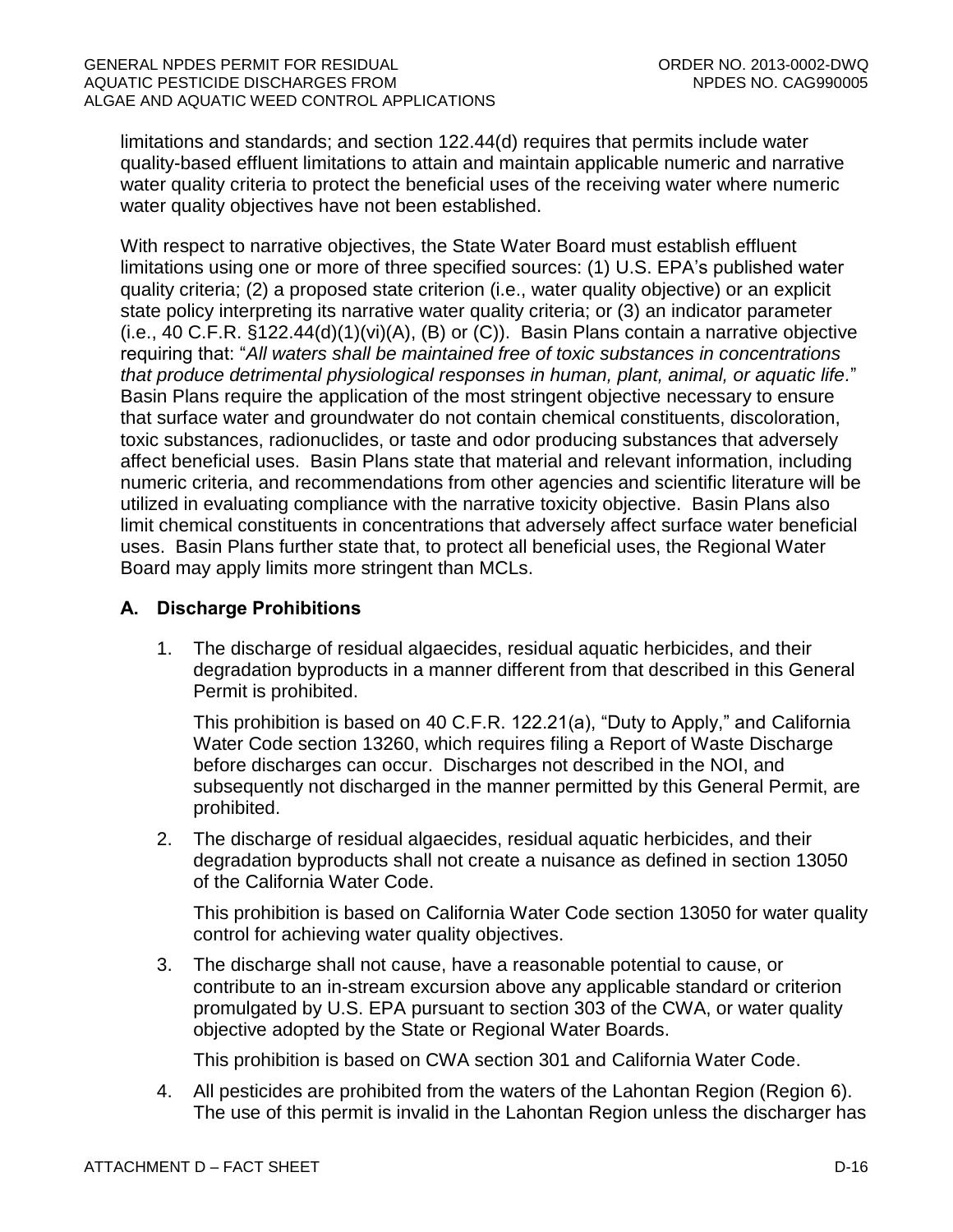limitations and standards; and section 122.44(d) requires that permits include water quality-based effluent limitations to attain and maintain applicable numeric and narrative water quality criteria to protect the beneficial uses of the receiving water where numeric water quality objectives have not been established.

With respect to narrative objectives, the State Water Board must establish effluent limitations using one or more of three specified sources: (1) U.S. EPA's published water quality criteria; (2) a proposed state criterion (i.e., water quality objective) or an explicit state policy interpreting its narrative water quality criteria; or (3) an indicator parameter  $(i.e., 40 C.F.R. §122.44(d)(1)(vi)(A), (B) or (C)).$  Basin Plans contain a narrative objective requiring that: "*All waters shall be maintained free of toxic substances in concentrations that produce detrimental physiological responses in human, plant, animal, or aquatic life.*" Basin Plans require the application of the most stringent objective necessary to ensure that surface water and groundwater do not contain chemical constituents, discoloration, toxic substances, radionuclides, or taste and odor producing substances that adversely affect beneficial uses. Basin Plans state that material and relevant information, including numeric criteria, and recommendations from other agencies and scientific literature will be utilized in evaluating compliance with the narrative toxicity objective. Basin Plans also limit chemical constituents in concentrations that adversely affect surface water beneficial uses. Basin Plans further state that, to protect all beneficial uses, the Regional Water Board may apply limits more stringent than MCLs.

# <span id="page-53-0"></span>**A. Discharge Prohibitions**

1. The discharge of residual algaecides, residual aquatic herbicides, and their degradation byproducts in a manner different from that described in this General Permit is prohibited.

This prohibition is based on 40 C.F.R. 122.21(a), "Duty to Apply," and California Water Code section 13260, which requires filing a Report of Waste Discharge before discharges can occur. Discharges not described in the NOI, and subsequently not discharged in the manner permitted by this General Permit, are prohibited.

2. The discharge of residual algaecides, residual aquatic herbicides, and their degradation byproducts shall not create a nuisance as defined in section 13050 of the California Water Code.

This prohibition is based on California Water Code section 13050 for water quality control for achieving water quality objectives.

3. The discharge shall not cause, have a reasonable potential to cause, or contribute to an in-stream excursion above any applicable standard or criterion promulgated by U.S. EPA pursuant to section 303 of the CWA, or water quality objective adopted by the State or Regional Water Boards.

This prohibition is based on CWA section 301 and California Water Code.

4. All pesticides are prohibited from the waters of the Lahontan Region (Region 6). The use of this permit is invalid in the Lahontan Region unless the discharger has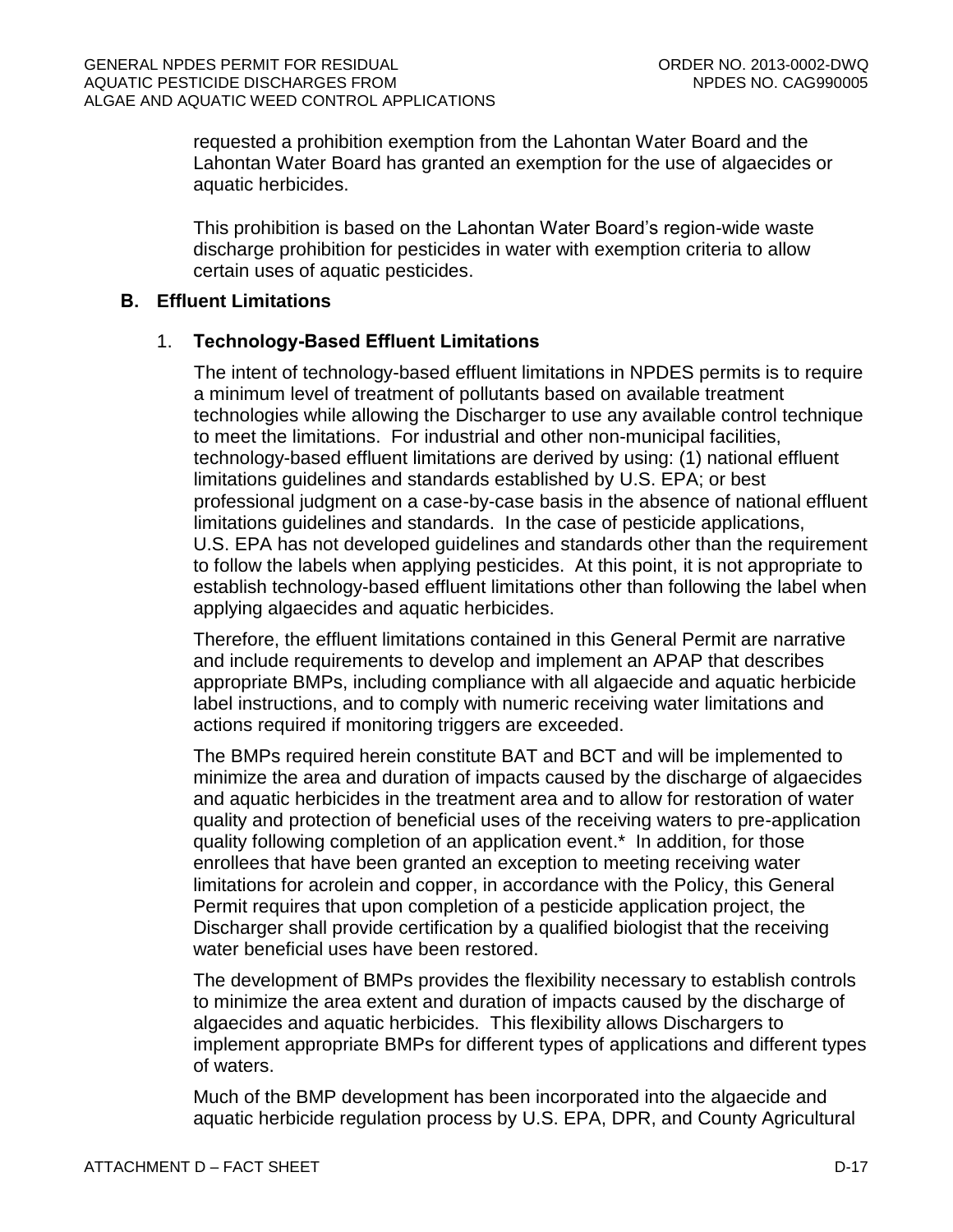requested a prohibition exemption from the Lahontan Water Board and the Lahontan Water Board has granted an exemption for the use of algaecides or aquatic herbicides.

This prohibition is based on the Lahontan Water Board's region-wide waste discharge prohibition for pesticides in water with exemption criteria to allow certain uses of aquatic pesticides.

#### <span id="page-54-0"></span>**B. Effluent Limitations**

# 1. **Technology-Based Effluent Limitations**

The intent of technology-based effluent limitations in NPDES permits is to require a minimum level of treatment of pollutants based on available treatment technologies while allowing the Discharger to use any available control technique to meet the limitations. For industrial and other non-municipal facilities, technology-based effluent limitations are derived by using: (1) national effluent limitations guidelines and standards established by U.S. EPA; or best professional judgment on a case-by-case basis in the absence of national effluent limitations guidelines and standards. In the case of pesticide applications, U.S. EPA has not developed guidelines and standards other than the requirement to follow the labels when applying pesticides. At this point, it is not appropriate to establish technology-based effluent limitations other than following the label when applying algaecides and aquatic herbicides.

Therefore, the effluent limitations contained in this General Permit are narrative and include requirements to develop and implement an APAP that describes appropriate BMPs, including compliance with all algaecide and aquatic herbicide label instructions, and to comply with numeric receiving water limitations and actions required if monitoring triggers are exceeded.

The BMPs required herein constitute BAT and BCT and will be implemented to minimize the area and duration of impacts caused by the discharge of algaecides and aquatic herbicides in the treatment area and to allow for restoration of water quality and protection of beneficial uses of the receiving waters to pre-application quality following completion of an application event.\* In addition, for those enrollees that have been granted an exception to meeting receiving water limitations for acrolein and copper, in accordance with the Policy, this General Permit requires that upon completion of a pesticide application project, the Discharger shall provide certification by a qualified biologist that the receiving water beneficial uses have been restored.

The development of BMPs provides the flexibility necessary to establish controls to minimize the area extent and duration of impacts caused by the discharge of algaecides and aquatic herbicides. This flexibility allows Dischargers to implement appropriate BMPs for different types of applications and different types of waters.

Much of the BMP development has been incorporated into the algaecide and aquatic herbicide regulation process by U.S. EPA, DPR, and County Agricultural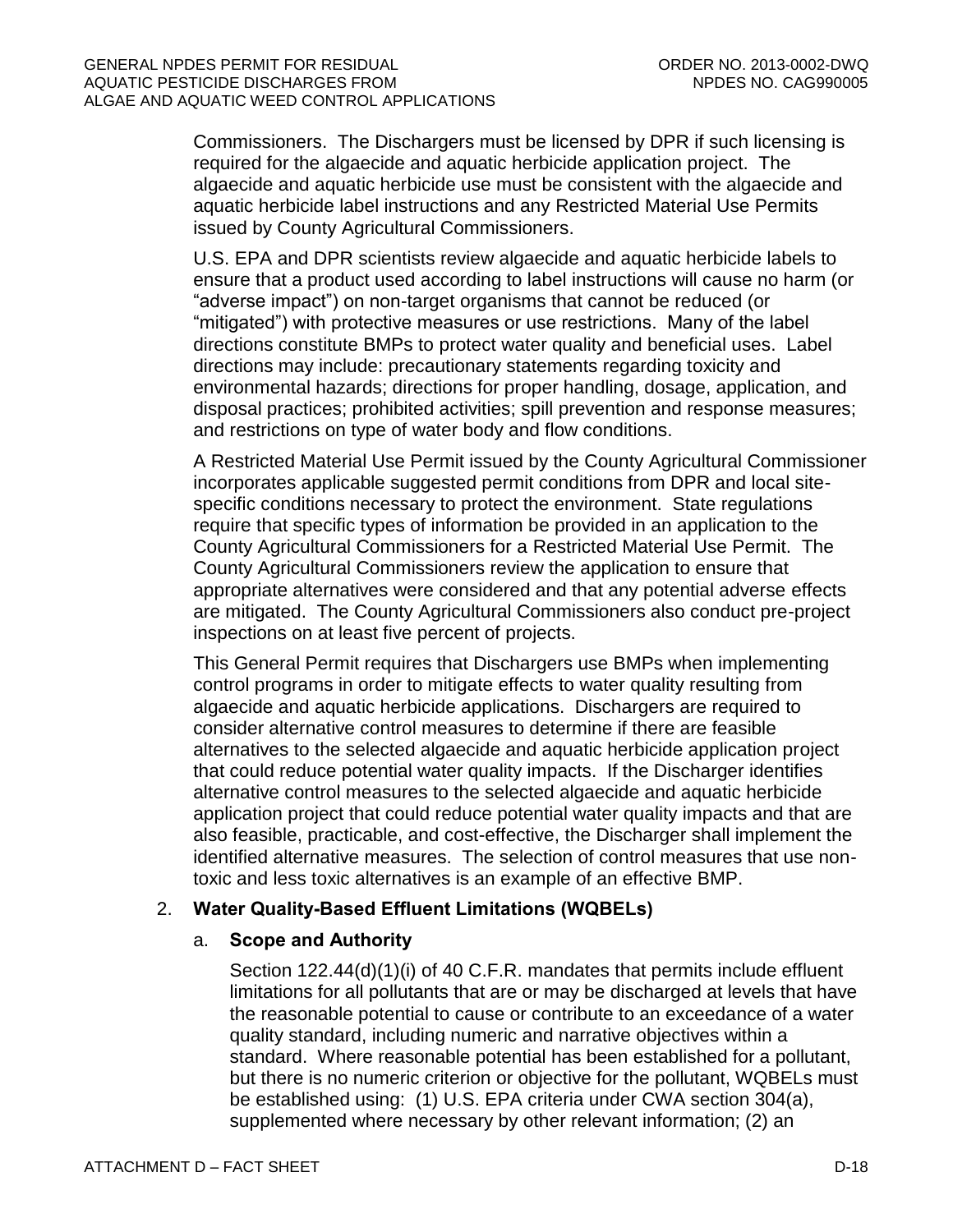Commissioners. The Dischargers must be licensed by DPR if such licensing is required for the algaecide and aquatic herbicide application project. The algaecide and aquatic herbicide use must be consistent with the algaecide and aquatic herbicide label instructions and any Restricted Material Use Permits issued by County Agricultural Commissioners.

U.S. EPA and DPR scientists review algaecide and aquatic herbicide labels to ensure that a product used according to label instructions will cause no harm (or "adverse impact") on non-target organisms that cannot be reduced (or "mitigated") with protective measures or use restrictions. Many of the label directions constitute BMPs to protect water quality and beneficial uses. Label directions may include: precautionary statements regarding toxicity and environmental hazards; directions for proper handling, dosage, application, and disposal practices; prohibited activities; spill prevention and response measures; and restrictions on type of water body and flow conditions.

A Restricted Material Use Permit issued by the County Agricultural Commissioner incorporates applicable suggested permit conditions from DPR and local sitespecific conditions necessary to protect the environment. State regulations require that specific types of information be provided in an application to the County Agricultural Commissioners for a Restricted Material Use Permit. The County Agricultural Commissioners review the application to ensure that appropriate alternatives were considered and that any potential adverse effects are mitigated. The County Agricultural Commissioners also conduct pre-project inspections on at least five percent of projects.

This General Permit requires that Dischargers use BMPs when implementing control programs in order to mitigate effects to water quality resulting from algaecide and aquatic herbicide applications. Dischargers are required to consider alternative control measures to determine if there are feasible alternatives to the selected algaecide and aquatic herbicide application project that could reduce potential water quality impacts. If the Discharger identifies alternative control measures to the selected algaecide and aquatic herbicide application project that could reduce potential water quality impacts and that are also feasible, practicable, and cost-effective, the Discharger shall implement the identified alternative measures. The selection of control measures that use nontoxic and less toxic alternatives is an example of an effective BMP.

# 2. **Water Quality-Based Effluent Limitations (WQBELs)**

# a. **Scope and Authority**

Section 122.44(d)(1)(i) of 40 C.F.R. mandates that permits include effluent limitations for all pollutants that are or may be discharged at levels that have the reasonable potential to cause or contribute to an exceedance of a water quality standard, including numeric and narrative objectives within a standard. Where reasonable potential has been established for a pollutant, but there is no numeric criterion or objective for the pollutant, WQBELs must be established using: (1) U.S. EPA criteria under CWA section 304(a), supplemented where necessary by other relevant information; (2) an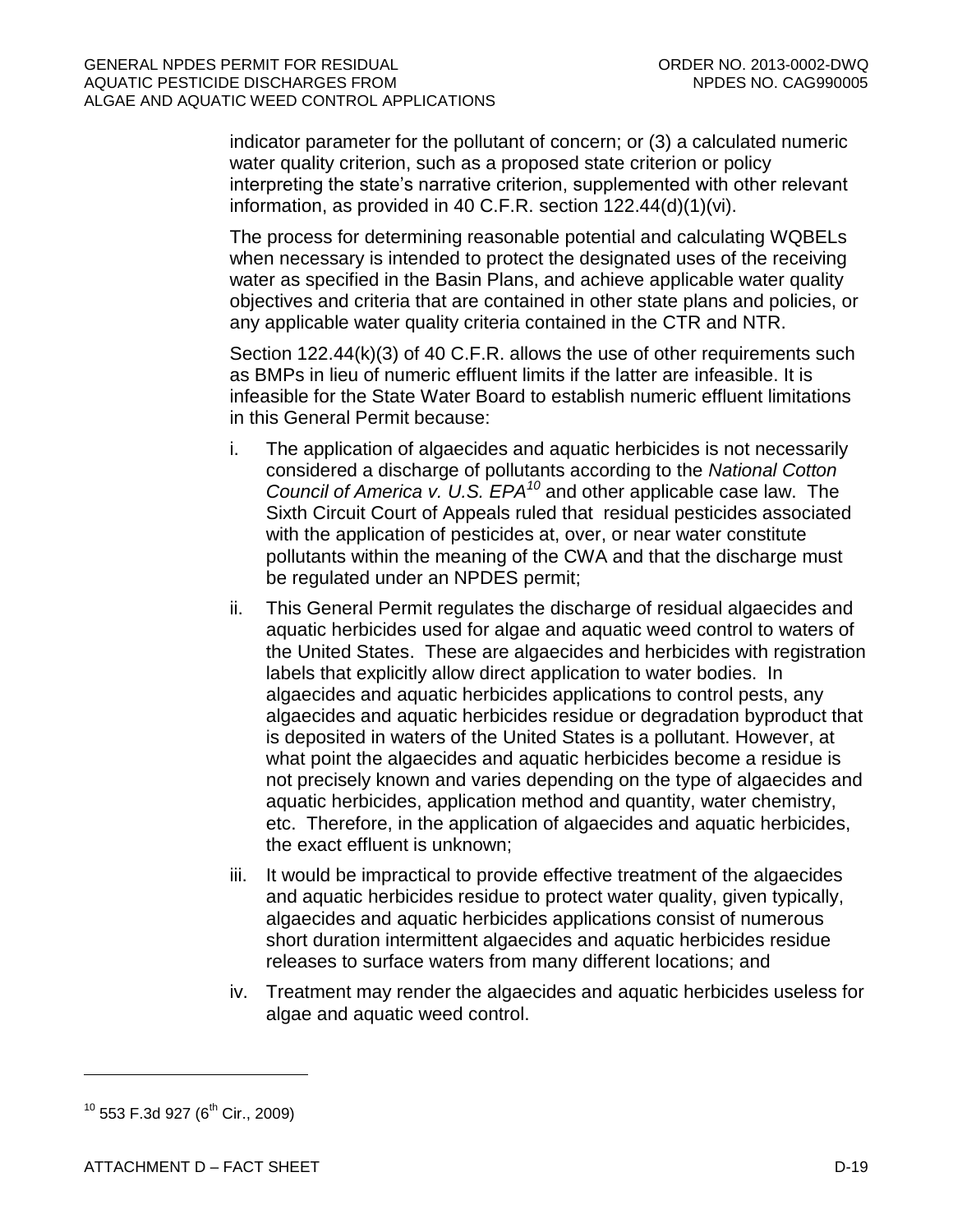indicator parameter for the pollutant of concern; or (3) a calculated numeric water quality criterion, such as a proposed state criterion or policy interpreting the state's narrative criterion, supplemented with other relevant information, as provided in 40 C.F.R. section 122.44(d)(1)(vi).

The process for determining reasonable potential and calculating WQBELs when necessary is intended to protect the designated uses of the receiving water as specified in the Basin Plans, and achieve applicable water quality objectives and criteria that are contained in other state plans and policies, or any applicable water quality criteria contained in the CTR and NTR.

Section 122.44(k)(3) of 40 C.F.R. allows the use of other requirements such as BMPs in lieu of numeric effluent limits if the latter are infeasible. It is infeasible for the State Water Board to establish numeric effluent limitations in this General Permit because:

- i. The application of algaecides and aquatic herbicides is not necessarily considered a discharge of pollutants according to the *National Cotton Council of America v. U.S. EPA<sup>10</sup>* and other applicable case law. The Sixth Circuit Court of Appeals ruled that residual pesticides associated with the application of pesticides at, over, or near water constitute pollutants within the meaning of the CWA and that the discharge must be regulated under an NPDES permit;
- ii. This General Permit regulates the discharge of residual algaecides and aquatic herbicides used for algae and aquatic weed control to waters of the United States. These are algaecides and herbicides with registration labels that explicitly allow direct application to water bodies. In algaecides and aquatic herbicides applications to control pests, any algaecides and aquatic herbicides residue or degradation byproduct that is deposited in waters of the United States is a pollutant. However, at what point the algaecides and aquatic herbicides become a residue is not precisely known and varies depending on the type of algaecides and aquatic herbicides, application method and quantity, water chemistry, etc. Therefore, in the application of algaecides and aquatic herbicides, the exact effluent is unknown;
- iii. It would be impractical to provide effective treatment of the algaecides and aquatic herbicides residue to protect water quality, given typically, algaecides and aquatic herbicides applications consist of numerous short duration intermittent algaecides and aquatic herbicides residue releases to surface waters from many different locations; and
- iv. Treatment may render the algaecides and aquatic herbicides useless for algae and aquatic weed control.

 $10$  553 F.3d 927 (6<sup>th</sup> Cir., 2009)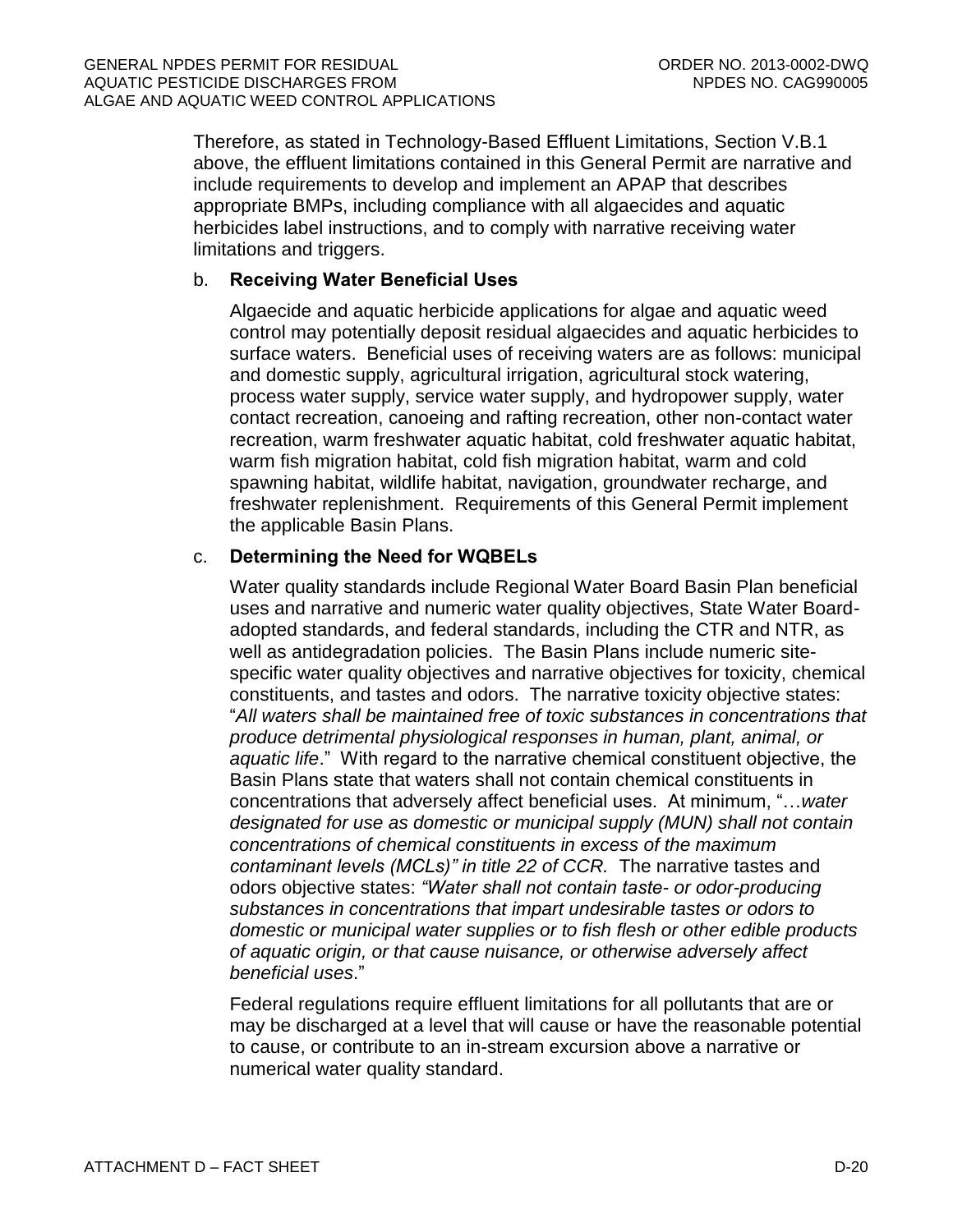Therefore, as stated in Technology-Based Effluent Limitations, Section V.B.1 above, the effluent limitations contained in this General Permit are narrative and include requirements to develop and implement an APAP that describes appropriate BMPs, including compliance with all algaecides and aquatic herbicides label instructions, and to comply with narrative receiving water limitations and triggers.

### b. **Receiving Water Beneficial Uses**

Algaecide and aquatic herbicide applications for algae and aquatic weed control may potentially deposit residual algaecides and aquatic herbicides to surface waters. Beneficial uses of receiving waters are as follows: municipal and domestic supply, agricultural irrigation, agricultural stock watering, process water supply, service water supply, and hydropower supply, water contact recreation, canoeing and rafting recreation, other non-contact water recreation, warm freshwater aquatic habitat, cold freshwater aquatic habitat, warm fish migration habitat, cold fish migration habitat, warm and cold spawning habitat, wildlife habitat, navigation, groundwater recharge, and freshwater replenishment. Requirements of this General Permit implement the applicable Basin Plans.

#### c. **Determining the Need for WQBELs**

Water quality standards include Regional Water Board Basin Plan beneficial uses and narrative and numeric water quality objectives, State Water Boardadopted standards, and federal standards, including the CTR and NTR, as well as antidegradation policies. The Basin Plans include numeric sitespecific water quality objectives and narrative objectives for toxicity, chemical constituents, and tastes and odors. The narrative toxicity objective states: "*All waters shall be maintained free of toxic substances in concentrations that produce detrimental physiological responses in human, plant, animal, or aquatic life*." With regard to the narrative chemical constituent objective, the Basin Plans state that waters shall not contain chemical constituents in concentrations that adversely affect beneficial uses. At minimum, "…*water designated for use as domestic or municipal supply (MUN) shall not contain concentrations of chemical constituents in excess of the maximum contaminant levels (MCLs)" in title 22 of CCR.* The narrative tastes and odors objective states: *"Water shall not contain taste- or odor-producing substances in concentrations that impart undesirable tastes or odors to domestic or municipal water supplies or to fish flesh or other edible products of aquatic origin, or that cause nuisance, or otherwise adversely affect beneficial uses*."

Federal regulations require effluent limitations for all pollutants that are or may be discharged at a level that will cause or have the reasonable potential to cause, or contribute to an in-stream excursion above a narrative or numerical water quality standard.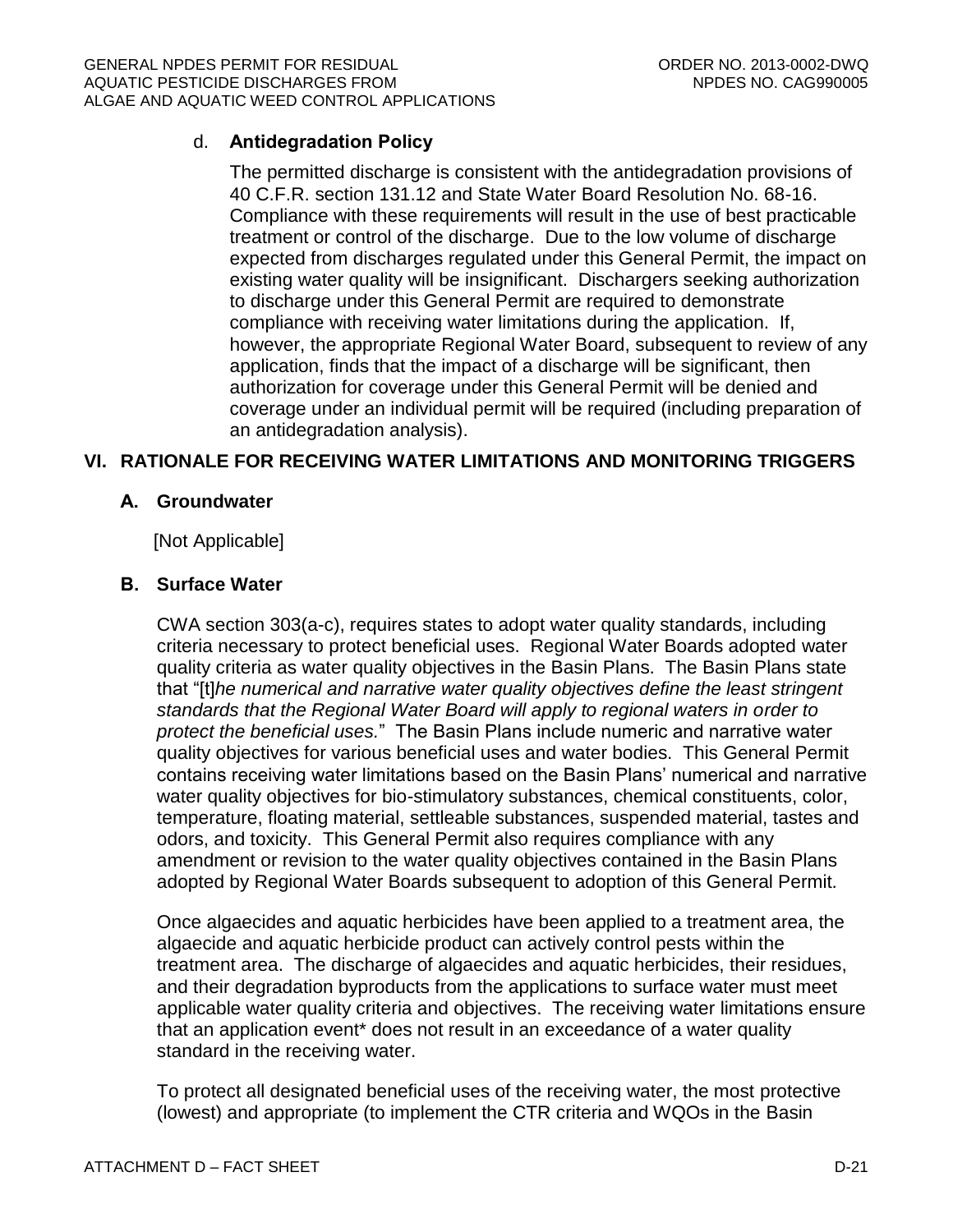# d. **Antidegradation Policy**

The permitted discharge is consistent with the antidegradation provisions of 40 C.F.R. section 131.12 and State Water Board Resolution No. 68-16. Compliance with these requirements will result in the use of best practicable treatment or control of the discharge. Due to the low volume of discharge expected from discharges regulated under this General Permit, the impact on existing water quality will be insignificant. Dischargers seeking authorization to discharge under this General Permit are required to demonstrate compliance with receiving water limitations during the application. If, however, the appropriate Regional Water Board, subsequent to review of any application, finds that the impact of a discharge will be significant, then authorization for coverage under this General Permit will be denied and coverage under an individual permit will be required (including preparation of an antidegradation analysis).

# <span id="page-58-1"></span><span id="page-58-0"></span>**VI. RATIONALE FOR RECEIVING WATER LIMITATIONS AND MONITORING TRIGGERS**

#### **A. Groundwater**

[Not Applicable]

#### <span id="page-58-2"></span>**B. Surface Water**

CWA section 303(a-c), requires states to adopt water quality standards, including criteria necessary to protect beneficial uses. Regional Water Boards adopted water quality criteria as water quality objectives in the Basin Plans. The Basin Plans state that "[t]*he numerical and narrative water quality objectives define the least stringent standards that the Regional Water Board will apply to regional waters in order to protect the beneficial uses.*" The Basin Plans include numeric and narrative water quality objectives for various beneficial uses and water bodies. This General Permit contains receiving water limitations based on the Basin Plans' numerical and narrative water quality objectives for bio-stimulatory substances, chemical constituents, color, temperature, floating material, settleable substances, suspended material, tastes and odors, and toxicity. This General Permit also requires compliance with any amendment or revision to the water quality objectives contained in the Basin Plans adopted by Regional Water Boards subsequent to adoption of this General Permit.

Once algaecides and aquatic herbicides have been applied to a treatment area, the algaecide and aquatic herbicide product can actively control pests within the treatment area. The discharge of algaecides and aquatic herbicides, their residues, and their degradation byproducts from the applications to surface water must meet applicable water quality criteria and objectives. The receiving water limitations ensure that an application event\* does not result in an exceedance of a water quality standard in the receiving water.

To protect all designated beneficial uses of the receiving water, the most protective (lowest) and appropriate (to implement the CTR criteria and WQOs in the Basin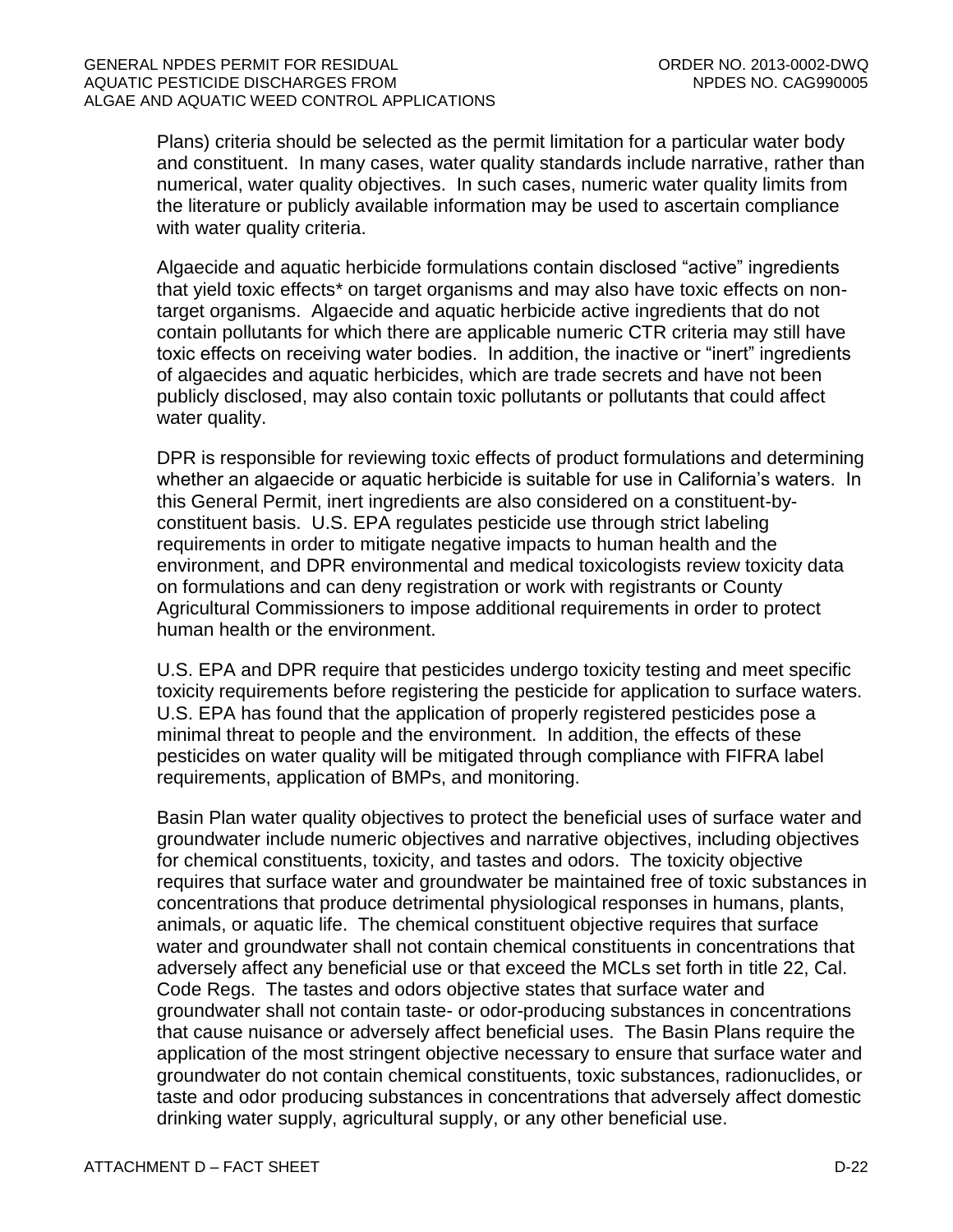Plans) criteria should be selected as the permit limitation for a particular water body and constituent. In many cases, water quality standards include narrative, rather than numerical, water quality objectives. In such cases, numeric water quality limits from the literature or publicly available information may be used to ascertain compliance with water quality criteria.

Algaecide and aquatic herbicide formulations contain disclosed "active" ingredients that yield toxic effects\* on target organisms and may also have toxic effects on nontarget organisms. Algaecide and aquatic herbicide active ingredients that do not contain pollutants for which there are applicable numeric CTR criteria may still have toxic effects on receiving water bodies. In addition, the inactive or "inert" ingredients of algaecides and aquatic herbicides, which are trade secrets and have not been publicly disclosed, may also contain toxic pollutants or pollutants that could affect water quality.

DPR is responsible for reviewing toxic effects of product formulations and determining whether an algaecide or aquatic herbicide is suitable for use in California's waters. In this General Permit, inert ingredients are also considered on a constituent-byconstituent basis. U.S. EPA regulates pesticide use through strict labeling requirements in order to mitigate negative impacts to human health and the environment, and DPR environmental and medical toxicologists review toxicity data on formulations and can deny registration or work with registrants or County Agricultural Commissioners to impose additional requirements in order to protect human health or the environment.

U.S. EPA and DPR require that pesticides undergo toxicity testing and meet specific toxicity requirements before registering the pesticide for application to surface waters. U.S. EPA has found that the application of properly registered pesticides pose a minimal threat to people and the environment. In addition, the effects of these pesticides on water quality will be mitigated through compliance with FIFRA label requirements, application of BMPs, and monitoring.

Basin Plan water quality objectives to protect the beneficial uses of surface water and groundwater include numeric objectives and narrative objectives, including objectives for chemical constituents, toxicity, and tastes and odors. The toxicity objective requires that surface water and groundwater be maintained free of toxic substances in concentrations that produce detrimental physiological responses in humans, plants, animals, or aquatic life. The chemical constituent objective requires that surface water and groundwater shall not contain chemical constituents in concentrations that adversely affect any beneficial use or that exceed the MCLs set forth in title 22, Cal. Code Regs. The tastes and odors objective states that surface water and groundwater shall not contain taste- or odor-producing substances in concentrations that cause nuisance or adversely affect beneficial uses. The Basin Plans require the application of the most stringent objective necessary to ensure that surface water and groundwater do not contain chemical constituents, toxic substances, radionuclides, or taste and odor producing substances in concentrations that adversely affect domestic drinking water supply, agricultural supply, or any other beneficial use.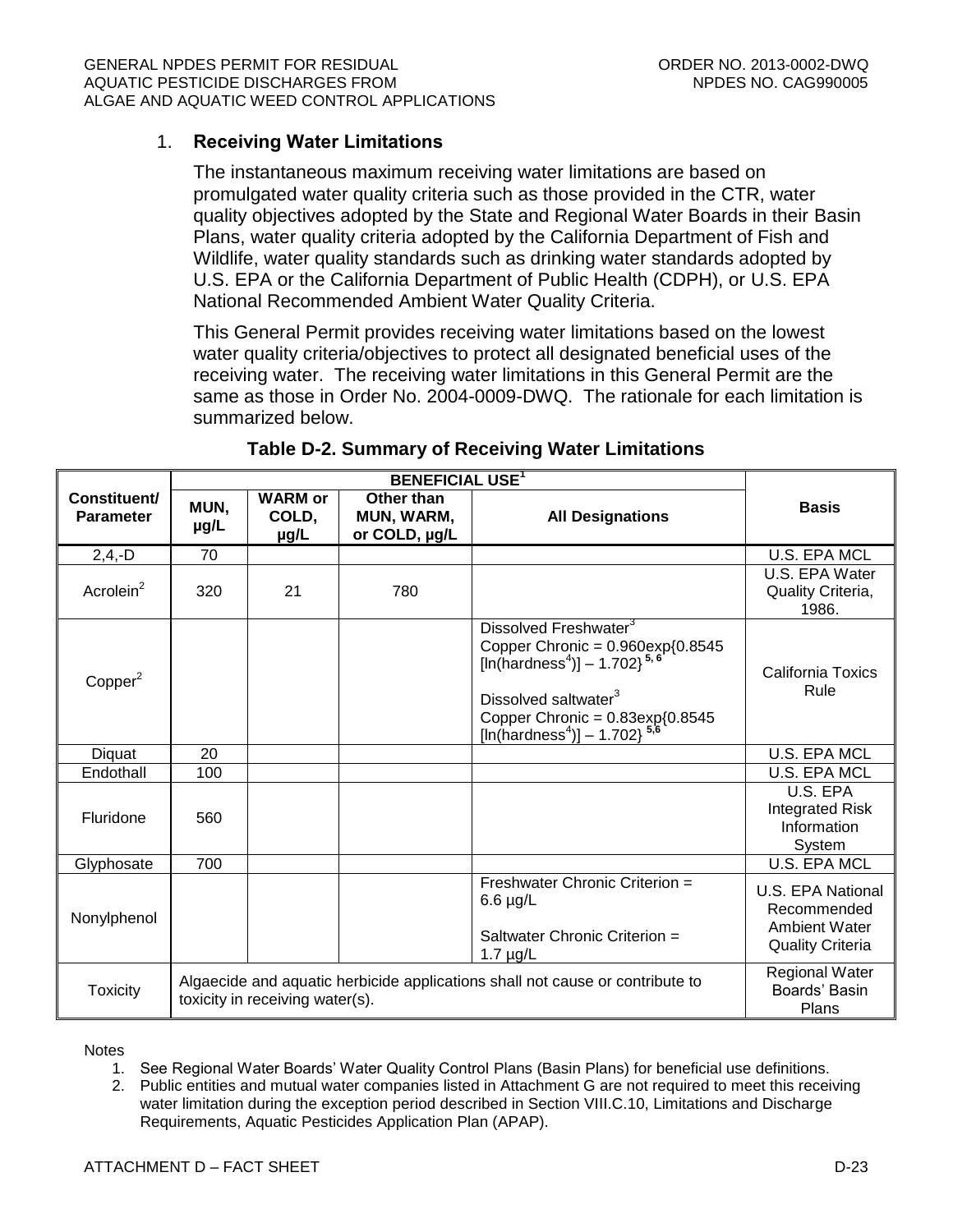### 1. **Receiving Water Limitations**

The instantaneous maximum receiving water limitations are based on promulgated water quality criteria such as those provided in the CTR, water quality objectives adopted by the State and Regional Water Boards in their Basin Plans, water quality criteria adopted by the California Department of Fish and Wildlife, water quality standards such as drinking water standards adopted by U.S. EPA or the California Department of Public Health (CDPH), or U.S. EPA National Recommended Ambient Water Quality Criteria.

This General Permit provides receiving water limitations based on the lowest water quality criteria/objectives to protect all designated beneficial uses of the receiving water. The receiving water limitations in this General Permit are the same as those in Order No. 2004-0009-DWQ. The rationale for each limitation is summarized below.

<span id="page-60-0"></span>

| Constituent/<br><b>Parameter</b> | MUN,<br>µg/L                                                                                                     | <b>WARM</b> or<br>COLD,<br>µg/L | Other than<br>MUN, WARM,<br>or COLD, µg/L | <b>All Designations</b>                                                                                                                                                                                                                                                | <b>Basis</b>                                                                        |
|----------------------------------|------------------------------------------------------------------------------------------------------------------|---------------------------------|-------------------------------------------|------------------------------------------------------------------------------------------------------------------------------------------------------------------------------------------------------------------------------------------------------------------------|-------------------------------------------------------------------------------------|
| $2,4,-D$                         | 70                                                                                                               |                                 |                                           |                                                                                                                                                                                                                                                                        | <b>U.S. EPA MCL</b>                                                                 |
| Acrolein <sup>2</sup>            | 320                                                                                                              | 21                              | 780                                       |                                                                                                                                                                                                                                                                        | U.S. EPA Water<br>Quality Criteria,<br>1986.                                        |
| Copper <sup>2</sup>              |                                                                                                                  |                                 |                                           | Dissolved Freshwater <sup>3</sup><br>Copper Chronic = $0.960 \exp\{0.8545$<br>[In(hardness <sup>4</sup> )] - 1.702} <sup>5,6</sup><br>Dissolved saltwater <sup>3</sup><br>Copper Chronic = $0.83 \exp\{0.8545$<br>[ln(hardness <sup>4</sup> )] - 1.702} <sup>5,6</sup> | California Toxics<br>Rule                                                           |
| Diquat                           | 20                                                                                                               |                                 |                                           |                                                                                                                                                                                                                                                                        | <b>U.S. EPA MCL</b>                                                                 |
| Endothall                        | 100                                                                                                              |                                 |                                           |                                                                                                                                                                                                                                                                        | U.S. EPA MCL                                                                        |
| Fluridone                        | 560                                                                                                              |                                 |                                           |                                                                                                                                                                                                                                                                        | U.S. EPA<br><b>Integrated Risk</b><br>Information<br>System                         |
| Glyphosate                       | 700                                                                                                              |                                 |                                           |                                                                                                                                                                                                                                                                        | <b>U.S. EPA MCL</b>                                                                 |
| Nonylphenol                      |                                                                                                                  |                                 |                                           | Freshwater Chronic Criterion =<br>$6.6 \mu g/L$<br>Saltwater Chronic Criterion =<br>1.7 $\mu$ g/L                                                                                                                                                                      | U.S. EPA National<br>Recommended<br><b>Ambient Water</b><br><b>Quality Criteria</b> |
| <b>Toxicity</b>                  | Algaecide and aquatic herbicide applications shall not cause or contribute to<br>toxicity in receiving water(s). |                                 |                                           |                                                                                                                                                                                                                                                                        | <b>Regional Water</b><br>Boards' Basin<br>Plans                                     |

#### **Table D-2. Summary of Receiving Water Limitations**

**Notes** 

- 1. See Regional Water Boards' Water Quality Control Plans (Basin Plans) for beneficial use definitions.
- 2. Public entities and mutual water companies listed in Attachment G are not required to meet this receiving water limitation during the exception period described in Section VIII.C.10, Limitations and Discharge Requirements, Aquatic Pesticides Application Plan (APAP).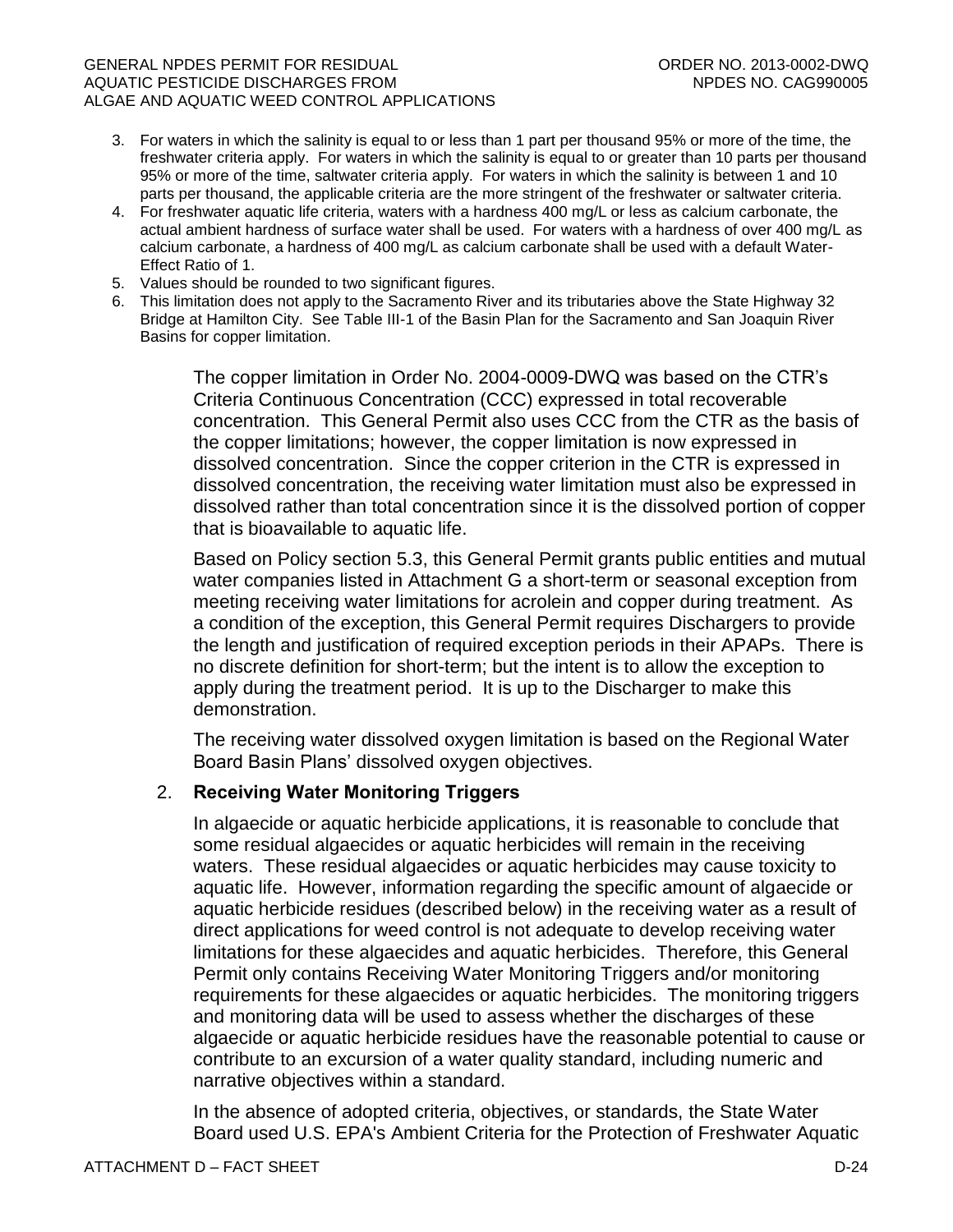#### GENERAL NPDES PERMIT FOR RESIDUAL CHARGE ORDER NO. 2013-0002-DWQ AQUATIC PESTICIDE DISCHARGES FROM NEW ROOM NEEDS NO. CAG990005 ALGAE AND AQUATIC WEED CONTROL APPLICATIONS

- 3. For waters in which the salinity is equal to or less than 1 part per thousand 95% or more of the time, the freshwater criteria apply. For waters in which the salinity is equal to or greater than 10 parts per thousand 95% or more of the time, saltwater criteria apply. For waters in which the salinity is between 1 and 10 parts per thousand, the applicable criteria are the more stringent of the freshwater or saltwater criteria.
- 4. For freshwater aquatic life criteria, waters with a hardness 400 mg/L or less as calcium carbonate, the actual ambient hardness of surface water shall be used. For waters with a hardness of over 400 mg/L as calcium carbonate, a hardness of 400 mg/L as calcium carbonate shall be used with a default Water-Effect Ratio of 1.
- 5. Values should be rounded to two significant figures.
- 6. This limitation does not apply to the Sacramento River and its tributaries above the State Highway 32 Bridge at Hamilton City. See Table III-1 of the Basin Plan for the Sacramento and San Joaquin River Basins for copper limitation.

The copper limitation in Order No. 2004-0009-DWQ was based on the CTR's Criteria Continuous Concentration (CCC) expressed in total recoverable concentration. This General Permit also uses CCC from the CTR as the basis of the copper limitations; however, the copper limitation is now expressed in dissolved concentration. Since the copper criterion in the CTR is expressed in dissolved concentration, the receiving water limitation must also be expressed in dissolved rather than total concentration since it is the dissolved portion of copper that is bioavailable to aquatic life.

Based on Policy section 5.3, this General Permit grants public entities and mutual water companies listed in Attachment G a short-term or seasonal exception from meeting receiving water limitations for acrolein and copper during treatment. As a condition of the exception, this General Permit requires Dischargers to provide the length and justification of required exception periods in their APAPs. There is no discrete definition for short-term; but the intent is to allow the exception to apply during the treatment period. It is up to the Discharger to make this demonstration.

The receiving water dissolved oxygen limitation is based on the Regional Water Board Basin Plans' dissolved oxygen objectives.

#### 2. **Receiving Water Monitoring Triggers**

In algaecide or aquatic herbicide applications, it is reasonable to conclude that some residual algaecides or aquatic herbicides will remain in the receiving waters. These residual algaecides or aquatic herbicides may cause toxicity to aquatic life. However, information regarding the specific amount of algaecide or aquatic herbicide residues (described below) in the receiving water as a result of direct applications for weed control is not adequate to develop receiving water limitations for these algaecides and aquatic herbicides. Therefore, this General Permit only contains Receiving Water Monitoring Triggers and/or monitoring requirements for these algaecides or aquatic herbicides. The monitoring triggers and monitoring data will be used to assess whether the discharges of these algaecide or aquatic herbicide residues have the reasonable potential to cause or contribute to an excursion of a water quality standard, including numeric and narrative objectives within a standard.

In the absence of adopted criteria, objectives, or standards, the State Water Board used U.S. EPA's Ambient Criteria for the Protection of Freshwater Aquatic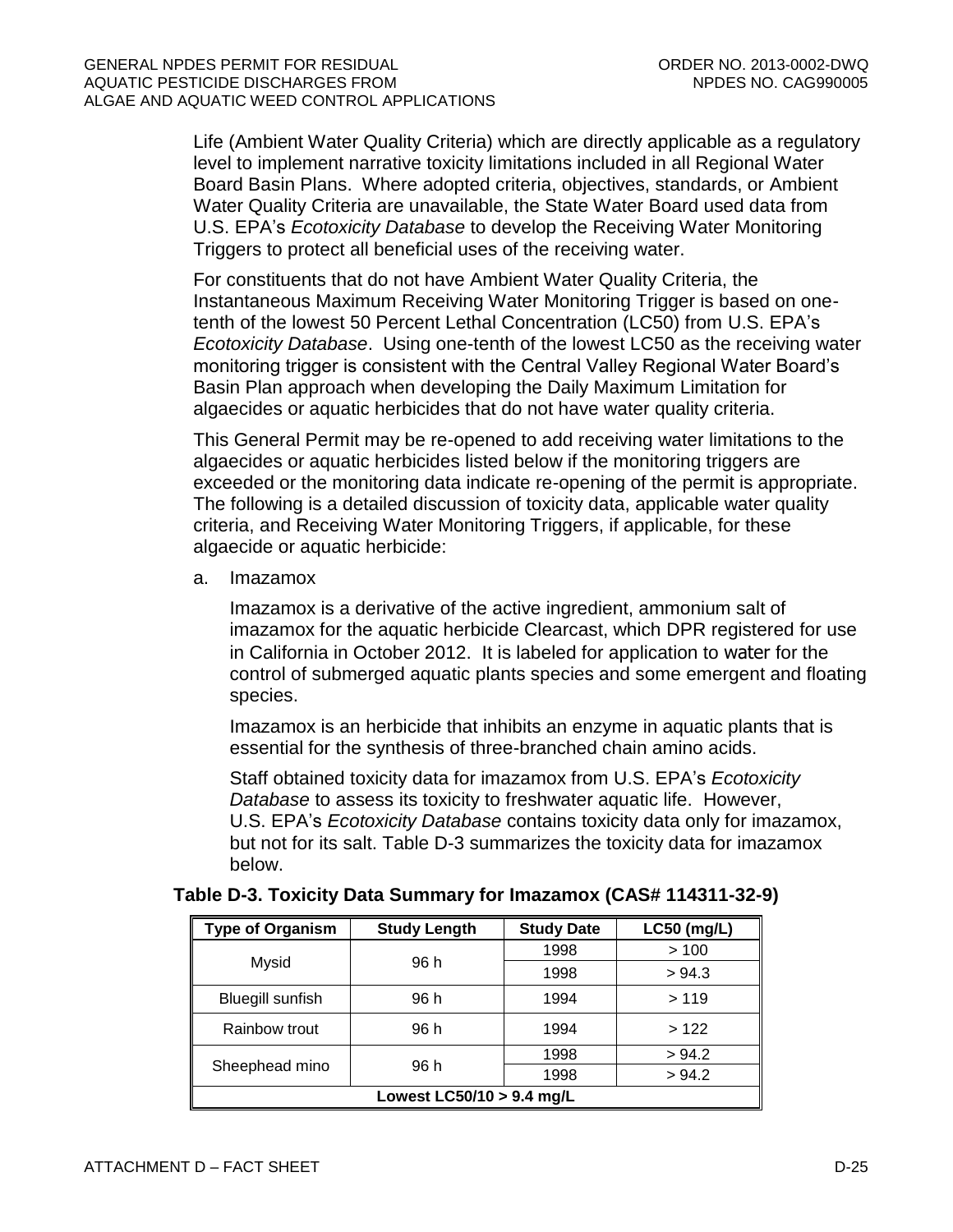Life (Ambient Water Quality Criteria) which are directly applicable as a regulatory level to implement narrative toxicity limitations included in all Regional Water Board Basin Plans. Where adopted criteria, objectives, standards, or Ambient Water Quality Criteria are unavailable, the State Water Board used data from U.S. EPA's *Ecotoxicity Database* to develop the Receiving Water Monitoring Triggers to protect all beneficial uses of the receiving water.

For constituents that do not have Ambient Water Quality Criteria, the Instantaneous Maximum Receiving Water Monitoring Trigger is based on onetenth of the lowest 50 Percent Lethal Concentration (LC50) from U.S. EPA's *Ecotoxicity Database*. Using one-tenth of the lowest LC50 as the receiving water monitoring trigger is consistent with the Central Valley Regional Water Board's Basin Plan approach when developing the Daily Maximum Limitation for algaecides or aquatic herbicides that do not have water quality criteria.

This General Permit may be re-opened to add receiving water limitations to the algaecides or aquatic herbicides listed below if the monitoring triggers are exceeded or the monitoring data indicate re-opening of the permit is appropriate. The following is a detailed discussion of toxicity data, applicable water quality criteria, and Receiving Water Monitoring Triggers, if applicable, for these algaecide or aquatic herbicide:

a. Imazamox

Imazamox is a derivative of the active ingredient, ammonium salt of imazamox for the aquatic herbicide Clearcast, which DPR registered for use in California in October 2012. It is labeled for application to water for the control of submerged aquatic plants species and some emergent and floating species.

Imazamox is an herbicide that inhibits an enzyme in aquatic plants that is essential for the synthesis of three-branched chain amino acids.

Staff obtained toxicity data for imazamox from U.S. EPA's *Ecotoxicity Database* to assess its toxicity to freshwater aquatic life. However, U.S. EPA's *Ecotoxicity Database* contains toxicity data only for imazamox, but not for its salt. Table D-3 summarizes the toxicity data for imazamox below.

| <b>Type of Organism</b>     | <b>Study Length</b> | <b>Study Date</b> | <b>LC50 (mg/L)</b> |  |
|-----------------------------|---------------------|-------------------|--------------------|--|
|                             | 96 h                | 1998              | >100               |  |
| Mysid                       |                     | 1998              | > 94.3             |  |
| <b>Bluegill sunfish</b>     | 96 h                | 1994              | >119               |  |
| Rainbow trout               | 96 h                | 1994              | >122               |  |
|                             |                     | 1998              | > 94.2             |  |
| Sheephead mino              | 96 h                | 1998              | > 94.2             |  |
| Lowest $LCS0/10 > 9.4$ mg/L |                     |                   |                    |  |

# <span id="page-62-0"></span>**Table D-3. Toxicity Data Summary for Imazamox (CAS# 114311-32-9)**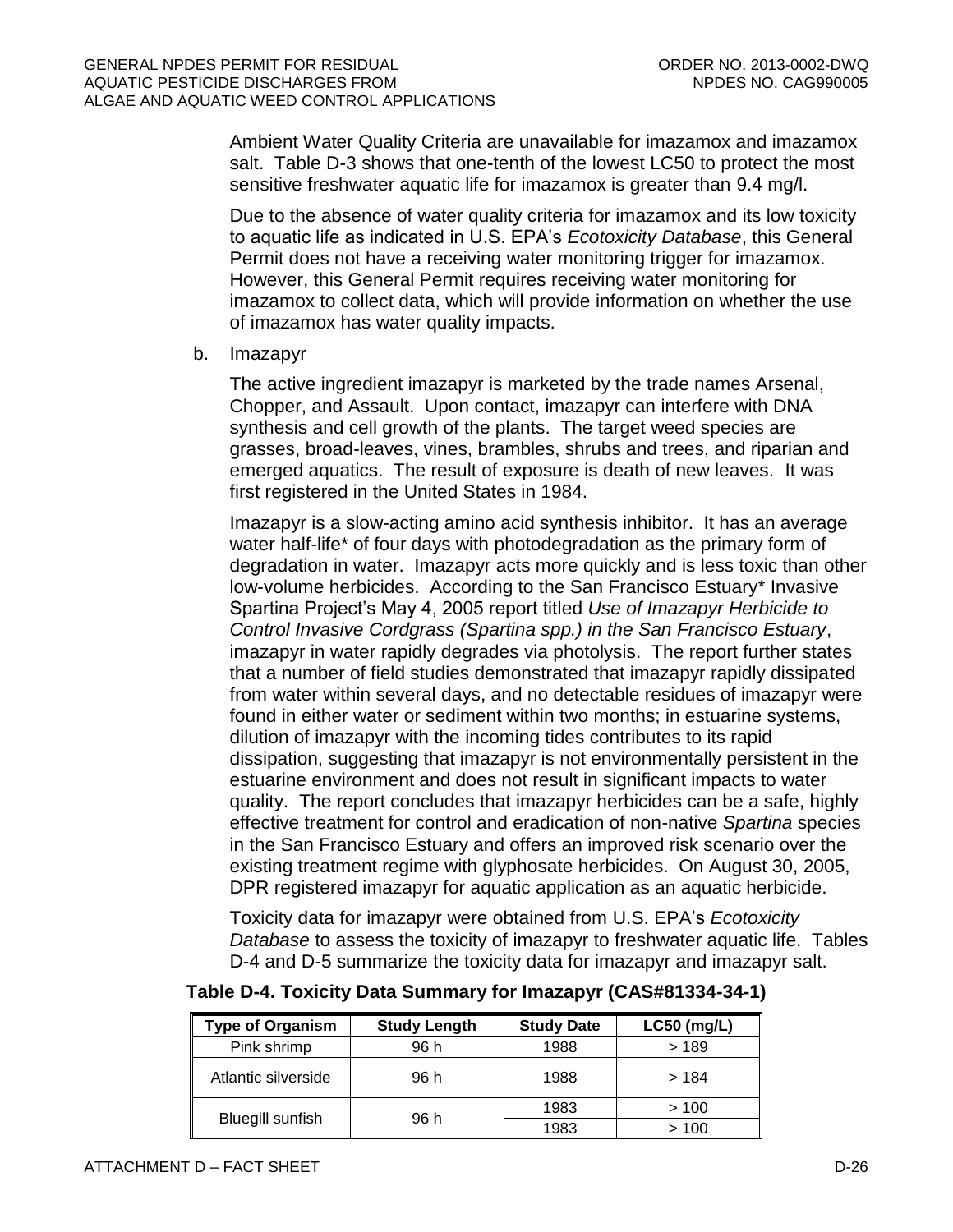Ambient Water Quality Criteria are unavailable for imazamox and imazamox salt. Table D-3 shows that one-tenth of the lowest LC50 to protect the most sensitive freshwater aquatic life for imazamox is greater than 9.4 mg/l.

Due to the absence of water quality criteria for imazamox and its low toxicity to aquatic life as indicated in U.S. EPA's *Ecotoxicity Database*, this General Permit does not have a receiving water monitoring trigger for imazamox. However, this General Permit requires receiving water monitoring for imazamox to collect data, which will provide information on whether the use of imazamox has water quality impacts.

#### b. Imazapyr

The active ingredient imazapyr is marketed by the trade names Arsenal, Chopper, and Assault. Upon contact, imazapyr can interfere with DNA synthesis and cell growth of the plants. The target weed species are grasses, broad-leaves, vines, brambles, shrubs and trees, and riparian and emerged aquatics. The result of exposure is death of new leaves. It was first registered in the United States in 1984.

Imazapyr is a slow-acting amino acid synthesis inhibitor. It has an average water half-life\* of four days with photodegradation as the primary form of degradation in water. Imazapyr acts more quickly and is less toxic than other low-volume herbicides. According to the San Francisco Estuary\* Invasive Spartina Project's May 4, 2005 report titled *Use of Imazapyr Herbicide to Control Invasive Cordgrass (Spartina spp.) in the San Francisco Estuary*, imazapyr in water rapidly degrades via photolysis. The report further states that a number of field studies demonstrated that imazapyr rapidly dissipated from water within several days, and no detectable residues of imazapyr were found in either water or sediment within two months; in estuarine systems, dilution of imazapyr with the incoming tides contributes to its rapid dissipation, suggesting that imazapyr is not environmentally persistent in the estuarine environment and does not result in significant impacts to water quality. The report concludes that imazapyr herbicides can be a safe, highly effective treatment for control and eradication of non-native *Spartina* species in the San Francisco Estuary and offers an improved risk scenario over the existing treatment regime with glyphosate herbicides. On August 30, 2005, DPR registered imazapyr for aquatic application as an aquatic herbicide.

Toxicity data for imazapyr were obtained from U.S. EPA's *Ecotoxicity Database* to assess the toxicity of imazapyr to freshwater aquatic life. Tables D-4 and D-5 summarize the toxicity data for imazapyr and imazapyr salt.

| <b>Type of Organism</b> | <b>Study Length</b> | <b>Study Date</b> | $LC50$ (mg/L) |
|-------------------------|---------------------|-------------------|---------------|
| Pink shrimp             | 96 h                | 1988              | >189          |
| Atlantic silverside     | 96 h                | 1988              | > 184         |
|                         |                     | 1983              | >100          |
| <b>Bluegill sunfish</b> | 96 h                | 1983              | >100          |

# <span id="page-63-0"></span>**Table D-4. Toxicity Data Summary for Imazapyr (CAS#81334-34-1)**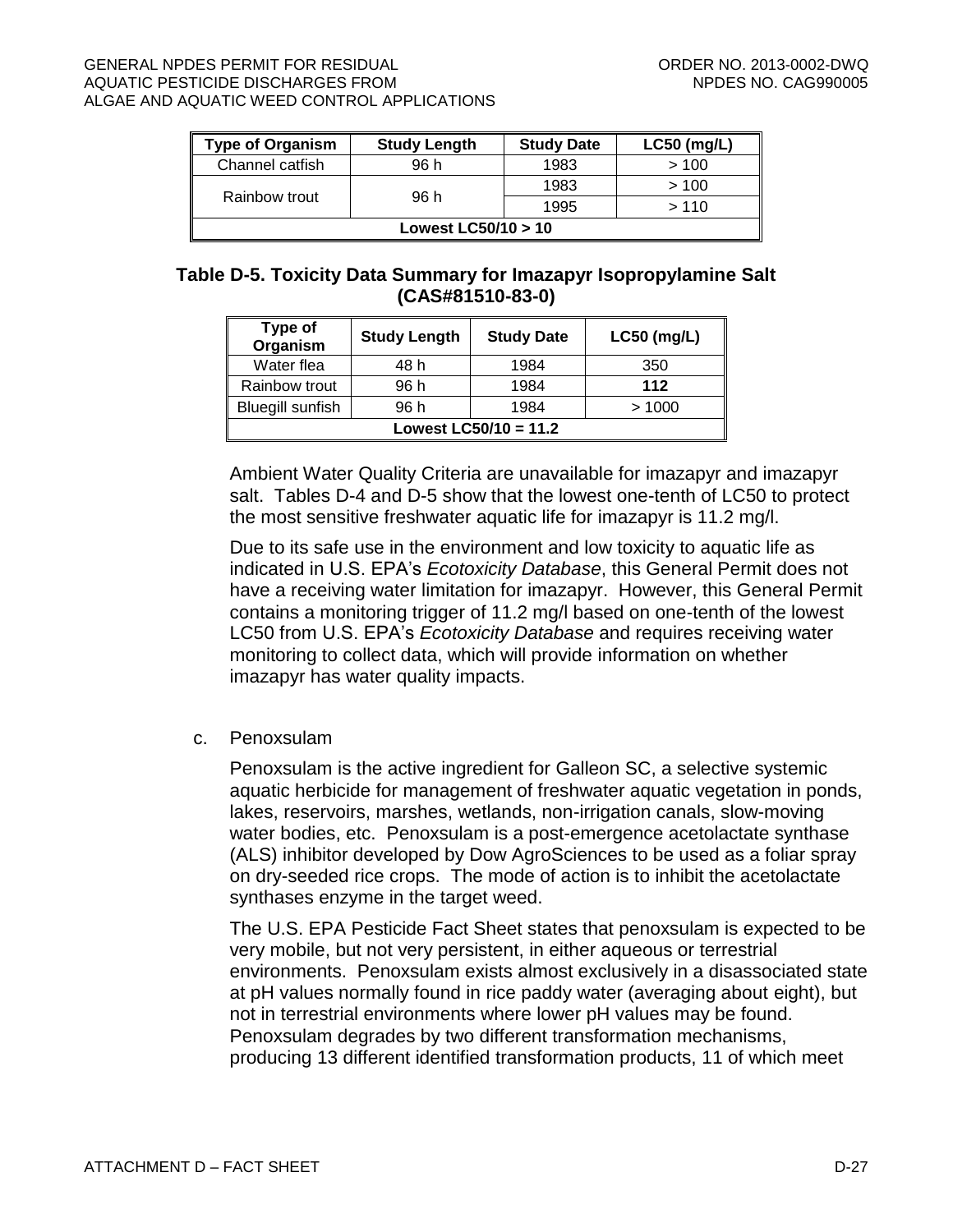#### GENERAL NPDES PERMIT FOR RESIDUAL CONDUCT CONDUCT CONDER NO. 2013-0002-DWQ AQUATIC PESTICIDE DISCHARGES FROM NEW ROOM NEEDS NO. CAG990005 ALGAE AND AQUATIC WEED CONTROL APPLICATIONS

| <b>Type of Organism</b> | <b>Study Length</b> | <b>Study Date</b> | LC50 (mg/L) |  |
|-------------------------|---------------------|-------------------|-------------|--|
| Channel catfish         | 96 h                | 1983              | >100        |  |
|                         |                     | 1983              | >100        |  |
| Rainbow trout           | 96 h                | 1995              | >110        |  |
| Lowest LC50/10 > 10     |                     |                   |             |  |

# <span id="page-64-0"></span>**Table D-5. Toxicity Data Summary for Imazapyr Isopropylamine Salt (CAS#81510-83-0)**

| Type of<br>Organism     | <b>Study Length</b> | <b>Study Date</b> | $LC50$ (mg/L) |  |  |
|-------------------------|---------------------|-------------------|---------------|--|--|
| Water flea              | 48 h                | 1984              | 350           |  |  |
| Rainbow trout           | 96 h                | 1984              | 112           |  |  |
| <b>Bluegill sunfish</b> | 96 h                | 1984              | >1000         |  |  |
| Lowest $LC50/10 = 11.2$ |                     |                   |               |  |  |

Ambient Water Quality Criteria are unavailable for imazapyr and imazapyr salt. Tables D-4 and D-5 show that the lowest one-tenth of LC50 to protect the most sensitive freshwater aquatic life for imazapyr is 11.2 mg/l.

Due to its safe use in the environment and low toxicity to aquatic life as indicated in U.S. EPA's *Ecotoxicity Database*, this General Permit does not have a receiving water limitation for imazapyr. However, this General Permit contains a monitoring trigger of 11.2 mg/l based on one-tenth of the lowest LC50 from U.S. EPA's *Ecotoxicity Database* and requires receiving water monitoring to collect data, which will provide information on whether imazapyr has water quality impacts.

c. Penoxsulam

Penoxsulam is the active ingredient for Galleon SC, a selective systemic aquatic herbicide for management of freshwater aquatic vegetation in ponds, lakes, reservoirs, marshes, wetlands, non-irrigation canals, slow-moving water bodies, etc. Penoxsulam is a post-emergence acetolactate synthase (ALS) inhibitor developed by Dow AgroSciences to be used as a foliar spray on dry-seeded rice crops. The mode of action is to inhibit the acetolactate synthases enzyme in the target weed.

The U.S. EPA Pesticide Fact Sheet states that penoxsulam is expected to be very mobile, but not very persistent, in either aqueous or terrestrial environments. Penoxsulam exists almost exclusively in a disassociated state at pH values normally found in rice paddy water (averaging about eight), but not in terrestrial environments where lower pH values may be found. Penoxsulam degrades by two different transformation mechanisms, producing 13 different identified transformation products, 11 of which meet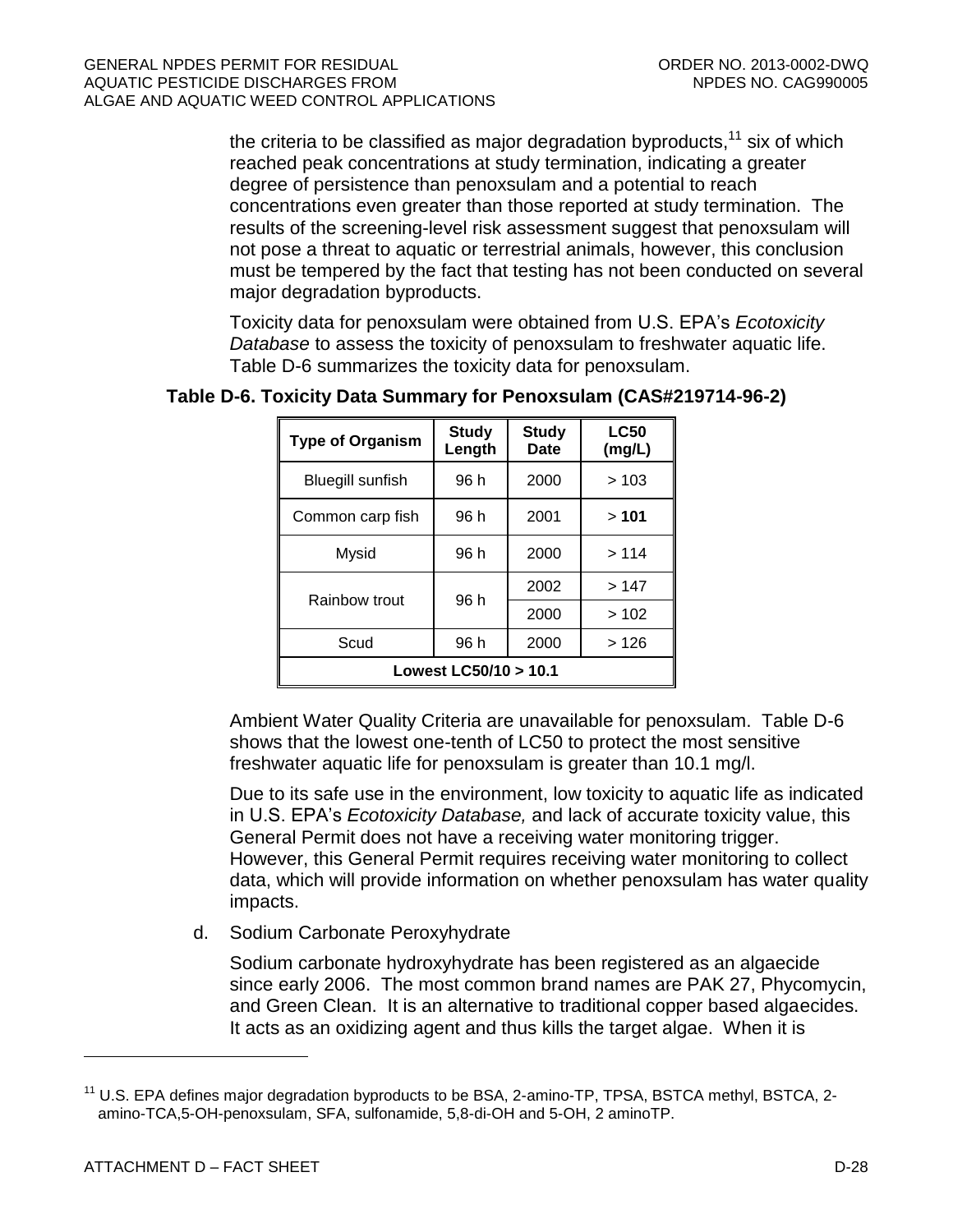the criteria to be classified as major degradation byproducts, $^{11}$  six of which reached peak concentrations at study termination, indicating a greater degree of persistence than penoxsulam and a potential to reach concentrations even greater than those reported at study termination. The results of the screening-level risk assessment suggest that penoxsulam will not pose a threat to aquatic or terrestrial animals, however, this conclusion must be tempered by the fact that testing has not been conducted on several major degradation byproducts.

Toxicity data for penoxsulam were obtained from U.S. EPA's *Ecotoxicity Database* to assess the toxicity of penoxsulam to freshwater aquatic life. Table D-6 summarizes the toxicity data for penoxsulam.

| <b>Type of Organism</b>      | <b>Study</b><br>Length | <b>Study</b><br><b>Date</b> | <b>LC50</b><br>(mg/L) |  |  |
|------------------------------|------------------------|-----------------------------|-----------------------|--|--|
| <b>Bluegill sunfish</b>      | 96 h                   | 2000                        | >103                  |  |  |
| Common carp fish             | 96 h                   | 2001                        | >101                  |  |  |
| Mysid                        | 96 h                   | 2000                        | >114                  |  |  |
| Rainbow trout                | 96 h                   | 2002                        | >147                  |  |  |
|                              |                        | 2000                        | >102                  |  |  |
| Scud<br>96 h<br>2000<br>>126 |                        |                             |                       |  |  |
| Lowest LC50/10 > 10.1        |                        |                             |                       |  |  |

# <span id="page-65-0"></span>**Table D-6. Toxicity Data Summary for Penoxsulam (CAS#219714-96-2)**

Ambient Water Quality Criteria are unavailable for penoxsulam. Table D-6 shows that the lowest one-tenth of LC50 to protect the most sensitive freshwater aquatic life for penoxsulam is greater than 10.1 mg/l.

Due to its safe use in the environment, low toxicity to aquatic life as indicated in U.S. EPA's *Ecotoxicity Database,* and lack of accurate toxicity value, this General Permit does not have a receiving water monitoring trigger. However, this General Permit requires receiving water monitoring to collect data, which will provide information on whether penoxsulam has water quality impacts.

d. Sodium Carbonate Peroxyhydrate

Sodium carbonate hydroxyhydrate has been registered as an algaecide since early 2006. The most common brand names are PAK 27, Phycomycin, and Green Clean. It is an alternative to traditional copper based algaecides. It acts as an oxidizing agent and thus kills the target algae. When it is

<sup>&</sup>lt;sup>11</sup> U.S. EPA defines major degradation byproducts to be BSA, 2-amino-TP, TPSA, BSTCA methyl, BSTCA, 2amino-TCA,5-OH-penoxsulam, SFA, sulfonamide, 5,8-di-OH and 5-OH, 2 aminoTP.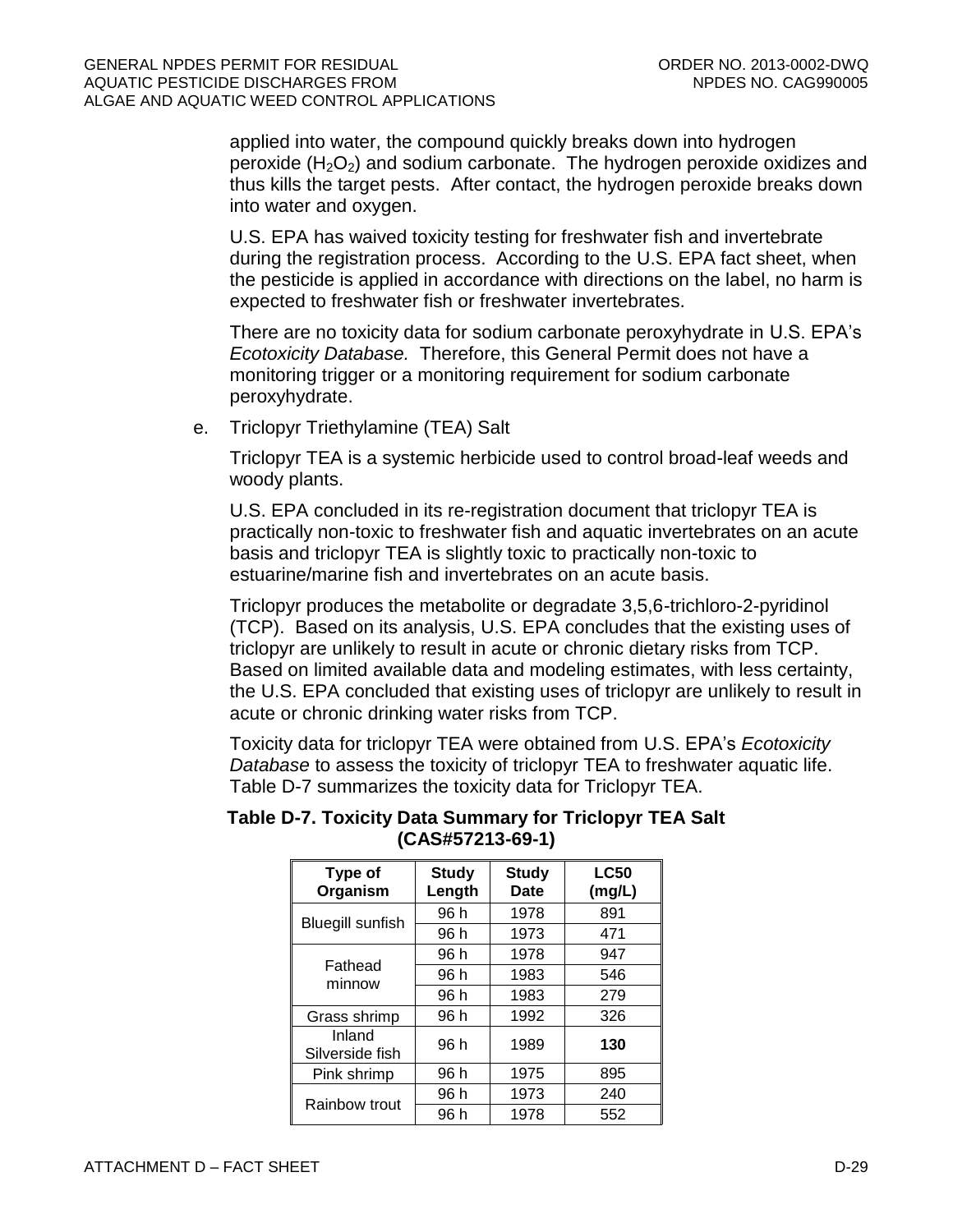applied into water, the compound quickly breaks down into hydrogen peroxide  $(H_2O_2)$  and sodium carbonate. The hydrogen peroxide oxidizes and thus kills the target pests. After contact, the hydrogen peroxide breaks down into water and oxygen.

U.S. EPA has waived toxicity testing for freshwater fish and invertebrate during the registration process. According to the U.S. EPA fact sheet, when the pesticide is applied in accordance with directions on the label, no harm is expected to freshwater fish or freshwater invertebrates.

There are no toxicity data for sodium carbonate peroxyhydrate in U.S. EPA's *Ecotoxicity Database.* Therefore, this General Permit does not have a monitoring trigger or a monitoring requirement for sodium carbonate peroxyhydrate.

e. Triclopyr Triethylamine (TEA) Salt

Triclopyr TEA is a systemic herbicide used to control broad-leaf weeds and woody plants.

U.S. EPA concluded in its re-registration document that triclopyr TEA is practically non-toxic to freshwater fish and aquatic invertebrates on an acute basis and triclopyr TEA is slightly toxic to practically non-toxic to estuarine/marine fish and invertebrates on an acute basis.

Triclopyr produces the metabolite or degradate 3,5,6-trichloro-2-pyridinol (TCP). Based on its analysis, U.S. EPA concludes that the existing uses of triclopyr are unlikely to result in acute or chronic dietary risks from TCP. Based on limited available data and modeling estimates, with less certainty, the U.S. EPA concluded that existing uses of triclopyr are unlikely to result in acute or chronic drinking water risks from TCP.

Toxicity data for triclopyr TEA were obtained from U.S. EPA's *Ecotoxicity Database* to assess the toxicity of triclopyr TEA to freshwater aquatic life. Table D-7 summarizes the toxicity data for Triclopyr TEA.

| Type of<br>Organism       | <b>Study</b><br>Length | <b>Study</b><br>Date | <b>LC50</b><br>(mg/L) |
|---------------------------|------------------------|----------------------|-----------------------|
|                           | 96 h                   | 1978                 | 891                   |
| <b>Bluegill sunfish</b>   | 96 h                   | 1973                 | 471                   |
|                           | 96 h                   | 1978                 | 947                   |
| Fathead<br>minnow         | 96 h                   | 1983                 | 546                   |
|                           | 96 h                   | 1983                 | 279                   |
| Grass shrimp              | 96 h                   | 1992                 | 326                   |
| Inland<br>Silverside fish | 96 h                   | 1989                 | 130                   |
| Pink shrimp               | 96 h                   | 1975                 | 895                   |
| Rainbow trout             | 96 h                   | 1973                 | 240                   |
|                           | 96 h                   | 1978                 | 552                   |

<span id="page-66-0"></span>**Table D-7. Toxicity Data Summary for Triclopyr TEA Salt (CAS#57213-69-1)**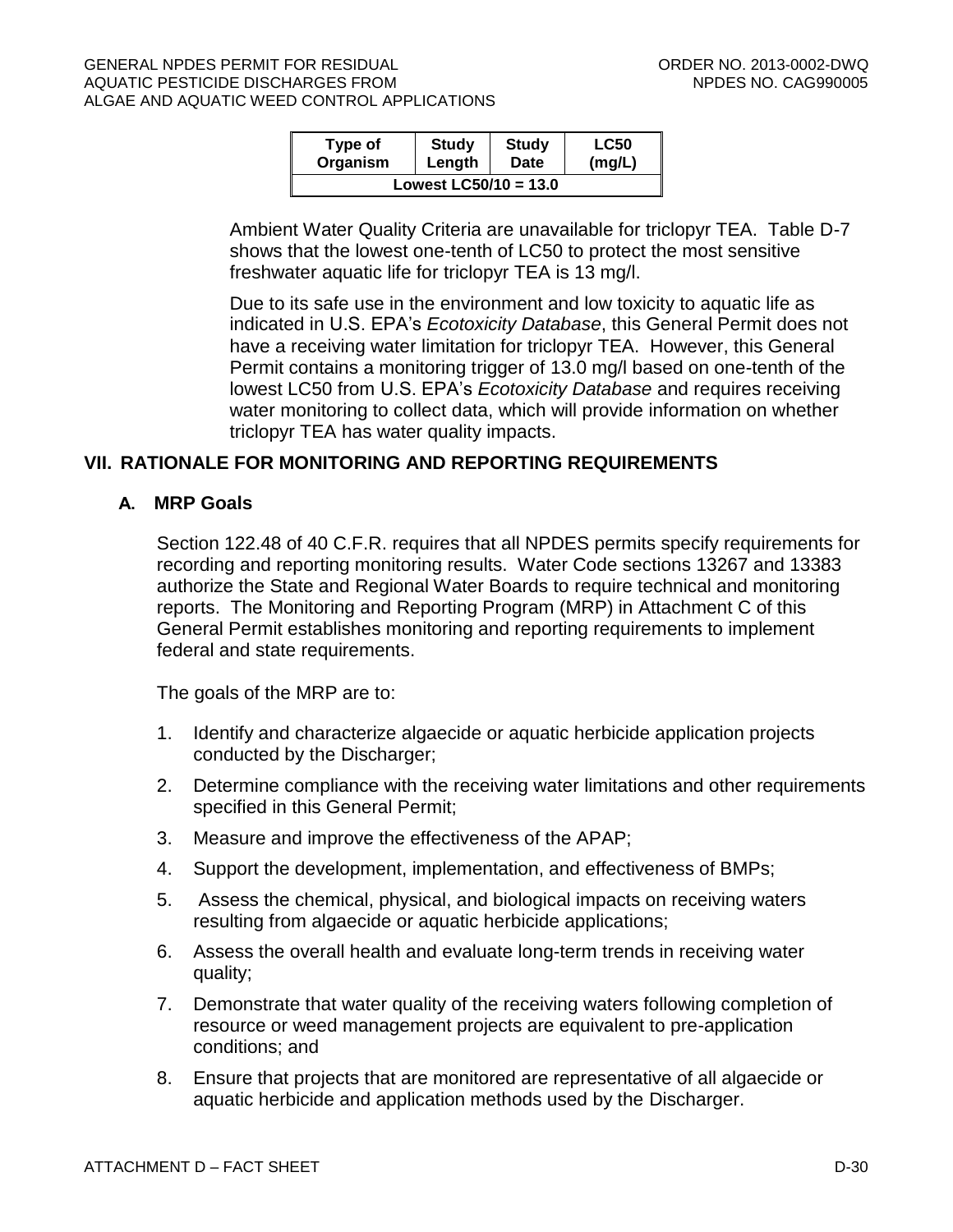#### GENERAL NPDES PERMIT FOR RESIDUAL CONDUCTED AND RESIDUAL CORDER NO. 2013-0002-DWQ AQUATIC PESTICIDE DISCHARGES FROM NEW ROOM NEEDS NO. CAG990005 ALGAE AND AQUATIC WEED CONTROL APPLICATIONS

| Type of                 | <b>Study</b> | <b>Study</b> | <b>LC50</b> |  |  |  |
|-------------------------|--------------|--------------|-------------|--|--|--|
| Organism                | Length       | Date         | (mg/L)      |  |  |  |
| Lowest $LCS0/10 = 13.0$ |              |              |             |  |  |  |

Ambient Water Quality Criteria are unavailable for triclopyr TEA. Table D-7 shows that the lowest one-tenth of LC50 to protect the most sensitive freshwater aquatic life for triclopyr TEA is 13 mg/l.

Due to its safe use in the environment and low toxicity to aquatic life as indicated in U.S. EPA's *Ecotoxicity Database*, this General Permit does not have a receiving water limitation for triclopyr TEA. However, this General Permit contains a monitoring trigger of 13.0 mg/l based on one-tenth of the lowest LC50 from U.S. EPA's *Ecotoxicity Database* and requires receiving water monitoring to collect data, which will provide information on whether triclopyr TEA has water quality impacts.

### <span id="page-67-0"></span>**VII. RATIONALE FOR MONITORING AND REPORTING REQUIREMENTS**

#### <span id="page-67-1"></span>**A. MRP Goals**

Section 122.48 of 40 C.F.R. requires that all NPDES permits specify requirements for recording and reporting monitoring results. Water Code sections 13267 and 13383 authorize the State and Regional Water Boards to require technical and monitoring reports. The Monitoring and Reporting Program (MRP) in Attachment C of this General Permit establishes monitoring and reporting requirements to implement federal and state requirements.

The goals of the MRP are to:

- 1. Identify and characterize algaecide or aquatic herbicide application projects conducted by the Discharger;
- 2. Determine compliance with the receiving water limitations and other requirements specified in this General Permit;
- 3. Measure and improve the effectiveness of the APAP;
- 4. Support the development, implementation, and effectiveness of BMPs;
- 5. Assess the chemical, physical, and biological impacts on receiving waters resulting from algaecide or aquatic herbicide applications;
- 6. Assess the overall health and evaluate long-term trends in receiving water quality;
- 7. Demonstrate that water quality of the receiving waters following completion of resource or weed management projects are equivalent to pre-application conditions; and
- 8. Ensure that projects that are monitored are representative of all algaecide or aquatic herbicide and application methods used by the Discharger.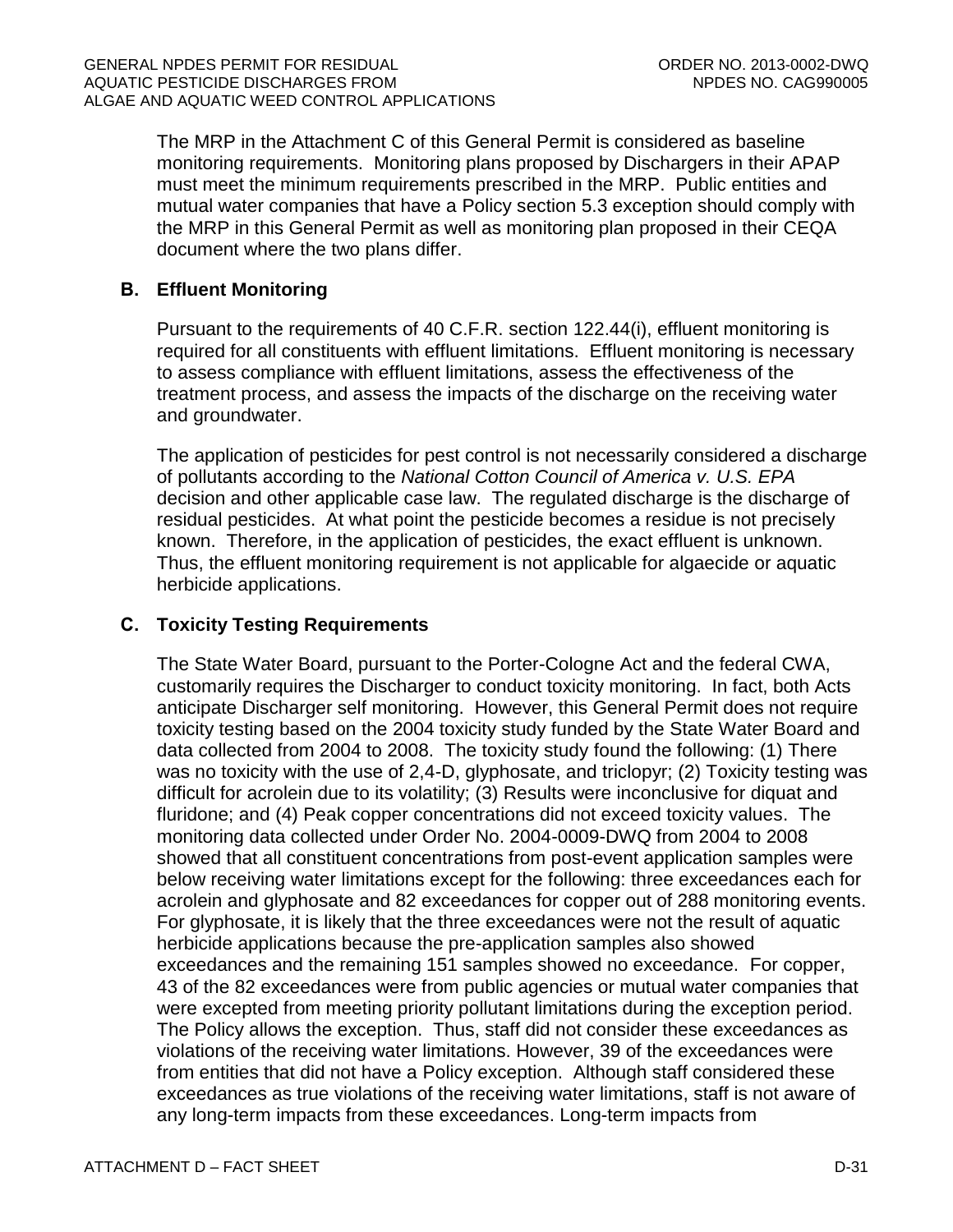The MRP in the Attachment C of this General Permit is considered as baseline monitoring requirements. Monitoring plans proposed by Dischargers in their APAP must meet the minimum requirements prescribed in the MRP. Public entities and mutual water companies that have a Policy section 5.3 exception should comply with the MRP in this General Permit as well as monitoring plan proposed in their CEQA document where the two plans differ.

# <span id="page-68-0"></span>**B. Effluent Monitoring**

Pursuant to the requirements of 40 C.F.R. section 122.44(i), effluent monitoring is required for all constituents with effluent limitations. Effluent monitoring is necessary to assess compliance with effluent limitations, assess the effectiveness of the treatment process, and assess the impacts of the discharge on the receiving water and groundwater.

The application of pesticides for pest control is not necessarily considered a discharge of pollutants according to the *National Cotton Council of America v. U.S. EPA* decision and other applicable case law. The regulated discharge is the discharge of residual pesticides. At what point the pesticide becomes a residue is not precisely known. Therefore, in the application of pesticides, the exact effluent is unknown. Thus, the effluent monitoring requirement is not applicable for algaecide or aquatic herbicide applications.

# <span id="page-68-1"></span>**C. Toxicity Testing Requirements**

The State Water Board, pursuant to the Porter-Cologne Act and the federal CWA, customarily requires the Discharger to conduct toxicity monitoring. In fact, both Acts anticipate Discharger self monitoring. However, this General Permit does not require toxicity testing based on the 2004 toxicity study funded by the State Water Board and data collected from 2004 to 2008. The toxicity study found the following: (1) There was no toxicity with the use of 2,4-D, glyphosate, and triclopyr; (2) Toxicity testing was difficult for acrolein due to its volatility; (3) Results were inconclusive for diquat and fluridone; and (4) Peak copper concentrations did not exceed toxicity values. The monitoring data collected under Order No. 2004-0009-DWQ from 2004 to 2008 showed that all constituent concentrations from post-event application samples were below receiving water limitations except for the following: three exceedances each for acrolein and glyphosate and 82 exceedances for copper out of 288 monitoring events. For glyphosate, it is likely that the three exceedances were not the result of aquatic herbicide applications because the pre-application samples also showed exceedances and the remaining 151 samples showed no exceedance. For copper, 43 of the 82 exceedances were from public agencies or mutual water companies that were excepted from meeting priority pollutant limitations during the exception period. The Policy allows the exception. Thus, staff did not consider these exceedances as violations of the receiving water limitations. However, 39 of the exceedances were from entities that did not have a Policy exception. Although staff considered these exceedances as true violations of the receiving water limitations, staff is not aware of any long-term impacts from these exceedances. Long-term impacts from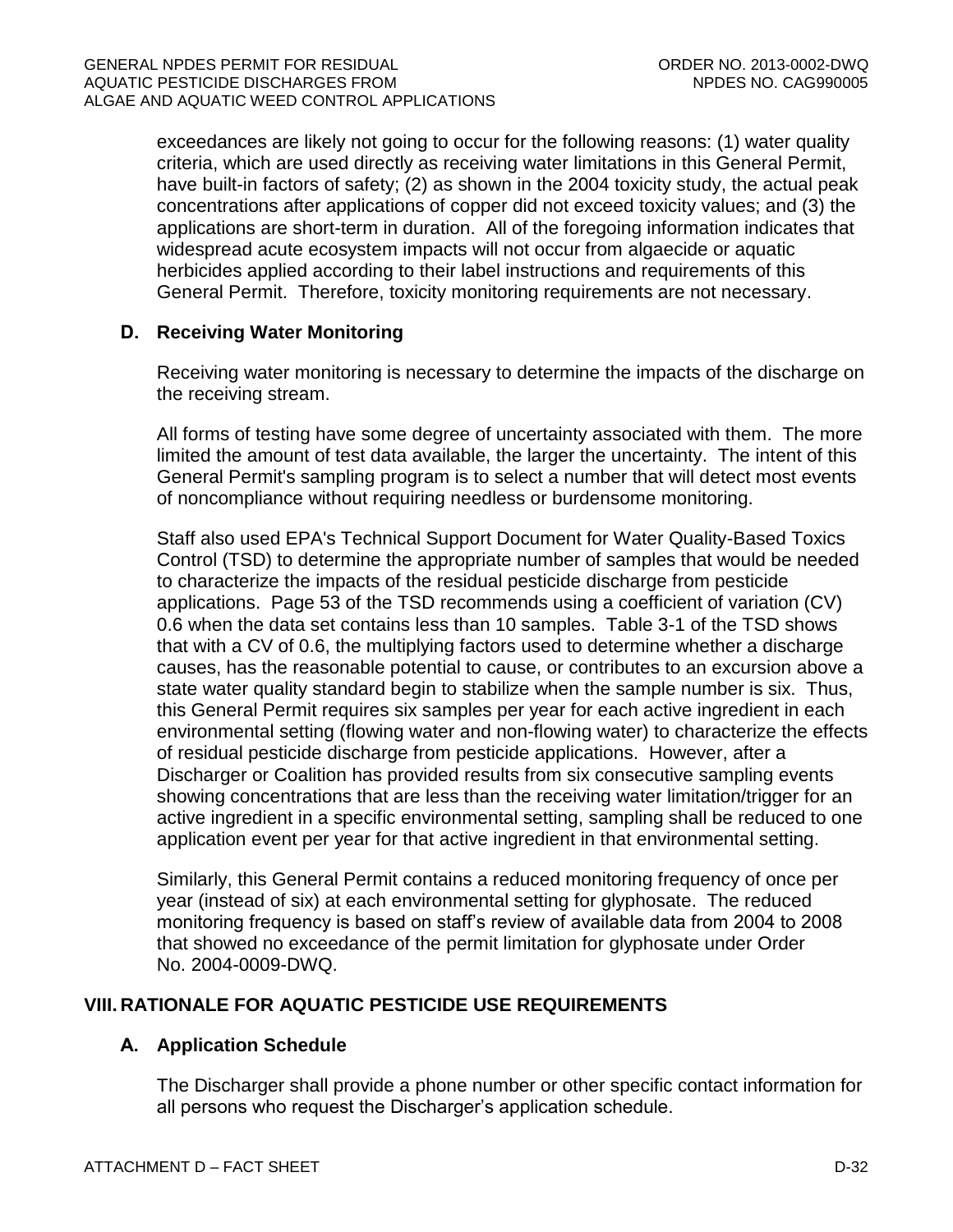exceedances are likely not going to occur for the following reasons: (1) water quality criteria, which are used directly as receiving water limitations in this General Permit, have built-in factors of safety; (2) as shown in the 2004 toxicity study, the actual peak concentrations after applications of copper did not exceed toxicity values; and (3) the applications are short-term in duration. All of the foregoing information indicates that widespread acute ecosystem impacts will not occur from algaecide or aquatic herbicides applied according to their label instructions and requirements of this General Permit. Therefore, toxicity monitoring requirements are not necessary.

# <span id="page-69-0"></span>**D. Receiving Water Monitoring**

Receiving water monitoring is necessary to determine the impacts of the discharge on the receiving stream.

All forms of testing have some degree of uncertainty associated with them. The more limited the amount of test data available, the larger the uncertainty. The intent of this General Permit's sampling program is to select a number that will detect most events of noncompliance without requiring needless or burdensome monitoring.

Staff also used EPA's Technical Support Document for Water Quality-Based Toxics Control (TSD) to determine the appropriate number of samples that would be needed to characterize the impacts of the residual pesticide discharge from pesticide applications. Page 53 of the TSD recommends using a coefficient of variation (CV) 0.6 when the data set contains less than 10 samples. Table 3-1 of the TSD shows that with a CV of 0.6, the multiplying factors used to determine whether a discharge causes, has the reasonable potential to cause, or contributes to an excursion above a state water quality standard begin to stabilize when the sample number is six. Thus, this General Permit requires six samples per year for each active ingredient in each environmental setting (flowing water and non-flowing water) to characterize the effects of residual pesticide discharge from pesticide applications. However, after a Discharger or Coalition has provided results from six consecutive sampling events showing concentrations that are less than the receiving water limitation/trigger for an active ingredient in a specific environmental setting, sampling shall be reduced to one application event per year for that active ingredient in that environmental setting.

Similarly, this General Permit contains a reduced monitoring frequency of once per year (instead of six) at each environmental setting for glyphosate. The reduced monitoring frequency is based on staff's review of available data from 2004 to 2008 that showed no exceedance of the permit limitation for glyphosate under Order No. 2004-0009-DWQ.

# <span id="page-69-2"></span><span id="page-69-1"></span>**VIII. RATIONALE FOR AQUATIC PESTICIDE USE REQUIREMENTS**

# **A. Application Schedule**

The Discharger shall provide a phone number or other specific contact information for all persons who request the Discharger's application schedule.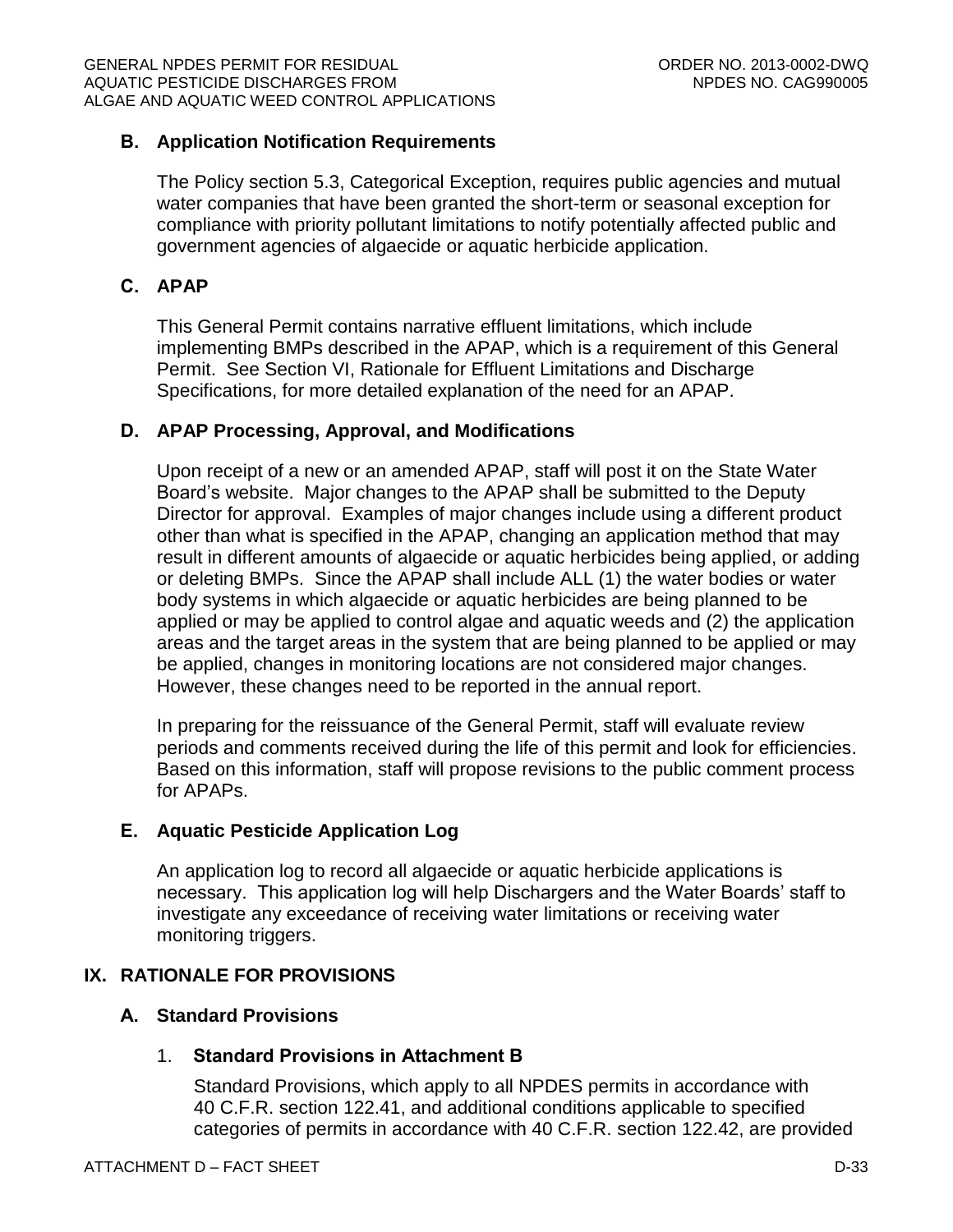# <span id="page-70-0"></span>**B. Application Notification Requirements**

The Policy section 5.3, Categorical Exception, requires public agencies and mutual water companies that have been granted the short-term or seasonal exception for compliance with priority pollutant limitations to notify potentially affected public and government agencies of algaecide or aquatic herbicide application.

# <span id="page-70-1"></span>**C. APAP**

This General Permit contains narrative effluent limitations, which include implementing BMPs described in the APAP, which is a requirement of this General Permit. See Section VI, Rationale for Effluent Limitations and Discharge Specifications, for more detailed explanation of the need for an APAP.

# <span id="page-70-2"></span>**D. APAP Processing, Approval, and Modifications**

Upon receipt of a new or an amended APAP, staff will post it on the State Water Board's website. Major changes to the APAP shall be submitted to the Deputy Director for approval. Examples of major changes include using a different product other than what is specified in the APAP, changing an application method that may result in different amounts of algaecide or aquatic herbicides being applied, or adding or deleting BMPs. Since the APAP shall include ALL (1) the water bodies or water body systems in which algaecide or aquatic herbicides are being planned to be applied or may be applied to control algae and aquatic weeds and (2) the application areas and the target areas in the system that are being planned to be applied or may be applied, changes in monitoring locations are not considered major changes. However, these changes need to be reported in the annual report.

In preparing for the reissuance of the General Permit, staff will evaluate review periods and comments received during the life of this permit and look for efficiencies. Based on this information, staff will propose revisions to the public comment process for APAPs.

# <span id="page-70-3"></span>**E. Aquatic Pesticide Application Log**

An application log to record all algaecide or aquatic herbicide applications is necessary. This application log will help Dischargers and the Water Boards' staff to investigate any exceedance of receiving water limitations or receiving water monitoring triggers.

# <span id="page-70-5"></span><span id="page-70-4"></span>**IX. RATIONALE FOR PROVISIONS**

# **A. Standard Provisions**

# 1. **Standard Provisions in Attachment B**

Standard Provisions, which apply to all NPDES permits in accordance with 40 C.F.R. section 122.41, and additional conditions applicable to specified categories of permits in accordance with 40 C.F.R. section 122.42, are provided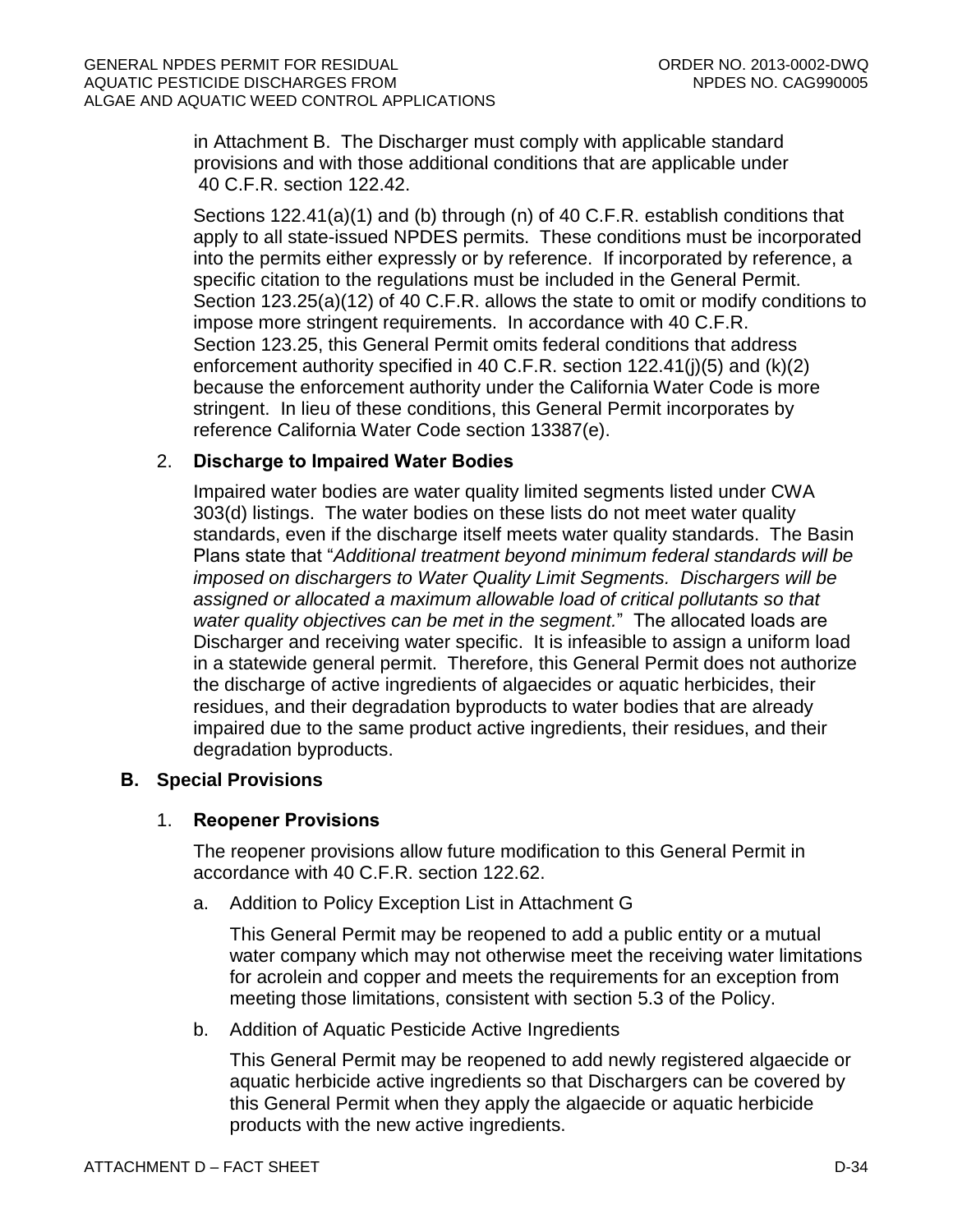in Attachment B. The Discharger must comply with applicable standard provisions and with those additional conditions that are applicable under 40 C.F.R. section 122.42.

Sections 122.41(a)(1) and (b) through (n) of 40 C.F.R. establish conditions that apply to all state-issued NPDES permits. These conditions must be incorporated into the permits either expressly or by reference. If incorporated by reference, a specific citation to the regulations must be included in the General Permit. Section 123.25(a)(12) of 40 C.F.R. allows the state to omit or modify conditions to impose more stringent requirements. In accordance with 40 C.F.R. Section 123.25, this General Permit omits federal conditions that address enforcement authority specified in 40 C.F.R. section 122.41(j)(5) and (k)(2) because the enforcement authority under the California Water Code is more stringent. In lieu of these conditions, this General Permit incorporates by reference California Water Code section 13387(e).

# 2. **Discharge to Impaired Water Bodies**

Impaired water bodies are water quality limited segments listed under CWA 303(d) listings. The water bodies on these lists do not meet water quality standards, even if the discharge itself meets water quality standards. The Basin Plans state that "*Additional treatment beyond minimum federal standards will be imposed on dischargers to Water Quality Limit Segments. Dischargers will be assigned or allocated a maximum allowable load of critical pollutants so that water quality objectives can be met in the segment.*" The allocated loads are Discharger and receiving water specific. It is infeasible to assign a uniform load in a statewide general permit. Therefore, this General Permit does not authorize the discharge of active ingredients of algaecides or aquatic herbicides, their residues, and their degradation byproducts to water bodies that are already impaired due to the same product active ingredients, their residues, and their degradation byproducts.

# <span id="page-71-0"></span>**B. Special Provisions**

# 1. **Reopener Provisions**

The reopener provisions allow future modification to this General Permit in accordance with 40 C.F.R. section 122.62.

a. Addition to Policy Exception List in Attachment G

This General Permit may be reopened to add a public entity or a mutual water company which may not otherwise meet the receiving water limitations for acrolein and copper and meets the requirements for an exception from meeting those limitations, consistent with section 5.3 of the Policy.

b. Addition of Aquatic Pesticide Active Ingredients

This General Permit may be reopened to add newly registered algaecide or aquatic herbicide active ingredients so that Dischargers can be covered by this General Permit when they apply the algaecide or aquatic herbicide products with the new active ingredients.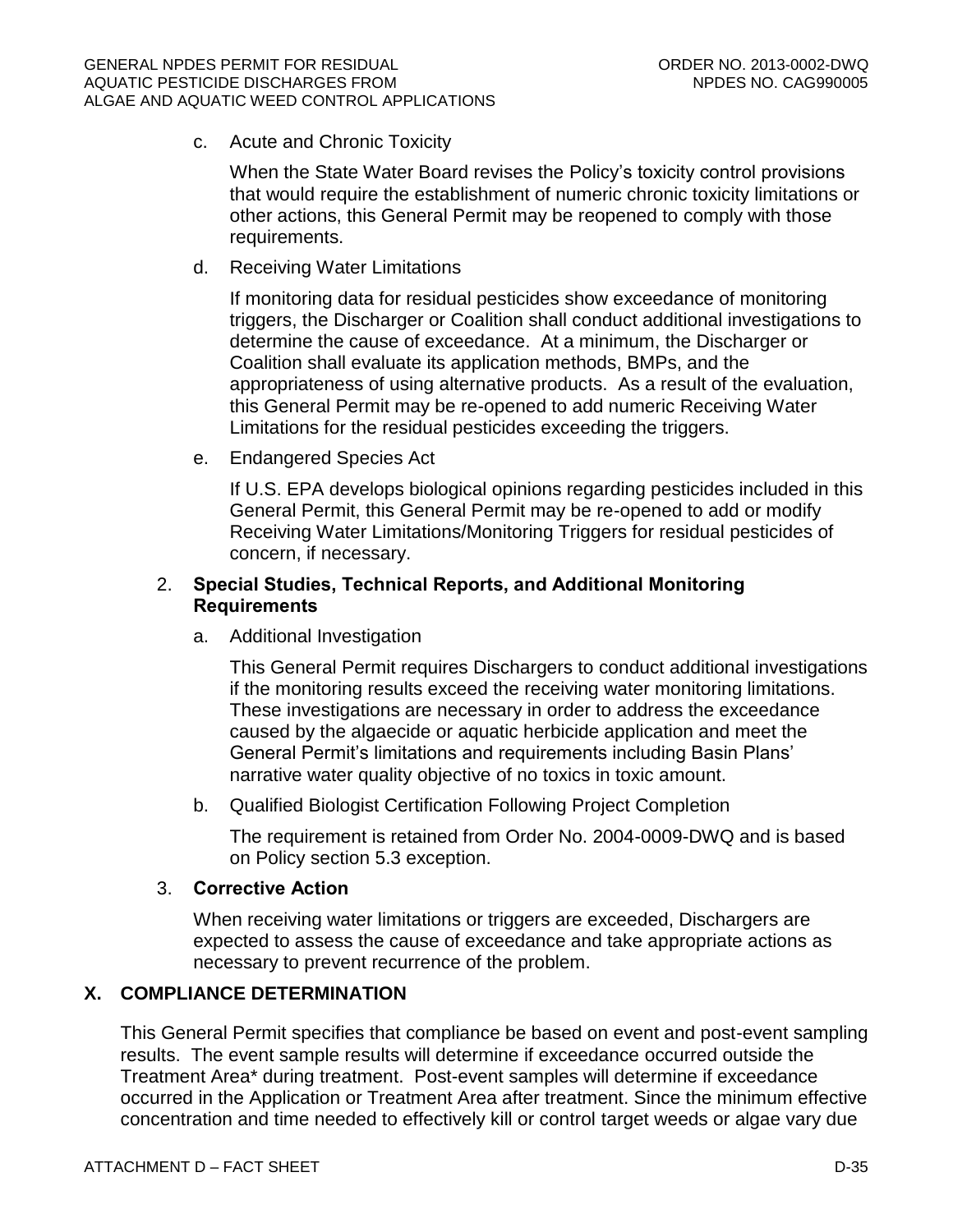c. Acute and Chronic Toxicity

When the State Water Board revises the Policy's toxicity control provisions that would require the establishment of numeric chronic toxicity limitations or other actions, this General Permit may be reopened to comply with those requirements.

d. Receiving Water Limitations

If monitoring data for residual pesticides show exceedance of monitoring triggers, the Discharger or Coalition shall conduct additional investigations to determine the cause of exceedance. At a minimum, the Discharger or Coalition shall evaluate its application methods, BMPs, and the appropriateness of using alternative products. As a result of the evaluation, this General Permit may be re-opened to add numeric Receiving Water Limitations for the residual pesticides exceeding the triggers.

e. Endangered Species Act

If U.S. EPA develops biological opinions regarding pesticides included in this General Permit, this General Permit may be re-opened to add or modify Receiving Water Limitations/Monitoring Triggers for residual pesticides of concern, if necessary.

## 2. **Special Studies, Technical Reports, and Additional Monitoring Requirements**

a. Additional Investigation

This General Permit requires Dischargers to conduct additional investigations if the monitoring results exceed the receiving water monitoring limitations. These investigations are necessary in order to address the exceedance caused by the algaecide or aquatic herbicide application and meet the General Permit's limitations and requirements including Basin Plans' narrative water quality objective of no toxics in toxic amount.

b. Qualified Biologist Certification Following Project Completion

The requirement is retained from Order No. 2004-0009-DWQ and is based on Policy section 5.3 exception.

## 3. **Corrective Action**

When receiving water limitations or triggers are exceeded, Dischargers are expected to assess the cause of exceedance and take appropriate actions as necessary to prevent recurrence of the problem.

# **X. COMPLIANCE DETERMINATION**

This General Permit specifies that compliance be based on event and post-event sampling results. The event sample results will determine if exceedance occurred outside the Treatment Area\* during treatment. Post-event samples will determine if exceedance occurred in the Application or Treatment Area after treatment. Since the minimum effective concentration and time needed to effectively kill or control target weeds or algae vary due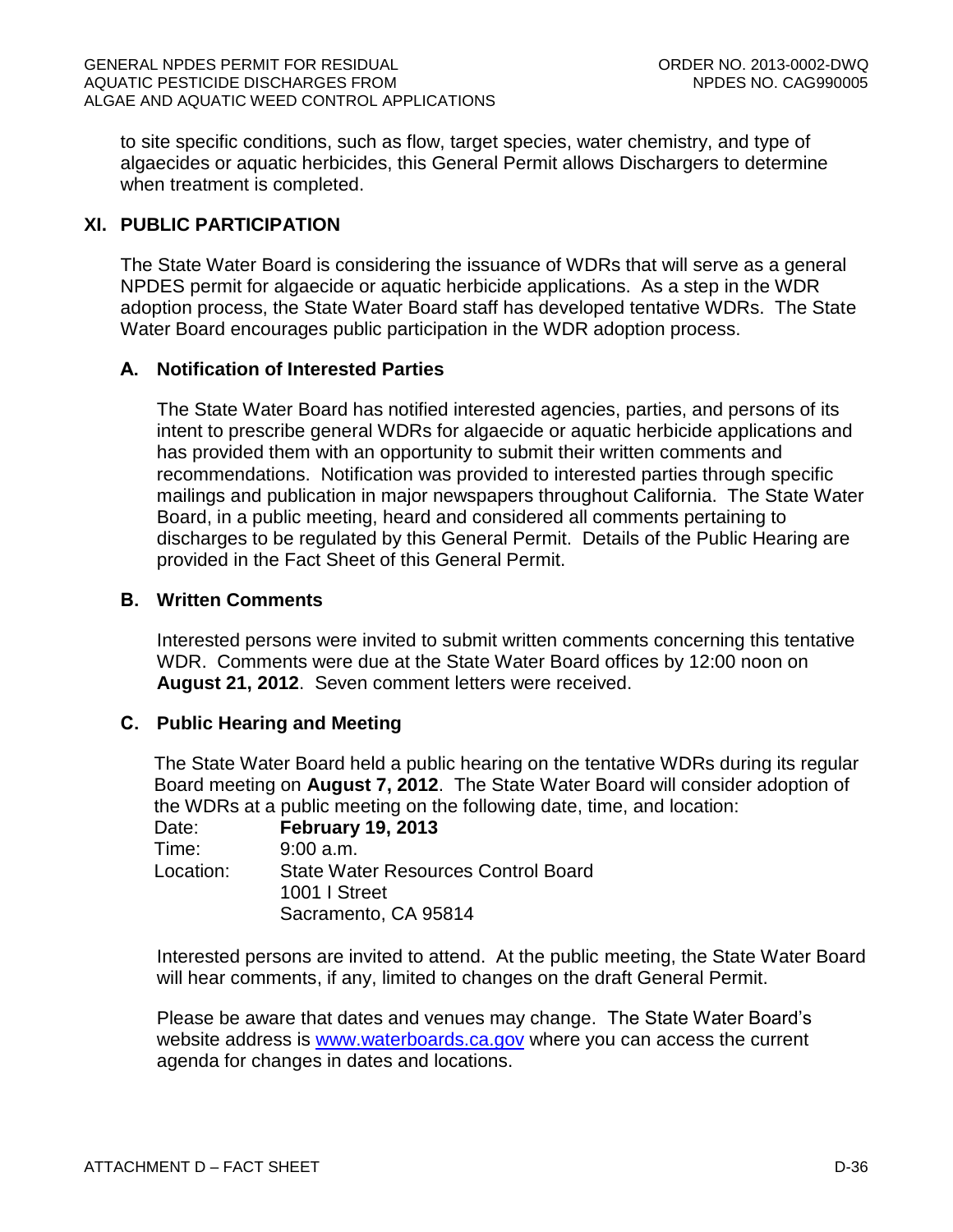to site specific conditions, such as flow, target species, water chemistry, and type of algaecides or aquatic herbicides, this General Permit allows Dischargers to determine when treatment is completed.

# **XI. PUBLIC PARTICIPATION**

The State Water Board is considering the issuance of WDRs that will serve as a general NPDES permit for algaecide or aquatic herbicide applications. As a step in the WDR adoption process, the State Water Board staff has developed tentative WDRs. The State Water Board encourages public participation in the WDR adoption process.

## **A. Notification of Interested Parties**

The State Water Board has notified interested agencies, parties, and persons of its intent to prescribe general WDRs for algaecide or aquatic herbicide applications and has provided them with an opportunity to submit their written comments and recommendations. Notification was provided to interested parties through specific mailings and publication in major newspapers throughout California. The State Water Board, in a public meeting, heard and considered all comments pertaining to discharges to be regulated by this General Permit. Details of the Public Hearing are provided in the Fact Sheet of this General Permit.

## **B. Written Comments**

Interested persons were invited to submit written comments concerning this tentative WDR. Comments were due at the State Water Board offices by 12:00 noon on **August 21, 2012**. Seven comment letters were received.

## **C. Public Hearing and Meeting**

The State Water Board held a public hearing on the tentative WDRs during its regular Board meeting on **August 7, 2012**. The State Water Board will consider adoption of the WDRs at a public meeting on the following date, time, and location:

| Date:     | <b>February 19, 2013</b>                                    |
|-----------|-------------------------------------------------------------|
| Time:     | $9:00$ a.m.                                                 |
| Location: | <b>State Water Resources Control Board</b><br>1001   Street |
|           |                                                             |
|           | Sacramento, CA 95814                                        |

Interested persons are invited to attend. At the public meeting, the State Water Board will hear comments, if any, limited to changes on the draft General Permit.

Please be aware that dates and venues may change. The State Water Board's website address is [www.waterboards.ca.gov](http://www.waterboards.ca.gov/) where you can access the current agenda for changes in dates and locations.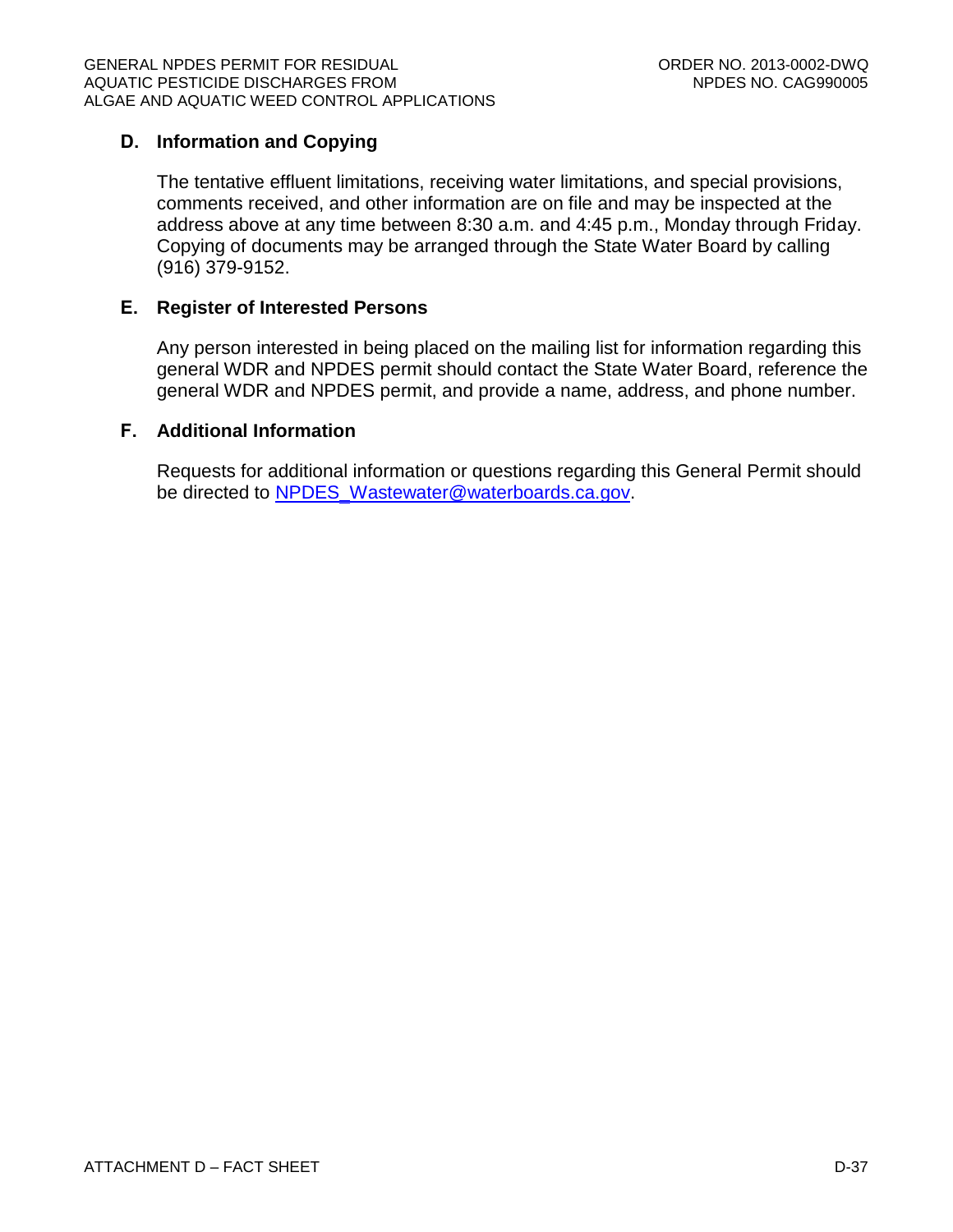# **D. Information and Copying**

The tentative effluent limitations, receiving water limitations, and special provisions, comments received, and other information are on file and may be inspected at the address above at any time between 8:30 a.m. and 4:45 p.m., Monday through Friday. Copying of documents may be arranged through the State Water Board by calling (916) 379-9152.

## **E. Register of Interested Persons**

Any person interested in being placed on the mailing list for information regarding this general WDR and NPDES permit should contact the State Water Board, reference the general WDR and NPDES permit, and provide a name, address, and phone number.

## **F. Additional Information**

Requests for additional information or questions regarding this General Permit should be directed to [NPDES\\_Wastewater@waterboards.ca.gov.](mailto:NPDES_Wastewater@waterboards.ca.gov)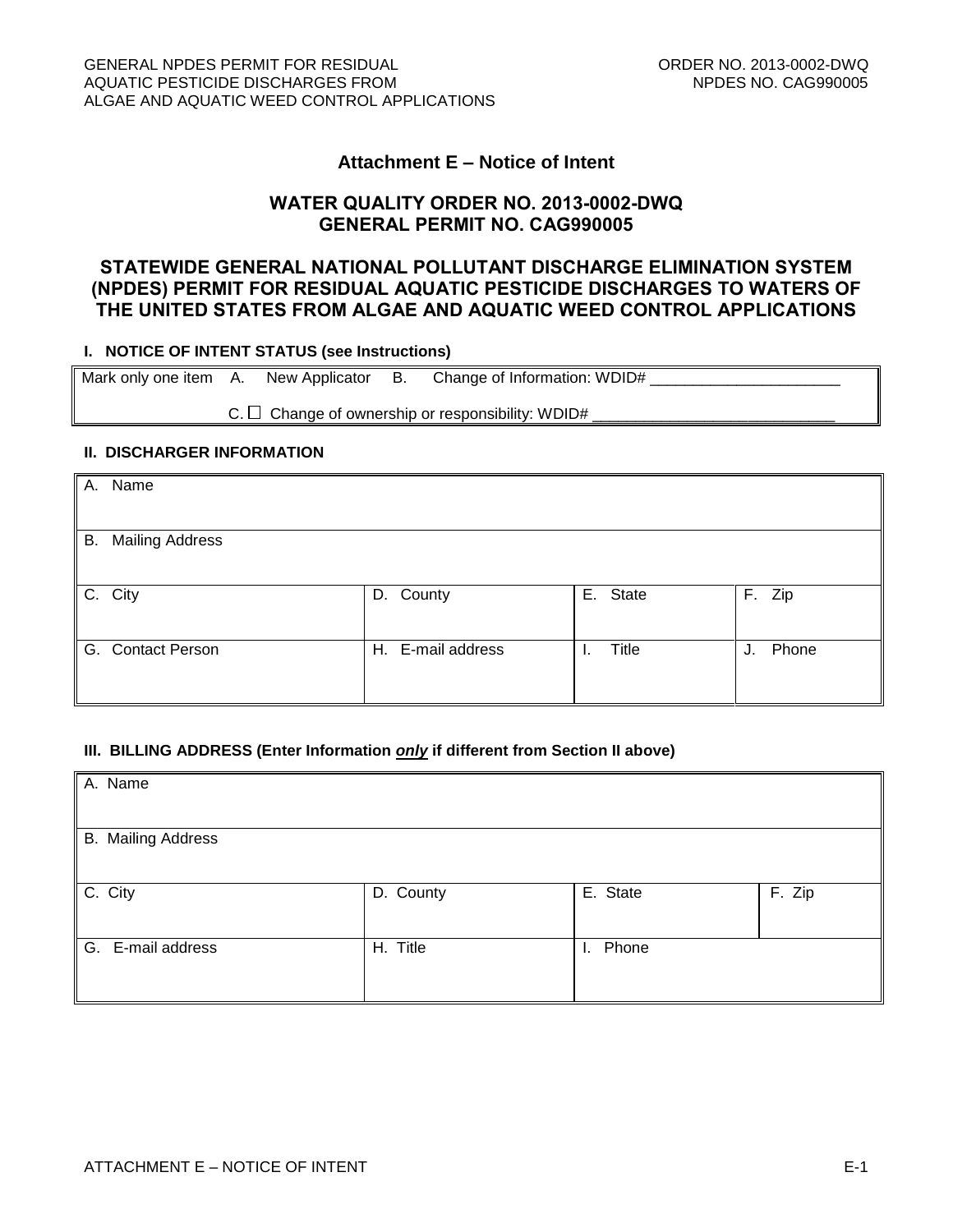#### **Attachment E – Notice of Intent**

#### **WATER QUALITY ORDER NO. 2013-0002-DWQ GENERAL PERMIT NO. CAG990005**

## **STATEWIDE GENERAL NATIONAL POLLUTANT DISCHARGE ELIMINATION SYSTEM (NPDES) PERMIT FOR RESIDUAL AQUATIC PESTICIDE DISCHARGES TO WATERS OF THE UNITED STATES FROM ALGAE AND AQUATIC WEED CONTROL APPLICATIONS**

#### **I. NOTICE OF INTENT STATUS (see Instructions)**

Mark only one item A. New Applicator B. Change of Information: WDID# $\_\_$  $C. \Box$  Change of ownership or responsibility: WDID#

#### **II. DISCHARGER INFORMATION**

| A. Name                   |                   |          |             |
|---------------------------|-------------------|----------|-------------|
| <b>B.</b> Mailing Address |                   |          |             |
| C. City                   | D. County         | E. State | F. Zip      |
| G. Contact Person         | H. E-mail address | Title    | Phone<br>J. |

#### **III. BILLING ADDRESS (Enter Information** *only* **if different from Section II above)**

| A. Name                   |           |             |        |
|---------------------------|-----------|-------------|--------|
| <b>B.</b> Mailing Address |           |             |        |
| C. City                   | D. County | E. State    | F. Zip |
| G. E-mail address         | H. Title  | Phone<br>Ъ. |        |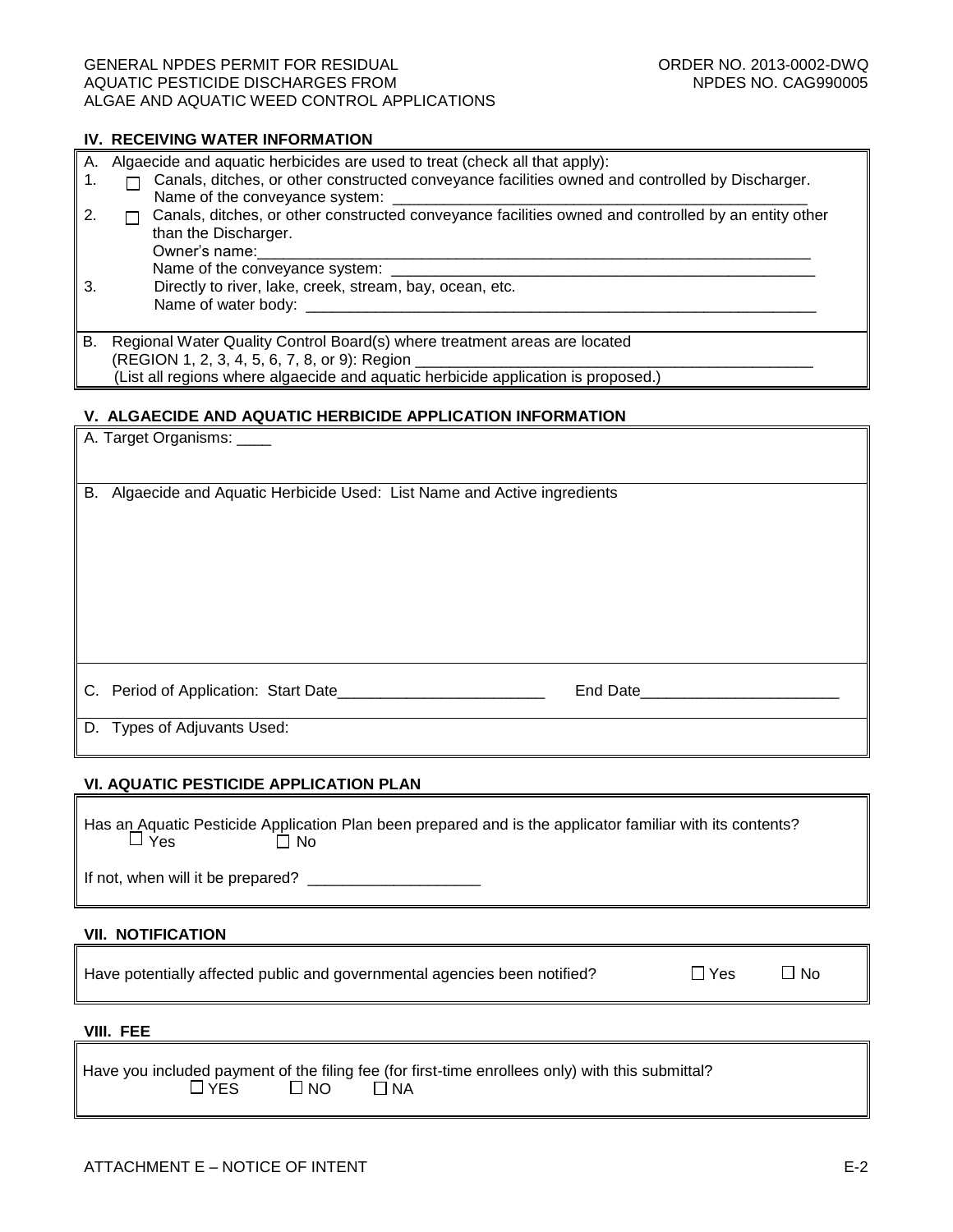#### GENERAL NPDES PERMIT FOR RESIDUAL **CONTACT CONDUCT CONDUCT CONDUCT** ORDER NO. 2013-0002-DWQ AQUATIC PESTICIDE DISCHARGES FROM NEW ROOM NEEDS NO. CAG990005 ALGAE AND AQUATIC WEED CONTROL APPLICATIONS

#### **IV. RECEIVING WATER INFORMATION**

| А. | Algaecide and aquatic herbicides are used to treat (check all that apply):                                                                                                                                      |
|----|-----------------------------------------------------------------------------------------------------------------------------------------------------------------------------------------------------------------|
|    | Canals, ditches, or other constructed conveyance facilities owned and controlled by Discharger.<br>Name of the conveyance system:                                                                               |
|    | Canals, ditches, or other constructed conveyance facilities owned and controlled by an entity other<br>than the Discharger.<br>Owner's name:                                                                    |
| 3  | Name of the conveyance system:<br>Directly to river, lake, creek, stream, bay, ocean, etc.<br>Name of water body:                                                                                               |
| В. | Regional Water Quality Control Board(s) where treatment areas are located<br>(REGION 1, 2, 3, 4, 5, 6, 7, 8, or 9): Region<br>(List all regions where algaecide and aquatic herbicide application is proposed.) |

#### **V. ALGAECIDE AND AQUATIC HERBICIDE APPLICATION INFORMATION**

|    | A. Target Organisms: _____                                             |          |  |
|----|------------------------------------------------------------------------|----------|--|
| В. | Algaecide and Aquatic Herbicide Used: List Name and Active ingredients |          |  |
|    |                                                                        |          |  |
|    |                                                                        |          |  |
|    |                                                                        | End Date |  |
|    | D. Types of Adjuvants Used:                                            |          |  |

#### **VI. AQUATIC PESTICIDE APPLICATION PLAN**

| $\Box$ Yes                        | Has an Aquatic Pesticide Application Plan been prepared and is the applicator familiar with its contents?<br>l No |
|-----------------------------------|-------------------------------------------------------------------------------------------------------------------|
| If not, when will it be prepared? |                                                                                                                   |

#### **VII. NOTIFICATION**

Have potentially affected public and governmental agencies been notified?  $\Box$  Yes  $\Box$  No

#### **VIII. FEE**

|                      | Have you included payment of the filing fee (for first-time enrollees only) with this submittal? |
|----------------------|--------------------------------------------------------------------------------------------------|
| $\Box$ YES $\Box$ NO | $\Box$ NA                                                                                        |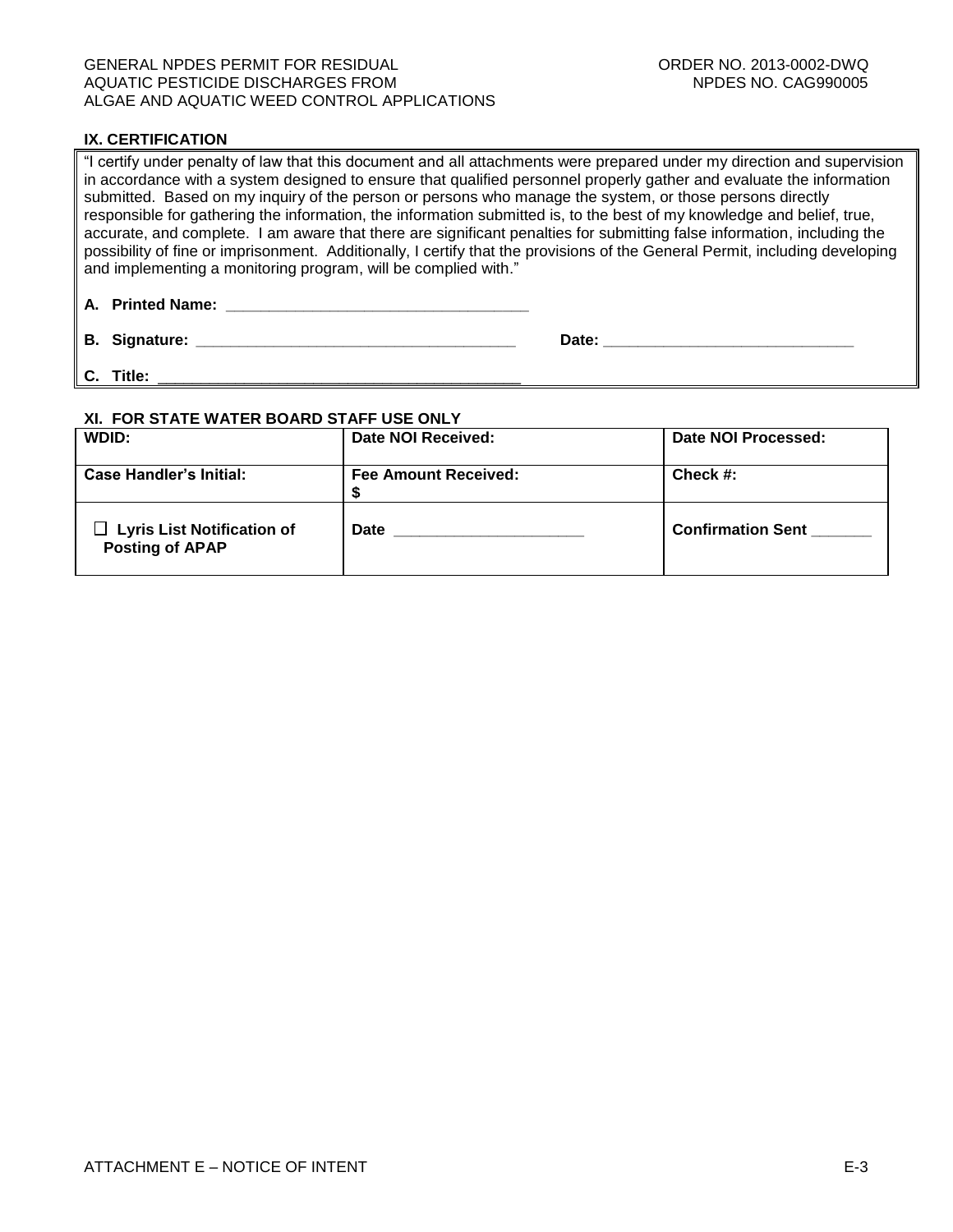#### GENERAL NPDES PERMIT FOR RESIDUAL **CONTACT CONSUMING THE CONTROL CONTROL** ORDER NO. 2013-0002-DWQ AQUATIC PESTICIDE DISCHARGES FROM NEW ROOM NEEDS NO. CAG990005 ALGAE AND AQUATIC WEED CONTROL APPLICATIONS

#### **IX. CERTIFICATION**

"I certify under penalty of law that this document and all attachments were prepared under my direction and supervision in accordance with a system designed to ensure that qualified personnel properly gather and evaluate the information submitted. Based on my inquiry of the person or persons who manage the system, or those persons directly responsible for gathering the information, the information submitted is, to the best of my knowledge and belief, true, accurate, and complete. I am aware that there are significant penalties for submitting false information, including the possibility of fine or imprisonment. Additionally, I certify that the provisions of the General Permit, including developing and implementing a monitoring program, will be complied with."

**A. Printed Name: \_\_\_\_\_\_\_\_\_\_\_\_\_\_\_\_\_\_\_\_\_\_\_\_\_\_\_\_\_\_\_\_\_\_\_**

**B.** Signature: *Date:**Date:**Date:**Date:**Date:**Date:**Date:**Date:**Date:**Date:**Date:**Date:**Date:**Date:**Date:**Date:**Date:**Date:**Date:**Date:**Date:**Date:**Date:**Date:**Date:**Date* 

**C. Title:** \_\_\_\_\_\_\_\_\_\_\_\_\_\_\_\_\_\_\_\_\_\_\_\_\_\_\_\_\_\_\_\_\_\_\_\_\_\_\_\_\_\_

#### **XI. FOR STATE WATER BOARD STAFF USE ONLY**

| WDID:                                                       | Date NOI Received:          | Date NOI Processed:      |
|-------------------------------------------------------------|-----------------------------|--------------------------|
| <b>Case Handler's Initial:</b>                              | <b>Fee Amount Received:</b> | Check $#$ :              |
| $\Box$ Lyris List Notification of<br><b>Posting of APAP</b> | <b>Date</b>                 | <b>Confirmation Sent</b> |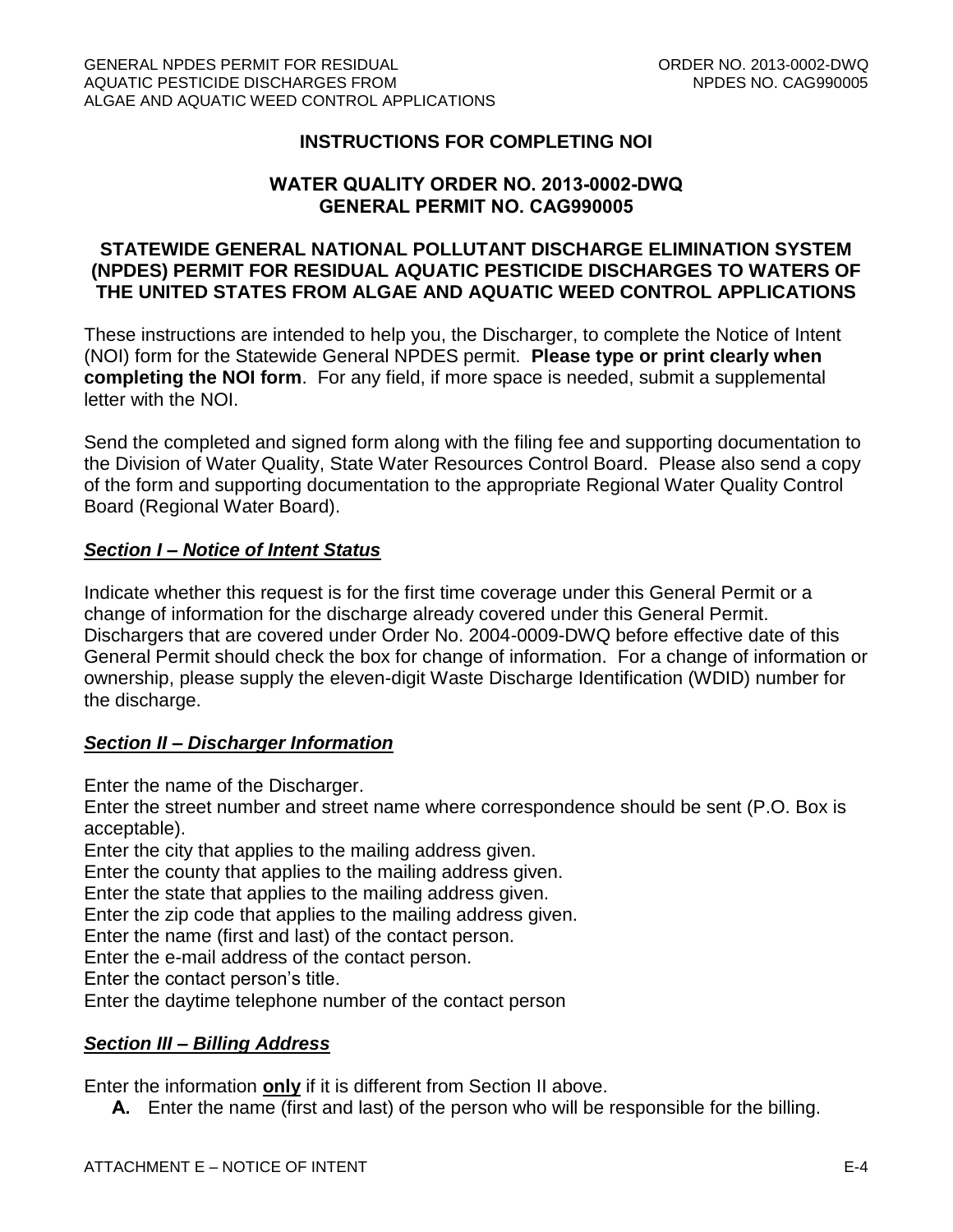# **INSTRUCTIONS FOR COMPLETING NOI**

## **WATER QUALITY ORDER NO. 2013-0002-DWQ GENERAL PERMIT NO. CAG990005**

## **STATEWIDE GENERAL NATIONAL POLLUTANT DISCHARGE ELIMINATION SYSTEM (NPDES) PERMIT FOR RESIDUAL AQUATIC PESTICIDE DISCHARGES TO WATERS OF THE UNITED STATES FROM ALGAE AND AQUATIC WEED CONTROL APPLICATIONS**

These instructions are intended to help you, the Discharger, to complete the Notice of Intent (NOI) form for the Statewide General NPDES permit. **Please type or print clearly when completing the NOI form**. For any field, if more space is needed, submit a supplemental letter with the NOI.

Send the completed and signed form along with the filing fee and supporting documentation to the Division of Water Quality, State Water Resources Control Board. Please also send a copy of the form and supporting documentation to the appropriate Regional Water Quality Control Board (Regional Water Board).

### *Section I – Notice of Intent Status*

Indicate whether this request is for the first time coverage under this General Permit or a change of information for the discharge already covered under this General Permit. Dischargers that are covered under Order No. 2004-0009-DWQ before effective date of this General Permit should check the box for change of information. For a change of information or ownership, please supply the eleven-digit Waste Discharge Identification (WDID) number for the discharge.

### *Section II – Discharger Information*

Enter the name of the Discharger.

Enter the street number and street name where correspondence should be sent (P.O. Box is acceptable).

Enter the city that applies to the mailing address given.

Enter the county that applies to the mailing address given.

Enter the state that applies to the mailing address given.

Enter the zip code that applies to the mailing address given.

Enter the name (first and last) of the contact person.

Enter the e-mail address of the contact person.

Enter the contact person's title.

Enter the daytime telephone number of the contact person

## *Section III – Billing Address*

Enter the information **only** if it is different from Section II above.

**A.** Enter the name (first and last) of the person who will be responsible for the billing.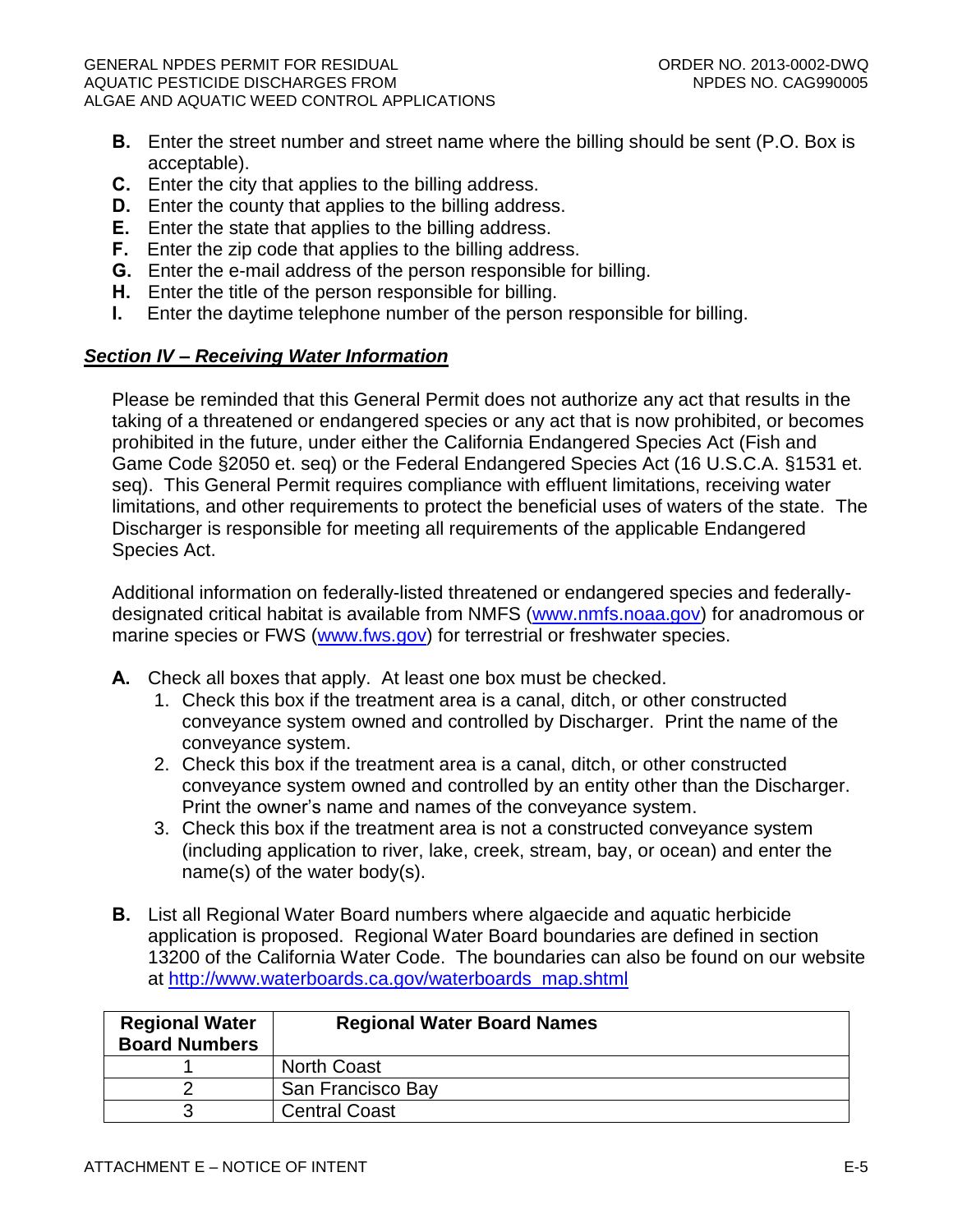- **B.** Enter the street number and street name where the billing should be sent (P.O. Box is acceptable).
- **C.** Enter the city that applies to the billing address.
- **D.** Enter the county that applies to the billing address.
- **E.** Enter the state that applies to the billing address.
- **F.** Enter the zip code that applies to the billing address.
- **G.** Enter the e-mail address of the person responsible for billing.
- **H.** Enter the title of the person responsible for billing.
- **I.** Enter the daytime telephone number of the person responsible for billing.

# *Section IV – Receiving Water Information*

Please be reminded that this General Permit does not authorize any act that results in the taking of a threatened or endangered species or any act that is now prohibited, or becomes prohibited in the future, under either the California Endangered Species Act (Fish and Game Code §2050 et. seq) or the Federal Endangered Species Act (16 U.S.C.A. §1531 et. seq). This General Permit requires compliance with effluent limitations, receiving water limitations, and other requirements to protect the beneficial uses of waters of the state. The Discharger is responsible for meeting all requirements of the applicable Endangered Species Act.

Additional information on federally-listed threatened or endangered species and federallydesignated critical habitat is available from NMFS [\(www.nmfs.noaa.gov\)](http://www.nmfs.noaa.gov/) for anadromous or marine species or FWS [\(www.fws.gov\)](http://www.fws.gov/) for terrestrial or freshwater species.

- **A.** Check all boxes that apply. At least one box must be checked.
	- 1. Check this box if the treatment area is a canal, ditch, or other constructed conveyance system owned and controlled by Discharger. Print the name of the conveyance system.
	- 2. Check this box if the treatment area is a canal, ditch, or other constructed conveyance system owned and controlled by an entity other than the Discharger. Print the owner's name and names of the conveyance system.
	- 3. Check this box if the treatment area is not a constructed conveyance system (including application to river, lake, creek, stream, bay, or ocean) and enter the name(s) of the water body(s).
- **B.** List all Regional Water Board numbers where algaecide and aquatic herbicide application is proposed. Regional Water Board boundaries are defined in section 13200 of the California Water Code. The boundaries can also be found on our website at [http://www.waterboards.ca.gov/waterboards\\_map.shtml](http://www.waterboards.ca.gov/waterboards_map.shtml)

| <b>Regional Water</b><br><b>Board Numbers</b> | <b>Regional Water Board Names</b> |
|-----------------------------------------------|-----------------------------------|
|                                               | <b>North Coast</b>                |
|                                               | San Francisco Bay                 |
| ว                                             | <b>Central Coast</b>              |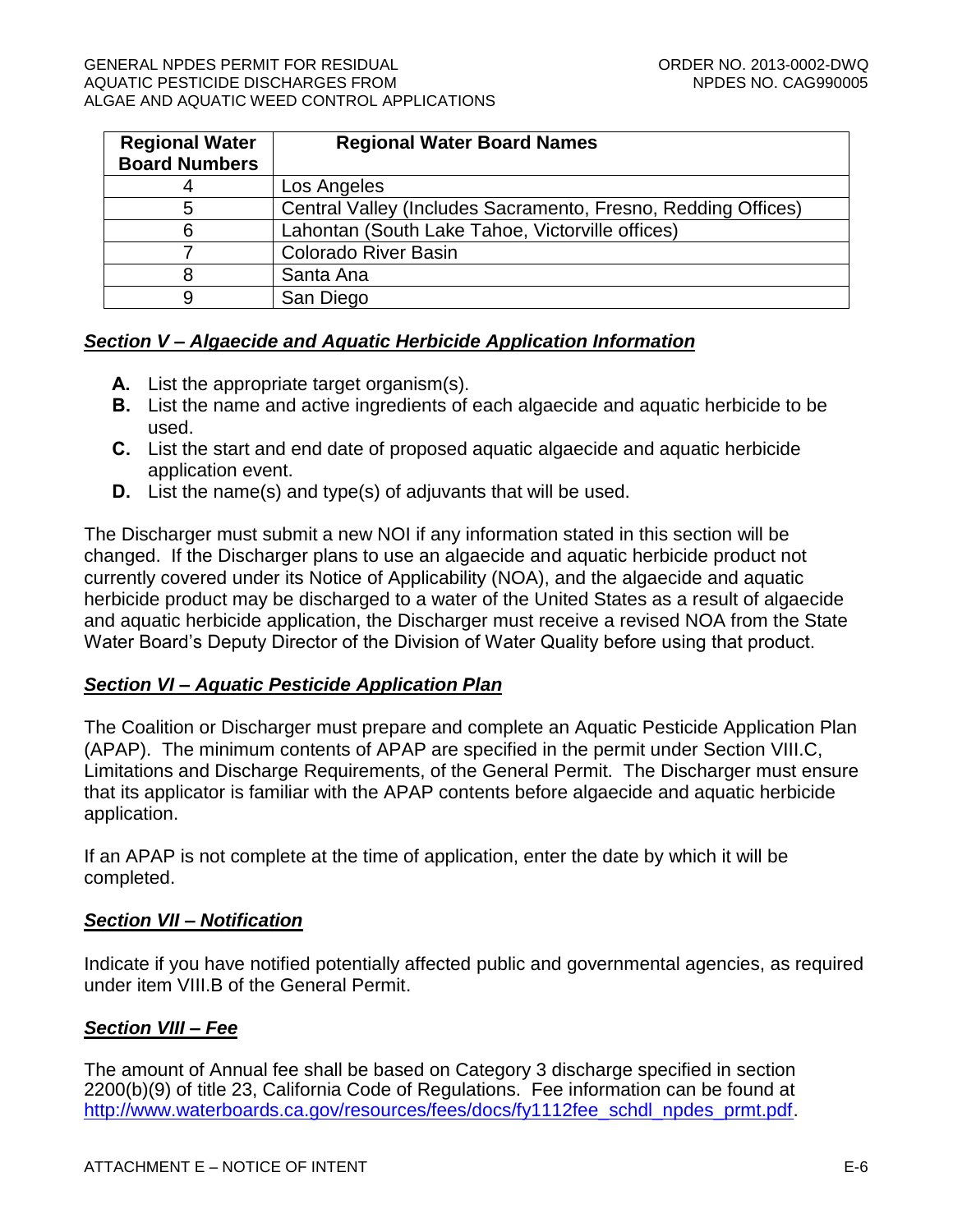| <b>Regional Water</b> | <b>Regional Water Board Names</b>                             |  |
|-----------------------|---------------------------------------------------------------|--|
| <b>Board Numbers</b>  |                                                               |  |
| 4                     | Los Angeles                                                   |  |
| 5                     | Central Valley (Includes Sacramento, Fresno, Redding Offices) |  |
| 6                     | Lahontan (South Lake Tahoe, Victorville offices)              |  |
|                       | <b>Colorado River Basin</b>                                   |  |
| 8                     | Santa Ana                                                     |  |
| 9                     | San Diego                                                     |  |

## *Section V – Algaecide and Aquatic Herbicide Application Information*

- **A.** List the appropriate target organism(s).
- **B.** List the name and active ingredients of each algaecide and aquatic herbicide to be used.
- **C.** List the start and end date of proposed aquatic algaecide and aquatic herbicide application event.
- **D.** List the name(s) and type(s) of adjuvants that will be used.

The Discharger must submit a new NOI if any information stated in this section will be changed. If the Discharger plans to use an algaecide and aquatic herbicide product not currently covered under its Notice of Applicability (NOA), and the algaecide and aquatic herbicide product may be discharged to a water of the United States as a result of algaecide and aquatic herbicide application, the Discharger must receive a revised NOA from the State Water Board's Deputy Director of the Division of Water Quality before using that product.

## *Section VI – Aquatic Pesticide Application Plan*

The Coalition or Discharger must prepare and complete an Aquatic Pesticide Application Plan (APAP). The minimum contents of APAP are specified in the permit under Section VIII.C, Limitations and Discharge Requirements, of the General Permit. The Discharger must ensure that its applicator is familiar with the APAP contents before algaecide and aquatic herbicide application.

If an APAP is not complete at the time of application, enter the date by which it will be completed.

### *Section VII – Notification*

Indicate if you have notified potentially affected public and governmental agencies, as required under item VIII.B of the General Permit.

## *Section VIII – Fee*

The amount of Annual fee shall be based on Category 3 discharge specified in section 2200(b)(9) of title 23, California Code of Regulations. Fee information can be found at [http://www.waterboards.ca.gov/resources/fees/docs/fy1112fee\\_schdl\\_npdes\\_prmt.pdf.](http://www.waterboards.ca.gov/resources/fees/docs/fy1112fee_schdl_npdes_prmt.pdf)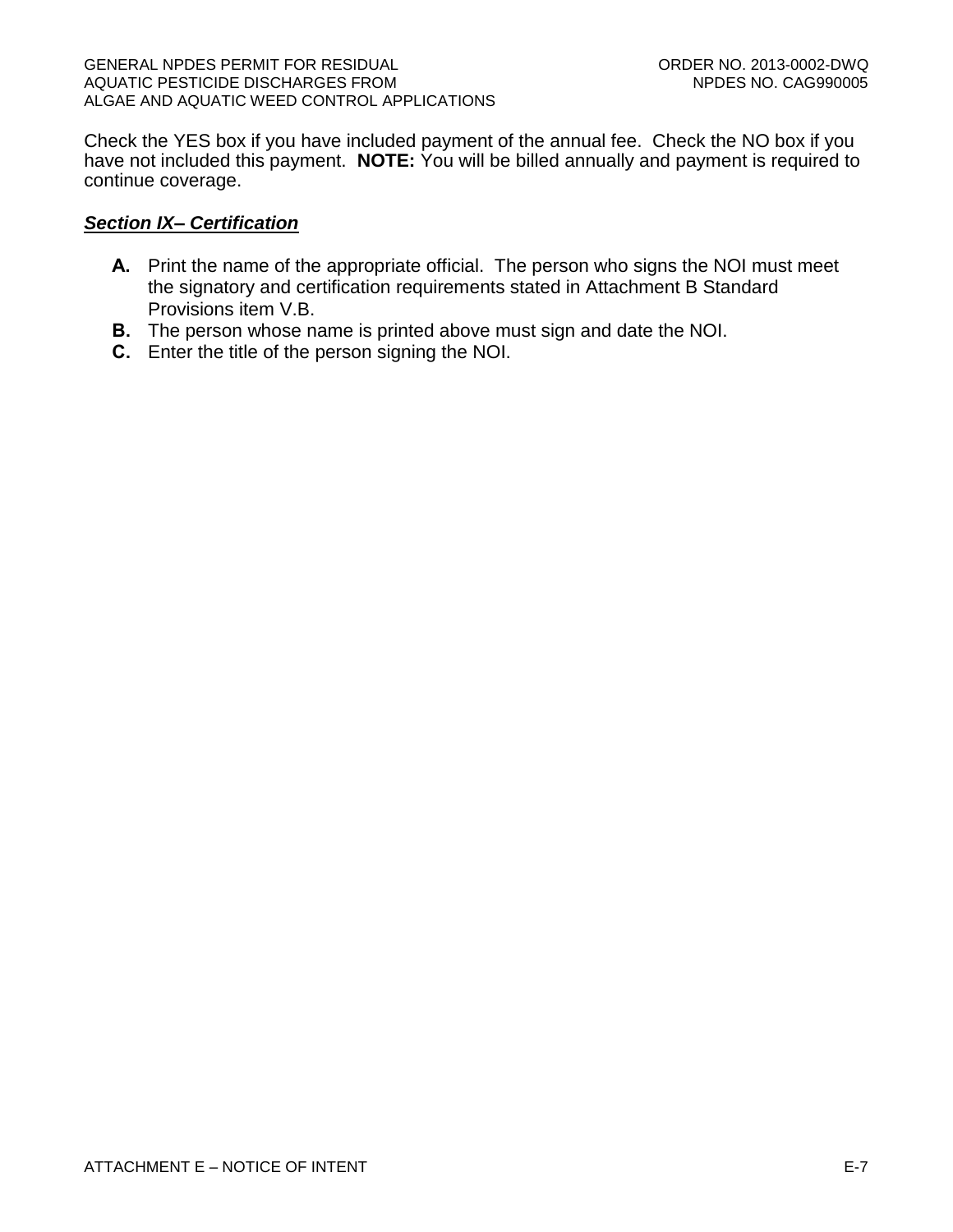Check the YES box if you have included payment of the annual fee. Check the NO box if you have not included this payment. **NOTE:** You will be billed annually and payment is required to continue coverage.

### *Section IX– Certification*

- **A.** Print the name of the appropriate official. The person who signs the NOI must meet the signatory and certification requirements stated in Attachment B Standard Provisions item V.B.
- **B.** The person whose name is printed above must sign and date the NOI.
- **C.** Enter the title of the person signing the NOI.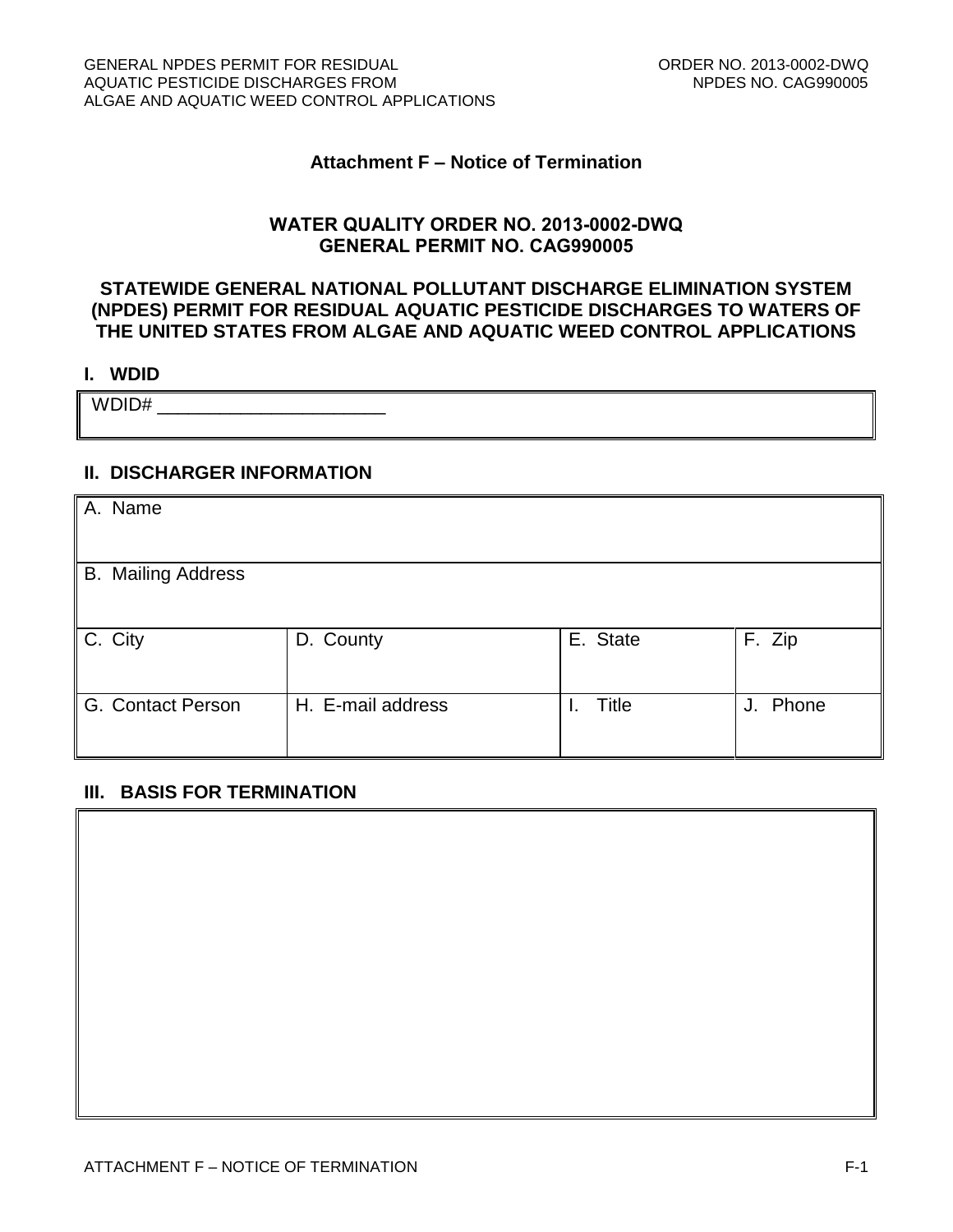### **Attachment F – Notice of Termination**

### **WATER QUALITY ORDER NO. 2013-0002-DWQ GENERAL PERMIT NO. CAG990005**

## **STATEWIDE GENERAL NATIONAL POLLUTANT DISCHARGE ELIMINATION SYSTEM (NPDES) PERMIT FOR RESIDUAL AQUATIC PESTICIDE DISCHARGES TO WATERS OF THE UNITED STATES FROM ALGAE AND AQUATIC WEED CONTROL APPLICATIONS**

#### **I. WDID**

 $WDD1D#$ 

### **II. DISCHARGER INFORMATION**

| A. Name                   |                   |          |          |
|---------------------------|-------------------|----------|----------|
| <b>B.</b> Mailing Address |                   |          |          |
| C. City                   | D. County         | E. State | F. Zip   |
| G. Contact Person         | H. E-mail address | Title    | J. Phone |

### **III. BASIS FOR TERMINATION**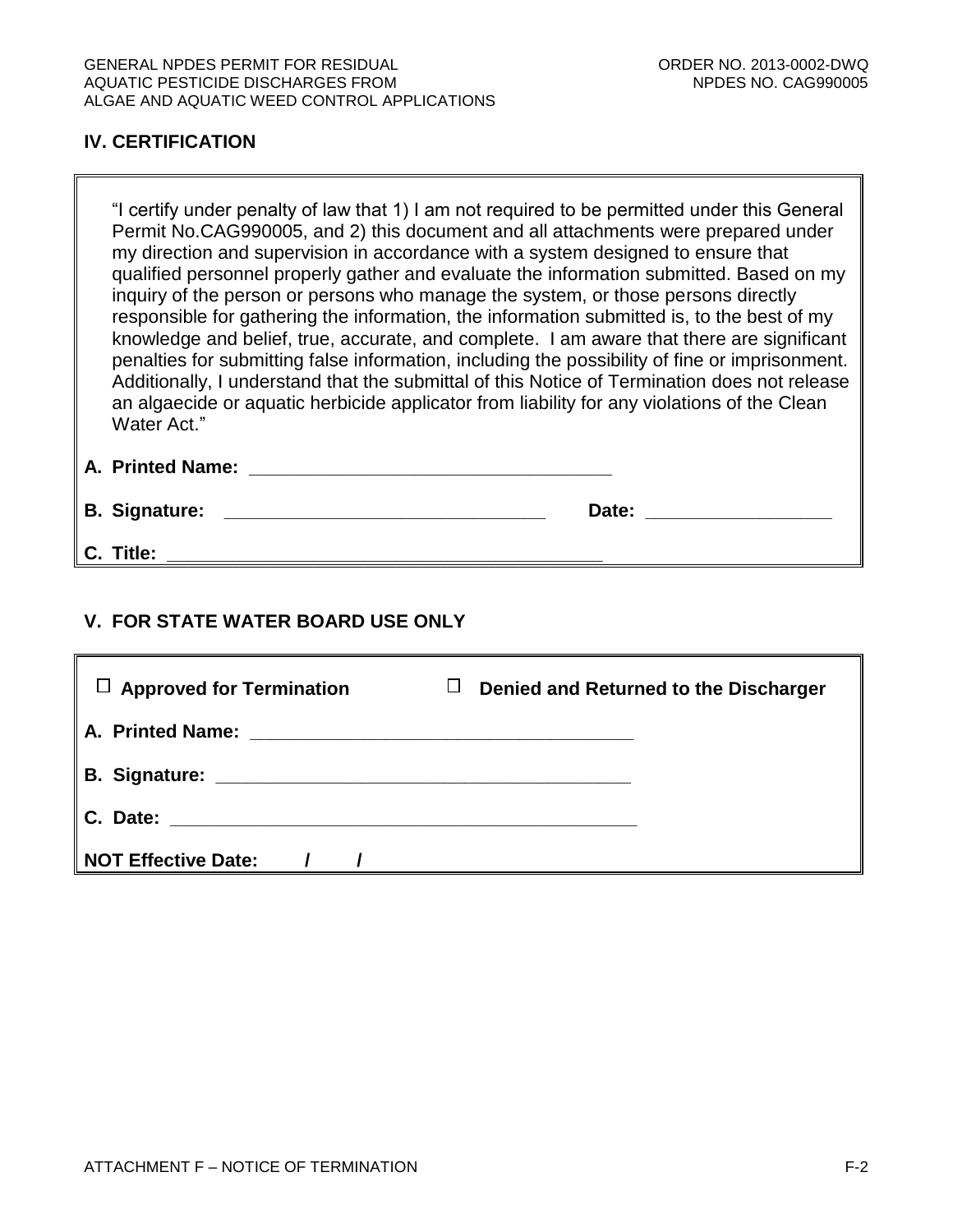# **IV. CERTIFICATION**

"I certify under penalty of law that 1) I am not required to be permitted under this General Permit No.CAG990005, and 2) this document and all attachments were prepared under my direction and supervision in accordance with a system designed to ensure that qualified personnel properly gather and evaluate the information submitted. Based on my inquiry of the person or persons who manage the system, or those persons directly responsible for gathering the information, the information submitted is, to the best of my knowledge and belief, true, accurate, and complete. I am aware that there are significant penalties for submitting false information, including the possibility of fine or imprisonment. Additionally, I understand that the submittal of this Notice of Termination does not release an algaecide or aquatic herbicide applicator from liability for any violations of the Clean Water Act."

# **A. Printed Name: \_\_\_\_\_\_\_\_\_\_\_\_\_\_\_\_\_\_\_\_\_\_\_\_\_\_\_\_\_\_\_\_\_\_\_**

**B. Signature: \_\_\_\_\_\_\_\_\_\_\_\_\_\_\_\_\_\_\_\_\_\_\_\_\_\_\_\_\_\_\_ Date: \_\_\_\_\_\_\_\_\_\_\_\_\_\_\_\_\_\_**

**C. Title: \_\_\_\_\_\_\_\_\_\_\_\_\_\_\_\_\_\_\_\_\_\_\_\_\_\_\_\_\_\_\_\_\_\_\_\_\_\_\_\_\_\_**

# **V. FOR STATE WATER BOARD USE ONLY**

| $\Box$ Approved for Termination | Denied and Returned to the Discharger<br>$\Box$ |
|---------------------------------|-------------------------------------------------|
|                                 |                                                 |
|                                 |                                                 |
|                                 |                                                 |
| NOT Effective Date: /           |                                                 |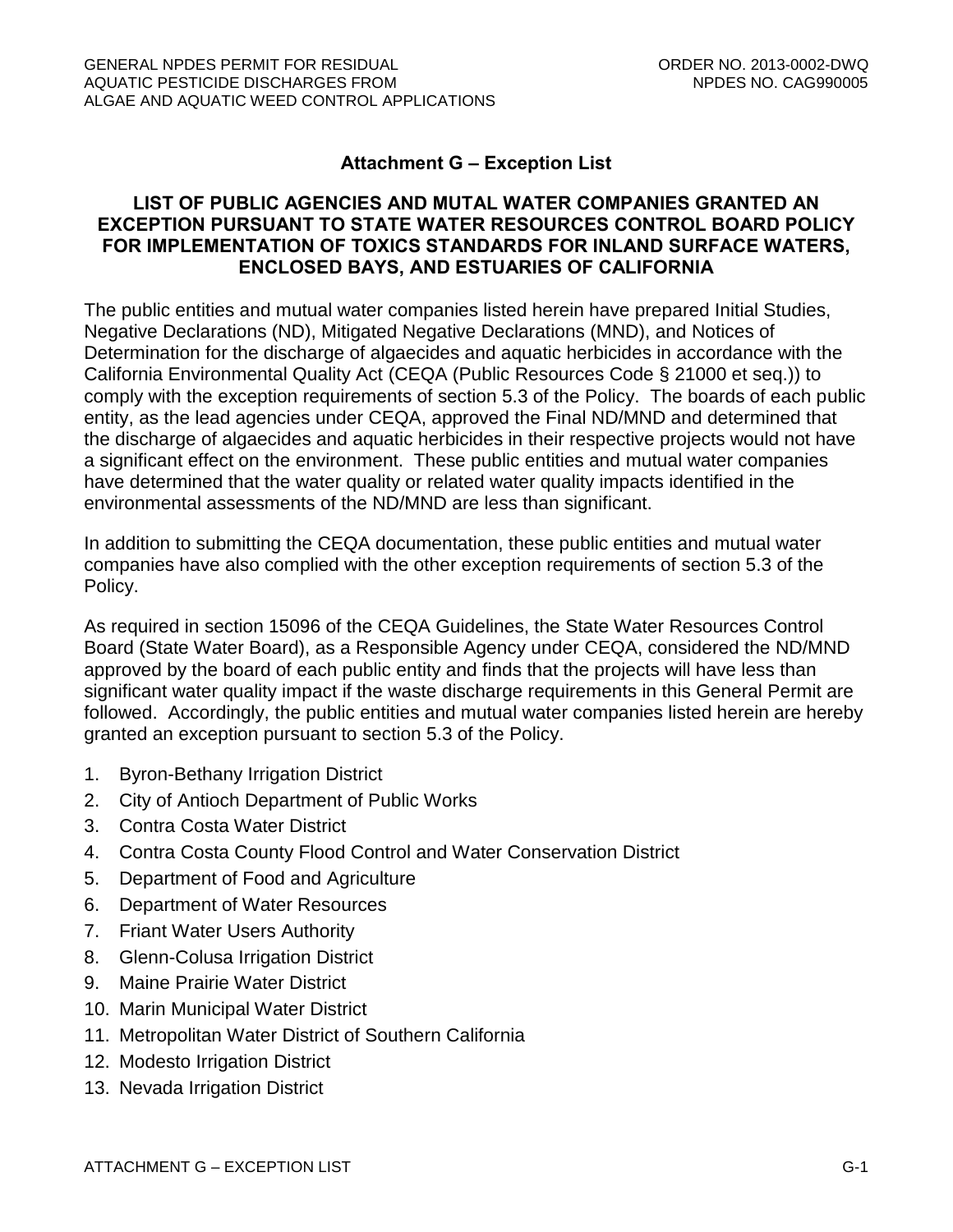# **Attachment G – Exception List**

## **LIST OF PUBLIC AGENCIES AND MUTAL WATER COMPANIES GRANTED AN EXCEPTION PURSUANT TO STATE WATER RESOURCES CONTROL BOARD POLICY FOR IMPLEMENTATION OF TOXICS STANDARDS FOR INLAND SURFACE WATERS, ENCLOSED BAYS, AND ESTUARIES OF CALIFORNIA**

The public entities and mutual water companies listed herein have prepared Initial Studies, Negative Declarations (ND), Mitigated Negative Declarations (MND), and Notices of Determination for the discharge of algaecides and aquatic herbicides in accordance with the California Environmental Quality Act (CEQA (Public Resources Code § 21000 et seq.)) to comply with the exception requirements of section 5.3 of the Policy. The boards of each public entity, as the lead agencies under CEQA, approved the Final ND/MND and determined that the discharge of algaecides and aquatic herbicides in their respective projects would not have a significant effect on the environment. These public entities and mutual water companies have determined that the water quality or related water quality impacts identified in the environmental assessments of the ND/MND are less than significant.

In addition to submitting the CEQA documentation, these public entities and mutual water companies have also complied with the other exception requirements of section 5.3 of the Policy.

As required in section 15096 of the CEQA Guidelines, the State Water Resources Control Board (State Water Board), as a Responsible Agency under CEQA, considered the ND/MND approved by the board of each public entity and finds that the projects will have less than significant water quality impact if the waste discharge requirements in this General Permit are followed. Accordingly, the public entities and mutual water companies listed herein are hereby granted an exception pursuant to section 5.3 of the Policy.

- 1. Byron-Bethany Irrigation District
- 2. City of Antioch Department of Public Works
- 3. Contra Costa Water District
- 4. Contra Costa County Flood Control and Water Conservation District
- 5. Department of Food and Agriculture
- 6. Department of Water Resources
- 7. Friant Water Users Authority
- 8. Glenn-Colusa Irrigation District
- 9. Maine Prairie Water District
- 10. Marin Municipal Water District
- 11. Metropolitan Water District of Southern California
- 12. Modesto Irrigation District
- 13. Nevada Irrigation District